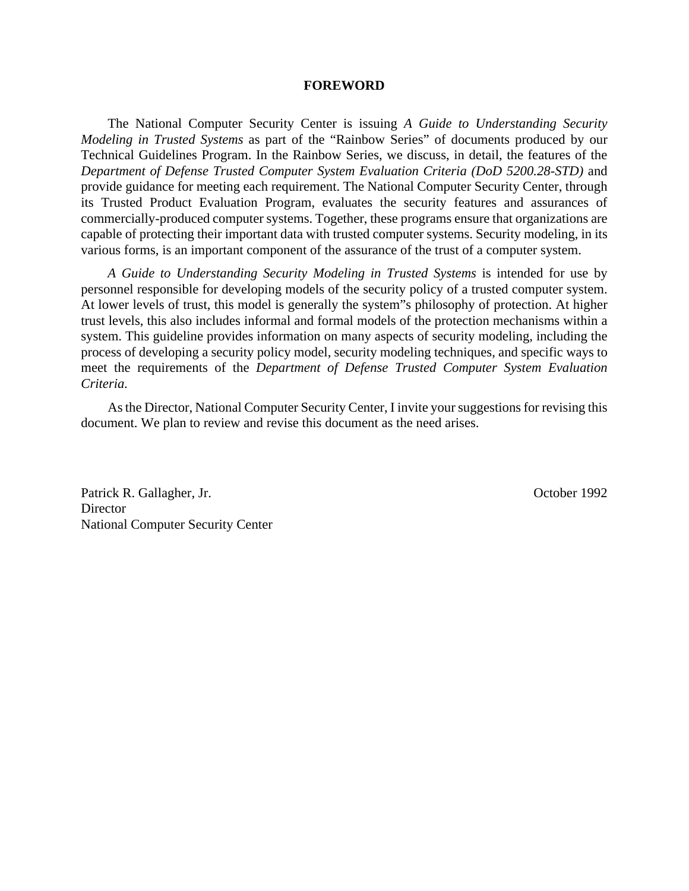#### **FOREWORD**

The National Computer Security Center is issuing *A Guide to Understanding Security Modeling in Trusted Systems* as part of the "Rainbow Series" of documents produced by our Technical Guidelines Program. In the Rainbow Series, we discuss, in detail, the features of the *Department of Defense Trusted Computer System Evaluation Criteria (DoD 5200.28-STD)* and provide guidance for meeting each requirement. The National Computer Security Center, through its Trusted Product Evaluation Program, evaluates the security features and assurances of commercially-produced computer systems. Together, these programs ensure that organizations are capable of protecting their important data with trusted computer systems. Security modeling, in its various forms, is an important component of the assurance of the trust of a computer system.

*A Guide to Understanding Security Modeling in Trusted Systems* is intended for use by personnel responsible for developing models of the security policy of a trusted computer system. At lower levels of trust, this model is generally the system"s philosophy of protection. At higher trust levels, this also includes informal and formal models of the protection mechanisms within a system. This guideline provides information on many aspects of security modeling, including the process of developing a security policy model, security modeling techniques, and specific ways to meet the requirements of the *Department of Defense Trusted Computer System Evaluation Criteria.*

As the Director, National Computer Security Center, I invite your suggestions for revising this document. We plan to review and revise this document as the need arises.

Patrick R. Gallagher, Jr. Corober 1992 **Director** National Computer Security Center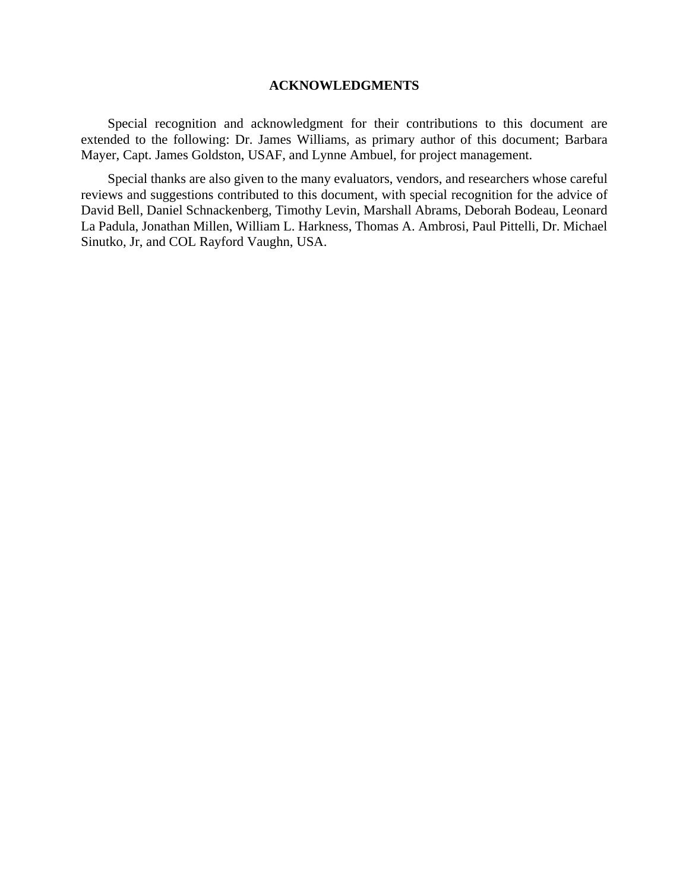### **ACKNOWLEDGMENTS**

Special recognition and acknowledgment for their contributions to this document are extended to the following: Dr. James Williams, as primary author of this document; Barbara Mayer, Capt. James Goldston, USAF, and Lynne Ambuel, for project management.

Special thanks are also given to the many evaluators, vendors, and researchers whose careful reviews and suggestions contributed to this document, with special recognition for the advice of David Bell, Daniel Schnackenberg, Timothy Levin, Marshall Abrams, Deborah Bodeau, Leonard La Padula, Jonathan Millen, William L. Harkness, Thomas A. Ambrosi, Paul Pittelli, Dr. Michael Sinutko, Jr, and COL Rayford Vaughn, USA.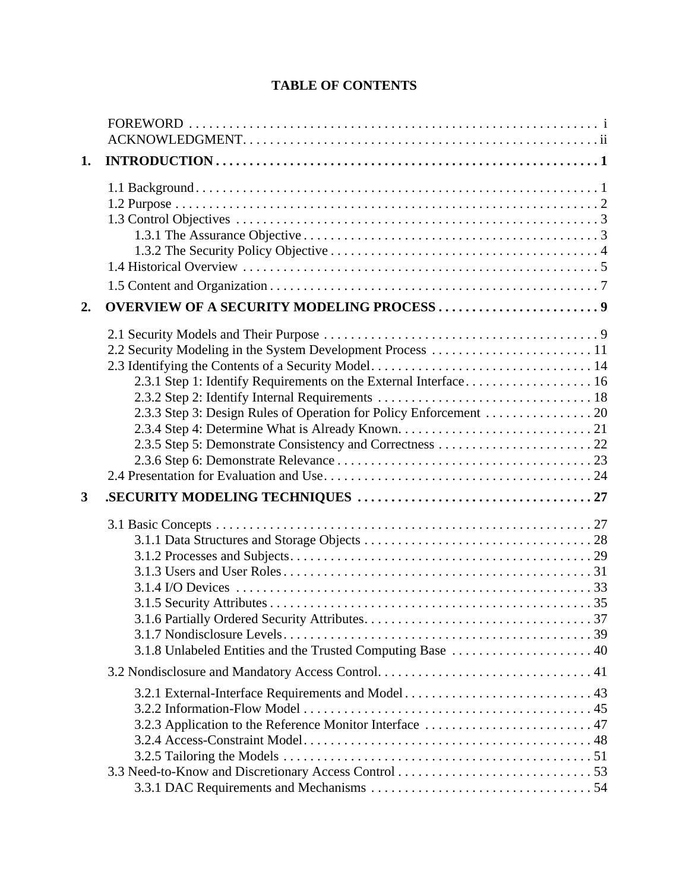# **TABLE OF CONTENTS**

| 1. |                                                                                                                |
|----|----------------------------------------------------------------------------------------------------------------|
|    |                                                                                                                |
| 2. | <b>OVERVIEW OF A SECURITY MODELING PROCESS 9</b>                                                               |
|    |                                                                                                                |
|    |                                                                                                                |
| 3  |                                                                                                                |
|    | 3.1.8 Unlabeled Entities and the Trusted Computing Base  40                                                    |
|    |                                                                                                                |
|    | 3.2.1 External-Interface Requirements and Model 43<br>3.2.3 Application to the Reference Monitor Interface  47 |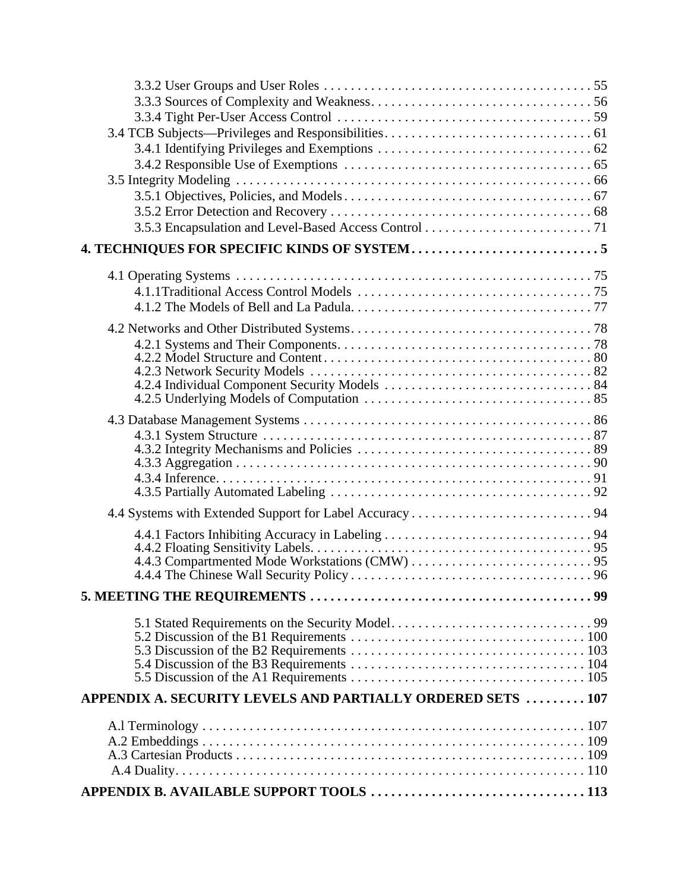| APPENDIX A. SECURITY LEVELS AND PARTIALLY ORDERED SETS  107 |  |
|-------------------------------------------------------------|--|
|                                                             |  |
|                                                             |  |
|                                                             |  |
|                                                             |  |
|                                                             |  |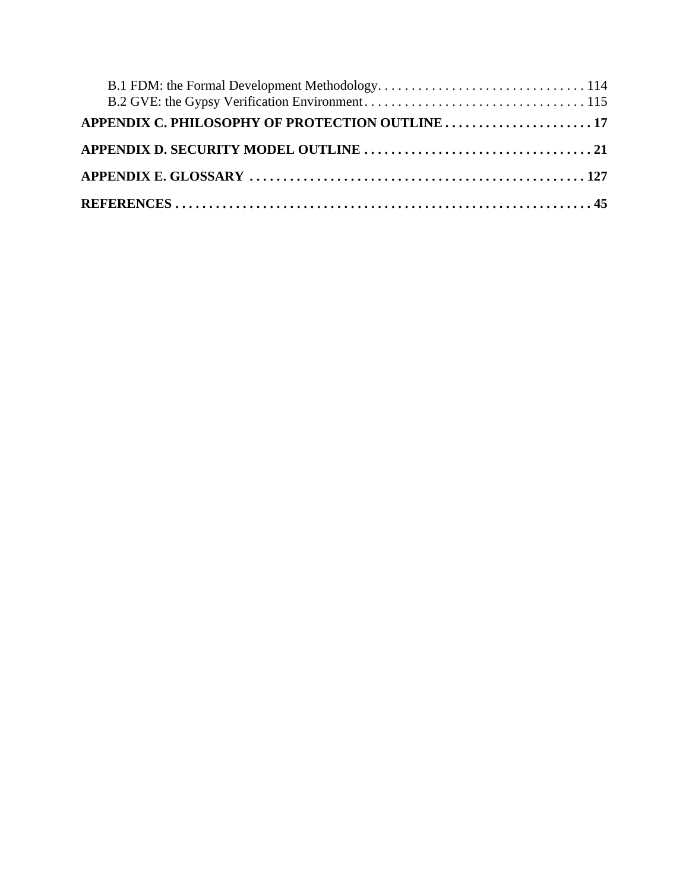| APPENDIX C. PHILOSOPHY OF PROTECTION OUTLINE  17 |  |
|--------------------------------------------------|--|
|                                                  |  |
|                                                  |  |
|                                                  |  |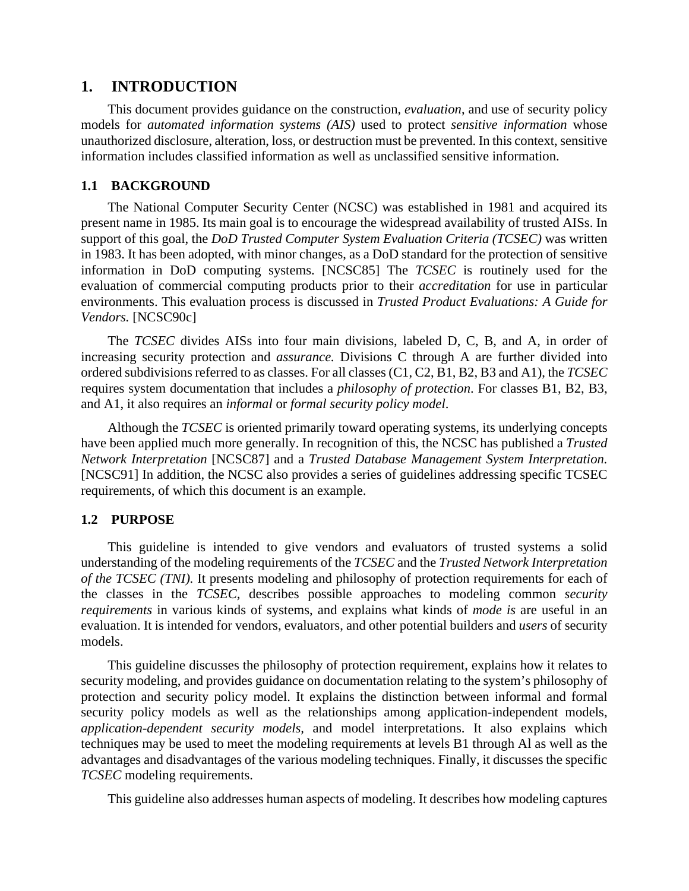## **1. INTRODUCTION**

This document provides guidance on the construction, *evaluation*, and use of security policy models for *automated information systems (AIS)* used to protect *sensitive information* whose unauthorized disclosure, alteration, loss, or destruction must be prevented. In this context, sensitive information includes classified information as well as unclassified sensitive information.

## **1.1 BACKGROUND**

The National Computer Security Center (NCSC) was established in 1981 and acquired its present name in 1985. Its main goal is to encourage the widespread availability of trusted AISs. In support of this goal, the *DoD Trusted Computer System Evaluation Criteria (TCSEC)* was written in 1983. It has been adopted, with minor changes, as a DoD standard for the protection of sensitive information in DoD computing systems. [NCSC85] The *TCSEC* is routinely used for the evaluation of commercial computing products prior to their *accreditation* for use in particular environments. This evaluation process is discussed in *Trusted Product Evaluations: A Guide for Vendors.* [NCSC90c]

The *TCSEC* divides AISs into four main divisions, labeled D, C, B, and A, in order of increasing security protection and *assurance.* Divisions C through A are further divided into ordered subdivisions referred to as classes. For all classes (C1, C2, B1, B2, B3 and A1), the *TCSEC* requires system documentation that includes a *philosophy of protection*. For classes B1, B2, B3, and A1, it also requires an *informal* or *formal security policy model*.

Although the *TCSEC* is oriented primarily toward operating systems, its underlying concepts have been applied much more generally. In recognition of this, the NCSC has published a *Trusted Network Interpretation* [NCSC87] and a *Trusted Database Management System Interpretation.* [NCSC91] In addition, the NCSC also provides a series of guidelines addressing specific TCSEC requirements, of which this document is an example.

## **1.2 PURPOSE**

This guideline is intended to give vendors and evaluators of trusted systems a solid understanding of the modeling requirements of the *TCSEC* and the *Trusted Network Interpretation of the TCSEC (TNI).* It presents modeling and philosophy of protection requirements for each of the classes in the *TCSEC,* describes possible approaches to modeling common *security requirements* in various kinds of systems, and explains what kinds of *mode is* are useful in an evaluation. It is intended for vendors, evaluators, and other potential builders and *users* of security models.

This guideline discusses the philosophy of protection requirement, explains how it relates to security modeling, and provides guidance on documentation relating to the system's philosophy of protection and security policy model. It explains the distinction between informal and formal security policy models as well as the relationships among application-independent models, *application-dependent security models,* and model interpretations. It also explains which techniques may be used to meet the modeling requirements at levels B1 through Al as well as the advantages and disadvantages of the various modeling techniques. Finally, it discusses the specific *TCSEC* modeling requirements.

This guideline also addresses human aspects of modeling. It describes how modeling captures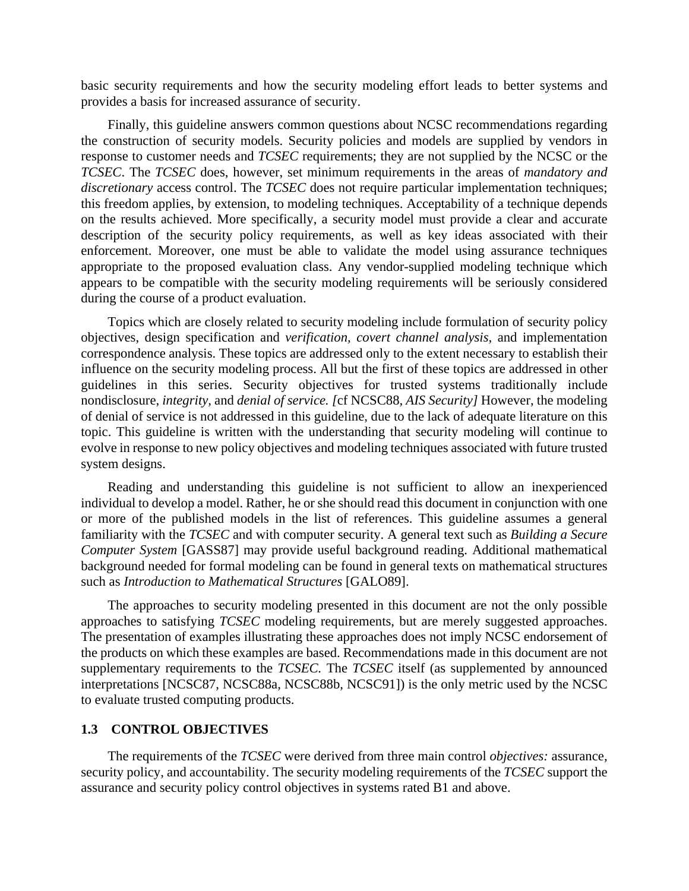basic security requirements and how the security modeling effort leads to better systems and provides a basis for increased assurance of security.

Finally, this guideline answers common questions about NCSC recommendations regarding the construction of security models. Security policies and models are supplied by vendors in response to customer needs and *TCSEC* requirements; they are not supplied by the NCSC or the *TCSEC*. The *TCSEC* does, however, set minimum requirements in the areas of *mandatory and discretionary* access control. The *TCSEC* does not require particular implementation techniques; this freedom applies, by extension, to modeling techniques. Acceptability of a technique depends on the results achieved. More specifically, a security model must provide a clear and accurate description of the security policy requirements, as well as key ideas associated with their enforcement. Moreover, one must be able to validate the model using assurance techniques appropriate to the proposed evaluation class. Any vendor-supplied modeling technique which appears to be compatible with the security modeling requirements will be seriously considered during the course of a product evaluation.

Topics which are closely related to security modeling include formulation of security policy objectives, design specification and *verification, covert channel analysis,* and implementation correspondence analysis. These topics are addressed only to the extent necessary to establish their influence on the security modeling process. All but the first of these topics are addressed in other guidelines in this series. Security objectives for trusted systems traditionally include nondisclosure, *integrity,* and *denial of service. [*cf NCSC88*, AIS Security]* However, the modeling of denial of service is not addressed in this guideline, due to the lack of adequate literature on this topic. This guideline is written with the understanding that security modeling will continue to evolve in response to new policy objectives and modeling techniques associated with future trusted system designs.

Reading and understanding this guideline is not sufficient to allow an inexperienced individual to develop a model. Rather, he or she should read this document in conjunction with one or more of the published models in the list of references. This guideline assumes a general familiarity with the *TCSEC* and with computer security. A general text such as *Building a Secure Computer System* [GASS87] may provide useful background reading. Additional mathematical background needed for formal modeling can be found in general texts on mathematical structures such as *Introduction to Mathematical Structures* [GALO89].

The approaches to security modeling presented in this document are not the only possible approaches to satisfying *TCSEC* modeling requirements, but are merely suggested approaches. The presentation of examples illustrating these approaches does not imply NCSC endorsement of the products on which these examples are based. Recommendations made in this document are not supplementary requirements to the *TCSEC.* The *TCSEC* itself (as supplemented by announced interpretations [NCSC87, NCSC88a, NCSC88b, NCSC91]) is the only metric used by the NCSC to evaluate trusted computing products.

## **1.3 CONTROL OBJECTIVES**

The requirements of the *TCSEC* were derived from three main control *objectives:* assurance, security policy, and accountability. The security modeling requirements of the *TCSEC* support the assurance and security policy control objectives in systems rated B1 and above.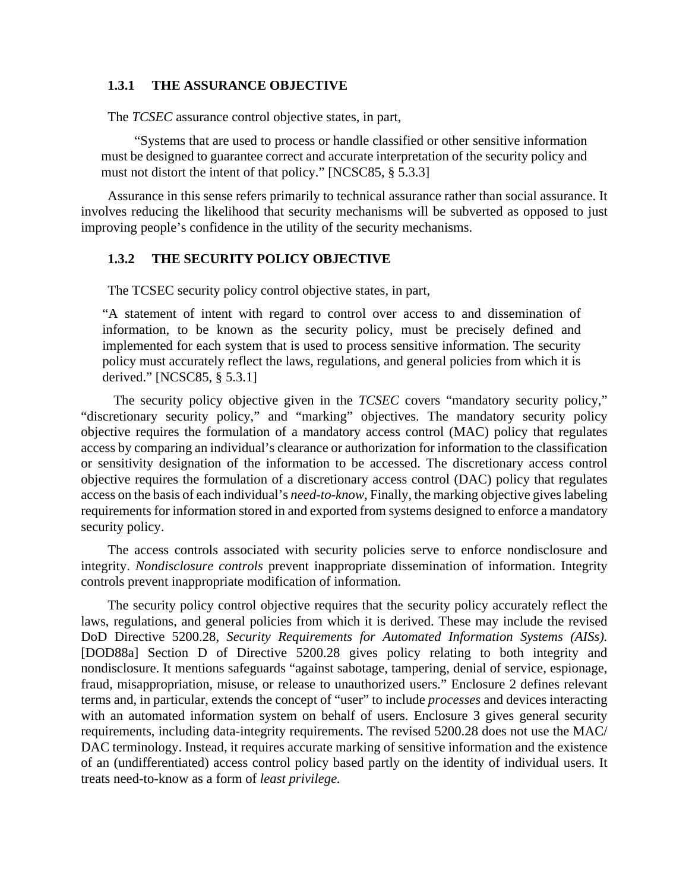### **1.3.1 THE ASSURANCE OBJECTIVE**

The *TCSEC* assurance control objective states, in part,

"Systems that are used to process or handle classified or other sensitive information must be designed to guarantee correct and accurate interpretation of the security policy and must not distort the intent of that policy." [NCSC85, § 5.3.3]

Assurance in this sense refers primarily to technical assurance rather than social assurance. It involves reducing the likelihood that security mechanisms will be subverted as opposed to just improving people's confidence in the utility of the security mechanisms.

### **1.3.2 THE SECURITY POLICY OBJECTIVE**

The TCSEC security policy control objective states, in part,

"A statement of intent with regard to control over access to and dissemination of information, to be known as the security policy, must be precisely defined and implemented for each system that is used to process sensitive information. The security policy must accurately reflect the laws, regulations, and general policies from which it is derived." [NCSC85, § 5.3.1]

 The security policy objective given in the *TCSEC* covers "mandatory security policy," "discretionary security policy," and "marking" objectives. The mandatory security policy objective requires the formulation of a mandatory access control (MAC) policy that regulates access by comparing an individual's clearance or authorization for information to the classification or sensitivity designation of the information to be accessed. The discretionary access control objective requires the formulation of a discretionary access control (DAC) policy that regulates access on the basis of each individual's *need-to-know,* Finally, the marking objective gives labeling requirements for information stored in and exported from systems designed to enforce a mandatory security policy.

The access controls associated with security policies serve to enforce nondisclosure and integrity. *Nondisclosure controls* prevent inappropriate dissemination of information. Integrity controls prevent inappropriate modification of information.

The security policy control objective requires that the security policy accurately reflect the laws, regulations, and general policies from which it is derived. These may include the revised DoD Directive 5200.28, *Security Requirements for Automated Information Systems (AISs).* [DOD88a] Section D of Directive 5200.28 gives policy relating to both integrity and nondisclosure. It mentions safeguards "against sabotage, tampering, denial of service, espionage, fraud, misappropriation, misuse, or release to unauthorized users." Enclosure 2 defines relevant terms and, in particular, extends the concept of "user" to include *processes* and devices interacting with an automated information system on behalf of users. Enclosure 3 gives general security requirements, including data-integrity requirements. The revised 5200.28 does not use the MAC/ DAC terminology. Instead, it requires accurate marking of sensitive information and the existence of an (undifferentiated) access control policy based partly on the identity of individual users. It treats need-to-know as a form of *least privilege.*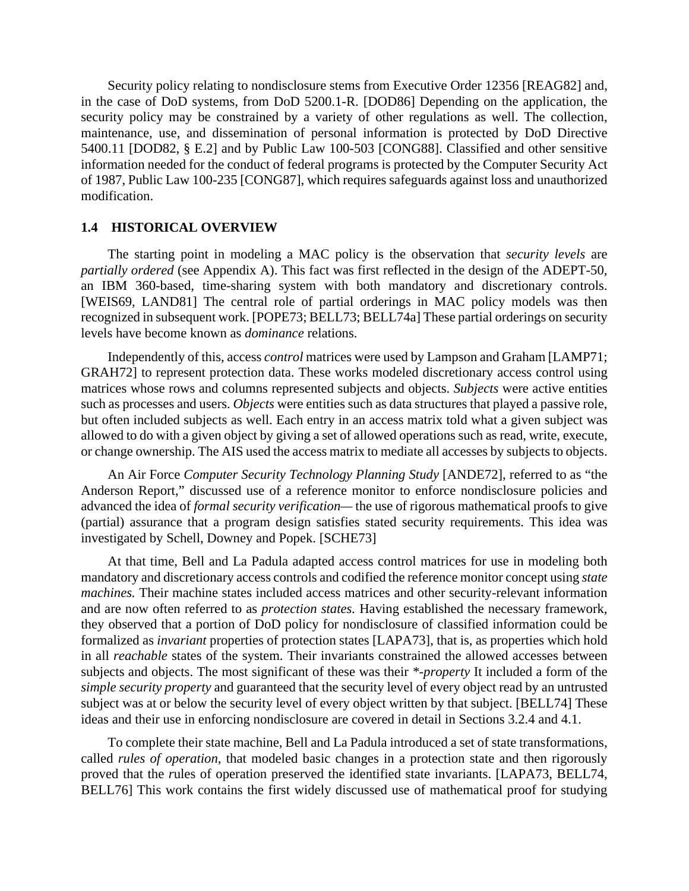Security policy relating to nondisclosure stems from Executive Order 12356 [REAG82] and, in the case of DoD systems, from DoD 5200.1-R. [DOD86] Depending on the application, the security policy may be constrained by a variety of other regulations as well. The collection, maintenance, use, and dissemination of personal information is protected by DoD Directive 5400.11 [DOD82, § E.2] and by Public Law 100-503 [CONG88]. Classified and other sensitive information needed for the conduct of federal programs is protected by the Computer Security Act of 1987, Public Law 100-235 [CONG87], which requires safeguards against loss and unauthorized modification.

#### **1.4 HISTORICAL OVERVIEW**

The starting point in modeling a MAC policy is the observation that *security levels* are *partially ordered* (see Appendix A). This fact was first reflected in the design of the ADEPT-50, an IBM 360-based, time-sharing system with both mandatory and discretionary controls. [WEIS69, LAND81] The central role of partial orderings in MAC policy models was then recognized in subsequent work. [POPE73; BELL73; BELL74a] These partial orderings on security levels have become known as *dominance* relations.

Independently of this, access *control* matrices were used by Lampson and Graham [LAMP71; GRAH72] to represent protection data. These works modeled discretionary access control using matrices whose rows and columns represented subjects and objects. *Subjects* were active entities such as processes and users. *Objects* were entities such as data structures that played a passive role, but often included subjects as well. Each entry in an access matrix told what a given subject was allowed to do with a given object by giving a set of allowed operations such as read, write, execute, or change ownership. The AIS used the access matrix to mediate all accesses by subjects to objects.

An Air Force *Computer Security Technology Planning Study* [ANDE72], referred to as "the Anderson Report," discussed use of a reference monitor to enforce nondisclosure policies and advanced the idea of *formal security verification—* the use of rigorous mathematical proofs to give (partial) assurance that a program design satisfies stated security requirements. This idea was investigated by Schell, Downey and Popek. [SCHE73]

At that time, Bell and La Padula adapted access control matrices for use in modeling both mandatory and discretionary access controls and codified the reference monitor concept using *state machines.* Their machine states included access matrices and other security-relevant information and are now often referred to as *protection states.* Having established the necessary framework, they observed that a portion of DoD policy for nondisclosure of classified information could be formalized as *invariant* properties of protection states [LAPA73], that is, as properties which hold in all *reachable* states of the system. Their invariants constrained the allowed accesses between subjects and objects. The most significant of these was their *\*-property* It included a form of the *simple security property* and guaranteed that the security level of every object read by an untrusted subject was at or below the security level of every object written by that subject. [BELL74] These ideas and their use in enforcing nondisclosure are covered in detail in Sections 3.2.4 and 4.1.

To complete their state machine, Bell and La Padula introduced a set of state transformations, called *rules of operation,* that modeled basic changes in a protection state and then rigorously proved that the *r*ules of operation preserved the identified state invariants. [LAPA73, BELL74, BELL76] This work contains the first widely discussed use of mathematical proof for studying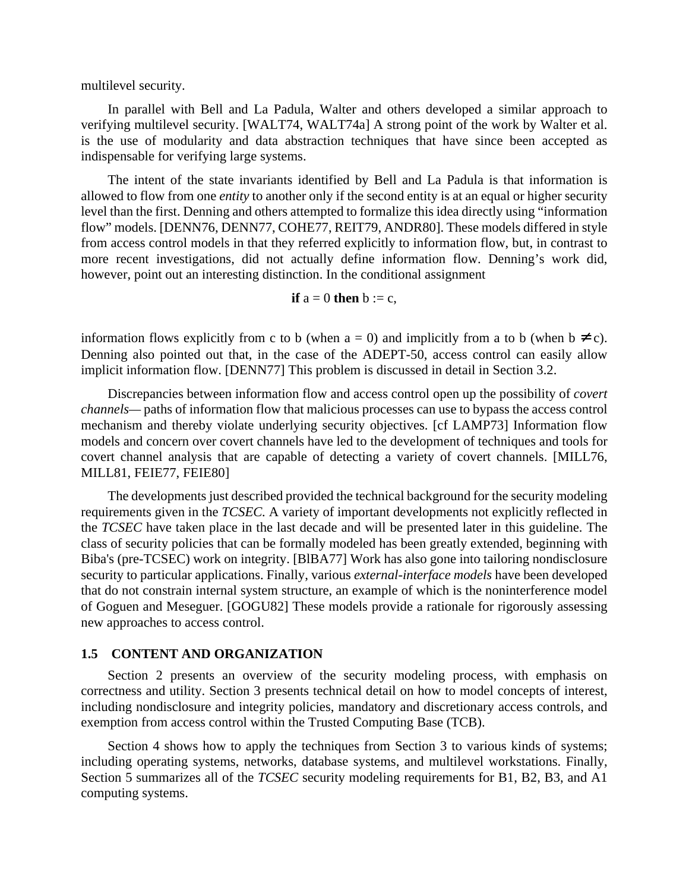multilevel security.

In parallel with Bell and La Padula, Walter and others developed a similar approach to verifying multilevel security. [WALT74, WALT74a] A strong point of the work by Walter et al. is the use of modularity and data abstraction techniques that have since been accepted as indispensable for verifying large systems.

The intent of the state invariants identified by Bell and La Padula is that information is allowed to flow from one *entity* to another only if the second entity is at an equal or higher security level than the first. Denning and others attempted to formalize this idea directly using "information flow" models. [DENN76, DENN77, COHE77, REIT79, ANDR80]. These models differed in style from access control models in that they referred explicitly to information flow, but, in contrast to more recent investigations, did not actually define information flow. Denning's work did, however, point out an interesting distinction. In the conditional assignment

$$
if a = 0 then b := c,
$$

information flows explicitly from c to b (when  $a = 0$ ) and implicitly from a to b (when  $b \neq c$ ). Denning also pointed out that, in the case of the ADEPT-50, access control can easily allow implicit information flow. [DENN77] This problem is discussed in detail in Section 3.2.

Discrepancies between information flow and access control open up the possibility of *covert channels—* paths of information flow that malicious processes can use to bypass the access control mechanism and thereby violate underlying security objectives. [cf LAMP73] Information flow models and concern over covert channels have led to the development of techniques and tools for covert channel analysis that are capable of detecting a variety of covert channels. [MILL76, MILL81, FEIE77, FEIE80]

The developments just described provided the technical background for the security modeling requirements given in the *TCSEC.* A variety of important developments not explicitly reflected in the *TCSEC* have taken place in the last decade and will be presented later in this guideline. The class of security policies that can be formally modeled has been greatly extended, beginning with Biba's (pre-TCSEC) work on integrity. [BlBA77] Work has also gone into tailoring nondisclosure security to particular applications. Finally, various *external-interface models* have been developed that do not constrain internal system structure, an example of which is the noninterference model of Goguen and Meseguer. [GOGU82] These models provide a rationale for rigorously assessing new approaches to access control.

#### **1.5 CONTENT AND ORGANIZATION**

Section 2 presents an overview of the security modeling process, with emphasis on correctness and utility. Section 3 presents technical detail on how to model concepts of interest, including nondisclosure and integrity policies, mandatory and discretionary access controls, and exemption from access control within the Trusted Computing Base (TCB).

Section 4 shows how to apply the techniques from Section 3 to various kinds of systems; including operating systems, networks, database systems, and multilevel workstations. Finally, Section 5 summarizes all of the *TCSEC* security modeling requirements for B1, B2, B3, and A1 computing systems.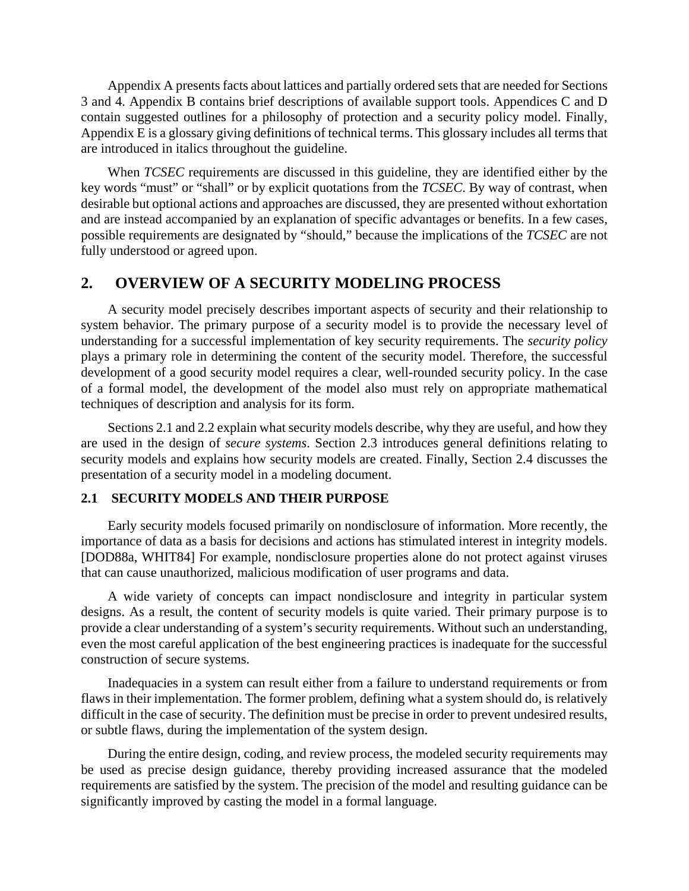Appendix A presents facts about lattices and partially ordered sets that are needed for Sections 3 and 4. Appendix B contains brief descriptions of available support tools. Appendices C and D contain suggested outlines for a philosophy of protection and a security policy model. Finally, Appendix E is a glossary giving definitions of technical terms. This glossary includes all terms that are introduced in italics throughout the guideline.

When *TCSEC* requirements are discussed in this guideline, they are identified either by the key words "must" or "shall" or by explicit quotations from the *TCSEC*. By way of contrast, when desirable but optional actions and approaches are discussed, they are presented without exhortation and are instead accompanied by an explanation of specific advantages or benefits. In a few cases, possible requirements are designated by "should," because the implications of the *TCSEC* are not fully understood or agreed upon.

# **2. OVERVIEW OF A SECURITY MODELING PROCESS**

A security model precisely describes important aspects of security and their relationship to system behavior. The primary purpose of a security model is to provide the necessary level of understanding for a successful implementation of key security requirements. The *security policy* plays a primary role in determining the content of the security model. Therefore, the successful development of a good security model requires a clear, well-rounded security policy. In the case of a formal model, the development of the model also must rely on appropriate mathematical techniques of description and analysis for its form.

Sections 2.1 and 2.2 explain what security models describe, why they are useful, and how they are used in the design of *secure systems*. Section 2.3 introduces general definitions relating to security models and explains how security models are created. Finally, Section 2.4 discusses the presentation of a security model in a modeling document.

## **2.1 SECURITY MODELS AND THEIR PURPOSE**

Early security models focused primarily on nondisclosure of information. More recently, the importance of data as a basis for decisions and actions has stimulated interest in integrity models. [DOD88a, WHIT84] For example, nondisclosure properties alone do not protect against viruses that can cause unauthorized, malicious modification of user programs and data.

A wide variety of concepts can impact nondisclosure and integrity in particular system designs. As a result, the content of security models is quite varied. Their primary purpose is to provide a clear understanding of a system's security requirements. Without such an understanding, even the most careful application of the best engineering practices is inadequate for the successful construction of secure systems.

Inadequacies in a system can result either from a failure to understand requirements or from flaws in their implementation. The former problem, defining what a system should do, is relatively difficult in the case of security. The definition must be precise in order to prevent undesired results, or subtle flaws, during the implementation of the system design.

During the entire design, coding, and review process, the modeled security requirements may be used as precise design guidance, thereby providing increased assurance that the modeled requirements are satisfied by the system. The precision of the model and resulting guidance can be significantly improved by casting the model in a formal language.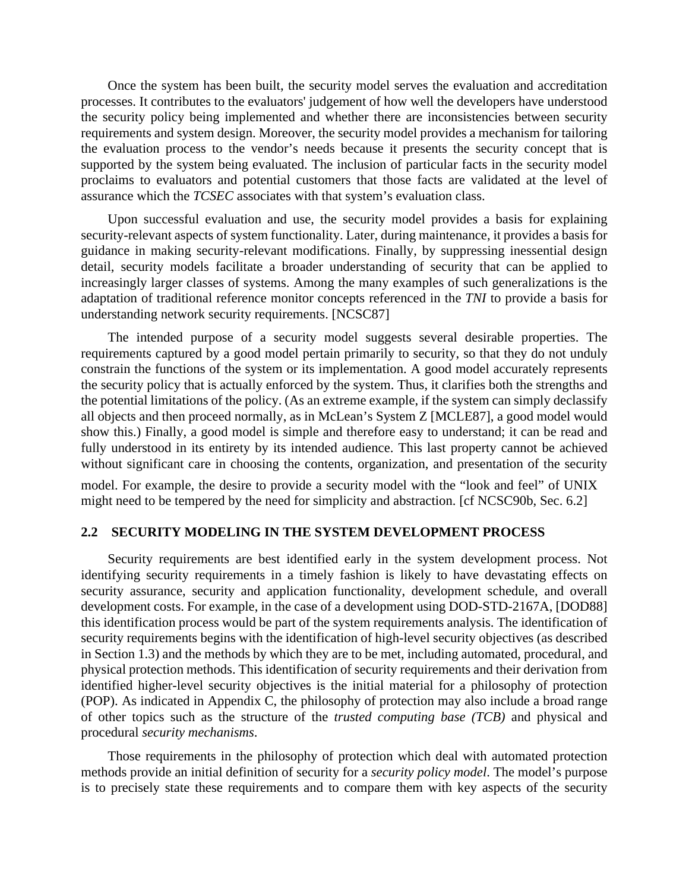Once the system has been built, the security model serves the evaluation and accreditation processes. It contributes to the evaluators' judgement of how well the developers have understood the security policy being implemented and whether there are inconsistencies between security requirements and system design. Moreover, the security model provides a mechanism for tailoring the evaluation process to the vendor's needs because it presents the security concept that is supported by the system being evaluated. The inclusion of particular facts in the security model proclaims to evaluators and potential customers that those facts are validated at the level of assurance which the *TCSEC* associates with that system's evaluation class.

Upon successful evaluation and use, the security model provides a basis for explaining security-relevant aspects of system functionality. Later, during maintenance, it provides a basis for guidance in making security-relevant modifications. Finally, by suppressing inessential design detail, security models facilitate a broader understanding of security that can be applied to increasingly larger classes of systems. Among the many examples of such generalizations is the adaptation of traditional reference monitor concepts referenced in the *TNI* to provide a basis for understanding network security requirements. [NCSC87]

The intended purpose of a security model suggests several desirable properties. The requirements captured by a good model pertain primarily to security, so that they do not unduly constrain the functions of the system or its implementation. A good model accurately represents the security policy that is actually enforced by the system. Thus, it clarifies both the strengths and the potential limitations of the policy. (As an extreme example, if the system can simply declassify all objects and then proceed normally, as in McLean's System Z [MCLE87], a good model would show this.) Finally, a good model is simple and therefore easy to understand; it can be read and fully understood in its entirety by its intended audience. This last property cannot be achieved without significant care in choosing the contents, organization, and presentation of the security

model. For example, the desire to provide a security model with the "look and feel" of  $UNIX^{\textcircled{\textcirc}}$ might need to be tempered by the need for simplicity and abstraction. [cf NCSC90b, Sec. 6.2]

### **2.2 SECURITY MODELING IN THE SYSTEM DEVELOPMENT PROCESS**

Security requirements are best identified early in the system development process. Not identifying security requirements in a timely fashion is likely to have devastating effects on security assurance, security and application functionality, development schedule, and overall development costs. For example, in the case of a development using DOD-STD-2167A, [DOD88] this identification process would be part of the system requirements analysis. The identification of security requirements begins with the identification of high-level security objectives (as described in Section 1.3) and the methods by which they are to be met, including automated, procedural, and physical protection methods. This identification of security requirements and their derivation from identified higher-level security objectives is the initial material for a philosophy of protection (POP). As indicated in Appendix C, the philosophy of protection may also include a broad range of other topics such as the structure of the *trusted computing base (TCB)* and physical and procedural *security mechanisms*.

Those requirements in the philosophy of protection which deal with automated protection methods provide an initial definition of security for a *security policy model*. The model's purpose is to precisely state these requirements and to compare them with key aspects of the security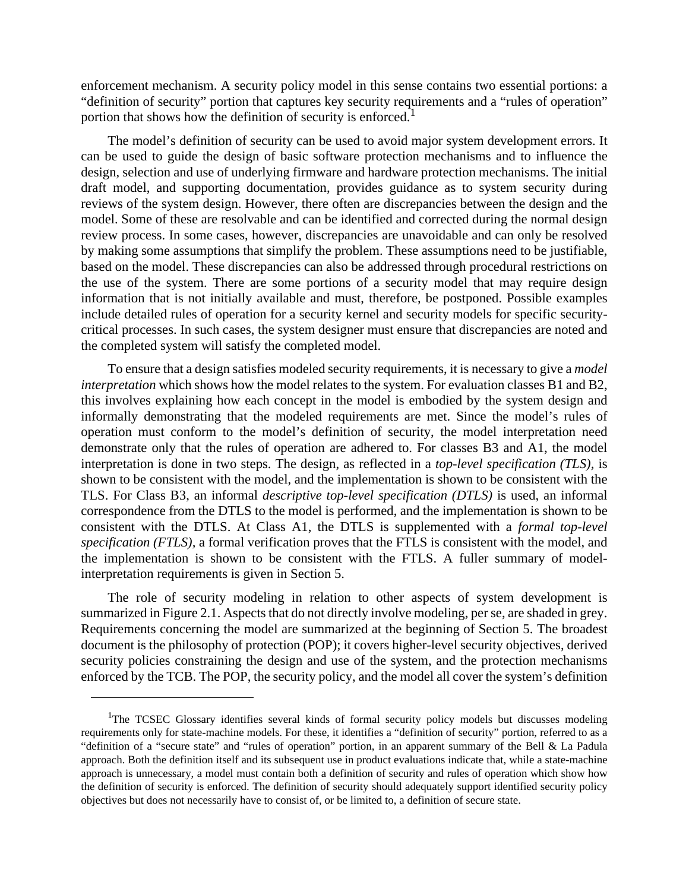enforcement mechanism. A security policy model in this sense contains two essential portions: a "definition of security" portion that captures key security requirements and a "rules of operation" portion that shows how the definition of security is enforced.<sup>1</sup>

The model's definition of security can be used to avoid major system development errors. It can be used to guide the design of basic software protection mechanisms and to influence the design, selection and use of underlying firmware and hardware protection mechanisms. The initial draft model, and supporting documentation, provides guidance as to system security during reviews of the system design. However, there often are discrepancies between the design and the model. Some of these are resolvable and can be identified and corrected during the normal design review process. In some cases, however, discrepancies are unavoidable and can only be resolved by making some assumptions that simplify the problem. These assumptions need to be justifiable, based on the model. These discrepancies can also be addressed through procedural restrictions on the use of the system. There are some portions of a security model that may require design information that is not initially available and must, therefore, be postponed. Possible examples include detailed rules of operation for a security kernel and security models for specific securitycritical processes. In such cases, the system designer must ensure that discrepancies are noted and the completed system will satisfy the completed model.

To ensure that a design satisfies modeled security requirements, it is necessary to give a *model interpretation* which shows how the model relates to the system. For evaluation classes B1 and B2, this involves explaining how each concept in the model is embodied by the system design and informally demonstrating that the modeled requirements are met. Since the model's rules of operation must conform to the model's definition of security, the model interpretation need demonstrate only that the rules of operation are adhered to. For classes B3 and A1, the model interpretation is done in two steps. The design, as reflected in a *top-level specification (TLS),* is shown to be consistent with the model, and the implementation is shown to be consistent with the TLS. For Class B3, an informal *descriptive top-level specification (DTLS)* is used, an informal correspondence from the DTLS to the model is performed, and the implementation is shown to be consistent with the DTLS. At Class A1, the DTLS is supplemented with a *formal top-level specification (FTLS),* a formal verification proves that the FTLS is consistent with the model, and the implementation is shown to be consistent with the FTLS. A fuller summary of modelinterpretation requirements is given in Section 5.

The role of security modeling in relation to other aspects of system development is summarized in Figure 2.1. Aspects that do not directly involve modeling, per se, are shaded in grey. Requirements concerning the model are summarized at the beginning of Section 5. The broadest document is the philosophy of protection (POP); it covers higher-level security objectives, derived security policies constraining the design and use of the system, and the protection mechanisms enforced by the TCB. The POP, the security policy, and the model all cover the system's definition

<sup>&</sup>lt;sup>1</sup>The TCSEC Glossary identifies several kinds of formal security policy models but discusses modeling requirements only for state-machine models. For these, it identifies a "definition of security" portion, referred to as a "definition of a "secure state" and "rules of operation" portion, in an apparent summary of the Bell & La Padula approach. Both the definition itself and its subsequent use in product evaluations indicate that, while a state-machine approach is unnecessary, a model must contain both a definition of security and rules of operation which show how the definition of security is enforced. The definition of security should adequately support identified security policy objectives but does not necessarily have to consist of, or be limited to, a definition of secure state.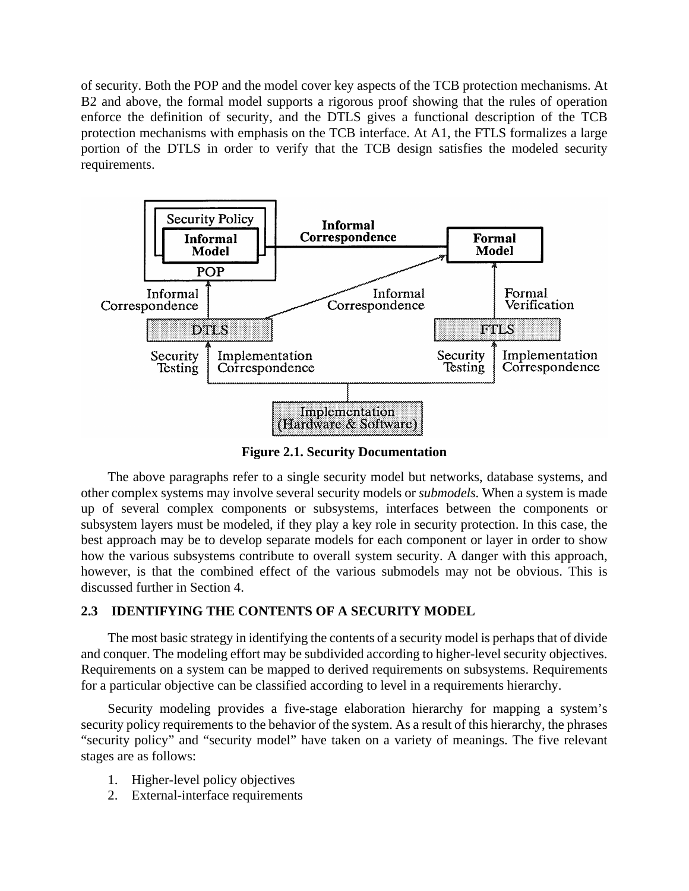of security. Both the POP and the model cover key aspects of the TCB protection mechanisms. At B2 and above, the formal model supports a rigorous proof showing that the rules of operation enforce the definition of security, and the DTLS gives a functional description of the TCB protection mechanisms with emphasis on the TCB interface. At A1, the FTLS formalizes a large portion of the DTLS in order to verify that the TCB design satisfies the modeled security requirements.



**Figure 2.1. Security Documentation**

The above paragraphs refer to a single security model but networks, database systems, and other complex systems may involve several security models or *submodels.* When a system is made up of several complex components or subsystems, interfaces between the components or subsystem layers must be modeled, if they play a key role in security protection. In this case, the best approach may be to develop separate models for each component or layer in order to show how the various subsystems contribute to overall system security. A danger with this approach, however, is that the combined effect of the various submodels may not be obvious. This is discussed further in Section 4.

## **2.3 IDENTIFYING THE CONTENTS OF A SECURITY MODEL**

The most basic strategy in identifying the contents of a security model is perhaps that of divide and conquer. The modeling effort may be subdivided according to higher-level security objectives. Requirements on a system can be mapped to derived requirements on subsystems. Requirements for a particular objective can be classified according to level in a requirements hierarchy.

Security modeling provides a five-stage elaboration hierarchy for mapping a system's security policy requirements to the behavior of the system. As a result of this hierarchy, the phrases "security policy" and "security model" have taken on a variety of meanings. The five relevant stages are as follows:

- 1. Higher-level policy objectives
- 2. External-interface requirements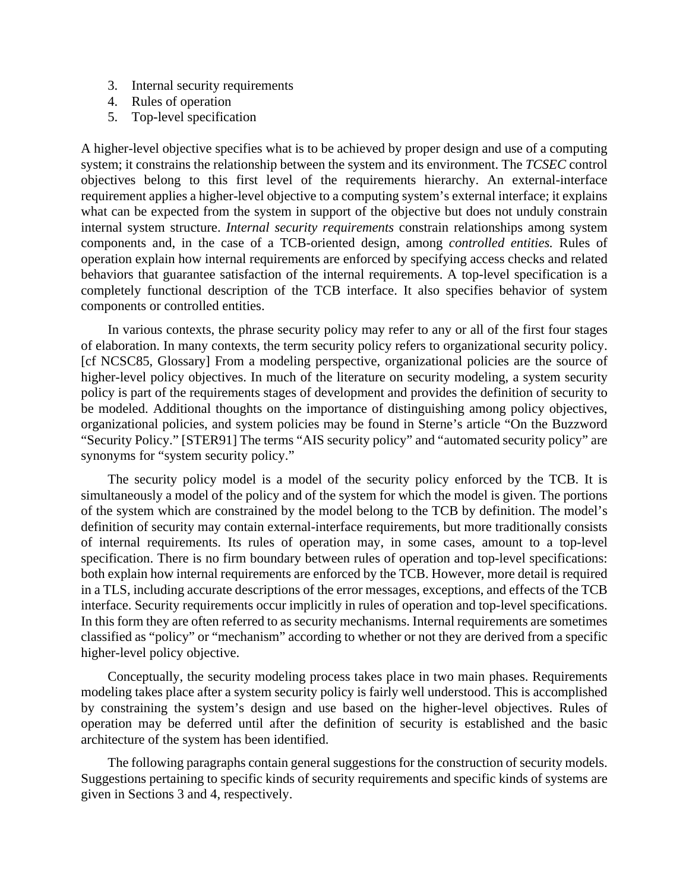- 3. Internal security requirements
- 4. Rules of operation
- 5. Top-level specification

A higher-level objective specifies what is to be achieved by proper design and use of a computing system; it constrains the relationship between the system and its environment. The *TCSEC* control objectives belong to this first level of the requirements hierarchy. An external-interface requirement applies a higher-level objective to a computing system's external interface; it explains what can be expected from the system in support of the objective but does not unduly constrain internal system structure. *Internal security requirements* constrain relationships among system components and, in the case of a TCB-oriented design, among *controlled entities.* Rules of operation explain how internal requirements are enforced by specifying access checks and related behaviors that guarantee satisfaction of the internal requirements. A top-level specification is a completely functional description of the TCB interface. It also specifies behavior of system components or controlled entities.

In various contexts, the phrase security policy may refer to any or all of the first four stages of elaboration. In many contexts, the term security policy refers to organizational security policy. [cf NCSC85, Glossary] From a modeling perspective, organizational policies are the source of higher-level policy objectives. In much of the literature on security modeling, a system security policy is part of the requirements stages of development and provides the definition of security to be modeled. Additional thoughts on the importance of distinguishing among policy objectives, organizational policies, and system policies may be found in Sterne's article "On the Buzzword "Security Policy." [STER91] The terms "AIS security policy" and "automated security policy" are synonyms for "system security policy."

The security policy model is a model of the security policy enforced by the TCB. It is simultaneously a model of the policy and of the system for which the model is given. The portions of the system which are constrained by the model belong to the TCB by definition. The model's definition of security may contain external-interface requirements, but more traditionally consists of internal requirements. Its rules of operation may, in some cases, amount to a top-level specification. There is no firm boundary between rules of operation and top-level specifications: both explain how internal requirements are enforced by the TCB. However, more detail is required in a TLS, including accurate descriptions of the error messages, exceptions, and effects of the TCB interface. Security requirements occur implicitly in rules of operation and top-level specifications. In this form they are often referred to as security mechanisms. Internal requirements are sometimes classified as "policy" or "mechanism" according to whether or not they are derived from a specific higher-level policy objective.

Conceptually, the security modeling process takes place in two main phases. Requirements modeling takes place after a system security policy is fairly well understood. This is accomplished by constraining the system's design and use based on the higher-level objectives. Rules of operation may be deferred until after the definition of security is established and the basic architecture of the system has been identified.

The following paragraphs contain general suggestions for the construction of security models. Suggestions pertaining to specific kinds of security requirements and specific kinds of systems are given in Sections 3 and 4, respectively.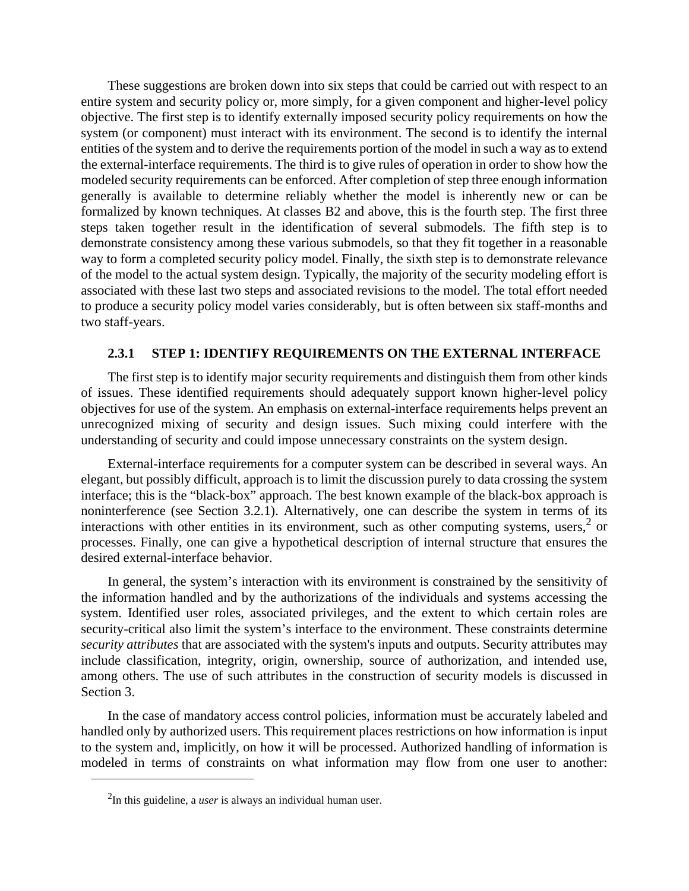These suggestions are broken down into six steps that could be carried out with respect to an entire system and security policy or, more simply, for a given component and higher-level policy objective. The first step is to identify externally imposed security policy requirements on how the system (or component) must interact with its environment. The second is to identify the internal entities of the system and to derive the requirements portion of the model in such a way as to extend the external-interface requirements. The third is to give rules of operation in order to show how the modeled security requirements can be enforced. After completion of step three enough information generally is available to determine reliably whether the model is inherently new or can be formalized by known techniques. At classes B2 and above, this is the fourth step. The first three steps taken together result in the identification of several submodels. The fifth step is to demonstrate consistency among these various submodels, so that they fit together in a reasonable way to form a completed security policy model. Finally, the sixth step is to demonstrate relevance of the model to the actual system design. Typically, the majority of the security modeling effort is associated with these last two steps and associated revisions to the model. The total effort needed to produce a security policy model varies considerably, but is often between six staff-months and two staff-years.

## **2.3.1 STEP 1: IDENTIFY REQUIREMENTS ON THE EXTERNAL INTERFACE**

The first step is to identify major security requirements and distinguish them from other kinds of issues. These identified requirements should adequately support known higher-level policy objectives for use of the system. An emphasis on external-interface requirements helps prevent an unrecognized mixing of security and design issues. Such mixing could interfere with the understanding of security and could impose unnecessary constraints on the system design.

External-interface requirements for a computer system can be described in several ways. An elegant, but possibly difficult, approach is to limit the discussion purely to data crossing the system interface; this is the "black-box" approach. The best known example of the black-box approach is noninterference (see Section 3.2.1). Alternatively, one can describe the system in terms of its interactions with other entities in its environment, such as other computing systems, users,  $2 \text{ or }$ processes. Finally, one can give a hypothetical description of internal structure that ensures the desired external-interface behavior.

In general, the system's interaction with its environment is constrained by the sensitivity of the information handled and by the authorizations of the individuals and systems accessing the system. Identified user roles, associated privileges, and the extent to which certain roles are security-critical also limit the system's interface to the environment. These constraints determine *security attributes* that are associated with the system's inputs and outputs. Security attributes may include classification, integrity, origin, ownership, source of authorization, and intended use, among others. The use of such attributes in the construction of security models is discussed in Section 3.

In the case of mandatory access control policies, information must be accurately labeled and handled only by authorized users. This requirement places restrictions on how information is input to the system and, implicitly, on how it will be processed. Authorized handling of information is modeled in terms of constraints on what information may flow from one user to another:

<sup>2</sup>In this guideline, a *user* is always an individual human user.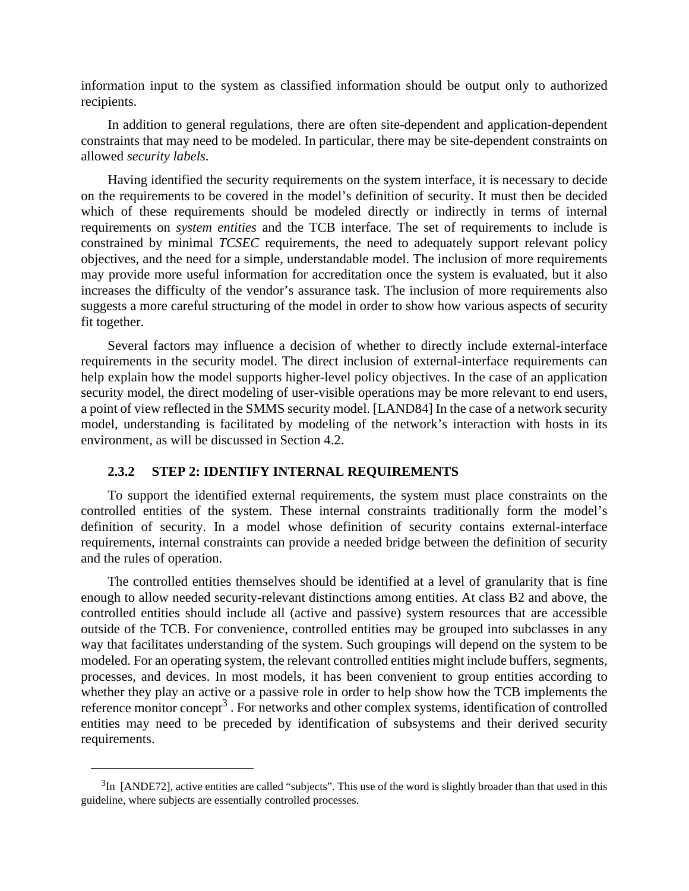information input to the system as classified information should be output only to authorized recipients.

In addition to general regulations, there are often site-dependent and application-dependent constraints that may need to be modeled. In particular, there may be site-dependent constraints on allowed *security labels*.

Having identified the security requirements on the system interface, it is necessary to decide on the requirements to be covered in the model's definition of security. It must then be decided which of these requirements should be modeled directly or indirectly in terms of internal requirements on *system entities* and the TCB interface. The set of requirements to include is constrained by minimal *TCSEC* requirements, the need to adequately support relevant policy objectives, and the need for a simple, understandable model. The inclusion of more requirements may provide more useful information for accreditation once the system is evaluated, but it also increases the difficulty of the vendor's assurance task. The inclusion of more requirements also suggests a more careful structuring of the model in order to show how various aspects of security fit together.

Several factors may influence a decision of whether to directly include external-interface requirements in the security model. The direct inclusion of external-interface requirements can help explain how the model supports higher-level policy objectives. In the case of an application security model, the direct modeling of user-visible operations may be more relevant to end users, a point of view reflected in the SMMS security model. [LAND84] In the case of a network security model, understanding is facilitated by modeling of the network's interaction with hosts in its environment, as will be discussed in Section 4.2.

### **2.3.2 STEP 2: IDENTIFY INTERNAL REQUIREMENTS**

To support the identified external requirements, the system must place constraints on the controlled entities of the system. These internal constraints traditionally form the model's definition of security. In a model whose definition of security contains external-interface requirements, internal constraints can provide a needed bridge between the definition of security and the rules of operation.

The controlled entities themselves should be identified at a level of granularity that is fine enough to allow needed security-relevant distinctions among entities. At class B2 and above, the controlled entities should include all (active and passive) system resources that are accessible outside of the TCB. For convenience, controlled entities may be grouped into subclasses in any way that facilitates understanding of the system. Such groupings will depend on the system to be modeled. For an operating system, the relevant controlled entities might include buffers, segments, processes, and devices. In most models, it has been convenient to group entities according to whether they play an active or a passive role in order to help show how the TCB implements the reference monitor concept<sup>3</sup>. For networks and other complex systems, identification of controlled entities may need to be preceded by identification of subsystems and their derived security requirements.

 $3<sup>1</sup>$  [ANDE72], active entities are called "subjects". This use of the word is slightly broader than that used in this guideline, where subjects are essentially controlled processes.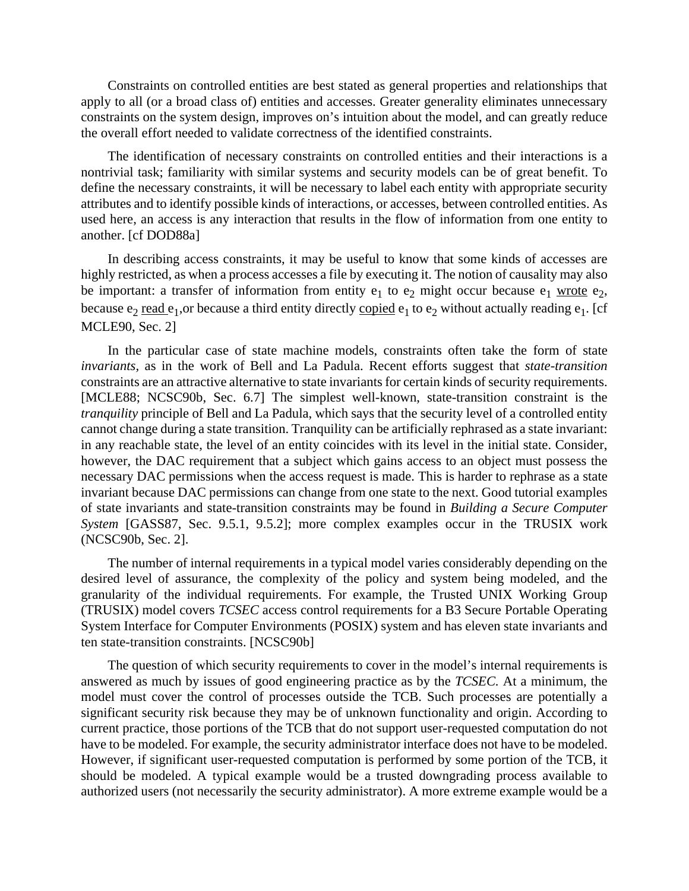Constraints on controlled entities are best stated as general properties and relationships that apply to all (or a broad class of) entities and accesses. Greater generality eliminates unnecessary constraints on the system design, improves on's intuition about the model, and can greatly reduce the overall effort needed to validate correctness of the identified constraints.

The identification of necessary constraints on controlled entities and their interactions is a nontrivial task; familiarity with similar systems and security models can be of great benefit. To define the necessary constraints, it will be necessary to label each entity with appropriate security attributes and to identify possible kinds of interactions, or accesses, between controlled entities. As used here, an access is any interaction that results in the flow of information from one entity to another. [cf DOD88a]

In describing access constraints, it may be useful to know that some kinds of accesses are highly restricted, as when a process accesses a file by executing it. The notion of causality may also be important: a transfer of information from entity  $e_1$  to  $e_2$  might occur because  $e_1$  wrote  $e_2$ , because  $e_2$  read  $e_1$ , or because a third entity directly copied  $e_1$  to  $e_2$  without actually reading  $e_1$ . [cf MCLE90, Sec. 2]

In the particular case of state machine models, constraints often take the form of state *invariants,* as in the work of Bell and La Padula. Recent efforts suggest that *state-transition* constraints are an attractive alternative to state invariants for certain kinds of security requirements. [MCLE88; NCSC90b, Sec. 6.7] The simplest well-known, state-transition constraint is the *tranquility* principle of Bell and La Padula, which says that the security level of a controlled entity cannot change during a state transition. Tranquility can be artificially rephrased as a state invariant: in any reachable state, the level of an entity coincides with its level in the initial state. Consider, however, the DAC requirement that a subject which gains access to an object must possess the necessary DAC permissions when the access request is made. This is harder to rephrase as a state invariant because DAC permissions can change from one state to the next. Good tutorial examples of state invariants and state-transition constraints may be found in *Building a Secure Computer System* [GASS87, Sec. 9.5.1, 9.5.2]; more complex examples occur in the TRUSIX work (NCSC90b, Sec. 2].

The number of internal requirements in a typical model varies considerably depending on the desired level of assurance, the complexity of the policy and system being modeled, and the granularity of the individual requirements. For example, the Trusted UNIX Working Group (TRUSIX) model covers *TCSEC* access control requirements for a B3 Secure Portable Operating System Interface for Computer Environments (POSIX) system and has eleven state invariants and ten state-transition constraints. [NCSC90b]

The question of which security requirements to cover in the model's internal requirements is answered as much by issues of good engineering practice as by the *TCSEC.* At a minimum, the model must cover the control of processes outside the TCB. Such processes are potentially a significant security risk because they may be of unknown functionality and origin. According to current practice, those portions of the TCB that do not support user-requested computation do not have to be modeled. For example, the security administrator interface does not have to be modeled. However, if significant user-requested computation is performed by some portion of the TCB, it should be modeled. A typical example would be a trusted downgrading process available to authorized users (not necessarily the security administrator). A more extreme example would be a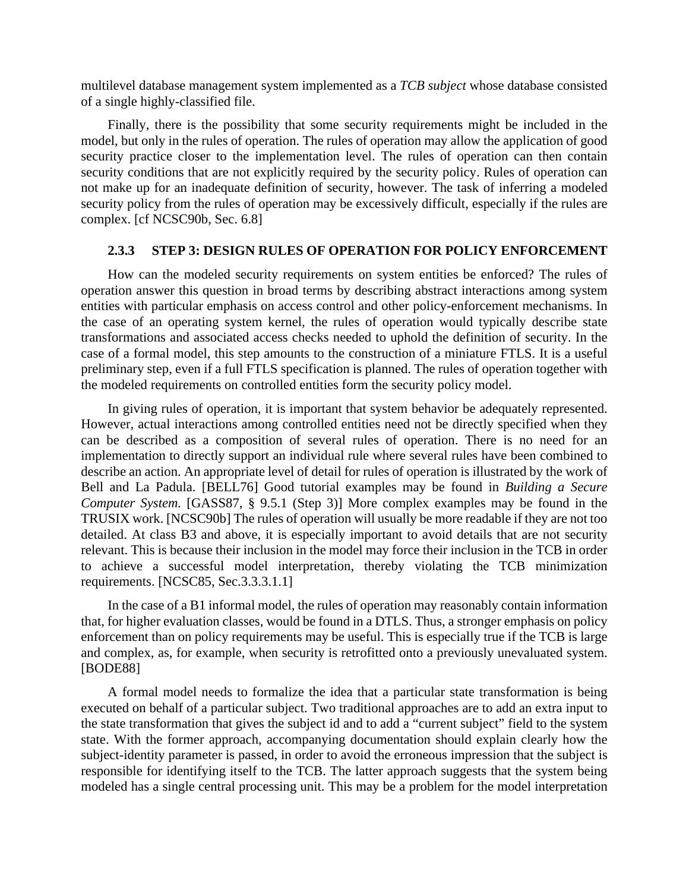multilevel database management system implemented as a *TCB subject* whose database consisted of a single highly-classified file.

Finally, there is the possibility that some security requirements might be included in the model, but only in the rules of operation. The rules of operation may allow the application of good security practice closer to the implementation level. The rules of operation can then contain security conditions that are not explicitly required by the security policy. Rules of operation can not make up for an inadequate definition of security, however. The task of inferring a modeled security policy from the rules of operation may be excessively difficult, especially if the rules are complex. [cf NCSC90b, Sec. 6.8]

## **2.3.3 STEP 3: DESIGN RULES OF OPERATION FOR POLICY ENFORCEMENT**

How can the modeled security requirements on system entities be enforced? The rules of operation answer this question in broad terms by describing abstract interactions among system entities with particular emphasis on access control and other policy-enforcement mechanisms. In the case of an operating system kernel, the rules of operation would typically describe state transformations and associated access checks needed to uphold the definition of security. In the case of a formal model, this step amounts to the construction of a miniature FTLS. It is a useful preliminary step, even if a full FTLS specification is planned. The rules of operation together with the modeled requirements on controlled entities form the security policy model.

In giving rules of operation, it is important that system behavior be adequately represented. However, actual interactions among controlled entities need not be directly specified when they can be described as a composition of several rules of operation. There is no need for an implementation to directly support an individual rule where several rules have been combined to describe an action. An appropriate level of detail for rules of operation is illustrated by the work of Bell and La Padula. [BELL76] Good tutorial examples may be found in *Building a Secure Computer System.* [GASS87, § 9.5.1 (Step 3)] More complex examples may be found in the TRUSIX work. [NCSC90b] The rules of operation will usually be more readable if they are not too detailed. At class B3 and above, it is especially important to avoid details that are not security relevant. This is because their inclusion in the model may force their inclusion in the TCB in order to achieve a successful model interpretation, thereby violating the TCB minimization requirements. [NCSC85, Sec.3.3.3.1.1]

In the case of a B1 informal model, the rules of operation may reasonably contain information that, for higher evaluation classes, would be found in a DTLS. Thus, a stronger emphasis on policy enforcement than on policy requirements may be useful. This is especially true if the TCB is large and complex, as, for example, when security is retrofitted onto a previously unevaluated system. [BODE88]

A formal model needs to formalize the idea that a particular state transformation is being executed on behalf of a particular subject. Two traditional approaches are to add an extra input to the state transformation that gives the subject id and to add a "current subject" field to the system state. With the former approach, accompanying documentation should explain clearly how the subject-identity parameter is passed, in order to avoid the erroneous impression that the subject is responsible for identifying itself to the TCB. The latter approach suggests that the system being modeled has a single central processing unit. This may be a problem for the model interpretation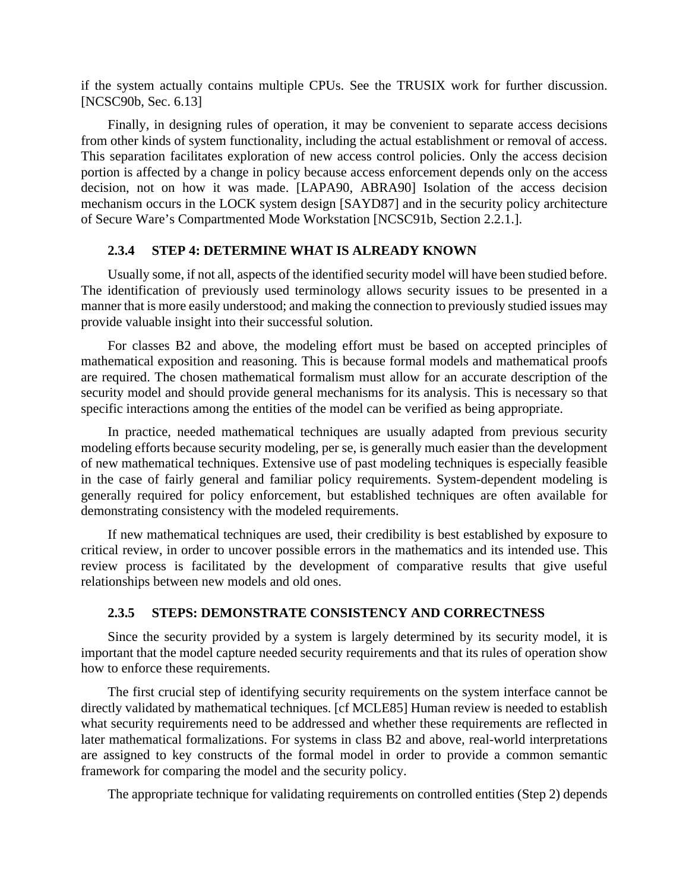if the system actually contains multiple CPUs. See the TRUSIX work for further discussion. [NCSC90b, Sec. 6.13]

Finally, in designing rules of operation, it may be convenient to separate access decisions from other kinds of system functionality, including the actual establishment or removal of access. This separation facilitates exploration of new access control policies. Only the access decision portion is affected by a change in policy because access enforcement depends only on the access decision, not on how it was made. [LAPA90, ABRA90] Isolation of the access decision mechanism occurs in the LOCK system design [SAYD87] and in the security policy architecture of Secure Ware's Compartmented Mode Workstation [NCSC91b, Section 2.2.1.].

### **2.3.4 STEP 4: DETERMINE WHAT IS ALREADY KNOWN**

Usually some, if not all, aspects of the identified security model will have been studied before. The identification of previously used terminology allows security issues to be presented in a manner that is more easily understood; and making the connection to previously studied issues may provide valuable insight into their successful solution.

For classes B2 and above, the modeling effort must be based on accepted principles of mathematical exposition and reasoning. This is because formal models and mathematical proofs are required. The chosen mathematical formalism must allow for an accurate description of the security model and should provide general mechanisms for its analysis. This is necessary so that specific interactions among the entities of the model can be verified as being appropriate.

In practice, needed mathematical techniques are usually adapted from previous security modeling efforts because security modeling, per se, is generally much easier than the development of new mathematical techniques. Extensive use of past modeling techniques is especially feasible in the case of fairly general and familiar policy requirements. System-dependent modeling is generally required for policy enforcement, but established techniques are often available for demonstrating consistency with the modeled requirements.

If new mathematical techniques are used, their credibility is best established by exposure to critical review, in order to uncover possible errors in the mathematics and its intended use. This review process is facilitated by the development of comparative results that give useful relationships between new models and old ones.

## **2.3.5 STEPS: DEMONSTRATE CONSISTENCY AND CORRECTNESS**

Since the security provided by a system is largely determined by its security model, it is important that the model capture needed security requirements and that its rules of operation show how to enforce these requirements.

The first crucial step of identifying security requirements on the system interface cannot be directly validated by mathematical techniques. [cf MCLE85] Human review is needed to establish what security requirements need to be addressed and whether these requirements are reflected in later mathematical formalizations. For systems in class B2 and above, real-world interpretations are assigned to key constructs of the formal model in order to provide a common semantic framework for comparing the model and the security policy.

The appropriate technique for validating requirements on controlled entities (Step 2) depends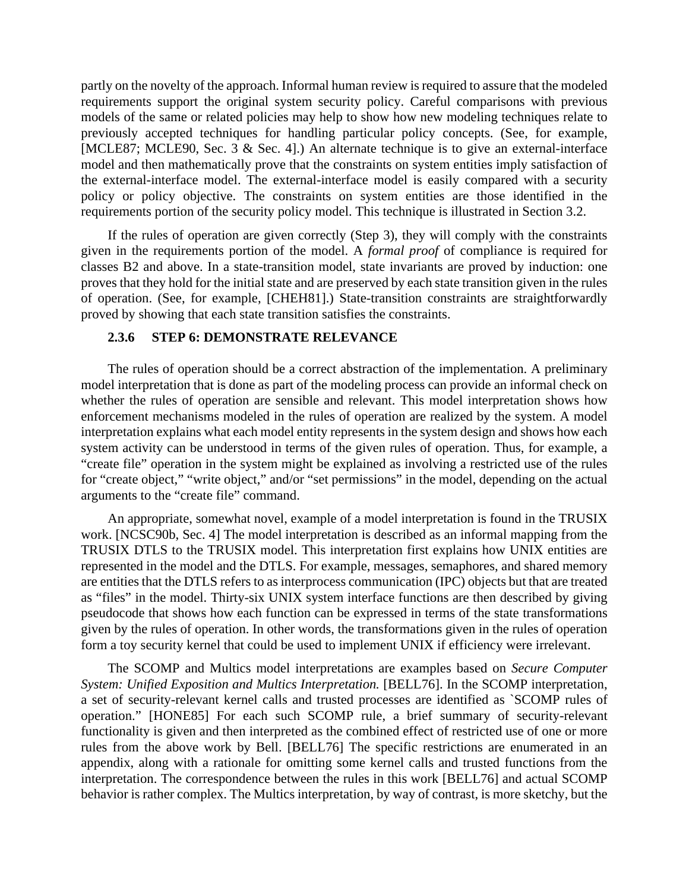partly on the novelty of the approach. Informal human review is required to assure that the modeled requirements support the original system security policy. Careful comparisons with previous models of the same or related policies may help to show how new modeling techniques relate to previously accepted techniques for handling particular policy concepts. (See, for example, [MCLE87; MCLE90, Sec. 3 & Sec. 4].) An alternate technique is to give an external-interface model and then mathematically prove that the constraints on system entities imply satisfaction of the external-interface model. The external-interface model is easily compared with a security policy or policy objective. The constraints on system entities are those identified in the requirements portion of the security policy model. This technique is illustrated in Section 3.2.

If the rules of operation are given correctly (Step 3), they will comply with the constraints given in the requirements portion of the model. A *formal proof* of compliance is required for classes B2 and above. In a state-transition model, state invariants are proved by induction: one proves that they hold for the initial state and are preserved by each state transition given in the rules of operation. (See, for example, [CHEH81].) State-transition constraints are straightforwardly proved by showing that each state transition satisfies the constraints.

### **2.3.6 STEP 6: DEMONSTRATE RELEVANCE**

The rules of operation should be a correct abstraction of the implementation. A preliminary model interpretation that is done as part of the modeling process can provide an informal check on whether the rules of operation are sensible and relevant. This model interpretation shows how enforcement mechanisms modeled in the rules of operation are realized by the system. A model interpretation explains what each model entity represents in the system design and shows how each system activity can be understood in terms of the given rules of operation. Thus, for example, a "create file" operation in the system might be explained as involving a restricted use of the rules for "create object," "write object," and/or "set permissions" in the model, depending on the actual arguments to the "create file" command.

An appropriate, somewhat novel, example of a model interpretation is found in the TRUSIX work. [NCSC90b, Sec. 4] The model interpretation is described as an informal mapping from the TRUSIX DTLS to the TRUSIX model. This interpretation first explains how UNIX entities are represented in the model and the DTLS. For example, messages, semaphores, and shared memory are entities that the DTLS refers to as interprocess communication (IPC) objects but that are treated as "files" in the model. Thirty-six UNIX system interface functions are then described by giving pseudocode that shows how each function can be expressed in terms of the state transformations given by the rules of operation. In other words, the transformations given in the rules of operation form a toy security kernel that could be used to implement UNIX if efficiency were irrelevant.

The SCOMP and Multics model interpretations are examples based on *Secure Computer System: Unified Exposition and Multics Interpretation.* [BELL76]. In the SCOMP interpretation, a set of security-relevant kernel calls and trusted processes are identified as `SCOMP rules of operation." [HONE85] For each such SCOMP rule, a brief summary of security-relevant functionality is given and then interpreted as the combined effect of restricted use of one or more rules from the above work by Bell. [BELL76] The specific restrictions are enumerated in an appendix, along with a rationale for omitting some kernel calls and trusted functions from the interpretation. The correspondence between the rules in this work [BELL76] and actual SCOMP behavior is rather complex. The Multics interpretation, by way of contrast, is more sketchy, but the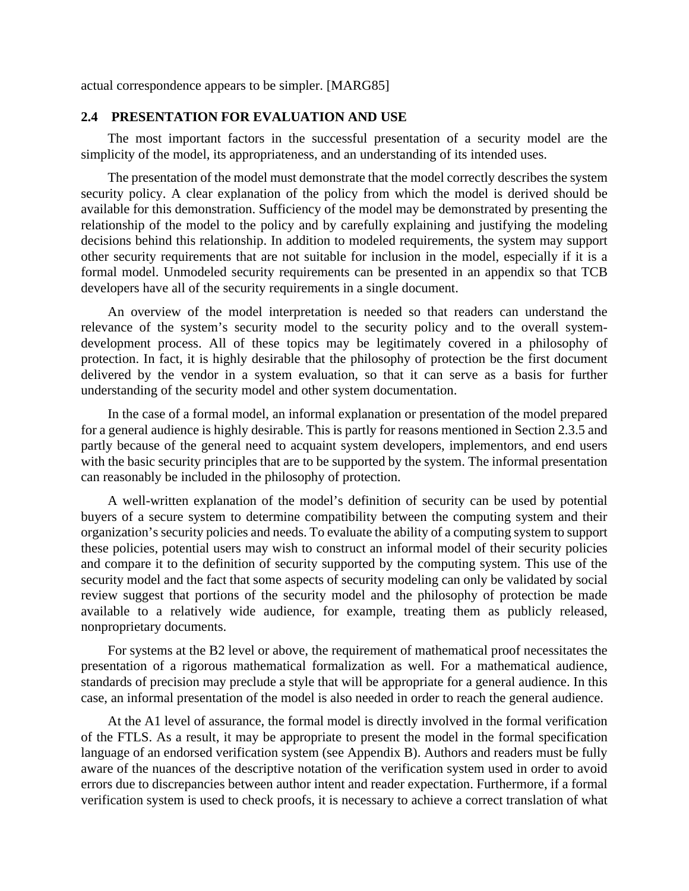actual correspondence appears to be simpler. [MARG85]

## **2.4 PRESENTATION FOR EVALUATION AND USE**

The most important factors in the successful presentation of a security model are the simplicity of the model, its appropriateness, and an understanding of its intended uses.

The presentation of the model must demonstrate that the model correctly describes the system security policy. A clear explanation of the policy from which the model is derived should be available for this demonstration. Sufficiency of the model may be demonstrated by presenting the relationship of the model to the policy and by carefully explaining and justifying the modeling decisions behind this relationship. In addition to modeled requirements, the system may support other security requirements that are not suitable for inclusion in the model, especially if it is a formal model. Unmodeled security requirements can be presented in an appendix so that TCB developers have all of the security requirements in a single document.

An overview of the model interpretation is needed so that readers can understand the relevance of the system's security model to the security policy and to the overall systemdevelopment process. All of these topics may be legitimately covered in a philosophy of protection. In fact, it is highly desirable that the philosophy of protection be the first document delivered by the vendor in a system evaluation, so that it can serve as a basis for further understanding of the security model and other system documentation.

In the case of a formal model, an informal explanation or presentation of the model prepared for a general audience is highly desirable. This is partly for reasons mentioned in Section 2.3.5 and partly because of the general need to acquaint system developers, implementors, and end users with the basic security principles that are to be supported by the system. The informal presentation can reasonably be included in the philosophy of protection.

A well-written explanation of the model's definition of security can be used by potential buyers of a secure system to determine compatibility between the computing system and their organization's security policies and needs. To evaluate the ability of a computing system to support these policies, potential users may wish to construct an informal model of their security policies and compare it to the definition of security supported by the computing system. This use of the security model and the fact that some aspects of security modeling can only be validated by social review suggest that portions of the security model and the philosophy of protection be made available to a relatively wide audience, for example, treating them as publicly released, nonproprietary documents.

For systems at the B2 level or above, the requirement of mathematical proof necessitates the presentation of a rigorous mathematical formalization as well. For a mathematical audience, standards of precision may preclude a style that will be appropriate for a general audience. In this case, an informal presentation of the model is also needed in order to reach the general audience.

At the A1 level of assurance, the formal model is directly involved in the formal verification of the FTLS. As a result, it may be appropriate to present the model in the formal specification language of an endorsed verification system (see Appendix B). Authors and readers must be fully aware of the nuances of the descriptive notation of the verification system used in order to avoid errors due to discrepancies between author intent and reader expectation. Furthermore, if a formal verification system is used to check proofs, it is necessary to achieve a correct translation of what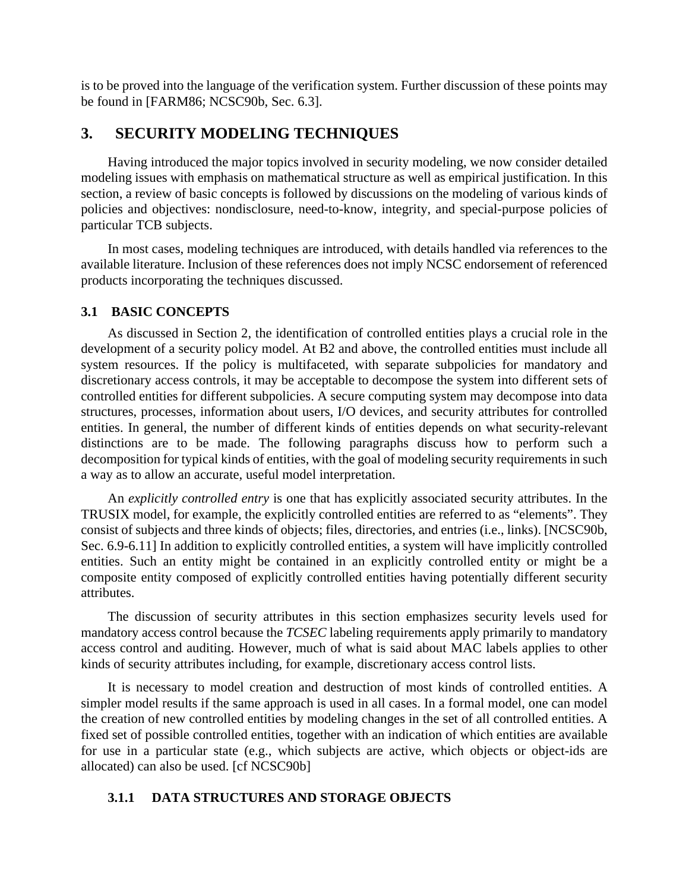is to be proved into the language of the verification system. Further discussion of these points may be found in [FARM86; NCSC90b, Sec. 6.3].

# **3. SECURITY MODELING TECHNIQUES**

Having introduced the major topics involved in security modeling, we now consider detailed modeling issues with emphasis on mathematical structure as well as empirical justification. In this section, a review of basic concepts is followed by discussions on the modeling of various kinds of policies and objectives: nondisclosure, need-to-know, integrity, and special-purpose policies of particular TCB subjects.

In most cases, modeling techniques are introduced, with details handled via references to the available literature. Inclusion of these references does not imply NCSC endorsement of referenced products incorporating the techniques discussed.

## **3.1 BASIC CONCEPTS**

As discussed in Section 2, the identification of controlled entities plays a crucial role in the development of a security policy model. At B2 and above, the controlled entities must include all system resources. If the policy is multifaceted, with separate subpolicies for mandatory and discretionary access controls, it may be acceptable to decompose the system into different sets of controlled entities for different subpolicies. A secure computing system may decompose into data structures, processes, information about users, I/O devices, and security attributes for controlled entities. In general, the number of different kinds of entities depends on what security-relevant distinctions are to be made. The following paragraphs discuss how to perform such a decomposition for typical kinds of entities, with the goal of modeling security requirements in such a way as to allow an accurate, useful model interpretation.

An *explicitly controlled entry* is one that has explicitly associated security attributes. In the TRUSIX model, for example, the explicitly controlled entities are referred to as "elements". They consist of subjects and three kinds of objects; files, directories, and entries (i.e., links). [NCSC90b, Sec. 6.9-6.11] In addition to explicitly controlled entities, a system will have implicitly controlled entities. Such an entity might be contained in an explicitly controlled entity or might be a composite entity composed of explicitly controlled entities having potentially different security attributes.

The discussion of security attributes in this section emphasizes security levels used for mandatory access control because the *TCSEC* labeling requirements apply primarily to mandatory access control and auditing. However, much of what is said about MAC labels applies to other kinds of security attributes including, for example, discretionary access control lists.

It is necessary to model creation and destruction of most kinds of controlled entities. A simpler model results if the same approach is used in all cases. In a formal model, one can model the creation of new controlled entities by modeling changes in the set of all controlled entities. A fixed set of possible controlled entities, together with an indication of which entities are available for use in a particular state (e.g., which subjects are active, which objects or object-ids are allocated) can also be used. [cf NCSC90b]

## **3.1.1 DATA STRUCTURES AND STORAGE OBJECTS**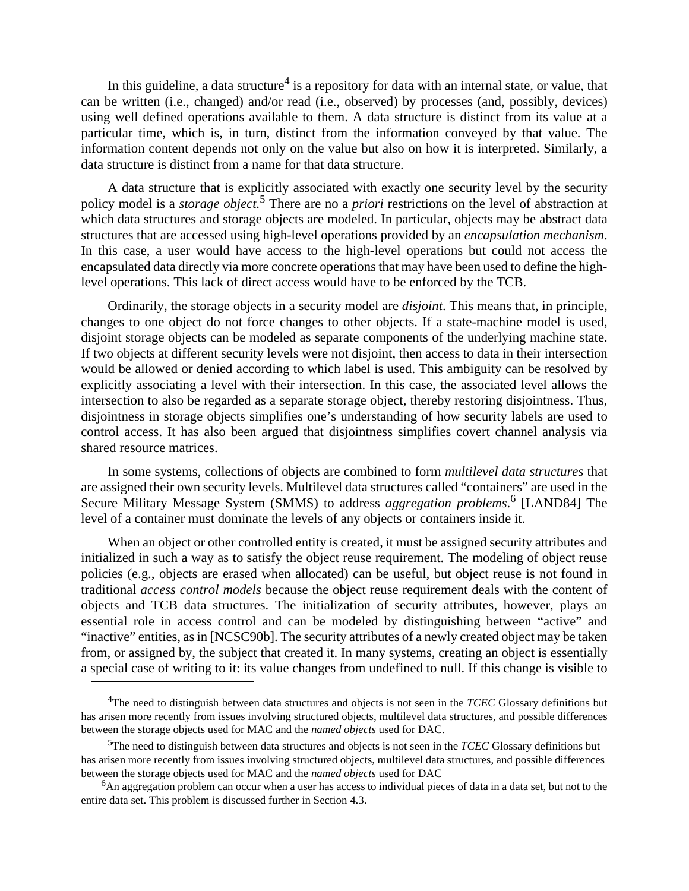In this guideline, a data structure<sup>4</sup> is a repository for data with an internal state, or value, that can be written (i.e., changed) and/or read (i.e., observed) by processes (and, possibly, devices) using well defined operations available to them. A data structure is distinct from its value at a particular time, which is, in turn, distinct from the information conveyed by that value. The information content depends not only on the value but also on how it is interpreted. Similarly, a data structure is distinct from a name for that data structure.

A data structure that is explicitly associated with exactly one security level by the security policy model is a *storage object.*<sup>5</sup> There are no a *priori* restrictions on the level of abstraction at which data structures and storage objects are modeled. In particular, objects may be abstract data structures that are accessed using high-level operations provided by an *encapsulation mechanism*. In this case, a user would have access to the high-level operations but could not access the encapsulated data directly via more concrete operations that may have been used to define the highlevel operations. This lack of direct access would have to be enforced by the TCB.

Ordinarily, the storage objects in a security model are *disjoint*. This means that, in principle, changes to one object do not force changes to other objects. If a state-machine model is used, disjoint storage objects can be modeled as separate components of the underlying machine state. If two objects at different security levels were not disjoint, then access to data in their intersection would be allowed or denied according to which label is used. This ambiguity can be resolved by explicitly associating a level with their intersection. In this case, the associated level allows the intersection to also be regarded as a separate storage object, thereby restoring disjointness. Thus, disjointness in storage objects simplifies one's understanding of how security labels are used to control access. It has also been argued that disjointness simplifies covert channel analysis via shared resource matrices.

In some systems, collections of objects are combined to form *multilevel data structures* that are assigned their own security levels. Multilevel data structures called "containers" are used in the Secure Military Message System (SMMS) to address *aggregation problems*. 6 [LAND84] The level of a container must dominate the levels of any objects or containers inside it.

When an object or other controlled entity is created, it must be assigned security attributes and initialized in such a way as to satisfy the object reuse requirement. The modeling of object reuse policies (e.g., objects are erased when allocated) can be useful, but object reuse is not found in traditional *access control models* because the object reuse requirement deals with the content of objects and TCB data structures. The initialization of security attributes, however, plays an essential role in access control and can be modeled by distinguishing between "active" and "inactive" entities, as in [NCSC90b]. The security attributes of a newly created object may be taken from, or assigned by, the subject that created it. In many systems, creating an object is essentially a special case of writing to it: its value changes from undefined to null. If this change is visible to

<sup>4</sup>The need to distinguish between data structures and objects is not seen in the *TCEC* Glossary definitions but has arisen more recently from issues involving structured objects, multilevel data structures, and possible differences between the storage objects used for MAC and the *named objects* used for DAC.

<sup>5</sup>The need to distinguish between data structures and objects is not seen in the *TCEC* Glossary definitions but has arisen more recently from issues involving structured objects, multilevel data structures, and possible differences between the storage objects used for MAC and the *named objects* used for DAC

 $6$ An aggregation problem can occur when a user has access to individual pieces of data in a data set, but not to the entire data set. This problem is discussed further in Section 4.3.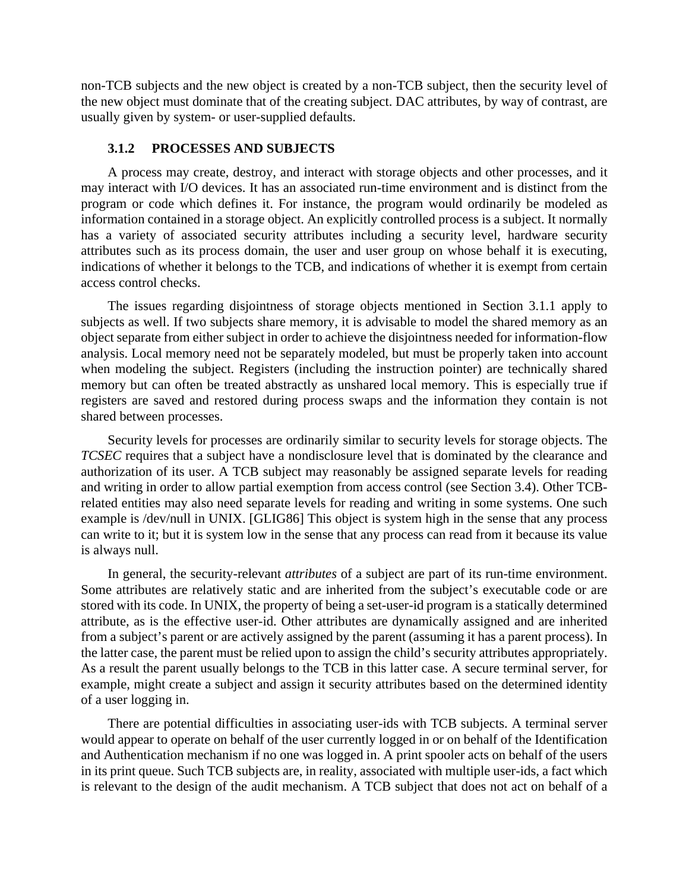non-TCB subjects and the new object is created by a non-TCB subject, then the security level of the new object must dominate that of the creating subject. DAC attributes, by way of contrast, are usually given by system- or user-supplied defaults.

## **3.1.2 PROCESSES AND SUBJECTS**

A process may create, destroy, and interact with storage objects and other processes, and it may interact with I/O devices. It has an associated run-time environment and is distinct from the program or code which defines it. For instance, the program would ordinarily be modeled as information contained in a storage object. An explicitly controlled process is a subject. It normally has a variety of associated security attributes including a security level, hardware security attributes such as its process domain, the user and user group on whose behalf it is executing, indications of whether it belongs to the TCB, and indications of whether it is exempt from certain access control checks.

The issues regarding disjointness of storage objects mentioned in Section 3.1.1 apply to subjects as well. If two subjects share memory, it is advisable to model the shared memory as an object separate from either subject in order to achieve the disjointness needed for information-flow analysis. Local memory need not be separately modeled, but must be properly taken into account when modeling the subject. Registers (including the instruction pointer) are technically shared memory but can often be treated abstractly as unshared local memory. This is especially true if registers are saved and restored during process swaps and the information they contain is not shared between processes.

Security levels for processes are ordinarily similar to security levels for storage objects. The *TCSEC* requires that a subject have a nondisclosure level that is dominated by the clearance and authorization of its user. A TCB subject may reasonably be assigned separate levels for reading and writing in order to allow partial exemption from access control (see Section 3.4). Other TCBrelated entities may also need separate levels for reading and writing in some systems. One such example is /dev/null in UNIX. [GLIG86] This object is system high in the sense that any process can write to it; but it is system low in the sense that any process can read from it because its value is always null.

In general, the security-relevant *attributes* of a subject are part of its run-time environment. Some attributes are relatively static and are inherited from the subject's executable code or are stored with its code. In UNIX, the property of being a set-user-id program is a statically determined attribute, as is the effective user-id. Other attributes are dynamically assigned and are inherited from a subject's parent or are actively assigned by the parent (assuming it has a parent process). In the latter case, the parent must be relied upon to assign the child's security attributes appropriately. As a result the parent usually belongs to the TCB in this latter case. A secure terminal server, for example, might create a subject and assign it security attributes based on the determined identity of a user logging in.

There are potential difficulties in associating user-ids with TCB subjects. A terminal server would appear to operate on behalf of the user currently logged in or on behalf of the Identification and Authentication mechanism if no one was logged in. A print spooler acts on behalf of the users in its print queue. Such TCB subjects are, in reality, associated with multiple user-ids, a fact which is relevant to the design of the audit mechanism. A TCB subject that does not act on behalf of a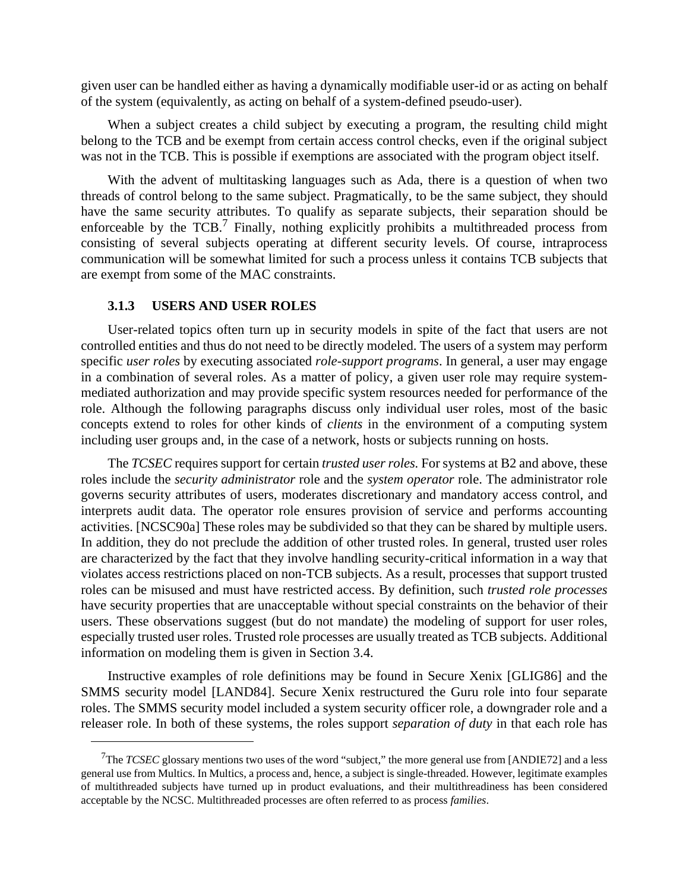given user can be handled either as having a dynamically modifiable user-id or as acting on behalf of the system (equivalently, as acting on behalf of a system-defined pseudo-user).

When a subject creates a child subject by executing a program, the resulting child might belong to the TCB and be exempt from certain access control checks, even if the original subject was not in the TCB. This is possible if exemptions are associated with the program object itself.

With the advent of multitasking languages such as Ada, there is a question of when two threads of control belong to the same subject. Pragmatically, to be the same subject, they should have the same security attributes. To qualify as separate subjects, their separation should be enforceable by the TCB.<sup>7</sup> Finally, nothing explicitly prohibits a multithreaded process from consisting of several subjects operating at different security levels. Of course, intraprocess communication will be somewhat limited for such a process unless it contains TCB subjects that are exempt from some of the MAC constraints.

## **3.1.3 USERS AND USER ROLES**

User-related topics often turn up in security models in spite of the fact that users are not controlled entities and thus do not need to be directly modeled. The users of a system may perform specific *user roles* by executing associated *role-support programs*. In general, a user may engage in a combination of several roles. As a matter of policy, a given user role may require systemmediated authorization and may provide specific system resources needed for performance of the role. Although the following paragraphs discuss only individual user roles, most of the basic concepts extend to roles for other kinds of *clients* in the environment of a computing system including user groups and, in the case of a network, hosts or subjects running on hosts.

The *TCSEC* requires support for certain *trusted user roles.* For systems at B2 and above, these roles include the *security administrator* role and the *system operator* role. The administrator role governs security attributes of users, moderates discretionary and mandatory access control, and interprets audit data. The operator role ensures provision of service and performs accounting activities. [NCSC90a] These roles may be subdivided so that they can be shared by multiple users. In addition, they do not preclude the addition of other trusted roles. In general, trusted user roles are characterized by the fact that they involve handling security-critical information in a way that violates access restrictions placed on non-TCB subjects. As a result, processes that support trusted roles can be misused and must have restricted access. By definition, such *trusted role processes* have security properties that are unacceptable without special constraints on the behavior of their users. These observations suggest (but do not mandate) the modeling of support for user roles, especially trusted user roles. Trusted role processes are usually treated as TCB subjects. Additional information on modeling them is given in Section 3.4.

Instructive examples of role definitions may be found in Secure Xenix [GLIG86] and the SMMS security model [LAND84]. Secure Xenix restructured the Guru role into four separate roles. The SMMS security model included a system security officer role, a downgrader role and a releaser role. In both of these systems, the roles support *separation of duty* in that each role has

<sup>7</sup>The *TCSEC* glossary mentions two uses of the word "subject," the more general use from [ANDIE72] and a less general use from Multics. In Multics, a process and, hence, a subject is single-threaded. However, legitimate examples of multithreaded subjects have turned up in product evaluations, and their multithreadiness has been considered acceptable by the NCSC. Multithreaded processes are often referred to as process *families*.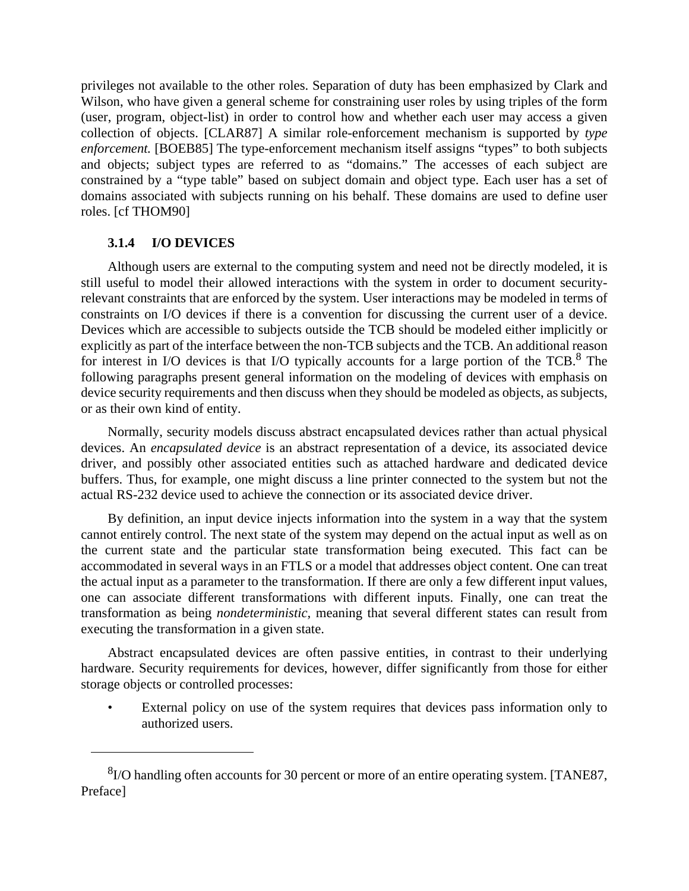privileges not available to the other roles. Separation of duty has been emphasized by Clark and Wilson, who have given a general scheme for constraining user roles by using triples of the form (user, program, object-list) in order to control how and whether each user may access a given collection of objects. [CLAR87] A similar role-enforcement mechanism is supported by *type enforcement.* [BOEB85] The type-enforcement mechanism itself assigns "types" to both subjects and objects; subject types are referred to as "domains." The accesses of each subject are constrained by a "type table" based on subject domain and object type. Each user has a set of domains associated with subjects running on his behalf. These domains are used to define user roles. [cf THOM90]

## **3.1.4 I/O DEVICES**

Although users are external to the computing system and need not be directly modeled, it is still useful to model their allowed interactions with the system in order to document securityrelevant constraints that are enforced by the system. User interactions may be modeled in terms of constraints on I/O devices if there is a convention for discussing the current user of a device. Devices which are accessible to subjects outside the TCB should be modeled either implicitly or explicitly as part of the interface between the non-TCB subjects and the TCB. An additional reason for interest in I/O devices is that I/O typically accounts for a large portion of the TCB.<sup>8</sup> The following paragraphs present general information on the modeling of devices with emphasis on device security requirements and then discuss when they should be modeled as objects, as subjects, or as their own kind of entity.

Normally, security models discuss abstract encapsulated devices rather than actual physical devices. An *encapsulated device* is an abstract representation of a device, its associated device driver, and possibly other associated entities such as attached hardware and dedicated device buffers. Thus, for example, one might discuss a line printer connected to the system but not the actual RS-232 device used to achieve the connection or its associated device driver.

By definition, an input device injects information into the system in a way that the system cannot entirely control. The next state of the system may depend on the actual input as well as on the current state and the particular state transformation being executed. This fact can be accommodated in several ways in an FTLS or a model that addresses object content. One can treat the actual input as a parameter to the transformation. If there are only a few different input values, one can associate different transformations with different inputs. Finally, one can treat the transformation as being *nondeterministic,* meaning that several different states can result from executing the transformation in a given state.

Abstract encapsulated devices are often passive entities, in contrast to their underlying hardware. Security requirements for devices, however, differ significantly from those for either storage objects or controlled processes:

External policy on use of the system requires that devices pass information only to authorized users.

 ${}^{8}$ I/O handling often accounts for 30 percent or more of an entire operating system. [TANE87, Preface]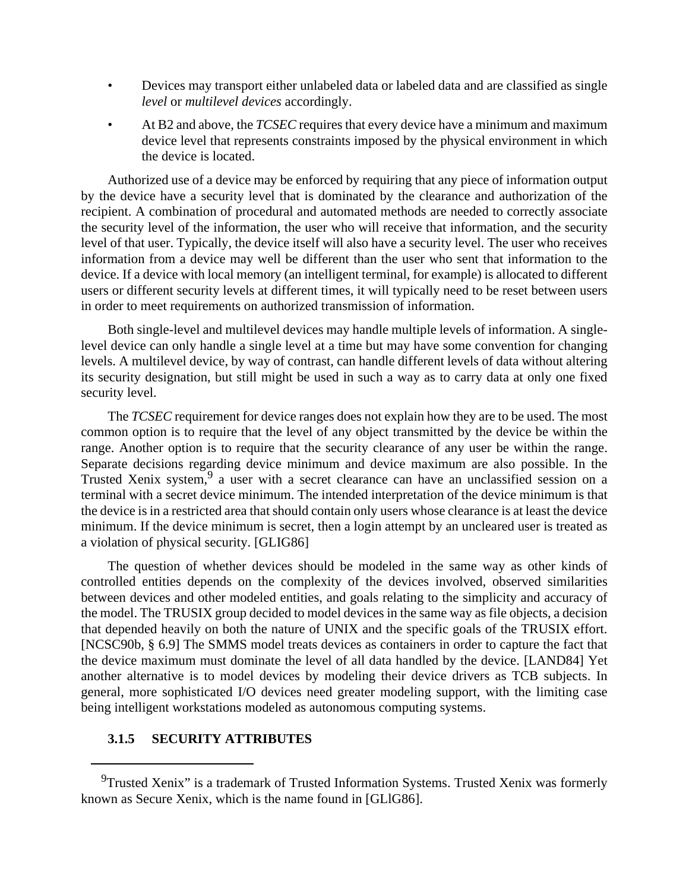- Devices may transport either unlabeled data or labeled data and are classified as single *level* or *multilevel devices* accordingly.
- At B2 and above, the *TCSEC* requires that every device have a minimum and maximum device level that represents constraints imposed by the physical environment in which the device is located.

Authorized use of a device may be enforced by requiring that any piece of information output by the device have a security level that is dominated by the clearance and authorization of the recipient. A combination of procedural and automated methods are needed to correctly associate the security level of the information, the user who will receive that information, and the security level of that user. Typically, the device itself will also have a security level. The user who receives information from a device may well be different than the user who sent that information to the device. If a device with local memory (an intelligent terminal, for example) is allocated to different users or different security levels at different times, it will typically need to be reset between users in order to meet requirements on authorized transmission of information.

Both single-level and multilevel devices may handle multiple levels of information. A singlelevel device can only handle a single level at a time but may have some convention for changing levels. A multilevel device, by way of contrast, can handle different levels of data without altering its security designation, but still might be used in such a way as to carry data at only one fixed security level.

The *TCSEC* requirement for device ranges does not explain how they are to be used. The most common option is to require that the level of any object transmitted by the device be within the range. Another option is to require that the security clearance of any user be within the range. Separate decisions regarding device minimum and device maximum are also possible. In the Trusted Xenix system,<sup>9</sup> a user with a secret clearance can have an unclassified session on a terminal with a secret device minimum. The intended interpretation of the device minimum is that the device is in a restricted area that should contain only users whose clearance is at least the device minimum. If the device minimum is secret, then a login attempt by an uncleared user is treated as a violation of physical security. [GLIG86]

The question of whether devices should be modeled in the same way as other kinds of controlled entities depends on the complexity of the devices involved, observed similarities between devices and other modeled entities, and goals relating to the simplicity and accuracy of the model. The TRUSIX group decided to model devices in the same way as file objects, a decision that depended heavily on both the nature of UNIX and the specific goals of the TRUSIX effort. [NCSC90b, § 6.9] The SMMS model treats devices as containers in order to capture the fact that the device maximum must dominate the level of all data handled by the device. [LAND84] Yet another alternative is to model devices by modeling their device drivers as TCB subjects. In general, more sophisticated I/O devices need greater modeling support, with the limiting case being intelligent workstations modeled as autonomous computing systems.

## **3.1.5 SECURITY ATTRIBUTES**

<sup>&</sup>lt;sup>9</sup>Trusted Xenix" is a trademark of Trusted Information Systems. Trusted Xenix was formerly known as Secure Xenix, which is the name found in [GLlG86].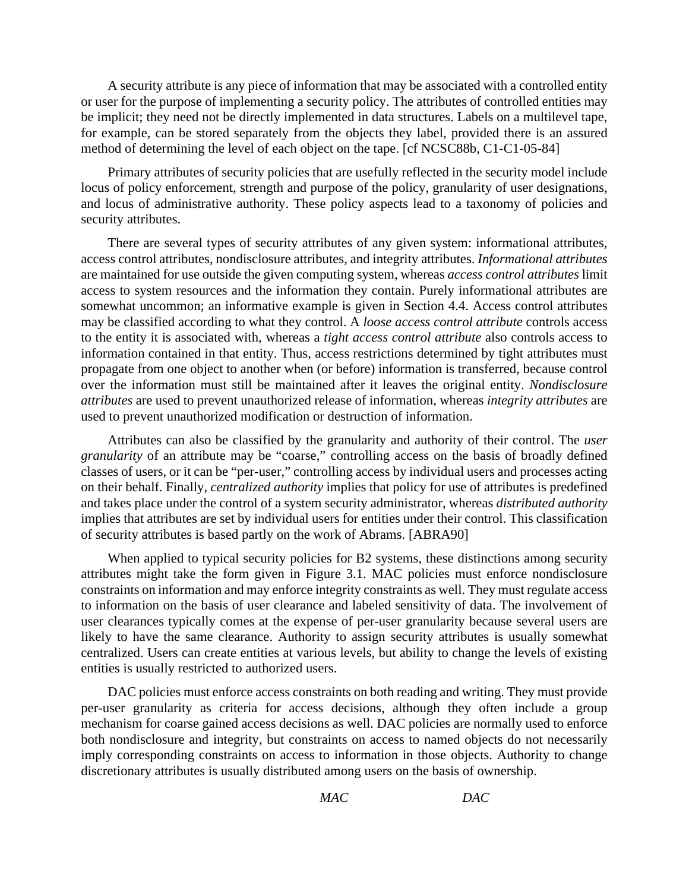A security attribute is any piece of information that may be associated with a controlled entity or user for the purpose of implementing a security policy. The attributes of controlled entities may be implicit; they need not be directly implemented in data structures. Labels on a multilevel tape, for example, can be stored separately from the objects they label, provided there is an assured method of determining the level of each object on the tape. [cf NCSC88b, C1-C1-05-84]

Primary attributes of security policies that are usefully reflected in the security model include locus of policy enforcement, strength and purpose of the policy, granularity of user designations, and locus of administrative authority. These policy aspects lead to a taxonomy of policies and security attributes.

There are several types of security attributes of any given system: informational attributes, access control attributes, nondisclosure attributes, and integrity attributes. *Informational attributes* are maintained for use outside the given computing system, whereas *access control attributes* limit access to system resources and the information they contain. Purely informational attributes are somewhat uncommon; an informative example is given in Section 4.4. Access control attributes may be classified according to what they control. A *loose access control attribute* controls access to the entity it is associated with, whereas a *tight access control attribute* also controls access to information contained in that entity. Thus, access restrictions determined by tight attributes must propagate from one object to another when (or before) information is transferred, because control over the information must still be maintained after it leaves the original entity. *Nondisclosure attributes* are used to prevent unauthorized release of information, whereas *integrity attributes* are used to prevent unauthorized modification or destruction of information.

Attributes can also be classified by the granularity and authority of their control. The *user granularity* of an attribute may be "coarse," controlling access on the basis of broadly defined classes of users, or it can be "per-user," controlling access by individual users and processes acting on their behalf. Finally, *centralized authority* implies that policy for use of attributes is predefined and takes place under the control of a system security administrator, whereas *distributed authority* implies that attributes are set by individual users for entities under their control. This classification of security attributes is based partly on the work of Abrams. [ABRA90]

When applied to typical security policies for B2 systems, these distinctions among security attributes might take the form given in Figure 3.1. MAC policies must enforce nondisclosure constraints on information and may enforce integrity constraints as well. They must regulate access to information on the basis of user clearance and labeled sensitivity of data. The involvement of user clearances typically comes at the expense of per-user granularity because several users are likely to have the same clearance. Authority to assign security attributes is usually somewhat centralized. Users can create entities at various levels, but ability to change the levels of existing entities is usually restricted to authorized users.

DAC policies must enforce access constraints on both reading and writing. They must provide per-user granularity as criteria for access decisions, although they often include a group mechanism for coarse gained access decisions as well. DAC policies are normally used to enforce both nondisclosure and integrity, but constraints on access to named objects do not necessarily imply corresponding constraints on access to information in those objects. Authority to change discretionary attributes is usually distributed among users on the basis of ownership.

*MAC DAC*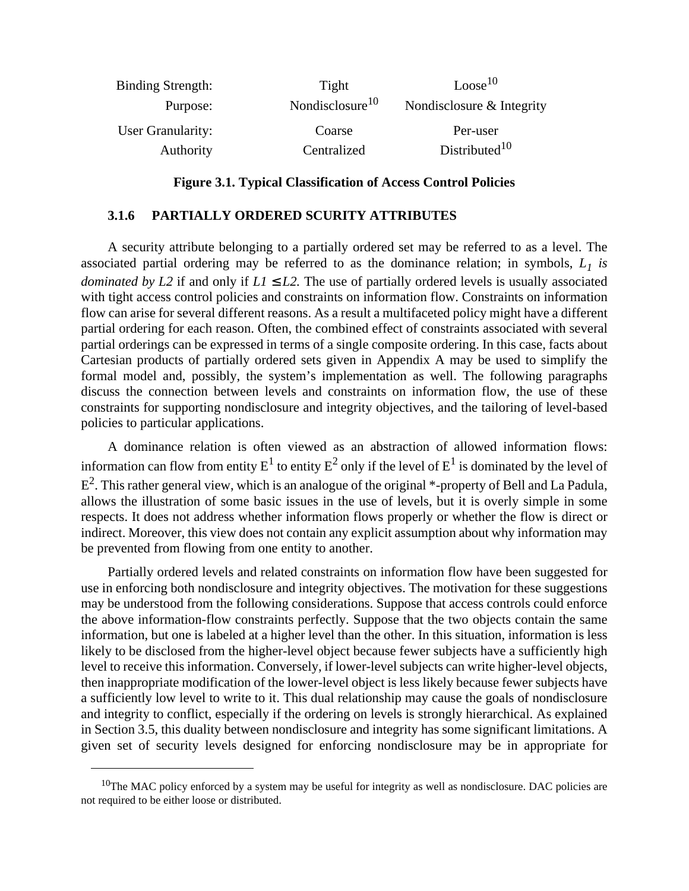| <b>Binding Strength:</b> | Tight                       | Loose <sup>10</sup>       |
|--------------------------|-----------------------------|---------------------------|
| Purpose:                 | Nondisclosure <sup>10</sup> | Nondisclosure & Integrity |
| User Granularity:        | Coarse                      | Per-user                  |
| Authority                | Centralized                 | Distributed <sup>10</sup> |

### **Figure 3.1. Typical Classification of Access Control Policies**

### **3.1.6 PARTIALLY ORDERED SCURITY ATTRIBUTES**

A security attribute belonging to a partially ordered set may be referred to as a level. The associated partial ordering may be referred to as the dominance relation; in symbols,  $L_1$  is *dominated by L2* if and only if  $LI \leq L2$ . The use of partially ordered levels is usually associated with tight access control policies and constraints on information flow. Constraints on information flow can arise for several different reasons. As a result a multifaceted policy might have a different partial ordering for each reason. Often, the combined effect of constraints associated with several partial orderings can be expressed in terms of a single composite ordering. In this case, facts about Cartesian products of partially ordered sets given in Appendix A may be used to simplify the formal model and, possibly, the system's implementation as well. The following paragraphs discuss the connection between levels and constraints on information flow, the use of these constraints for supporting nondisclosure and integrity objectives, and the tailoring of level-based policies to particular applications.

A dominance relation is often viewed as an abstraction of allowed information flows: information can flow from entity  $\rm E^1$  to entity  $\rm E^2$  only if the level of  $\rm E^1$  is dominated by the level of  $E^2$ . This rather general view, which is an analogue of the original \*-property of Bell and La Padula, allows the illustration of some basic issues in the use of levels, but it is overly simple in some respects. It does not address whether information flows properly or whether the flow is direct or indirect. Moreover, this view does not contain any explicit assumption about why information may be prevented from flowing from one entity to another.

Partially ordered levels and related constraints on information flow have been suggested for use in enforcing both nondisclosure and integrity objectives. The motivation for these suggestions may be understood from the following considerations. Suppose that access controls could enforce the above information-flow constraints perfectly. Suppose that the two objects contain the same information, but one is labeled at a higher level than the other. In this situation, information is less likely to be disclosed from the higher-level object because fewer subjects have a sufficiently high level to receive this information. Conversely, if lower-level subjects can write higher-level objects, then inappropriate modification of the lower-level object is less likely because fewer subjects have a sufficiently low level to write to it. This dual relationship may cause the goals of nondisclosure and integrity to conflict, especially if the ordering on levels is strongly hierarchical. As explained in Section 3.5, this duality between nondisclosure and integrity has some significant limitations. A given set of security levels designed for enforcing nondisclosure may be in appropriate for

 $10$ The MAC policy enforced by a system may be useful for integrity as well as nondisclosure. DAC policies are not required to be either loose or distributed.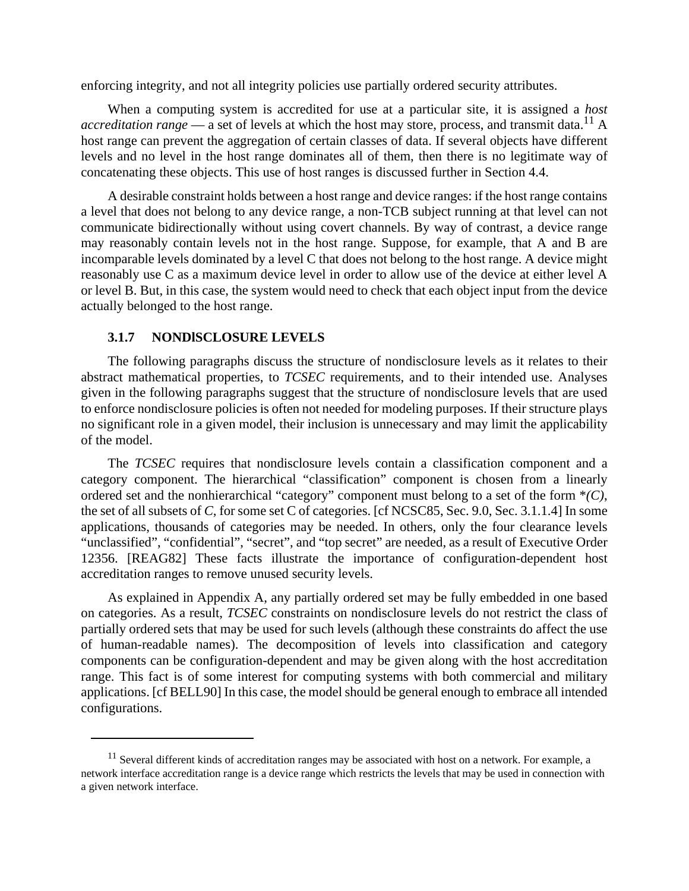enforcing integrity, and not all integrity policies use partially ordered security attributes.

When a computing system is accredited for use at a particular site, it is assigned a *host accreditation range* — a set of levels at which the host may store, process, and transmit data.<sup>11</sup> A host range can prevent the aggregation of certain classes of data. If several objects have different levels and no level in the host range dominates all of them, then there is no legitimate way of concatenating these objects. This use of host ranges is discussed further in Section 4.4.

A desirable constraint holds between a host range and device ranges: if the host range contains a level that does not belong to any device range, a non-TCB subject running at that level can not communicate bidirectionally without using covert channels. By way of contrast, a device range may reasonably contain levels not in the host range. Suppose, for example, that A and B are incomparable levels dominated by a level C that does not belong to the host range. A device might reasonably use C as a maximum device level in order to allow use of the device at either level A or level B. But, in this case, the system would need to check that each object input from the device actually belonged to the host range.

### **3.1.7 NONDlSCLOSURE LEVELS**

The following paragraphs discuss the structure of nondisclosure levels as it relates to their abstract mathematical properties, to *TCSEC* requirements, and to their intended use. Analyses given in the following paragraphs suggest that the structure of nondisclosure levels that are used to enforce nondisclosure policies is often not needed for modeling purposes. If their structure plays no significant role in a given model, their inclusion is unnecessary and may limit the applicability of the model.

The *TCSEC* requires that nondisclosure levels contain a classification component and a category component. The hierarchical "classification" component is chosen from a linearly ordered set and the nonhierarchical "category" component must belong to a set of the form \**(C)*, the set of all subsets of *C,* for some set C of categories. [cf NCSC85, Sec. 9.0, Sec. 3.1.1.4] In some applications, thousands of categories may be needed. In others, only the four clearance levels "unclassified", "confidential", "secret", and "top secret" are needed, as a result of Executive Order 12356. [REAG82] These facts illustrate the importance of configuration-dependent host accreditation ranges to remove unused security levels.

As explained in Appendix A, any partially ordered set may be fully embedded in one based on categories. As a result, *TCSEC* constraints on nondisclosure levels do not restrict the class of partially ordered sets that may be used for such levels (although these constraints do affect the use of human-readable names). The decomposition of levels into classification and category components can be configuration-dependent and may be given along with the host accreditation range. This fact is of some interest for computing systems with both commercial and military applications. [cf BELL90] In this case, the model should be general enough to embrace all intended configurations.

 $11$  Several different kinds of accreditation ranges may be associated with host on a network. For example, a network interface accreditation range is a device range which restricts the levels that may be used in connection with a given network interface.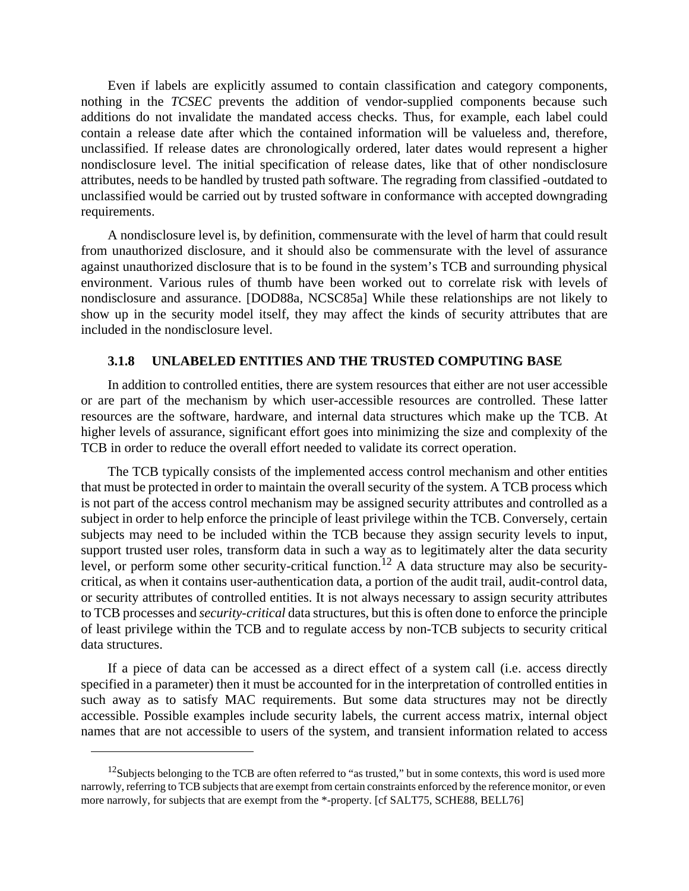Even if labels are explicitly assumed to contain classification and category components, nothing in the *TCSEC* prevents the addition of vendor-supplied components because such additions do not invalidate the mandated access checks. Thus, for example, each label could contain a release date after which the contained information will be valueless and, therefore, unclassified. If release dates are chronologically ordered, later dates would represent a higher nondisclosure level. The initial specification of release dates, like that of other nondisclosure attributes, needs to be handled by trusted path software. The regrading from classified -outdated to unclassified would be carried out by trusted software in conformance with accepted downgrading requirements.

A nondisclosure level is, by definition, commensurate with the level of harm that could result from unauthorized disclosure, and it should also be commensurate with the level of assurance against unauthorized disclosure that is to be found in the system's TCB and surrounding physical environment. Various rules of thumb have been worked out to correlate risk with levels of nondisclosure and assurance. [DOD88a, NCSC85a] While these relationships are not likely to show up in the security model itself, they may affect the kinds of security attributes that are included in the nondisclosure level.

### **3.1.8 UNLABELED ENTITIES AND THE TRUSTED COMPUTING BASE**

In addition to controlled entities, there are system resources that either are not user accessible or are part of the mechanism by which user-accessible resources are controlled. These latter resources are the software, hardware, and internal data structures which make up the TCB. At higher levels of assurance, significant effort goes into minimizing the size and complexity of the TCB in order to reduce the overall effort needed to validate its correct operation.

The TCB typically consists of the implemented access control mechanism and other entities that must be protected in order to maintain the overall security of the system. A TCB process which is not part of the access control mechanism may be assigned security attributes and controlled as a subject in order to help enforce the principle of least privilege within the TCB. Conversely, certain subjects may need to be included within the TCB because they assign security levels to input, support trusted user roles, transform data in such a way as to legitimately alter the data security level, or perform some other security-critical function.<sup>12</sup> A data structure may also be securitycritical, as when it contains user-authentication data, a portion of the audit trail, audit-control data, or security attributes of controlled entities. It is not always necessary to assign security attributes to TCB processes and *security-critical* data structures, but this is often done to enforce the principle of least privilege within the TCB and to regulate access by non-TCB subjects to security critical data structures.

If a piece of data can be accessed as a direct effect of a system call (i.e. access directly specified in a parameter) then it must be accounted for in the interpretation of controlled entities in such away as to satisfy MAC requirements. But some data structures may not be directly accessible. Possible examples include security labels, the current access matrix, internal object names that are not accessible to users of the system, and transient information related to access

 $12$ Subjects belonging to the TCB are often referred to "as trusted," but in some contexts, this word is used more narrowly, referring to TCB subjects that are exempt from certain constraints enforced by the reference monitor, or even more narrowly, for subjects that are exempt from the \*-property. [cf SALT75, SCHE88, BELL76]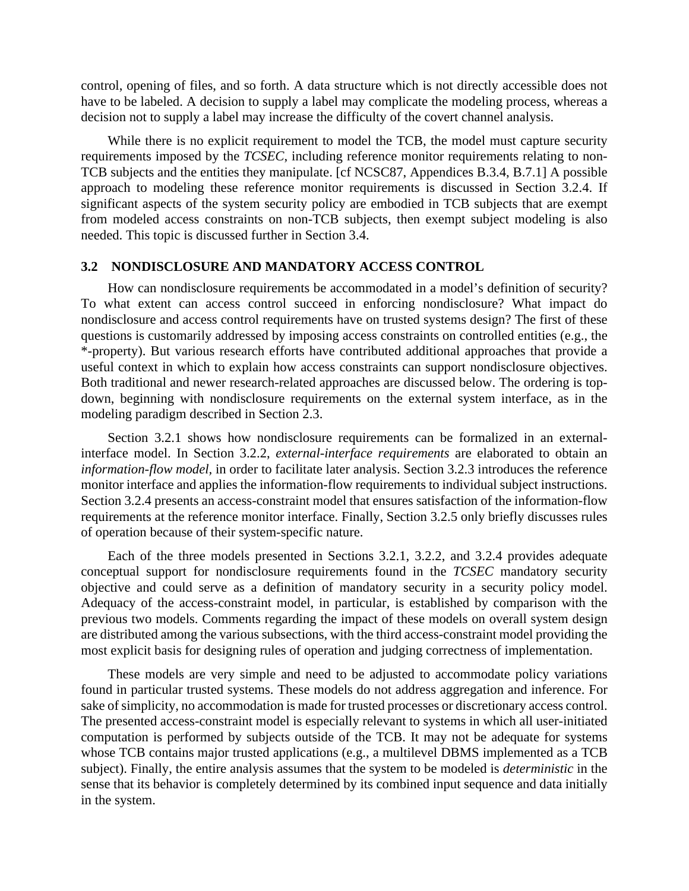control, opening of files, and so forth. A data structure which is not directly accessible does not have to be labeled. A decision to supply a label may complicate the modeling process, whereas a decision not to supply a label may increase the difficulty of the covert channel analysis.

While there is no explicit requirement to model the TCB, the model must capture security requirements imposed by the *TCSEC*, including reference monitor requirements relating to non-TCB subjects and the entities they manipulate. [cf NCSC87, Appendices B.3.4, B.7.1] A possible approach to modeling these reference monitor requirements is discussed in Section 3.2.4. If significant aspects of the system security policy are embodied in TCB subjects that are exempt from modeled access constraints on non-TCB subjects, then exempt subject modeling is also needed. This topic is discussed further in Section 3.4.

### **3.2 NONDISCLOSURE AND MANDATORY ACCESS CONTROL**

How can nondisclosure requirements be accommodated in a model's definition of security? To what extent can access control succeed in enforcing nondisclosure? What impact do nondisclosure and access control requirements have on trusted systems design? The first of these questions is customarily addressed by imposing access constraints on controlled entities (e.g., the \*-property). But various research efforts have contributed additional approaches that provide a useful context in which to explain how access constraints can support nondisclosure objectives. Both traditional and newer research-related approaches are discussed below. The ordering is topdown, beginning with nondisclosure requirements on the external system interface, as in the modeling paradigm described in Section 2.3.

Section 3.2.1 shows how nondisclosure requirements can be formalized in an externalinterface model. In Section 3.2.2, *external-interface requirements* are elaborated to obtain an *information-flow model,* in order to facilitate later analysis. Section 3.2.3 introduces the reference monitor interface and applies the information-flow requirements to individual subject instructions. Section 3.2.4 presents an access-constraint model that ensures satisfaction of the information-flow requirements at the reference monitor interface. Finally, Section 3.2.5 only briefly discusses rules of operation because of their system-specific nature.

Each of the three models presented in Sections 3.2.1, 3.2.2, and 3.2.4 provides adequate conceptual support for nondisclosure requirements found in the *TCSEC* mandatory security objective and could serve as a definition of mandatory security in a security policy model. Adequacy of the access-constraint model, in particular, is established by comparison with the previous two models. Comments regarding the impact of these models on overall system design are distributed among the various subsections, with the third access-constraint model providing the most explicit basis for designing rules of operation and judging correctness of implementation.

These models are very simple and need to be adjusted to accommodate policy variations found in particular trusted systems. These models do not address aggregation and inference. For sake of simplicity, no accommodation is made for trusted processes or discretionary access control. The presented access-constraint model is especially relevant to systems in which all user-initiated computation is performed by subjects outside of the TCB. It may not be adequate for systems whose TCB contains major trusted applications (e.g., a multilevel DBMS implemented as a TCB subject). Finally, the entire analysis assumes that the system to be modeled is *deterministic* in the sense that its behavior is completely determined by its combined input sequence and data initially in the system.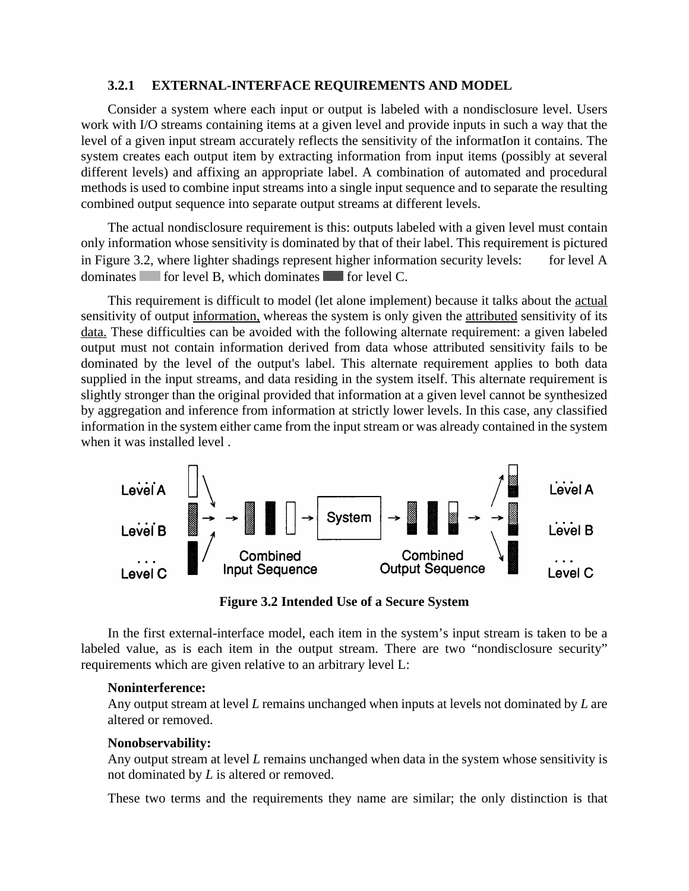### **3.2.1 EXTERNAL-INTERFACE REQUIREMENTS AND MODEL**

Consider a system where each input or output is labeled with a nondisclosure level. Users work with I/O streams containing items at a given level and provide inputs in such a way that the level of a given input stream accurately reflects the sensitivity of the informatIon it contains. The system creates each output item by extracting information from input items (possibly at several different levels) and affixing an appropriate label. A combination of automated and procedural methods is used to combine input streams into a single input sequence and to separate the resulting combined output sequence into separate output streams at different levels.

The actual nondisclosure requirement is this: outputs labeled with a given level must contain only information whose sensitivity is dominated by that of their label. This requirement is pictured in Figure 3.2, where lighter shadings represent higher information security levels: for level A dominates  $\blacksquare$  for level B, which dominates  $\blacksquare$  for level C.

This requirement is difficult to model (let alone implement) because it talks about the actual sensitivity of output information, whereas the system is only given the attributed sensitivity of its data. These difficulties can be avoided with the following alternate requirement: a given labeled output must not contain information derived from data whose attributed sensitivity fails to be dominated by the level of the output's label. This alternate requirement applies to both data supplied in the input streams, and data residing in the system itself. This alternate requirement is slightly stronger than the original provided that information at a given level cannot be synthesized by aggregation and inference from information at strictly lower levels. In this case, any classified information in the system either came from the input stream or was already contained in the system when it was installed level .



**Figure 3.2 Intended Use of a Secure System**

In the first external-interface model, each item in the system's input stream is taken to be a labeled value, as is each item in the output stream. There are two "nondisclosure security" requirements which are given relative to an arbitrary level L:

#### **Noninterference:**

Any output stream at level *L* remains unchanged when inputs at levels not dominated by *L* are altered or removed.

### **Nonobservability:**

Any output stream at level *L* remains unchanged when data in the system whose sensitivity is not dominated by *L* is altered or removed.

These two terms and the requirements they name are similar; the only distinction is that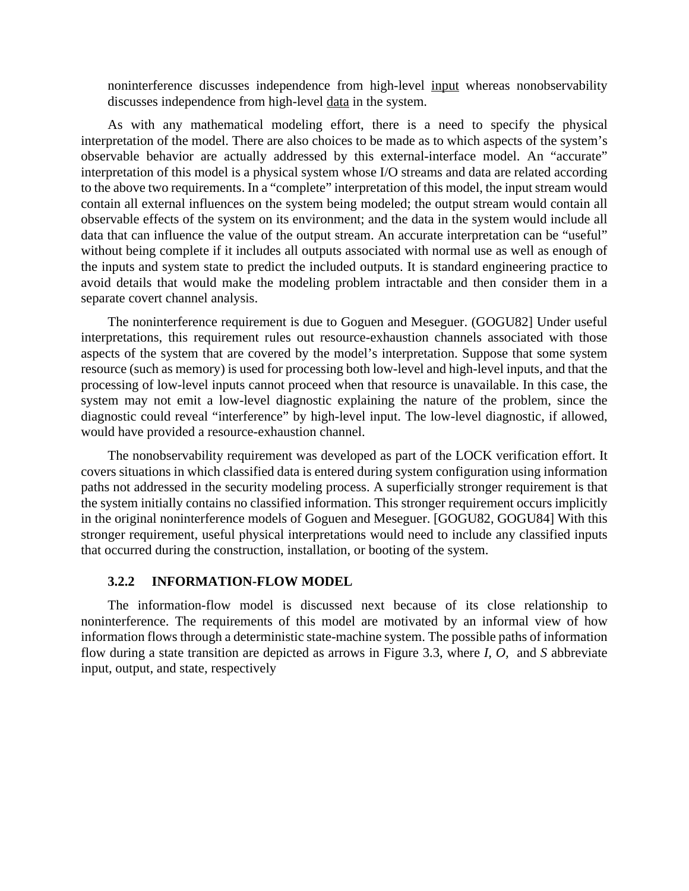noninterference discusses independence from high-level input whereas nonobservability discusses independence from high-level data in the system.

As with any mathematical modeling effort, there is a need to specify the physical interpretation of the model. There are also choices to be made as to which aspects of the system's observable behavior are actually addressed by this external-interface model. An "accurate" interpretation of this model is a physical system whose I/O streams and data are related according to the above two requirements. In a "complete" interpretation of this model, the input stream would contain all external influences on the system being modeled; the output stream would contain all observable effects of the system on its environment; and the data in the system would include all data that can influence the value of the output stream. An accurate interpretation can be "useful" without being complete if it includes all outputs associated with normal use as well as enough of the inputs and system state to predict the included outputs. It is standard engineering practice to avoid details that would make the modeling problem intractable and then consider them in a separate covert channel analysis.

The noninterference requirement is due to Goguen and Meseguer. (GOGU82] Under useful interpretations, this requirement rules out resource-exhaustion channels associated with those aspects of the system that are covered by the model's interpretation. Suppose that some system resource (such as memory) is used for processing both low-level and high-level inputs, and that the processing of low-level inputs cannot proceed when that resource is unavailable. In this case, the system may not emit a low-level diagnostic explaining the nature of the problem, since the diagnostic could reveal "interference" by high-level input. The low-level diagnostic, if allowed, would have provided a resource-exhaustion channel.

The nonobservability requirement was developed as part of the LOCK verification effort. It covers situations in which classified data is entered during system configuration using information paths not addressed in the security modeling process. A superficially stronger requirement is that the system initially contains no classified information. This stronger requirement occurs implicitly in the original noninterference models of Goguen and Meseguer. [GOGU82, GOGU84] With this stronger requirement, useful physical interpretations would need to include any classified inputs that occurred during the construction, installation, or booting of the system.

## **3.2.2 INFORMATION-FLOW MODEL**

The information-flow model is discussed next because of its close relationship to noninterference. The requirements of this model are motivated by an informal view of how information flows through a deterministic state-machine system. The possible paths of information flow during a state transition are depicted as arrows in Figure 3.3, where *I, O,* and *S* abbreviate input, output, and state, respectively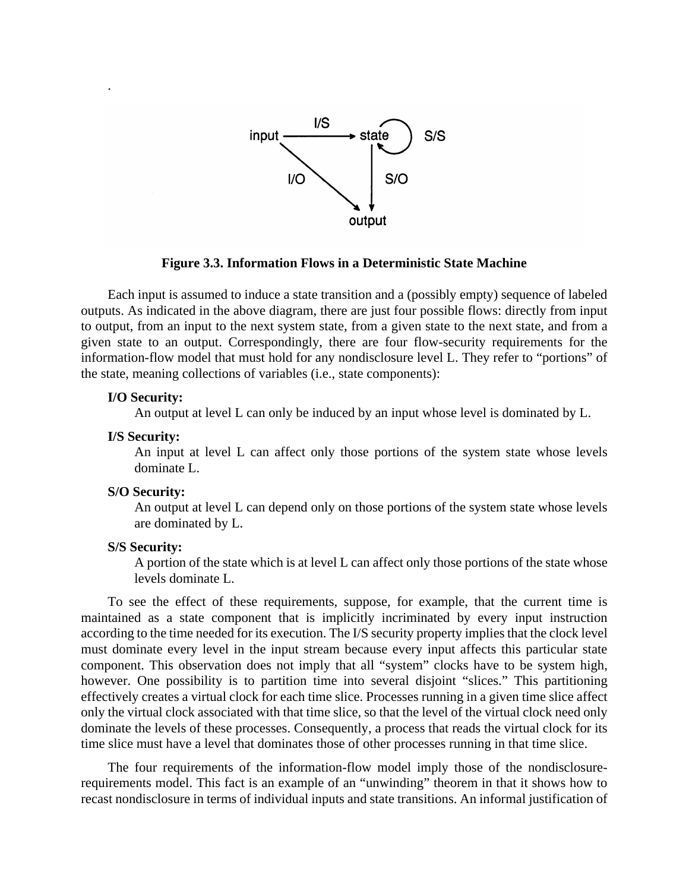

### **Figure 3.3. Information Flows in a Deterministic State Machine**

Each input is assumed to induce a state transition and a (possibly empty) sequence of labeled outputs. As indicated in the above diagram, there are just four possible flows: directly from input to output, from an input to the next system state, from a given state to the next state, and from a given state to an output. Correspondingly, there are four flow-security requirements for the information-flow model that must hold for any nondisclosure level L. They refer to "portions" of the state, meaning collections of variables (i.e., state components):

### **I/O Security:**

.

An output at level L can only be induced by an input whose level is dominated by L.

#### **I/S Security:**

An input at level L can affect only those portions of the system state whose levels dominate L.

#### **S/O Security:**

An output at level L can depend only on those portions of the system state whose levels are dominated by L.

### **S/S Security:**

A portion of the state which is at level L can affect only those portions of the state whose levels dominate L.

To see the effect of these requirements, suppose, for example, that the current time is maintained as a state component that is implicitly incriminated by every input instruction according to the time needed for its execution. The I/S security property implies that the clock level must dominate every level in the input stream because every input affects this particular state component. This observation does not imply that all "system" clocks have to be system high, however. One possibility is to partition time into several disjoint "slices." This partitioning effectively creates a virtual clock for each time slice. Processes running in a given time slice affect only the virtual clock associated with that time slice, so that the level of the virtual clock need only dominate the levels of these processes. Consequently, a process that reads the virtual clock for its time slice must have a level that dominates those of other processes running in that time slice.

The four requirements of the information-flow model imply those of the nondisclosurerequirements model. This fact is an example of an "unwinding" theorem in that it shows how to recast nondisclosure in terms of individual inputs and state transitions. An informal justification of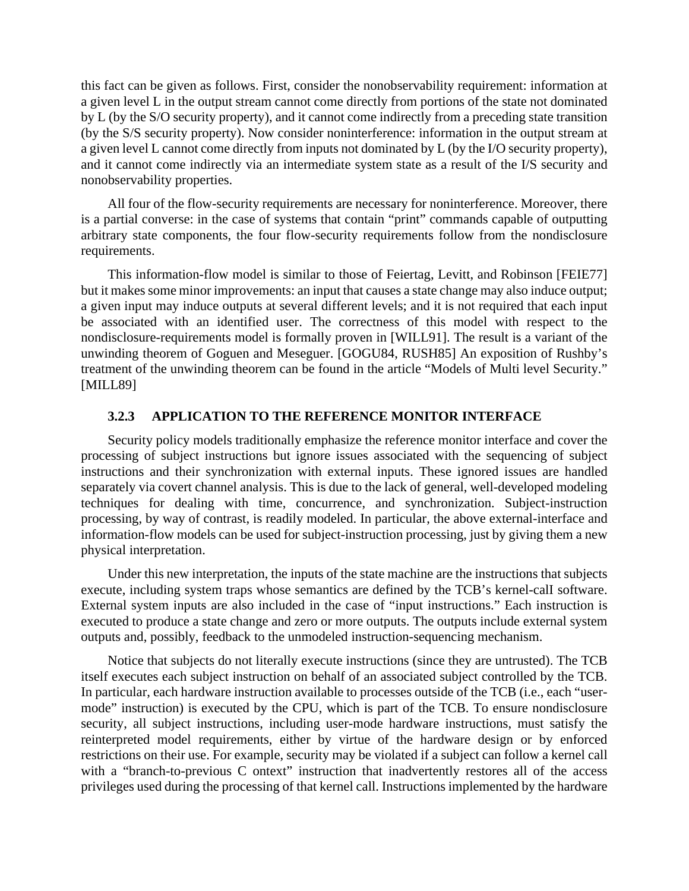this fact can be given as follows. First, consider the nonobservability requirement: information at a given level L in the output stream cannot come directly from portions of the state not dominated by L (by the S/O security property), and it cannot come indirectly from a preceding state transition (by the S/S security property). Now consider noninterference: information in the output stream at a given level L cannot come directly from inputs not dominated by L (by the I/O security property), and it cannot come indirectly via an intermediate system state as a result of the I/S security and nonobservability properties.

All four of the flow-security requirements are necessary for noninterference. Moreover, there is a partial converse: in the case of systems that contain "print" commands capable of outputting arbitrary state components, the four flow-security requirements follow from the nondisclosure requirements.

This information-flow model is similar to those of Feiertag, Levitt, and Robinson [FEIE77] but it makes some minor improvements: an input that causes a state change may also induce output; a given input may induce outputs at several different levels; and it is not required that each input be associated with an identified user. The correctness of this model with respect to the nondisclosure-requirements model is formally proven in [WILL91]. The result is a variant of the unwinding theorem of Goguen and Meseguer. [GOGU84, RUSH85] An exposition of Rushby's treatment of the unwinding theorem can be found in the article "Models of Multi level Security." [MILL89]

### **3.2.3 APPLICATION TO THE REFERENCE MONITOR INTERFACE**

Security policy models traditionally emphasize the reference monitor interface and cover the processing of subject instructions but ignore issues associated with the sequencing of subject instructions and their synchronization with external inputs. These ignored issues are handled separately via covert channel analysis. This is due to the lack of general, well-developed modeling techniques for dealing with time, concurrence, and synchronization. Subject-instruction processing, by way of contrast, is readily modeled. In particular, the above external-interface and information-flow models can be used for subject-instruction processing, just by giving them a new physical interpretation.

Under this new interpretation, the inputs of the state machine are the instructions that subjects execute, including system traps whose semantics are defined by the TCB's kernel-calI software. External system inputs are also included in the case of "input instructions." Each instruction is executed to produce a state change and zero or more outputs. The outputs include external system outputs and, possibly, feedback to the unmodeled instruction-sequencing mechanism.

Notice that subjects do not literally execute instructions (since they are untrusted). The TCB itself executes each subject instruction on behalf of an associated subject controlled by the TCB. In particular, each hardware instruction available to processes outside of the TCB (i.e., each "usermode" instruction) is executed by the CPU, which is part of the TCB. To ensure nondisclosure security, all subject instructions, including user-mode hardware instructions, must satisfy the reinterpreted model requirements, either by virtue of the hardware design or by enforced restrictions on their use. For example, security may be violated if a subject can follow a kernel call with a "branch-to-previous C ontext" instruction that inadvertently restores all of the access privileges used during the processing of that kernel call. Instructions implemented by the hardware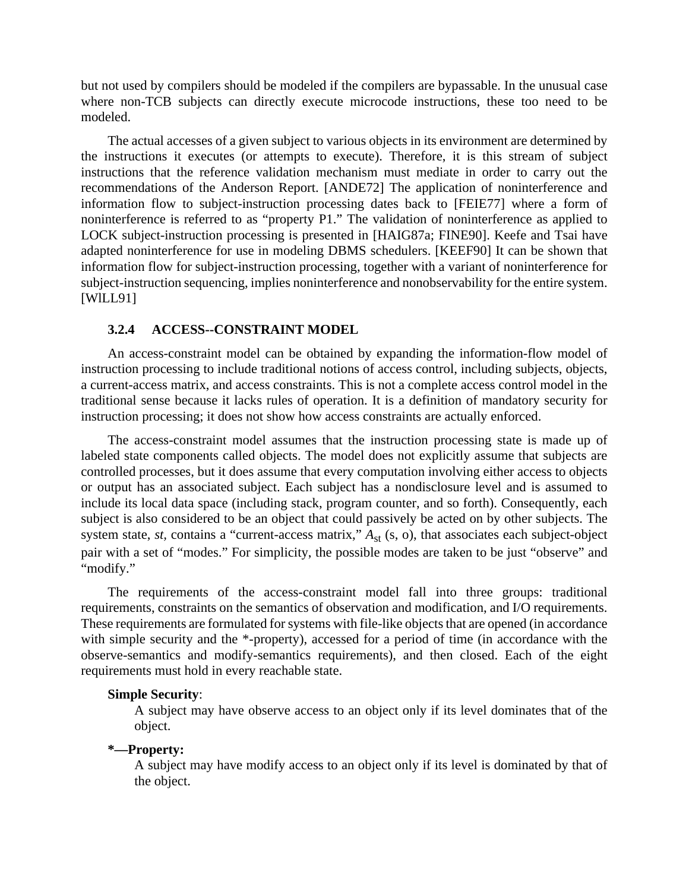but not used by compilers should be modeled if the compilers are bypassable. In the unusual case where non-TCB subjects can directly execute microcode instructions, these too need to be modeled.

The actual accesses of a given subject to various objects in its environment are determined by the instructions it executes (or attempts to execute). Therefore, it is this stream of subject instructions that the reference validation mechanism must mediate in order to carry out the recommendations of the Anderson Report. [ANDE72] The application of noninterference and information flow to subject-instruction processing dates back to [FEIE77] where a form of noninterference is referred to as "property P1." The validation of noninterference as applied to LOCK subject-instruction processing is presented in [HAIG87a; FINE90]. Keefe and Tsai have adapted noninterference for use in modeling DBMS schedulers. [KEEF90] It can be shown that information flow for subject-instruction processing, together with a variant of noninterference for subject-instruction sequencing, implies noninterference and nonobservability for the entire system. [WlLL91]

#### **3.2.4 ACCESS--CONSTRAINT MODEL**

An access-constraint model can be obtained by expanding the information-flow model of instruction processing to include traditional notions of access control, including subjects, objects, a current-access matrix, and access constraints. This is not a complete access control model in the traditional sense because it lacks rules of operation. It is a definition of mandatory security for instruction processing; it does not show how access constraints are actually enforced.

The access-constraint model assumes that the instruction processing state is made up of labeled state components called objects. The model does not explicitly assume that subjects are controlled processes, but it does assume that every computation involving either access to objects or output has an associated subject. Each subject has a nondisclosure level and is assumed to include its local data space (including stack, program counter, and so forth). Consequently, each subject is also considered to be an object that could passively be acted on by other subjects. The system state, *st*, contains a "current-access matrix,"  $A_{st}$  (s, o), that associates each subject-object pair with a set of "modes." For simplicity, the possible modes are taken to be just "observe" and "modify."

The requirements of the access-constraint model fall into three groups: traditional requirements, constraints on the semantics of observation and modification, and I/O requirements. These requirements are formulated for systems with file-like objects that are opened (in accordance with simple security and the \*-property), accessed for a period of time (in accordance with the observe-semantics and modify-semantics requirements), and then closed. Each of the eight requirements must hold in every reachable state.

#### **Simple Security**:

A subject may have observe access to an object only if its level dominates that of the object.

#### **\*—Property:**

A subject may have modify access to an object only if its level is dominated by that of the object.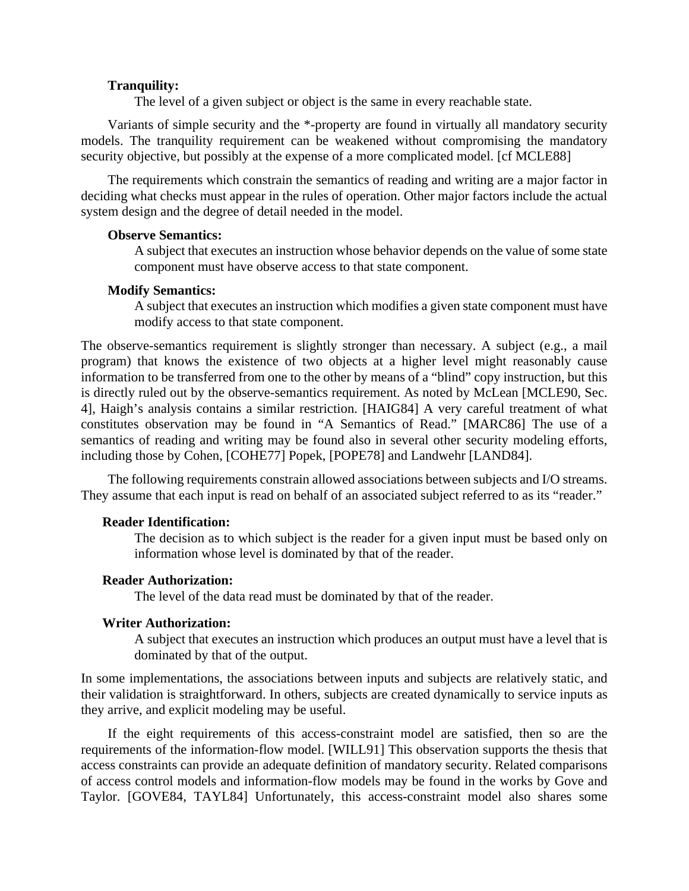#### **Tranquility:**

The level of a given subject or object is the same in every reachable state.

Variants of simple security and the \*-property are found in virtually all mandatory security models. The tranquility requirement can be weakened without compromising the mandatory security objective, but possibly at the expense of a more complicated model. [cf MCLE88]

The requirements which constrain the semantics of reading and writing are a major factor in deciding what checks must appear in the rules of operation. Other major factors include the actual system design and the degree of detail needed in the model.

### **Observe Semantics:**

A subject that executes an instruction whose behavior depends on the value of some state component must have observe access to that state component.

#### **Modify Semantics:**

A subject that executes an instruction which modifies a given state component must have modify access to that state component.

The observe-semantics requirement is slightly stronger than necessary. A subject (e.g., a mail program) that knows the existence of two objects at a higher level might reasonably cause information to be transferred from one to the other by means of a "blind" copy instruction, but this is directly ruled out by the observe-semantics requirement. As noted by McLean [MCLE90, Sec. 4], Haigh's analysis contains a similar restriction. [HAIG84] A very careful treatment of what constitutes observation may be found in "A Semantics of Read." [MARC86] The use of a semantics of reading and writing may be found also in several other security modeling efforts, including those by Cohen, [COHE77] Popek, [POPE78] and Landwehr [LAND84].

The following requirements constrain allowed associations between subjects and I/O streams. They assume that each input is read on behalf of an associated subject referred to as its "reader."

### **Reader Identification:**

The decision as to which subject is the reader for a given input must be based only on information whose level is dominated by that of the reader.

### **Reader Authorization:**

The level of the data read must be dominated by that of the reader.

#### **Writer Authorization:**

A subject that executes an instruction which produces an output must have a level that is dominated by that of the output.

In some implementations, the associations between inputs and subjects are relatively static, and their validation is straightforward. In others, subjects are created dynamically to service inputs as they arrive, and explicit modeling may be useful.

If the eight requirements of this access-constraint model are satisfied, then so are the requirements of the information-flow model. [WILL91] This observation supports the thesis that access constraints can provide an adequate definition of mandatory security. Related comparisons of access control models and information-flow models may be found in the works by Gove and Taylor. [GOVE84, TAYL84] Unfortunately, this access-constraint model also shares some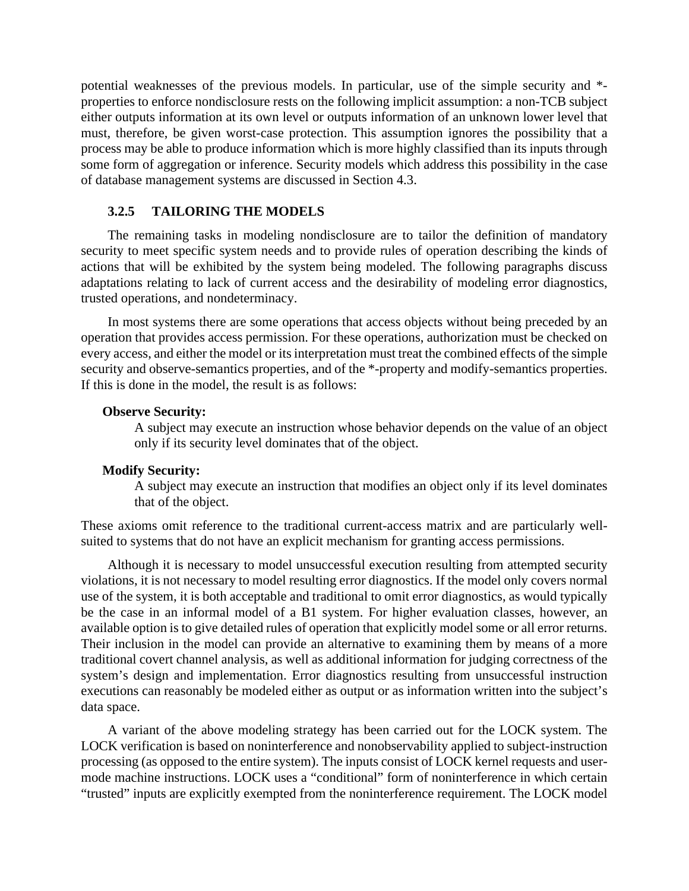potential weaknesses of the previous models. In particular, use of the simple security and \* properties to enforce nondisclosure rests on the following implicit assumption: a non-TCB subject either outputs information at its own level or outputs information of an unknown lower level that must, therefore, be given worst-case protection. This assumption ignores the possibility that a process may be able to produce information which is more highly classified than its inputs through some form of aggregation or inference. Security models which address this possibility in the case of database management systems are discussed in Section 4.3.

### **3.2.5 TAILORING THE MODELS**

The remaining tasks in modeling nondisclosure are to tailor the definition of mandatory security to meet specific system needs and to provide rules of operation describing the kinds of actions that will be exhibited by the system being modeled. The following paragraphs discuss adaptations relating to lack of current access and the desirability of modeling error diagnostics, trusted operations, and nondeterminacy.

In most systems there are some operations that access objects without being preceded by an operation that provides access permission. For these operations, authorization must be checked on every access, and either the model or its interpretation must treat the combined effects of the simple security and observe-semantics properties, and of the \*-property and modify-semantics properties. If this is done in the model, the result is as follows:

#### **Observe Security:**

A subject may execute an instruction whose behavior depends on the value of an object only if its security level dominates that of the object.

### **Modify Security:**

A subject may execute an instruction that modifies an object only if its level dominates that of the object.

These axioms omit reference to the traditional current-access matrix and are particularly wellsuited to systems that do not have an explicit mechanism for granting access permissions.

Although it is necessary to model unsuccessful execution resulting from attempted security violations, it is not necessary to model resulting error diagnostics. If the model only covers normal use of the system, it is both acceptable and traditional to omit error diagnostics, as would typically be the case in an informal model of a B1 system. For higher evaluation classes, however, an available option is to give detailed rules of operation that explicitly model some or all error returns. Their inclusion in the model can provide an alternative to examining them by means of a more traditional covert channel analysis, as well as additional information for judging correctness of the system's design and implementation. Error diagnostics resulting from unsuccessful instruction executions can reasonably be modeled either as output or as information written into the subject's data space.

A variant of the above modeling strategy has been carried out for the LOCK system. The LOCK verification is based on noninterference and nonobservability applied to subject-instruction processing (as opposed to the entire system). The inputs consist of LOCK kernel requests and usermode machine instructions. LOCK uses a "conditional" form of noninterference in which certain "trusted" inputs are explicitly exempted from the noninterference requirement. The LOCK model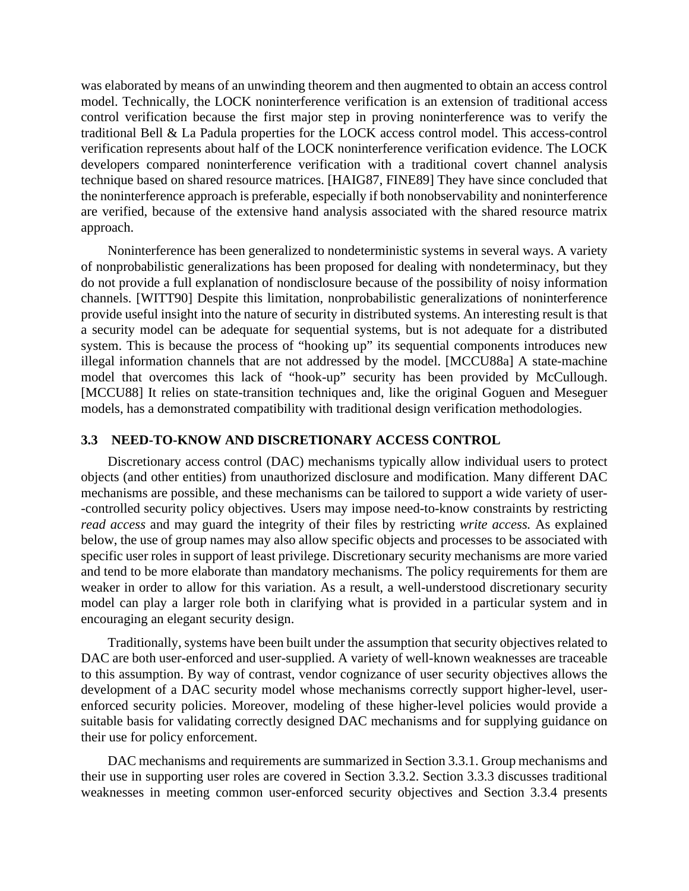was elaborated by means of an unwinding theorem and then augmented to obtain an access control model. Technically, the LOCK noninterference verification is an extension of traditional access control verification because the first major step in proving noninterference was to verify the traditional Bell & La Padula properties for the LOCK access control model. This access-control verification represents about half of the LOCK noninterference verification evidence. The LOCK developers compared noninterference verification with a traditional covert channel analysis technique based on shared resource matrices. [HAIG87, FINE89] They have since concluded that the noninterference approach is preferable, especially if both nonobservability and noninterference are verified, because of the extensive hand analysis associated with the shared resource matrix approach.

Noninterference has been generalized to nondeterministic systems in several ways. A variety of nonprobabilistic generalizations has been proposed for dealing with nondeterminacy, but they do not provide a full explanation of nondisclosure because of the possibility of noisy information channels. [WITT90] Despite this limitation, nonprobabilistic generalizations of noninterference provide useful insight into the nature of security in distributed systems. An interesting result is that a security model can be adequate for sequential systems, but is not adequate for a distributed system. This is because the process of "hooking up" its sequential components introduces new illegal information channels that are not addressed by the model. [MCCU88a] A state-machine model that overcomes this lack of "hook-up" security has been provided by McCullough. [MCCU88] It relies on state-transition techniques and, like the original Goguen and Meseguer models, has a demonstrated compatibility with traditional design verification methodologies.

### **3.3 NEED-TO-KNOW AND DISCRETIONARY ACCESS CONTROL**

Discretionary access control (DAC) mechanisms typically allow individual users to protect objects (and other entities) from unauthorized disclosure and modification. Many different DAC mechanisms are possible, and these mechanisms can be tailored to support a wide variety of user- -controlled security policy objectives. Users may impose need-to-know constraints by restricting *read access* and may guard the integrity of their files by restricting *write access.* As explained below, the use of group names may also allow specific objects and processes to be associated with specific user roles in support of least privilege. Discretionary security mechanisms are more varied and tend to be more elaborate than mandatory mechanisms. The policy requirements for them are weaker in order to allow for this variation. As a result, a well-understood discretionary security model can play a larger role both in clarifying what is provided in a particular system and in encouraging an elegant security design.

Traditionally, systems have been built under the assumption that security objectives related to DAC are both user-enforced and user-supplied. A variety of well-known weaknesses are traceable to this assumption. By way of contrast, vendor cognizance of user security objectives allows the development of a DAC security model whose mechanisms correctly support higher-level, userenforced security policies. Moreover, modeling of these higher-level policies would provide a suitable basis for validating correctly designed DAC mechanisms and for supplying guidance on their use for policy enforcement.

DAC mechanisms and requirements are summarized in Section 3.3.1. Group mechanisms and their use in supporting user roles are covered in Section 3.3.2. Section 3.3.3 discusses traditional weaknesses in meeting common user-enforced security objectives and Section 3.3.4 presents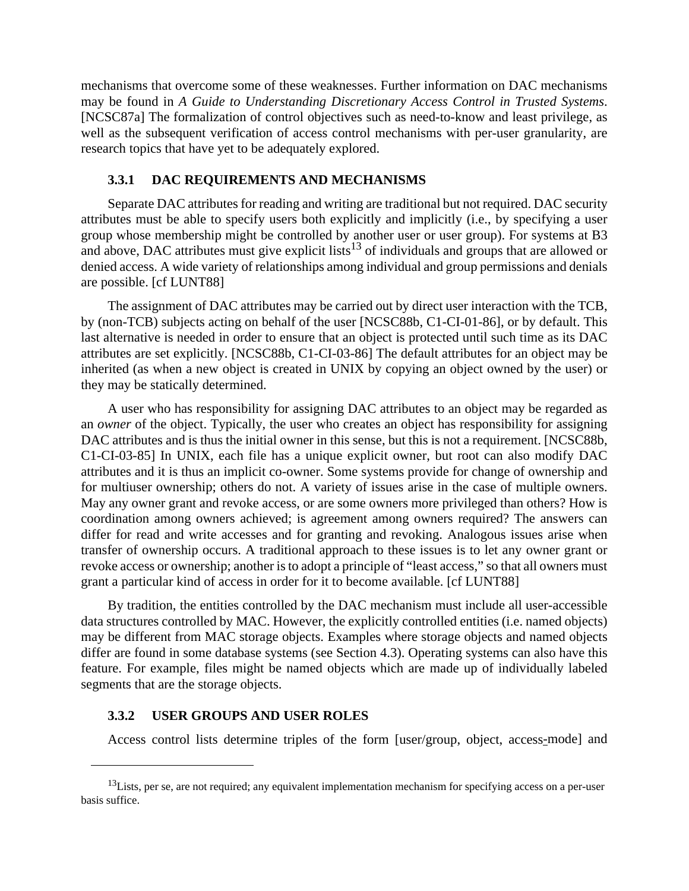mechanisms that overcome some of these weaknesses. Further information on DAC mechanisms may be found in *A Guide to Understanding Discretionary Access Control in Trusted Systems*. [NCSC87a] The formalization of control objectives such as need-to-know and least privilege, as well as the subsequent verification of access control mechanisms with per-user granularity, are research topics that have yet to be adequately explored.

#### **3.3.1 DAC REQUIREMENTS AND MECHANISMS**

Separate DAC attributes for reading and writing are traditional but not required. DAC security attributes must be able to specify users both explicitly and implicitly (i.e., by specifying a user group whose membership might be controlled by another user or user group). For systems at B3 and above, DAC attributes must give explicit lists<sup>13</sup> of individuals and groups that are allowed or denied access. A wide variety of relationships among individual and group permissions and denials are possible. [cf LUNT88]

The assignment of DAC attributes may be carried out by direct user interaction with the TCB, by (non-TCB) subjects acting on behalf of the user [NCSC88b, C1-CI-01-86], or by default. This last alternative is needed in order to ensure that an object is protected until such time as its DAC attributes are set explicitly. [NCSC88b, C1-CI-03-86] The default attributes for an object may be inherited (as when a new object is created in UNIX by copying an object owned by the user) or they may be statically determined.

A user who has responsibility for assigning DAC attributes to an object may be regarded as an *owner* of the object. Typically, the user who creates an object has responsibility for assigning DAC attributes and is thus the initial owner in this sense, but this is not a requirement. [NCSC88b, C1-CI-03-85] In UNIX, each file has a unique explicit owner, but root can also modify DAC attributes and it is thus an implicit co-owner. Some systems provide for change of ownership and for multiuser ownership; others do not. A variety of issues arise in the case of multiple owners. May any owner grant and revoke access, or are some owners more privileged than others? How is coordination among owners achieved; is agreement among owners required? The answers can differ for read and write accesses and for granting and revoking. Analogous issues arise when transfer of ownership occurs. A traditional approach to these issues is to let any owner grant or revoke access or ownership; another is to adopt a principle of "least access," so that all owners must grant a particular kind of access in order for it to become available. [cf LUNT88]

By tradition, the entities controlled by the DAC mechanism must include all user-accessible data structures controlled by MAC. However, the explicitly controlled entities (i.e. named objects) may be different from MAC storage objects. Examples where storage objects and named objects differ are found in some database systems (see Section 4.3). Operating systems can also have this feature. For example, files might be named objects which are made up of individually labeled segments that are the storage objects.

### **3.3.2 USER GROUPS AND USER ROLES**

Access control lists determine triples of the form [user/group, object, access-mode] and

 $13$ Lists, per se, are not required; any equivalent implementation mechanism for specifying access on a per-user basis suffice.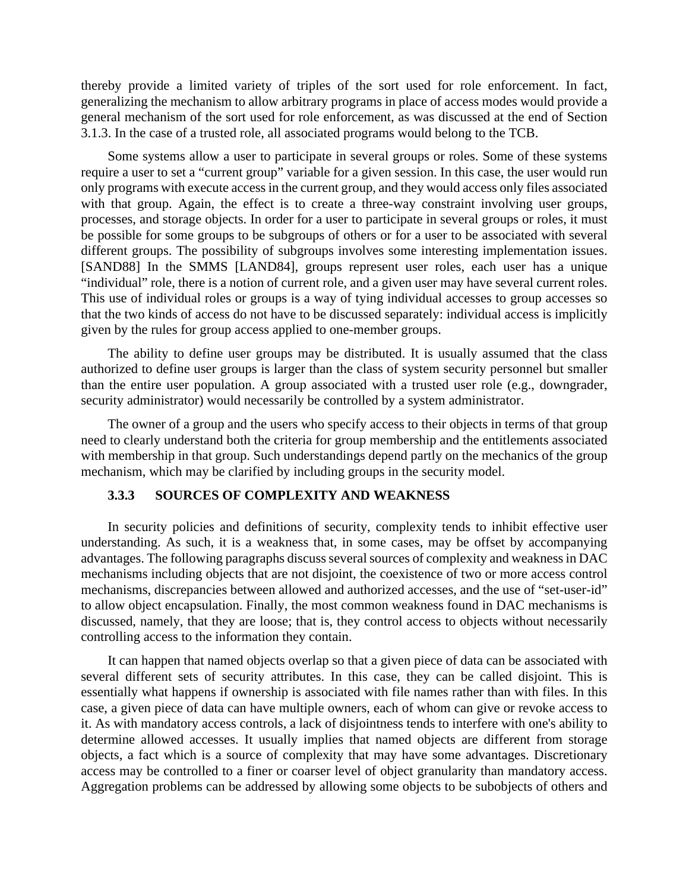thereby provide a limited variety of triples of the sort used for role enforcement. In fact, generalizing the mechanism to allow arbitrary programs in place of access modes would provide a general mechanism of the sort used for role enforcement, as was discussed at the end of Section 3.1.3. In the case of a trusted role, all associated programs would belong to the TCB.

Some systems allow a user to participate in several groups or roles. Some of these systems require a user to set a "current group" variable for a given session. In this case, the user would run only programs with execute access in the current group, and they would access only files associated with that group. Again, the effect is to create a three-way constraint involving user groups, processes, and storage objects. In order for a user to participate in several groups or roles, it must be possible for some groups to be subgroups of others or for a user to be associated with several different groups. The possibility of subgroups involves some interesting implementation issues. [SAND88] In the SMMS [LAND84], groups represent user roles, each user has a unique "individual" role, there is a notion of current role, and a given user may have several current roles. This use of individual roles or groups is a way of tying individual accesses to group accesses so that the two kinds of access do not have to be discussed separately: individual access is implicitly given by the rules for group access applied to one-member groups.

The ability to define user groups may be distributed. It is usually assumed that the class authorized to define user groups is larger than the class of system security personnel but smaller than the entire user population. A group associated with a trusted user role (e.g., downgrader, security administrator) would necessarily be controlled by a system administrator.

The owner of a group and the users who specify access to their objects in terms of that group need to clearly understand both the criteria for group membership and the entitlements associated with membership in that group. Such understandings depend partly on the mechanics of the group mechanism, which may be clarified by including groups in the security model.

### **3.3.3 SOURCES OF COMPLEXITY AND WEAKNESS**

In security policies and definitions of security, complexity tends to inhibit effective user understanding. As such, it is a weakness that, in some cases, may be offset by accompanying advantages. The following paragraphs discuss several sources of complexity and weakness in DAC mechanisms including objects that are not disjoint, the coexistence of two or more access control mechanisms, discrepancies between allowed and authorized accesses, and the use of "set-user-id" to allow object encapsulation. Finally, the most common weakness found in DAC mechanisms is discussed, namely, that they are loose; that is, they control access to objects without necessarily controlling access to the information they contain.

It can happen that named objects overlap so that a given piece of data can be associated with several different sets of security attributes. In this case, they can be called disjoint. This is essentially what happens if ownership is associated with file names rather than with files. In this case, a given piece of data can have multiple owners, each of whom can give or revoke access to it. As with mandatory access controls, a lack of disjointness tends to interfere with one's ability to determine allowed accesses. It usually implies that named objects are different from storage objects, a fact which is a source of complexity that may have some advantages. Discretionary access may be controlled to a finer or coarser level of object granularity than mandatory access. Aggregation problems can be addressed by allowing some objects to be subobjects of others and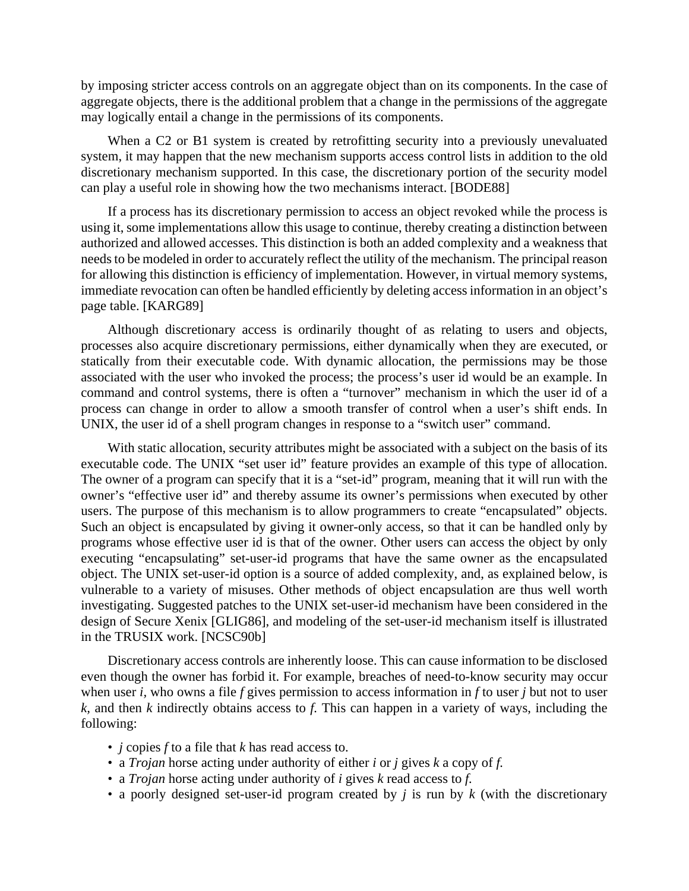by imposing stricter access controls on an aggregate object than on its components. In the case of aggregate objects, there is the additional problem that a change in the permissions of the aggregate may logically entail a change in the permissions of its components.

When a C2 or B1 system is created by retrofitting security into a previously unevaluated system, it may happen that the new mechanism supports access control lists in addition to the old discretionary mechanism supported. In this case, the discretionary portion of the security model can play a useful role in showing how the two mechanisms interact. [BODE88]

If a process has its discretionary permission to access an object revoked while the process is using it, some implementations allow this usage to continue, thereby creating a distinction between authorized and allowed accesses. This distinction is both an added complexity and a weakness that needs to be modeled in order to accurately reflect the utility of the mechanism. The principal reason for allowing this distinction is efficiency of implementation. However, in virtual memory systems, immediate revocation can often be handled efficiently by deleting access information in an object's page table. [KARG89]

Although discretionary access is ordinarily thought of as relating to users and objects, processes also acquire discretionary permissions, either dynamically when they are executed, or statically from their executable code. With dynamic allocation, the permissions may be those associated with the user who invoked the process; the process's user id would be an example. In command and control systems, there is often a "turnover" mechanism in which the user id of a process can change in order to allow a smooth transfer of control when a user's shift ends. In UNIX, the user id of a shell program changes in response to a "switch user" command.

With static allocation, security attributes might be associated with a subject on the basis of its executable code. The UNIX "set user id" feature provides an example of this type of allocation. The owner of a program can specify that it is a "set-id" program, meaning that it will run with the owner's "effective user id" and thereby assume its owner's permissions when executed by other users. The purpose of this mechanism is to allow programmers to create "encapsulated" objects. Such an object is encapsulated by giving it owner-only access, so that it can be handled only by programs whose effective user id is that of the owner. Other users can access the object by only executing "encapsulating" set-user-id programs that have the same owner as the encapsulated object. The UNIX set-user-id option is a source of added complexity, and, as explained below, is vulnerable to a variety of misuses. Other methods of object encapsulation are thus well worth investigating. Suggested patches to the UNIX set-user-id mechanism have been considered in the design of Secure Xenix [GLIG86], and modeling of the set-user-id mechanism itself is illustrated in the TRUSIX work. [NCSC90b]

Discretionary access controls are inherently loose. This can cause information to be disclosed even though the owner has forbid it. For example, breaches of need-to-know security may occur when user *i*, who owns a file *f* gives permission to access information in *f* to user *j* but not to user *k,* and then *k* indirectly obtains access to *f.* This can happen in a variety of ways, including the following:

- *j* copies *f* to a file that *k* has read access to.
- a *Trojan* horse acting under authority of either *i* or *j* gives *k* a copy of *f.*
- a *Trojan* horse acting under authority of *i* gives *k* read access to *f.*
- a poorly designed set-user-id program created by *j* is run by *k* (with the discretionary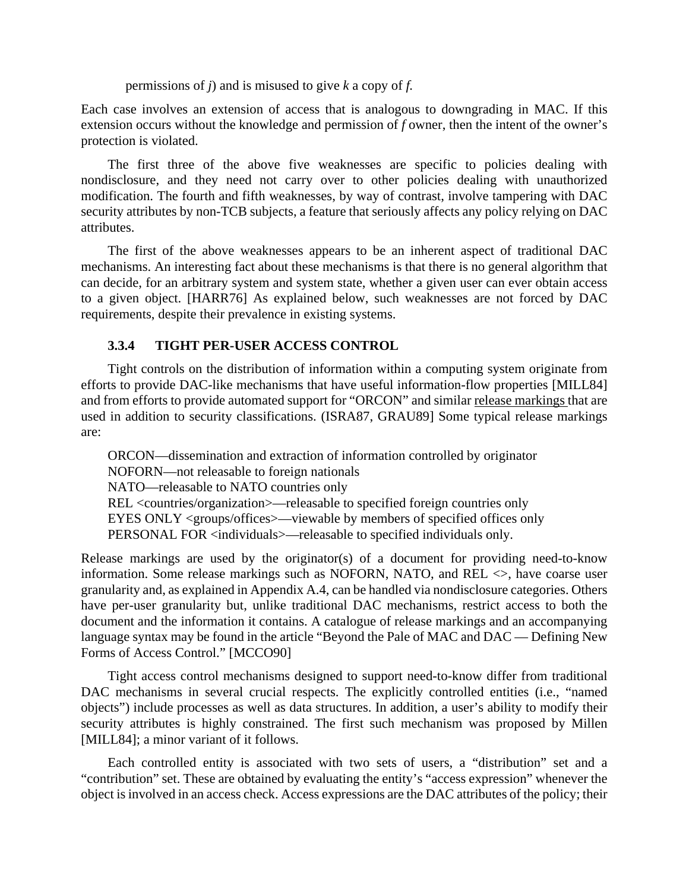permissions of *j*) and is misused to give *k* a copy of *f.*

Each case involves an extension of access that is analogous to downgrading in MAC. If this extension occurs without the knowledge and permission of *f* owner, then the intent of the owner's protection is violated.

The first three of the above five weaknesses are specific to policies dealing with nondisclosure, and they need not carry over to other policies dealing with unauthorized modification. The fourth and fifth weaknesses, by way of contrast, involve tampering with DAC security attributes by non-TCB subjects, a feature that seriously affects any policy relying on DAC attributes.

The first of the above weaknesses appears to be an inherent aspect of traditional DAC mechanisms. An interesting fact about these mechanisms is that there is no general algorithm that can decide, for an arbitrary system and system state, whether a given user can ever obtain access to a given object. [HARR76] As explained below, such weaknesses are not forced by DAC requirements, despite their prevalence in existing systems.

### **3.3.4 TIGHT PER-USER ACCESS CONTROL**

Tight controls on the distribution of information within a computing system originate from efforts to provide DAC-like mechanisms that have useful information-flow properties [MILL84] and from efforts to provide automated support for "ORCON" and similar release markings that are used in addition to security classifications. (ISRA87, GRAU89] Some typical release markings are:

ORCON—dissemination and extraction of information controlled by originator NOFORN—not releasable to foreign nationals NATO—releasable to NATO countries only REL <countries/organization>—releasable to specified foreign countries only EYES ONLY <groups/offices>—viewable by members of specified offices only PERSONAL FOR <individuals>-releasable to specified individuals only.

Release markings are used by the originator(s) of a document for providing need-to-know information. Some release markings such as NOFORN, NATO, and REL  $\leq$ , have coarse user granularity and, as explained in Appendix A.4, can be handled via nondisclosure categories. Others have per-user granularity but, unlike traditional DAC mechanisms, restrict access to both the document and the information it contains. A catalogue of release markings and an accompanying language syntax may be found in the article "Beyond the Pale of MAC and DAC — Defining New Forms of Access Control." [MCCO90]

Tight access control mechanisms designed to support need-to-know differ from traditional DAC mechanisms in several crucial respects. The explicitly controlled entities (i.e., "named objects") include processes as well as data structures. In addition, a user's ability to modify their security attributes is highly constrained. The first such mechanism was proposed by Millen [MILL84]; a minor variant of it follows.

Each controlled entity is associated with two sets of users, a "distribution" set and a "contribution" set. These are obtained by evaluating the entity's "access expression" whenever the object is involved in an access check. Access expressions are the DAC attributes of the policy; their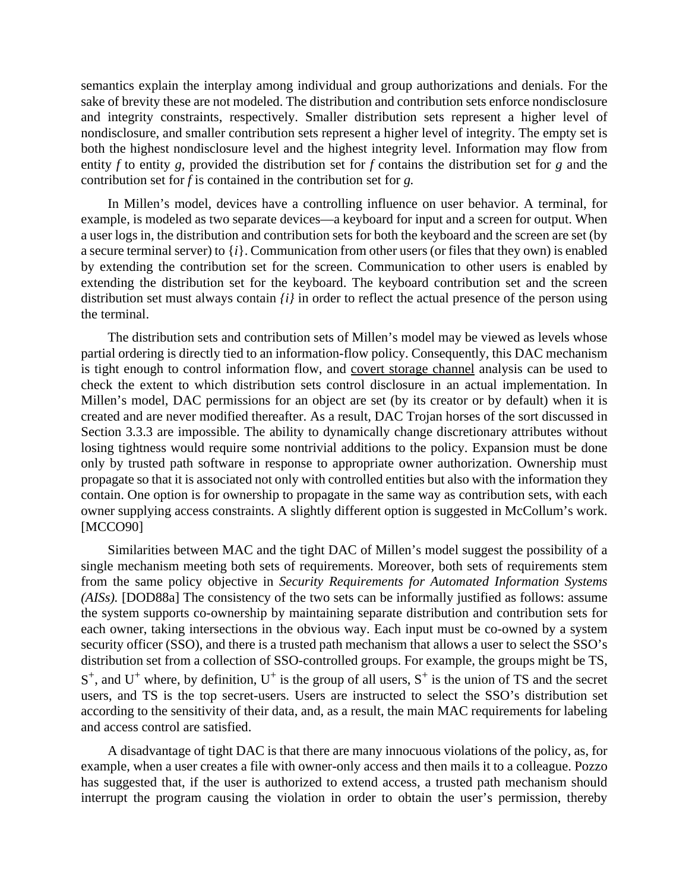semantics explain the interplay among individual and group authorizations and denials. For the sake of brevity these are not modeled. The distribution and contribution sets enforce nondisclosure and integrity constraints, respectively. Smaller distribution sets represent a higher level of nondisclosure, and smaller contribution sets represent a higher level of integrity. The empty set is both the highest nondisclosure level and the highest integrity level. Information may flow from entity *f* to entity *g,* provided the distribution set for *f* contains the distribution set for *g* and the contribution set for *f* is contained in the contribution set for *g.*

In Millen's model, devices have a controlling influence on user behavior. A terminal, for example, is modeled as two separate devices—a keyboard for input and a screen for output. When a user logs in, the distribution and contribution sets for both the keyboard and the screen are set (by a secure terminal server) to {*i*}. Communication from other users (or files that they own) is enabled by extending the contribution set for the screen. Communication to other users is enabled by extending the distribution set for the keyboard. The keyboard contribution set and the screen distribution set must always contain *{i}* in order to reflect the actual presence of the person using the terminal.

The distribution sets and contribution sets of Millen's model may be viewed as levels whose partial ordering is directly tied to an information-flow policy. Consequently, this DAC mechanism is tight enough to control information flow, and covert storage channel analysis can be used to check the extent to which distribution sets control disclosure in an actual implementation. In Millen's model, DAC permissions for an object are set (by its creator or by default) when it is created and are never modified thereafter. As a result, DAC Trojan horses of the sort discussed in Section 3.3.3 are impossible. The ability to dynamically change discretionary attributes without losing tightness would require some nontrivial additions to the policy. Expansion must be done only by trusted path software in response to appropriate owner authorization. Ownership must propagate so that it is associated not only with controlled entities but also with the information they contain. One option is for ownership to propagate in the same way as contribution sets, with each owner supplying access constraints. A slightly different option is suggested in McCollum's work. [MCCO90]

Similarities between MAC and the tight DAC of Millen's model suggest the possibility of a single mechanism meeting both sets of requirements. Moreover, both sets of requirements stem from the same policy objective in *Security Requirements for Automated Information Systems (AISs).* [DOD88a] The consistency of the two sets can be informally justified as follows: assume the system supports co-ownership by maintaining separate distribution and contribution sets for each owner, taking intersections in the obvious way. Each input must be co-owned by a system security officer (SSO), and there is a trusted path mechanism that allows a user to select the SSO's distribution set from a collection of SSO-controlled groups. For example, the groups might be TS,  $S^+$ , and  $U^+$  where, by definition,  $U^+$  is the group of all users,  $S^+$  is the union of TS and the secret users, and TS is the top secret-users. Users are instructed to select the SSO's distribution set according to the sensitivity of their data, and, as a result, the main MAC requirements for labeling and access control are satisfied.

A disadvantage of tight DAC is that there are many innocuous violations of the policy, as, for example, when a user creates a file with owner-only access and then mails it to a colleague. Pozzo has suggested that, if the user is authorized to extend access, a trusted path mechanism should interrupt the program causing the violation in order to obtain the user's permission, thereby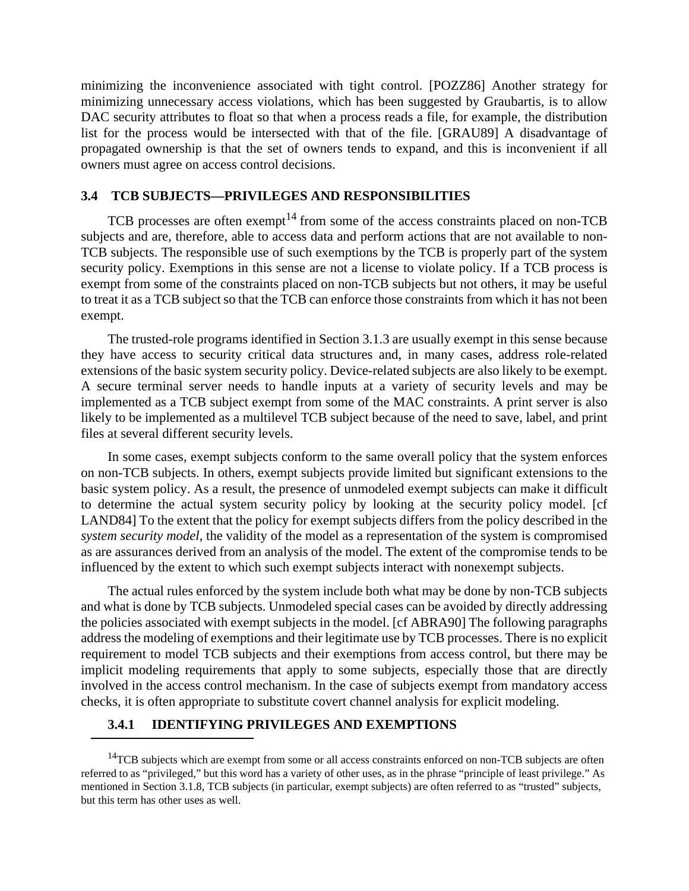minimizing the inconvenience associated with tight control. [POZZ86] Another strategy for minimizing unnecessary access violations, which has been suggested by Graubartis, is to allow DAC security attributes to float so that when a process reads a file, for example, the distribution list for the process would be intersected with that of the file. [GRAU89] A disadvantage of propagated ownership is that the set of owners tends to expand, and this is inconvenient if all owners must agree on access control decisions.

### **3.4 TCB SUBJECTS—PRIVILEGES AND RESPONSIBILITIES**

TCB processes are often exempt<sup>14</sup> from some of the access constraints placed on non-TCB subjects and are, therefore, able to access data and perform actions that are not available to non-TCB subjects. The responsible use of such exemptions by the TCB is properly part of the system security policy. Exemptions in this sense are not a license to violate policy. If a TCB process is exempt from some of the constraints placed on non-TCB subjects but not others, it may be useful to treat it as a TCB subject so that the TCB can enforce those constraints from which it has not been exempt.

The trusted-role programs identified in Section 3.1.3 are usually exempt in this sense because they have access to security critical data structures and, in many cases, address role-related extensions of the basic system security policy. Device-related subjects are also likely to be exempt. A secure terminal server needs to handle inputs at a variety of security levels and may be implemented as a TCB subject exempt from some of the MAC constraints. A print server is also likely to be implemented as a multilevel TCB subject because of the need to save, label, and print files at several different security levels.

In some cases, exempt subjects conform to the same overall policy that the system enforces on non-TCB subjects. In others, exempt subjects provide limited but significant extensions to the basic system policy. As a result, the presence of unmodeled exempt subjects can make it difficult to determine the actual system security policy by looking at the security policy model. [cf LAND84] To the extent that the policy for exempt subjects differs from the policy described in the *system security model,* the validity of the model as a representation of the system is compromised as are assurances derived from an analysis of the model. The extent of the compromise tends to be influenced by the extent to which such exempt subjects interact with nonexempt subjects.

The actual rules enforced by the system include both what may be done by non-TCB subjects and what is done by TCB subjects. Unmodeled special cases can be avoided by directly addressing the policies associated with exempt subjects in the model. [cf ABRA90] The following paragraphs address the modeling of exemptions and their legitimate use by TCB processes. There is no explicit requirement to model TCB subjects and their exemptions from access control, but there may be implicit modeling requirements that apply to some subjects, especially those that are directly involved in the access control mechanism. In the case of subjects exempt from mandatory access checks, it is often appropriate to substitute covert channel analysis for explicit modeling.

### **3.4.1 IDENTIFYING PRIVILEGES AND EXEMPTIONS**

<sup>&</sup>lt;sup>14</sup>TCB subjects which are exempt from some or all access constraints enforced on non-TCB subjects are often referred to as "privileged," but this word has a variety of other uses, as in the phrase "principle of least privilege." As mentioned in Section 3.1.8, TCB subjects (in particular, exempt subjects) are often referred to as "trusted" subjects, but this term has other uses as well.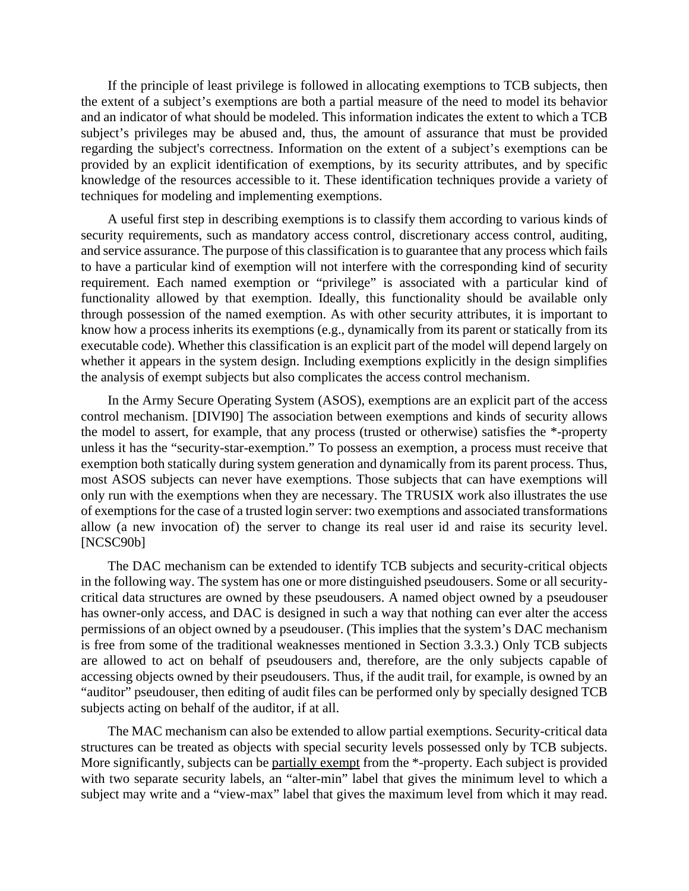If the principle of least privilege is followed in allocating exemptions to TCB subjects, then the extent of a subject's exemptions are both a partial measure of the need to model its behavior and an indicator of what should be modeled. This information indicates the extent to which a TCB subject's privileges may be abused and, thus, the amount of assurance that must be provided regarding the subject's correctness. Information on the extent of a subject's exemptions can be provided by an explicit identification of exemptions, by its security attributes, and by specific knowledge of the resources accessible to it. These identification techniques provide a variety of techniques for modeling and implementing exemptions.

A useful first step in describing exemptions is to classify them according to various kinds of security requirements, such as mandatory access control, discretionary access control, auditing, and service assurance. The purpose of this classification is to guarantee that any process which fails to have a particular kind of exemption will not interfere with the corresponding kind of security requirement. Each named exemption or "privilege" is associated with a particular kind of functionality allowed by that exemption. Ideally, this functionality should be available only through possession of the named exemption. As with other security attributes, it is important to know how a process inherits its exemptions (e.g., dynamically from its parent or statically from its executable code). Whether this classification is an explicit part of the model will depend largely on whether it appears in the system design. Including exemptions explicitly in the design simplifies the analysis of exempt subjects but also complicates the access control mechanism.

In the Army Secure Operating System (ASOS), exemptions are an explicit part of the access control mechanism. [DIVI90] The association between exemptions and kinds of security allows the model to assert, for example, that any process (trusted or otherwise) satisfies the \*-property unless it has the "security-star-exemption." To possess an exemption, a process must receive that exemption both statically during system generation and dynamically from its parent process. Thus, most ASOS subjects can never have exemptions. Those subjects that can have exemptions will only run with the exemptions when they are necessary. The TRUSIX work also illustrates the use of exemptions for the case of a trusted login server: two exemptions and associated transformations allow (a new invocation of) the server to change its real user id and raise its security level. [NCSC90b]

The DAC mechanism can be extended to identify TCB subjects and security-critical objects in the following way. The system has one or more distinguished pseudousers. Some or all securitycritical data structures are owned by these pseudousers. A named object owned by a pseudouser has owner-only access, and DAC is designed in such a way that nothing can ever alter the access permissions of an object owned by a pseudouser. (This implies that the system's DAC mechanism is free from some of the traditional weaknesses mentioned in Section 3.3.3.) Only TCB subjects are allowed to act on behalf of pseudousers and, therefore, are the only subjects capable of accessing objects owned by their pseudousers. Thus, if the audit trail, for example, is owned by an "auditor" pseudouser, then editing of audit files can be performed only by specially designed TCB subjects acting on behalf of the auditor, if at all.

The MAC mechanism can also be extended to allow partial exemptions. Security-critical data structures can be treated as objects with special security levels possessed only by TCB subjects. More significantly, subjects can be partially exempt from the \*-property. Each subject is provided with two separate security labels, an "alter-min" label that gives the minimum level to which a subject may write and a "view-max" label that gives the maximum level from which it may read.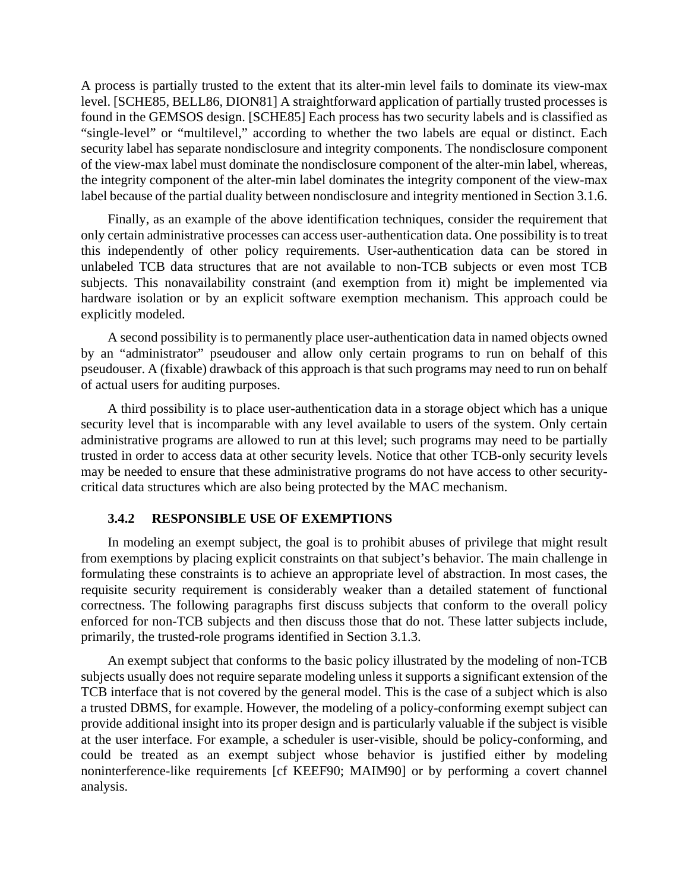A process is partially trusted to the extent that its alter-min level fails to dominate its view-max level. [SCHE85, BELL86, DION81] A straightforward application of partially trusted processes is found in the GEMSOS design. [SCHE85] Each process has two security labels and is classified as "single-level" or "multilevel," according to whether the two labels are equal or distinct. Each security label has separate nondisclosure and integrity components. The nondisclosure component of the view-max label must dominate the nondisclosure component of the alter-min label, whereas, the integrity component of the alter-min label dominates the integrity component of the view-max label because of the partial duality between nondisclosure and integrity mentioned in Section 3.1.6.

Finally, as an example of the above identification techniques, consider the requirement that only certain administrative processes can access user-authentication data. One possibility is to treat this independently of other policy requirements. User-authentication data can be stored in unlabeled TCB data structures that are not available to non-TCB subjects or even most TCB subjects. This nonavailability constraint (and exemption from it) might be implemented via hardware isolation or by an explicit software exemption mechanism. This approach could be explicitly modeled.

A second possibility is to permanently place user-authentication data in named objects owned by an "administrator" pseudouser and allow only certain programs to run on behalf of this pseudouser. A (fixable) drawback of this approach is that such programs may need to run on behalf of actual users for auditing purposes.

A third possibility is to place user-authentication data in a storage object which has a unique security level that is incomparable with any level available to users of the system. Only certain administrative programs are allowed to run at this level; such programs may need to be partially trusted in order to access data at other security levels. Notice that other TCB-only security levels may be needed to ensure that these administrative programs do not have access to other securitycritical data structures which are also being protected by the MAC mechanism.

### **3.4.2 RESPONSIBLE USE OF EXEMPTIONS**

In modeling an exempt subject, the goal is to prohibit abuses of privilege that might result from exemptions by placing explicit constraints on that subject's behavior. The main challenge in formulating these constraints is to achieve an appropriate level of abstraction. In most cases, the requisite security requirement is considerably weaker than a detailed statement of functional correctness. The following paragraphs first discuss subjects that conform to the overall policy enforced for non-TCB subjects and then discuss those that do not. These latter subjects include, primarily, the trusted-role programs identified in Section 3.1.3.

An exempt subject that conforms to the basic policy illustrated by the modeling of non-TCB subjects usually does not require separate modeling unless it supports a significant extension of the TCB interface that is not covered by the general model. This is the case of a subject which is also a trusted DBMS, for example. However, the modeling of a policy-conforming exempt subject can provide additional insight into its proper design and is particularly valuable if the subject is visible at the user interface. For example, a scheduler is user-visible, should be policy-conforming, and could be treated as an exempt subject whose behavior is justified either by modeling noninterference-like requirements [cf KEEF90; MAIM90] or by performing a covert channel analysis.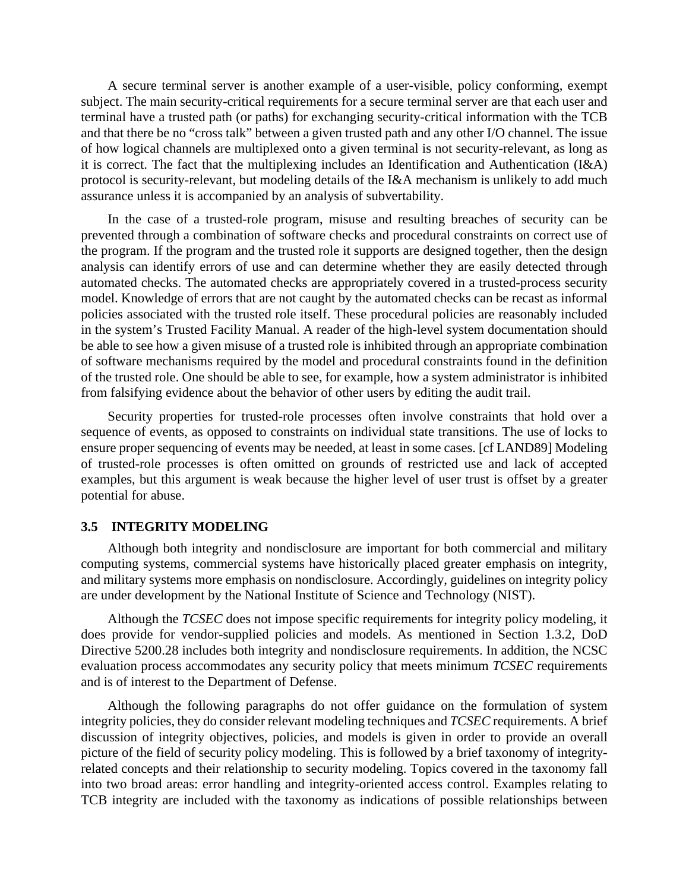A secure terminal server is another example of a user-visible, policy conforming, exempt subject. The main security-critical requirements for a secure terminal server are that each user and terminal have a trusted path (or paths) for exchanging security-critical information with the TCB and that there be no "cross talk" between a given trusted path and any other I/O channel. The issue of how logical channels are multiplexed onto a given terminal is not security-relevant, as long as it is correct. The fact that the multiplexing includes an Identification and Authentication (I&A) protocol is security-relevant, but modeling details of the I&A mechanism is unlikely to add much assurance unless it is accompanied by an analysis of subvertability.

In the case of a trusted-role program, misuse and resulting breaches of security can be prevented through a combination of software checks and procedural constraints on correct use of the program. If the program and the trusted role it supports are designed together, then the design analysis can identify errors of use and can determine whether they are easily detected through automated checks. The automated checks are appropriately covered in a trusted-process security model. Knowledge of errors that are not caught by the automated checks can be recast as informal policies associated with the trusted role itself. These procedural policies are reasonably included in the system's Trusted Facility Manual. A reader of the high-level system documentation should be able to see how a given misuse of a trusted role is inhibited through an appropriate combination of software mechanisms required by the model and procedural constraints found in the definition of the trusted role. One should be able to see, for example, how a system administrator is inhibited from falsifying evidence about the behavior of other users by editing the audit trail.

Security properties for trusted-role processes often involve constraints that hold over a sequence of events, as opposed to constraints on individual state transitions. The use of locks to ensure proper sequencing of events may be needed, at least in some cases. [cf LAND89] Modeling of trusted-role processes is often omitted on grounds of restricted use and lack of accepted examples, but this argument is weak because the higher level of user trust is offset by a greater potential for abuse.

#### **3.5 INTEGRITY MODELING**

Although both integrity and nondisclosure are important for both commercial and military computing systems, commercial systems have historically placed greater emphasis on integrity, and military systems more emphasis on nondisclosure. Accordingly, guidelines on integrity policy are under development by the National Institute of Science and Technology (NIST).

Although the *TCSEC* does not impose specific requirements for integrity policy modeling, it does provide for vendor-supplied policies and models. As mentioned in Section 1.3.2, DoD Directive 5200.28 includes both integrity and nondisclosure requirements. In addition, the NCSC evaluation process accommodates any security policy that meets minimum *TCSEC* requirements and is of interest to the Department of Defense.

Although the following paragraphs do not offer guidance on the formulation of system integrity policies, they do consider relevant modeling techniques and *TCSEC* requirements. A brief discussion of integrity objectives, policies, and models is given in order to provide an overall picture of the field of security policy modeling. This is followed by a brief taxonomy of integrityrelated concepts and their relationship to security modeling. Topics covered in the taxonomy fall into two broad areas: error handling and integrity-oriented access control. Examples relating to TCB integrity are included with the taxonomy as indications of possible relationships between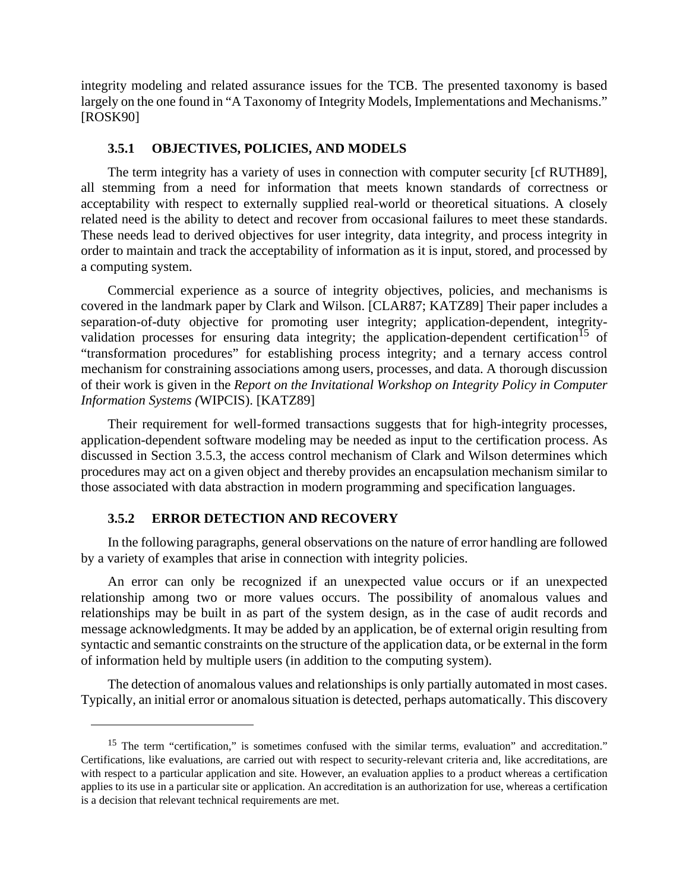integrity modeling and related assurance issues for the TCB. The presented taxonomy is based largely on the one found in "A Taxonomy of Integrity Models, Implementations and Mechanisms." [ROSK90]

#### **3.5.1 OBJECTIVES, POLICIES, AND MODELS**

The term integrity has a variety of uses in connection with computer security [cf RUTH89], all stemming from a need for information that meets known standards of correctness or acceptability with respect to externally supplied real-world or theoretical situations. A closely related need is the ability to detect and recover from occasional failures to meet these standards. These needs lead to derived objectives for user integrity, data integrity, and process integrity in order to maintain and track the acceptability of information as it is input, stored, and processed by a computing system.

Commercial experience as a source of integrity objectives, policies, and mechanisms is covered in the landmark paper by Clark and Wilson. [CLAR87; KATZ89] Their paper includes a separation-of-duty objective for promoting user integrity; application-dependent, integrityvalidation processes for ensuring data integrity; the application-dependent certification<sup>15</sup> of "transformation procedures" for establishing process integrity; and a ternary access control mechanism for constraining associations among users, processes, and data. A thorough discussion of their work is given in the *Report on the Invitational Workshop on Integrity Policy in Computer Information Systems (*WIPCIS). [KATZ89]

Their requirement for well-formed transactions suggests that for high-integrity processes, application-dependent software modeling may be needed as input to the certification process. As discussed in Section 3.5.3, the access control mechanism of Clark and Wilson determines which procedures may act on a given object and thereby provides an encapsulation mechanism similar to those associated with data abstraction in modern programming and specification languages.

### **3.5.2 ERROR DETECTION AND RECOVERY**

In the following paragraphs, general observations on the nature of error handling are followed by a variety of examples that arise in connection with integrity policies.

An error can only be recognized if an unexpected value occurs or if an unexpected relationship among two or more values occurs. The possibility of anomalous values and relationships may be built in as part of the system design, as in the case of audit records and message acknowledgments. It may be added by an application, be of external origin resulting from syntactic and semantic constraints on the structure of the application data, or be external in the form of information held by multiple users (in addition to the computing system).

The detection of anomalous values and relationships is only partially automated in most cases. Typically, an initial error or anomalous situation is detected, perhaps automatically. This discovery

<sup>&</sup>lt;sup>15</sup> The term "certification," is sometimes confused with the similar terms, evaluation" and accreditation." Certifications, like evaluations, are carried out with respect to security-relevant criteria and, like accreditations, are with respect to a particular application and site. However, an evaluation applies to a product whereas a certification applies to its use in a particular site or application. An accreditation is an authorization for use, whereas a certification is a decision that relevant technical requirements are met.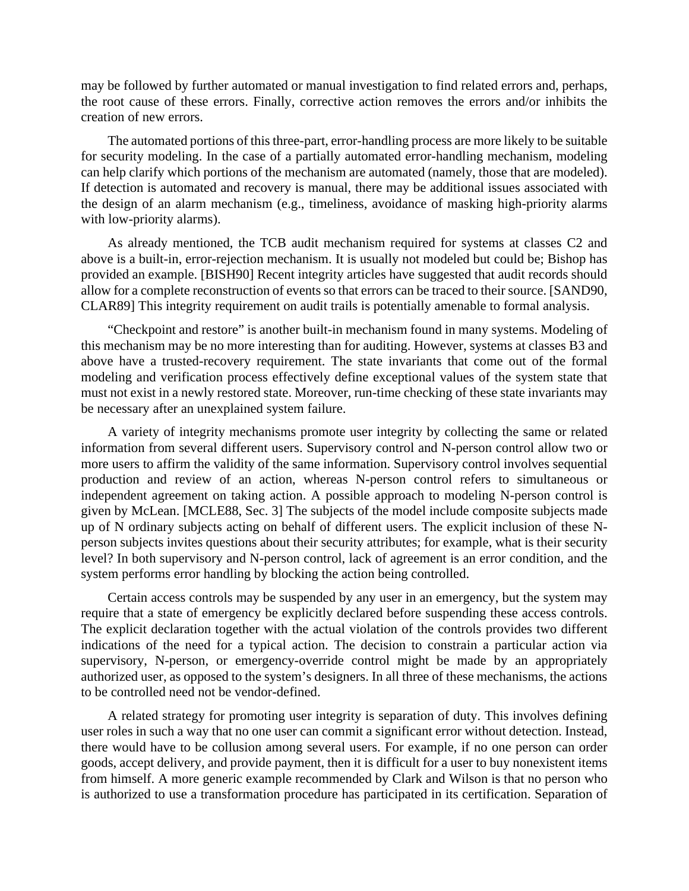may be followed by further automated or manual investigation to find related errors and, perhaps, the root cause of these errors. Finally, corrective action removes the errors and/or inhibits the creation of new errors.

The automated portions of this three-part, error-handling process are more likely to be suitable for security modeling. In the case of a partially automated error-handling mechanism, modeling can help clarify which portions of the mechanism are automated (namely, those that are modeled). If detection is automated and recovery is manual, there may be additional issues associated with the design of an alarm mechanism (e.g., timeliness, avoidance of masking high-priority alarms with low-priority alarms).

As already mentioned, the TCB audit mechanism required for systems at classes C2 and above is a built-in, error-rejection mechanism. It is usually not modeled but could be; Bishop has provided an example. [BISH90] Recent integrity articles have suggested that audit records should allow for a complete reconstruction of events so that errors can be traced to their source. [SAND90, CLAR89] This integrity requirement on audit trails is potentially amenable to formal analysis.

"Checkpoint and restore" is another built-in mechanism found in many systems. Modeling of this mechanism may be no more interesting than for auditing. However, systems at classes B3 and above have a trusted-recovery requirement. The state invariants that come out of the formal modeling and verification process effectively define exceptional values of the system state that must not exist in a newly restored state. Moreover, run-time checking of these state invariants may be necessary after an unexplained system failure.

A variety of integrity mechanisms promote user integrity by collecting the same or related information from several different users. Supervisory control and N-person control allow two or more users to affirm the validity of the same information. Supervisory control involves sequential production and review of an action, whereas N-person control refers to simultaneous or independent agreement on taking action. A possible approach to modeling N-person control is given by McLean. [MCLE88, Sec. 3] The subjects of the model include composite subjects made up of N ordinary subjects acting on behalf of different users. The explicit inclusion of these Nperson subjects invites questions about their security attributes; for example, what is their security level? In both supervisory and N-person control, lack of agreement is an error condition, and the system performs error handling by blocking the action being controlled.

Certain access controls may be suspended by any user in an emergency, but the system may require that a state of emergency be explicitly declared before suspending these access controls. The explicit declaration together with the actual violation of the controls provides two different indications of the need for a typical action. The decision to constrain a particular action via supervisory, N-person, or emergency-override control might be made by an appropriately authorized user, as opposed to the system's designers. In all three of these mechanisms, the actions to be controlled need not be vendor-defined.

A related strategy for promoting user integrity is separation of duty. This involves defining user roles in such a way that no one user can commit a significant error without detection. Instead, there would have to be collusion among several users. For example, if no one person can order goods, accept delivery, and provide payment, then it is difficult for a user to buy nonexistent items from himself. A more generic example recommended by Clark and Wilson is that no person who is authorized to use a transformation procedure has participated in its certification. Separation of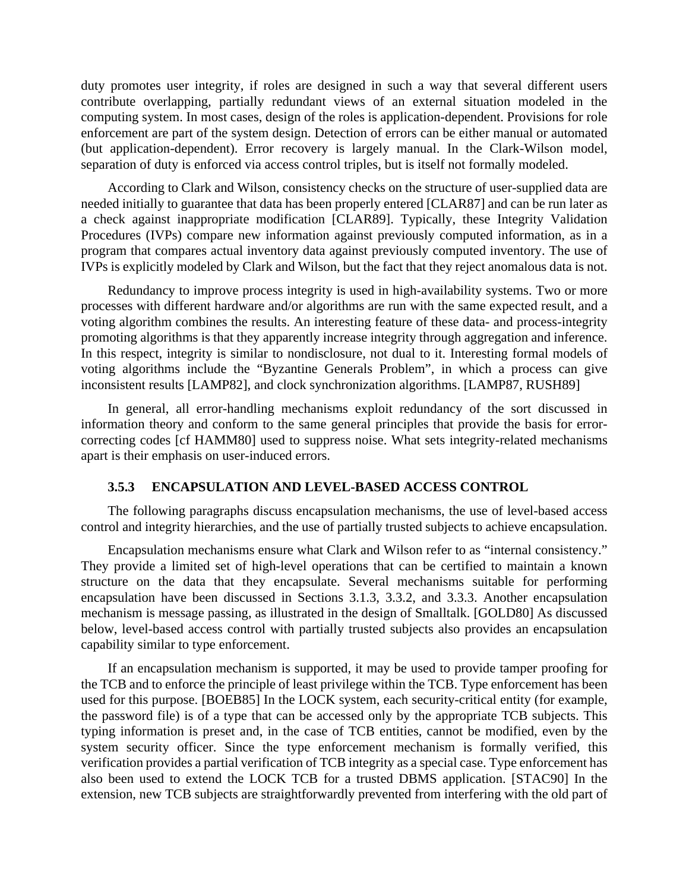duty promotes user integrity, if roles are designed in such a way that several different users contribute overlapping, partially redundant views of an external situation modeled in the computing system. In most cases, design of the roles is application-dependent. Provisions for role enforcement are part of the system design. Detection of errors can be either manual or automated (but application-dependent). Error recovery is largely manual. In the Clark-Wilson model, separation of duty is enforced via access control triples, but is itself not formally modeled.

According to Clark and Wilson, consistency checks on the structure of user-supplied data are needed initially to guarantee that data has been properly entered [CLAR87] and can be run later as a check against inappropriate modification [CLAR89]. Typically, these Integrity Validation Procedures (IVPs) compare new information against previously computed information, as in a program that compares actual inventory data against previously computed inventory. The use of IVPs is explicitly modeled by Clark and Wilson, but the fact that they reject anomalous data is not.

Redundancy to improve process integrity is used in high-availability systems. Two or more processes with different hardware and/or algorithms are run with the same expected result, and a voting algorithm combines the results. An interesting feature of these data- and process-integrity promoting algorithms is that they apparently increase integrity through aggregation and inference. In this respect, integrity is similar to nondisclosure, not dual to it. Interesting formal models of voting algorithms include the "Byzantine Generals Problem", in which a process can give inconsistent results [LAMP82], and clock synchronization algorithms. [LAMP87, RUSH89]

In general, all error-handling mechanisms exploit redundancy of the sort discussed in information theory and conform to the same general principles that provide the basis for errorcorrecting codes [cf HAMM80] used to suppress noise. What sets integrity-related mechanisms apart is their emphasis on user-induced errors.

#### **3.5.3 ENCAPSULATION AND LEVEL-BASED ACCESS CONTROL**

The following paragraphs discuss encapsulation mechanisms, the use of level-based access control and integrity hierarchies, and the use of partially trusted subjects to achieve encapsulation.

Encapsulation mechanisms ensure what Clark and Wilson refer to as "internal consistency." They provide a limited set of high-level operations that can be certified to maintain a known structure on the data that they encapsulate. Several mechanisms suitable for performing encapsulation have been discussed in Sections 3.1.3, 3.3.2, and 3.3.3. Another encapsulation mechanism is message passing, as illustrated in the design of Smalltalk. [GOLD80] As discussed below, level-based access control with partially trusted subjects also provides an encapsulation capability similar to type enforcement.

If an encapsulation mechanism is supported, it may be used to provide tamper proofing for the TCB and to enforce the principle of least privilege within the TCB. Type enforcement has been used for this purpose. [BOEB85] In the LOCK system, each security-critical entity (for example, the password file) is of a type that can be accessed only by the appropriate TCB subjects. This typing information is preset and, in the case of TCB entities, cannot be modified, even by the system security officer. Since the type enforcement mechanism is formally verified, this verification provides a partial verification of TCB integrity as a special case. Type enforcement has also been used to extend the LOCK TCB for a trusted DBMS application. [STAC90] In the extension, new TCB subjects are straightforwardly prevented from interfering with the old part of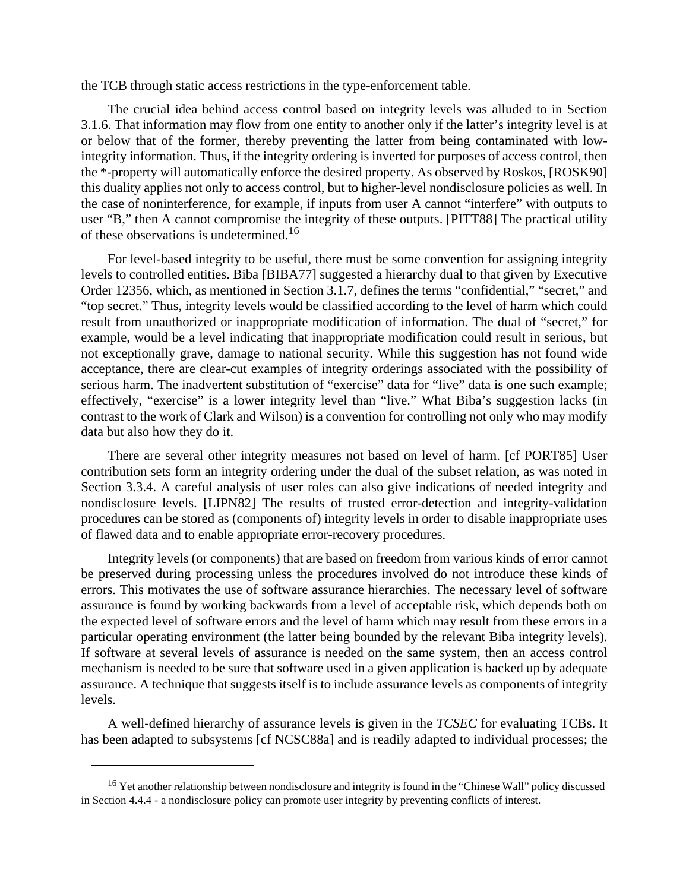the TCB through static access restrictions in the type-enforcement table.

The crucial idea behind access control based on integrity levels was alluded to in Section 3.1.6. That information may flow from one entity to another only if the latter's integrity level is at or below that of the former, thereby preventing the latter from being contaminated with lowintegrity information. Thus, if the integrity ordering is inverted for purposes of access control, then the \*-property will automatically enforce the desired property. As observed by Roskos, [ROSK90] this duality applies not only to access control, but to higher-level nondisclosure policies as well. In the case of noninterference, for example, if inputs from user A cannot "interfere" with outputs to user "B," then A cannot compromise the integrity of these outputs. [PITT88] The practical utility of these observations is undetermined.<sup>16</sup>

For level-based integrity to be useful, there must be some convention for assigning integrity levels to controlled entities. Biba [BIBA77] suggested a hierarchy dual to that given by Executive Order 12356, which, as mentioned in Section 3.1.7, defines the terms "confidential," "secret," and "top secret." Thus, integrity levels would be classified according to the level of harm which could result from unauthorized or inappropriate modification of information. The dual of "secret," for example, would be a level indicating that inappropriate modification could result in serious, but not exceptionally grave, damage to national security. While this suggestion has not found wide acceptance, there are clear-cut examples of integrity orderings associated with the possibility of serious harm. The inadvertent substitution of "exercise" data for "live" data is one such example; effectively, "exercise" is a lower integrity level than "live." What Biba's suggestion lacks (in contrast to the work of Clark and Wilson) is a convention for controlling not only who may modify data but also how they do it.

There are several other integrity measures not based on level of harm. [cf PORT85] User contribution sets form an integrity ordering under the dual of the subset relation, as was noted in Section 3.3.4. A careful analysis of user roles can also give indications of needed integrity and nondisclosure levels. [LIPN82] The results of trusted error-detection and integrity-validation procedures can be stored as (components of) integrity levels in order to disable inappropriate uses of flawed data and to enable appropriate error-recovery procedures.

Integrity levels (or components) that are based on freedom from various kinds of error cannot be preserved during processing unless the procedures involved do not introduce these kinds of errors. This motivates the use of software assurance hierarchies. The necessary level of software assurance is found by working backwards from a level of acceptable risk, which depends both on the expected level of software errors and the level of harm which may result from these errors in a particular operating environment (the latter being bounded by the relevant Biba integrity levels). If software at several levels of assurance is needed on the same system, then an access control mechanism is needed to be sure that software used in a given application is backed up by adequate assurance. A technique that suggests itself is to include assurance levels as components of integrity levels.

A well-defined hierarchy of assurance levels is given in the *TCSEC* for evaluating TCBs. It has been adapted to subsystems [cf NCSC88a] and is readily adapted to individual processes; the

<sup>&</sup>lt;sup>16</sup> Yet another relationship between nondisclosure and integrity is found in the "Chinese Wall" policy discussed in Section 4.4.4 - a nondisclosure policy can promote user integrity by preventing conflicts of interest.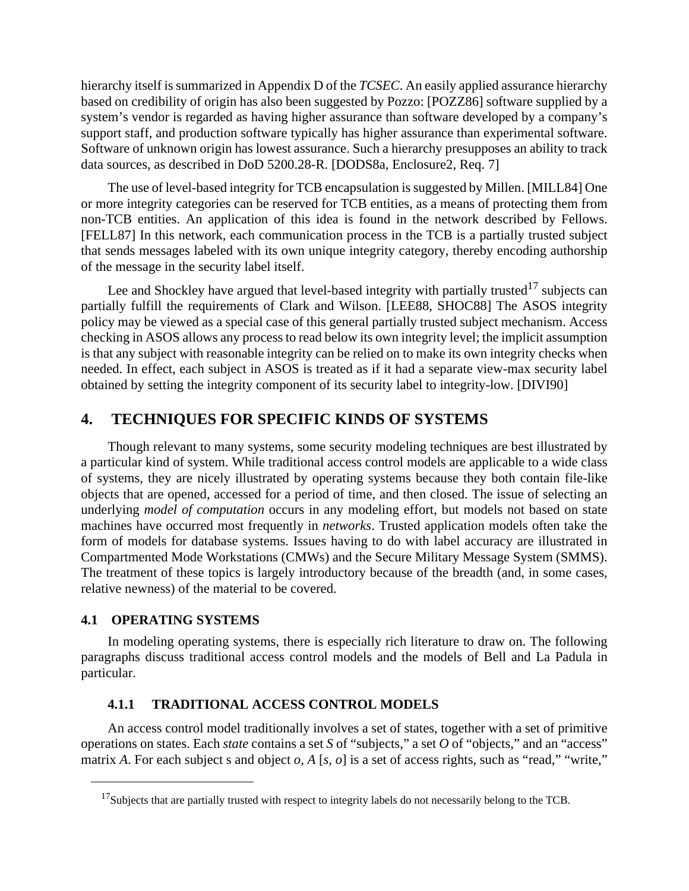hierarchy itself is summarized in Appendix D of the *TCSEC*. An easily applied assurance hierarchy based on credibility of origin has also been suggested by Pozzo: [POZZ86] software supplied by a system's vendor is regarded as having higher assurance than software developed by a company's support staff, and production software typically has higher assurance than experimental software. Software of unknown origin has lowest assurance. Such a hierarchy presupposes an ability to track data sources, as described in DoD 5200.28-R. [DODS8a, Enclosure2, Req. 7]

The use of level-based integrity for TCB encapsulation is suggested by Millen. [MILL84] One or more integrity categories can be reserved for TCB entities, as a means of protecting them from non-TCB entities. An application of this idea is found in the network described by Fellows. [FELL87] In this network, each communication process in the TCB is a partially trusted subject that sends messages labeled with its own unique integrity category, thereby encoding authorship of the message in the security label itself.

Lee and Shockley have argued that level-based integrity with partially trusted<sup>17</sup> subjects can partially fulfill the requirements of Clark and Wilson. [LEE88, SHOC88] The ASOS integrity policy may be viewed as a special case of this general partially trusted subject mechanism. Access checking in ASOS allows any process to read below its own integrity level; the implicit assumption is that any subject with reasonable integrity can be relied on to make its own integrity checks when needed. In effect, each subject in ASOS is treated as if it had a separate view-max security label obtained by setting the integrity component of its security label to integrity-low. [DIVI90]

# **4. TECHNIQUES FOR SPECIFIC KINDS OF SYSTEMS**

Though relevant to many systems, some security modeling techniques are best illustrated by a particular kind of system. While traditional access control models are applicable to a wide class of systems, they are nicely illustrated by operating systems because they both contain file-like objects that are opened, accessed for a period of time, and then closed. The issue of selecting an underlying *model of computation* occurs in any modeling effort, but models not based on state machines have occurred most frequently in *networks*. Trusted application models often take the form of models for database systems. Issues having to do with label accuracy are illustrated in Compartmented Mode Workstations (CMWs) and the Secure Military Message System (SMMS). The treatment of these topics is largely introductory because of the breadth (and, in some cases, relative newness) of the material to be covered.

### **4.1 OPERATING SYSTEMS**

In modeling operating systems, there is especially rich literature to draw on. The following paragraphs discuss traditional access control models and the models of Bell and La Padula in particular.

#### **4.1.1 TRADITIONAL ACCESS CONTROL MODELS**

An access control model traditionally involves a set of states, together with a set of primitive operations on states. Each *state* contains a set *S* of "subjects," a set *O* of "objects," and an "access" matrix *A*. For each subject *s* and object *o*, *A* [*s*, *o*] is a set of access rights, such as "read," "write,"

<sup>&</sup>lt;sup>17</sup>Subjects that are partially trusted with respect to integrity labels do not necessarily belong to the TCB.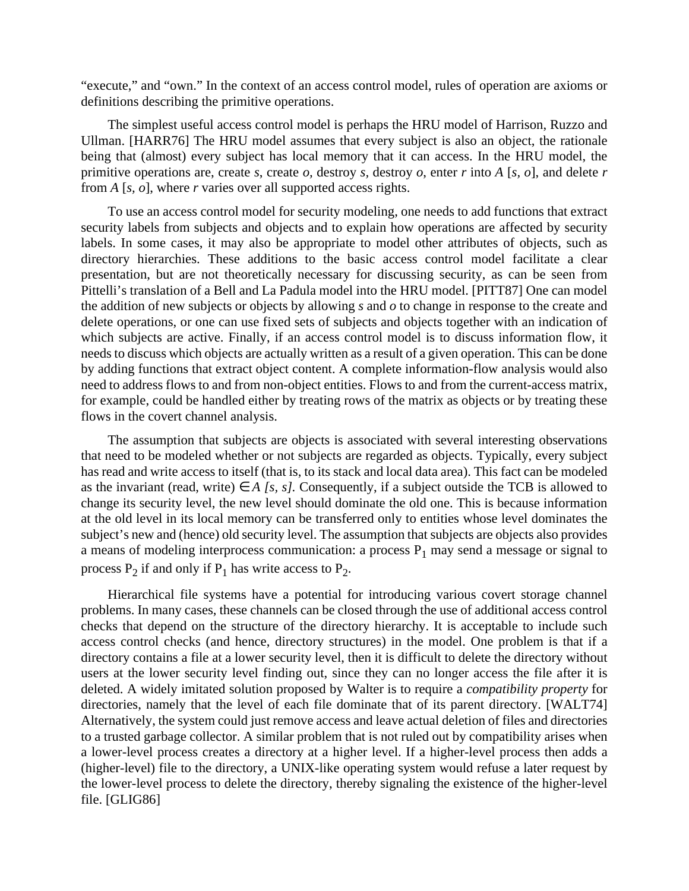"execute," and "own." In the context of an access control model, rules of operation are axioms or definitions describing the primitive operations.

The simplest useful access control model is perhaps the HRU model of Harrison, Ruzzo and Ullman. [HARR76] The HRU model assumes that every subject is also an object, the rationale being that (almost) every subject has local memory that it can access. In the HRU model, the primitive operations are, create *s*, create *o,* destroy *s,* destroy *o*, enter *r* into *A* [*s, o*], and delete *r* from *A* [*s, o*], where *r* varies over all supported access rights.

To use an access control model for security modeling, one needs to add functions that extract security labels from subjects and objects and to explain how operations are affected by security labels. In some cases, it may also be appropriate to model other attributes of objects, such as directory hierarchies. These additions to the basic access control model facilitate a clear presentation, but are not theoretically necessary for discussing security, as can be seen from Pittelli's translation of a Bell and La Padula model into the HRU model. [PITT87] One can model the addition of new subjects or objects by allowing *s* and *o* to change in response to the create and delete operations, or one can use fixed sets of subjects and objects together with an indication of which subjects are active. Finally, if an access control model is to discuss information flow, it needs to discuss which objects are actually written as a result of a given operation. This can be done by adding functions that extract object content. A complete information-flow analysis would also need to address flows to and from non-object entities. Flows to and from the current-access matrix, for example, could be handled either by treating rows of the matrix as objects or by treating these flows in the covert channel analysis.

The assumption that subjects are objects is associated with several interesting observations that need to be modeled whether or not subjects are regarded as objects. Typically, every subject has read and write access to itself (that is, to its stack and local data area). This fact can be modeled as the invariant (read, write)  $\in$  *A [s, s]*. Consequently, if a subject outside the TCB is allowed to change its security level, the new level should dominate the old one. This is because information at the old level in its local memory can be transferred only to entities whose level dominates the subject's new and (hence) old security level. The assumption that subjects are objects also provides a means of modeling interprocess communication: a process  $P_1$  may send a message or signal to process  $P_2$  if and only if  $P_1$  has write access to  $P_2$ .

Hierarchical file systems have a potential for introducing various covert storage channel problems. In many cases, these channels can be closed through the use of additional access control checks that depend on the structure of the directory hierarchy. It is acceptable to include such access control checks (and hence, directory structures) in the model. One problem is that if a directory contains a file at a lower security level, then it is difficult to delete the directory without users at the lower security level finding out, since they can no longer access the file after it is deleted. A widely imitated solution proposed by Walter is to require a *compatibility property* for directories, namely that the level of each file dominate that of its parent directory. [WALT74] Alternatively, the system could just remove access and leave actual deletion of files and directories to a trusted garbage collector. A similar problem that is not ruled out by compatibility arises when a lower-level process creates a directory at a higher level. If a higher-level process then adds a (higher-level) file to the directory, a UNIX-like operating system would refuse a later request by the lower-level process to delete the directory, thereby signaling the existence of the higher-level file. [GLIG86]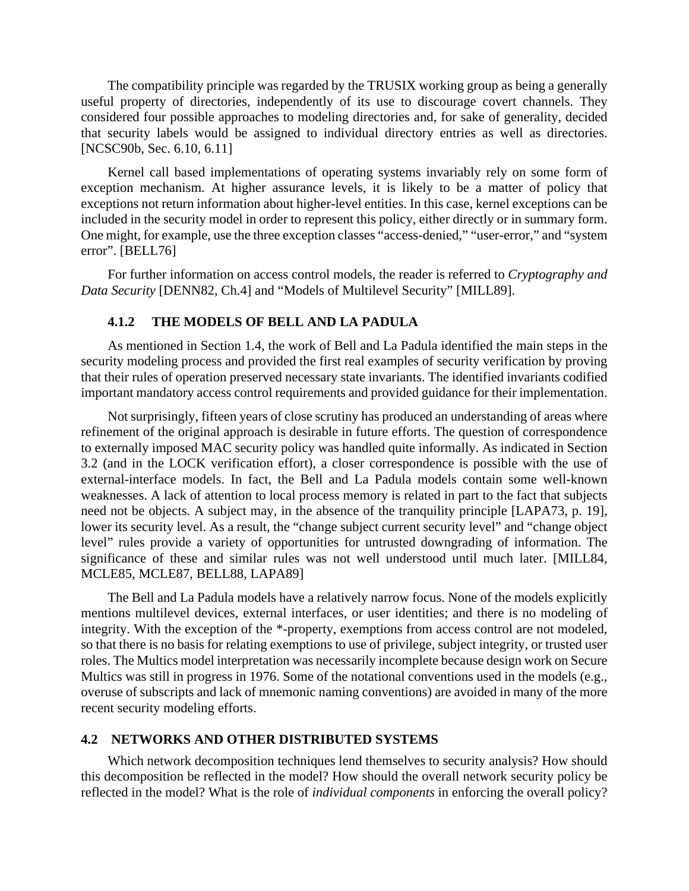The compatibility principle was regarded by the TRUSIX working group as being a generally useful property of directories, independently of its use to discourage covert channels. They considered four possible approaches to modeling directories and, for sake of generality, decided that security labels would be assigned to individual directory entries as well as directories. [NCSC90b, Sec. 6.10, 6.11]

Kernel call based implementations of operating systems invariably rely on some form of exception mechanism. At higher assurance levels, it is likely to be a matter of policy that exceptions not return information about higher-level entities. In this case, kernel exceptions can be included in the security model in order to represent this policy, either directly or in summary form. One might, for example, use the three exception classes "access-denied," "user-error," and "system error". [BELL76]

For further information on access control models, the reader is referred to *Cryptography and Data Security* [DENN82, Ch.4] and "Models of Multilevel Security" [MILL89].

### **4.1.2 THE MODELS OF BELL AND LA PADULA**

As mentioned in Section 1.4, the work of Bell and La Padula identified the main steps in the security modeling process and provided the first real examples of security verification by proving that their rules of operation preserved necessary state invariants. The identified invariants codified important mandatory access control requirements and provided guidance for their implementation.

Not surprisingly, fifteen years of close scrutiny has produced an understanding of areas where refinement of the original approach is desirable in future efforts. The question of correspondence to externally imposed MAC security policy was handled quite informally. As indicated in Section 3.2 (and in the LOCK verification effort), a closer correspondence is possible with the use of external-interface models. In fact, the Bell and La Padula models contain some well-known weaknesses. A lack of attention to local process memory is related in part to the fact that subjects need not be objects. A subject may, in the absence of the tranquility principle [LAPA73, p. 19], lower its security level. As a result, the "change subject current security level" and "change object level" rules provide a variety of opportunities for untrusted downgrading of information. The significance of these and similar rules was not well understood until much later. [MILL84, MCLE85, MCLE87, BELL88, LAPA89]

The Bell and La Padula models have a relatively narrow focus. None of the models explicitly mentions multilevel devices, external interfaces, or user identities; and there is no modeling of integrity. With the exception of the \*-property, exemptions from access control are not modeled, so that there is no basis for relating exemptions to use of privilege, subject integrity, or trusted user roles. The Multics model interpretation was necessarily incomplete because design work on Secure Multics was still in progress in 1976. Some of the notational conventions used in the models (e.g., overuse of subscripts and lack of mnemonic naming conventions) are avoided in many of the more recent security modeling efforts.

### **4.2 NETWORKS AND OTHER DISTRIBUTED SYSTEMS**

Which network decomposition techniques lend themselves to security analysis? How should this decomposition be reflected in the model? How should the overall network security policy be reflected in the model? What is the role of *individual components* in enforcing the overall policy?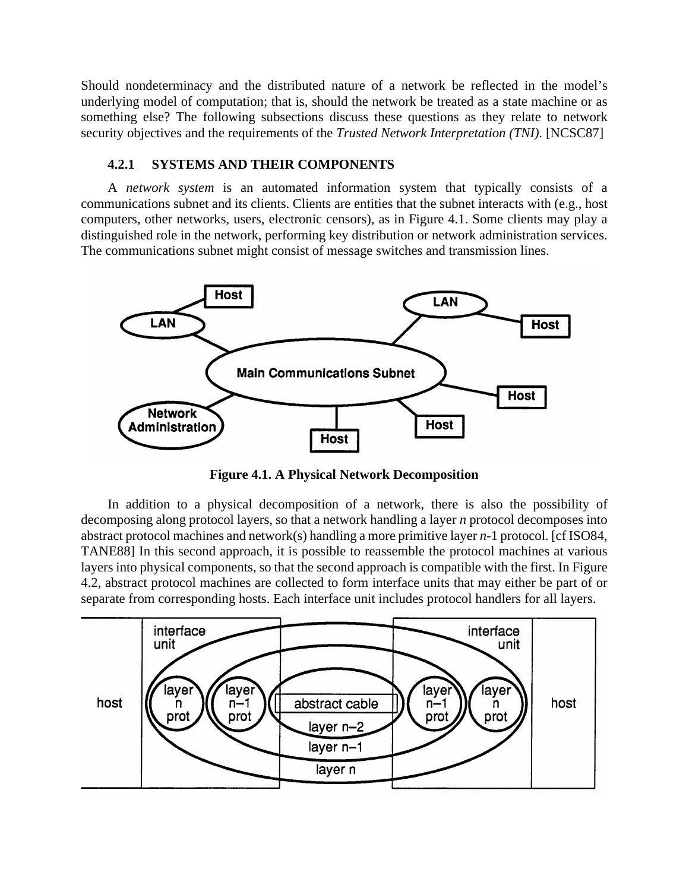Should nondeterminacy and the distributed nature of a network be reflected in the model's underlying model of computation; that is, should the network be treated as a state machine or as something else? The following subsections discuss these questions as they relate to network security objectives and the requirements of the *Trusted Network Interpretation (TNI).* [NCSC87]

### **4.2.1 SYSTEMS AND THEIR COMPONENTS**

A *network system* is an automated information system that typically consists of a communications subnet and its clients. Clients are entities that the subnet interacts with (e.g., host computers, other networks, users, electronic censors), as in Figure 4.1. Some clients may play a distinguished role in the network, performing key distribution or network administration services. The communications subnet might consist of message switches and transmission lines.



**Figure 4.1. A Physical Network Decomposition**

In addition to a physical decomposition of a network, there is also the possibility of decomposing along protocol layers, so that a network handling a layer *n* protocol decomposes into abstract protocol machines and network(s) handling a more primitive layer *n-*1 protocol. [cf ISO84, TANE88] In this second approach, it is possible to reassemble the protocol machines at various layers into physical components, so that the second approach is compatible with the first. In Figure 4.2, abstract protocol machines are collected to form interface units that may either be part of or separate from corresponding hosts. Each interface unit includes protocol handlers for all layers.

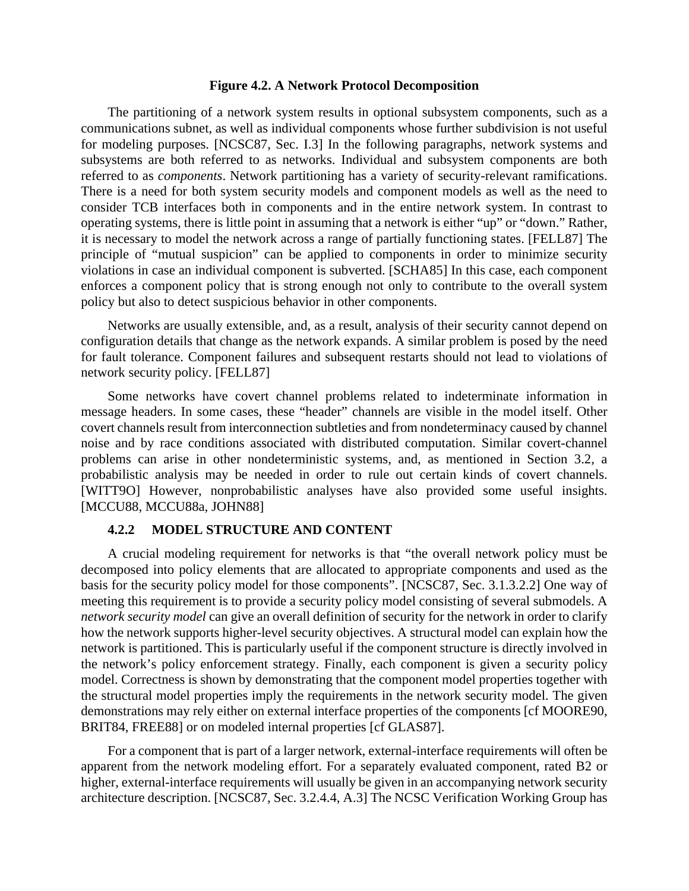#### **Figure 4.2. A Network Protocol Decomposition**

The partitioning of a network system results in optional subsystem components, such as a communications subnet, as well as individual components whose further subdivision is not useful for modeling purposes. [NCSC87, Sec. I.3] In the following paragraphs, network systems and subsystems are both referred to as networks. Individual and subsystem components are both referred to as *components*. Network partitioning has a variety of security-relevant ramifications. There is a need for both system security models and component models as well as the need to consider TCB interfaces both in components and in the entire network system. In contrast to operating systems, there is little point in assuming that a network is either "up" or "down." Rather, it is necessary to model the network across a range of partially functioning states. [FELL87] The principle of "mutual suspicion" can be applied to components in order to minimize security violations in case an individual component is subverted. [SCHA85] In this case, each component enforces a component policy that is strong enough not only to contribute to the overall system policy but also to detect suspicious behavior in other components.

Networks are usually extensible, and, as a result, analysis of their security cannot depend on configuration details that change as the network expands. A similar problem is posed by the need for fault tolerance. Component failures and subsequent restarts should not lead to violations of network security policy. [FELL87]

Some networks have covert channel problems related to indeterminate information in message headers. In some cases, these "header" channels are visible in the model itself. Other covert channels result from interconnection subtleties and from nondeterminacy caused by channel noise and by race conditions associated with distributed computation. Similar covert-channel problems can arise in other nondeterministic systems, and, as mentioned in Section 3.2, a probabilistic analysis may be needed in order to rule out certain kinds of covert channels. [WITT9O] However, nonprobabilistic analyses have also provided some useful insights. [MCCU88, MCCU88a, JOHN88]

#### **4.2.2 MODEL STRUCTURE AND CONTENT**

A crucial modeling requirement for networks is that "the overall network policy must be decomposed into policy elements that are allocated to appropriate components and used as the basis for the security policy model for those components". [NCSC87, Sec. 3.1.3.2.2] One way of meeting this requirement is to provide a security policy model consisting of several submodels. A *network security model* can give an overall definition of security for the network in order to clarify how the network supports higher-level security objectives. A structural model can explain how the network is partitioned. This is particularly useful if the component structure is directly involved in the network's policy enforcement strategy. Finally, each component is given a security policy model. Correctness is shown by demonstrating that the component model properties together with the structural model properties imply the requirements in the network security model. The given demonstrations may rely either on external interface properties of the components [cf MOORE90, BRIT84, FREE88] or on modeled internal properties [cf GLAS87].

For a component that is part of a larger network, external-interface requirements will often be apparent from the network modeling effort. For a separately evaluated component, rated B2 or higher, external-interface requirements will usually be given in an accompanying network security architecture description. [NCSC87, Sec. 3.2.4.4, A.3] The NCSC Verification Working Group has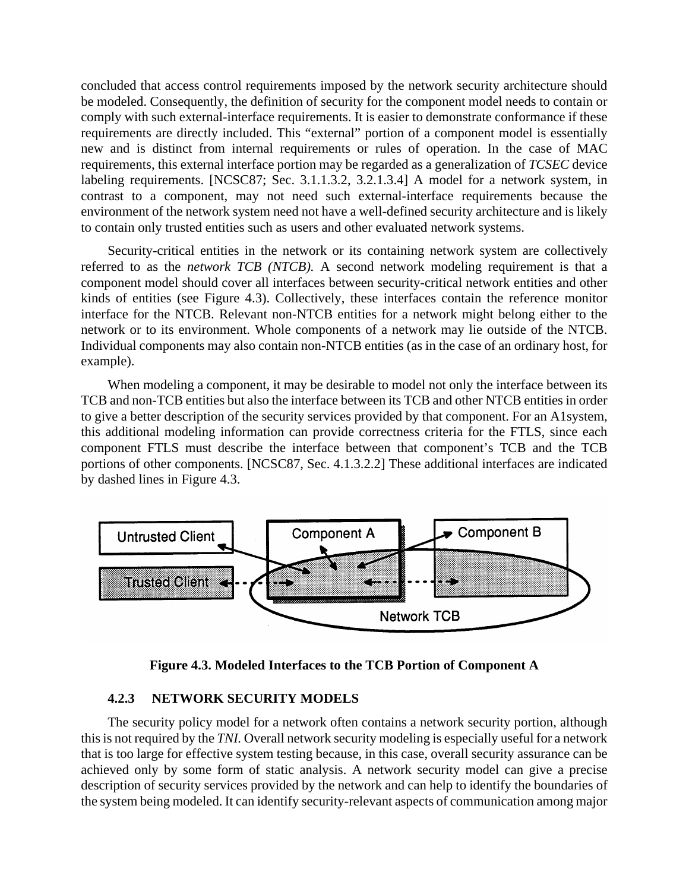concluded that access control requirements imposed by the network security architecture should be modeled. Consequently, the definition of security for the component model needs to contain or comply with such external-interface requirements. It is easier to demonstrate conformance if these requirements are directly included. This "external" portion of a component model is essentially new and is distinct from internal requirements or rules of operation. In the case of MAC requirements, this external interface portion may be regarded as a generalization of *TCSEC* device labeling requirements. [NCSC87; Sec. 3.1.1.3.2, 3.2.1.3.4] A model for a network system, in contrast to a component, may not need such external-interface requirements because the environment of the network system need not have a well-defined security architecture and is likely to contain only trusted entities such as users and other evaluated network systems.

Security-critical entities in the network or its containing network system are collectively referred to as the *network TCB (NTCB).* A second network modeling requirement is that a component model should cover all interfaces between security-critical network entities and other kinds of entities (see Figure 4.3). Collectively, these interfaces contain the reference monitor interface for the NTCB. Relevant non-NTCB entities for a network might belong either to the network or to its environment. Whole components of a network may lie outside of the NTCB. Individual components may also contain non-NTCB entities (as in the case of an ordinary host, for example).

When modeling a component, it may be desirable to model not only the interface between its TCB and non-TCB entities but also the interface between its TCB and other NTCB entities in order to give a better description of the security services provided by that component. For an A1system, this additional modeling information can provide correctness criteria for the FTLS, since each component FTLS must describe the interface between that component's TCB and the TCB portions of other components. [NCSC87, Sec. 4.1.3.2.2] These additional interfaces are indicated by dashed lines in Figure 4.3.



**Figure 4.3. Modeled Interfaces to the TCB Portion of Component A**

### **4.2.3 NETWORK SECURITY MODELS**

The security policy model for a network often contains a network security portion, although this is not required by the *TNI.* Overall network security modeling is especially useful for a network that is too large for effective system testing because, in this case, overall security assurance can be achieved only by some form of static analysis. A network security model can give a precise description of security services provided by the network and can help to identify the boundaries of the system being modeled. It can identify security-relevant aspects of communication among major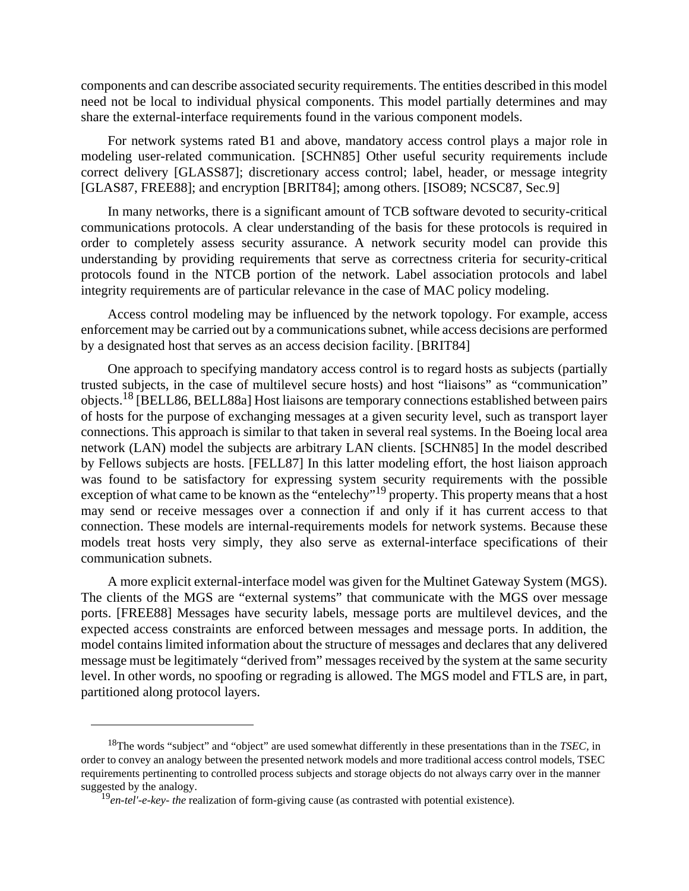components and can describe associated security requirements. The entities described in this model need not be local to individual physical components. This model partially determines and may share the external-interface requirements found in the various component models.

For network systems rated B1 and above, mandatory access control plays a major role in modeling user-related communication. [SCHN85] Other useful security requirements include correct delivery [GLASS87]; discretionary access control; label, header, or message integrity [GLAS87, FREE88]; and encryption [BRIT84]; among others. [ISO89; NCSC87, Sec.9]

In many networks, there is a significant amount of TCB software devoted to security-critical communications protocols. A clear understanding of the basis for these protocols is required in order to completely assess security assurance. A network security model can provide this understanding by providing requirements that serve as correctness criteria for security-critical protocols found in the NTCB portion of the network. Label association protocols and label integrity requirements are of particular relevance in the case of MAC policy modeling.

Access control modeling may be influenced by the network topology. For example, access enforcement may be carried out by a communications subnet, while access decisions are performed by a designated host that serves as an access decision facility. [BRIT84]

One approach to specifying mandatory access control is to regard hosts as subjects (partially trusted subjects, in the case of multilevel secure hosts) and host "liaisons" as "communication" objects.18 [BELL86, BELL88a] Host liaisons are temporary connections established between pairs of hosts for the purpose of exchanging messages at a given security level, such as transport layer connections. This approach is similar to that taken in several real systems. In the Boeing local area network (LAN) model the subjects are arbitrary LAN clients. [SCHN85] In the model described by Fellows subjects are hosts. [FELL87] In this latter modeling effort, the host liaison approach was found to be satisfactory for expressing system security requirements with the possible exception of what came to be known as the "entelechy"<sup>19</sup> property. This property means that a host may send or receive messages over a connection if and only if it has current access to that connection. These models are internal-requirements models for network systems. Because these models treat hosts very simply, they also serve as external-interface specifications of their communication subnets.

A more explicit external-interface model was given for the Multinet Gateway System (MGS). The clients of the MGS are "external systems" that communicate with the MGS over message ports. [FREE88] Messages have security labels, message ports are multilevel devices, and the expected access constraints are enforced between messages and message ports. In addition, the model contains limited information about the structure of messages and declares that any delivered message must be legitimately "derived from" messages received by the system at the same security level. In other words, no spoofing or regrading is allowed. The MGS model and FTLS are, in part, partitioned along protocol layers.

<sup>18</sup>The words "subject" and "object" are used somewhat differently in these presentations than in the *TSEC,* in order to convey an analogy between the presented network models and more traditional access control models, TSEC requirements pertinenting to controlled process subjects and storage objects do not always carry over in the manner suggested by the analogy.

<sup>19</sup>*en-tel'-e-key- the* realization of form-giving cause (as contrasted with potential existence).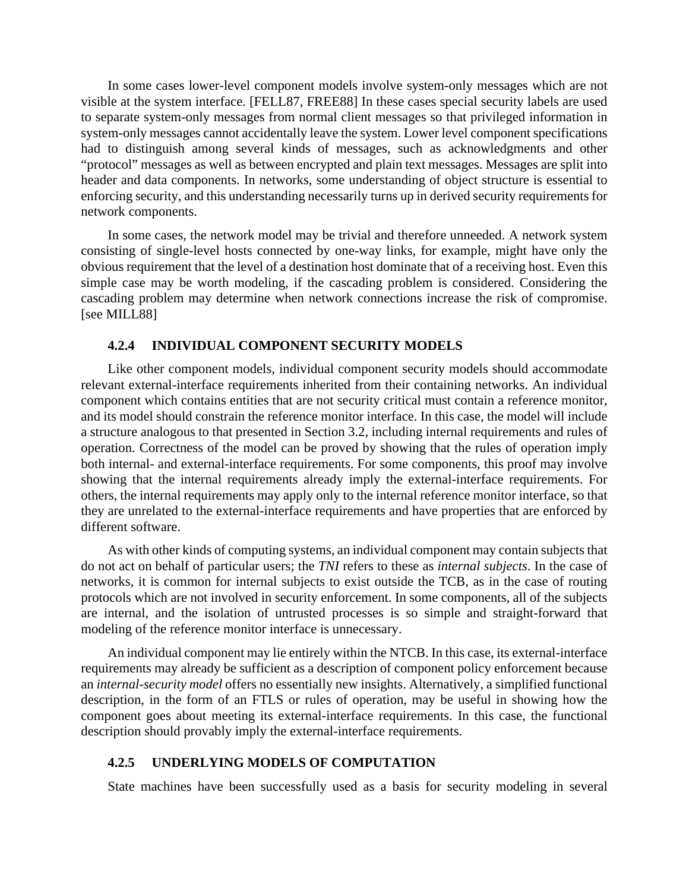In some cases lower-level component models involve system-only messages which are not visible at the system interface. [FELL87, FREE88] In these cases special security labels are used to separate system-only messages from normal client messages so that privileged information in system-only messages cannot accidentally leave the system. Lower level component specifications had to distinguish among several kinds of messages, such as acknowledgments and other "protocol" messages as well as between encrypted and plain text messages. Messages are split into header and data components. In networks, some understanding of object structure is essential to enforcing security, and this understanding necessarily turns up in derived security requirements for network components.

In some cases, the network model may be trivial and therefore unneeded. A network system consisting of single-level hosts connected by one-way links, for example, might have only the obvious requirement that the level of a destination host dominate that of a receiving host. Even this simple case may be worth modeling, if the cascading problem is considered. Considering the cascading problem may determine when network connections increase the risk of compromise. [see MILL88]

#### **4.2.4 INDIVIDUAL COMPONENT SECURITY MODELS**

Like other component models, individual component security models should accommodate relevant external-interface requirements inherited from their containing networks. An individual component which contains entities that are not security critical must contain a reference monitor, and its model should constrain the reference monitor interface. In this case, the model will include a structure analogous to that presented in Section 3.2, including internal requirements and rules of operation. Correctness of the model can be proved by showing that the rules of operation imply both internal- and external-interface requirements. For some components, this proof may involve showing that the internal requirements already imply the external-interface requirements. For others, the internal requirements may apply only to the internal reference monitor interface, so that they are unrelated to the external-interface requirements and have properties that are enforced by different software.

As with other kinds of computing systems, an individual component may contain subjects that do not act on behalf of particular users; the *TNI* refers to these as *internal subjects*. In the case of networks, it is common for internal subjects to exist outside the TCB, as in the case of routing protocols which are not involved in security enforcement. In some components, all of the subjects are internal, and the isolation of untrusted processes is so simple and straight-forward that modeling of the reference monitor interface is unnecessary.

An individual component may lie entirely within the NTCB. In this case, its external-interface requirements may already be sufficient as a description of component policy enforcement because an *internal-security model* offers no essentially new insights. Alternatively, a simplified functional description, in the form of an FTLS or rules of operation, may be useful in showing how the component goes about meeting its external-interface requirements. In this case, the functional description should provably imply the external-interface requirements.

### **4.2.5 UNDERLYING MODELS OF COMPUTATION**

State machines have been successfully used as a basis for security modeling in several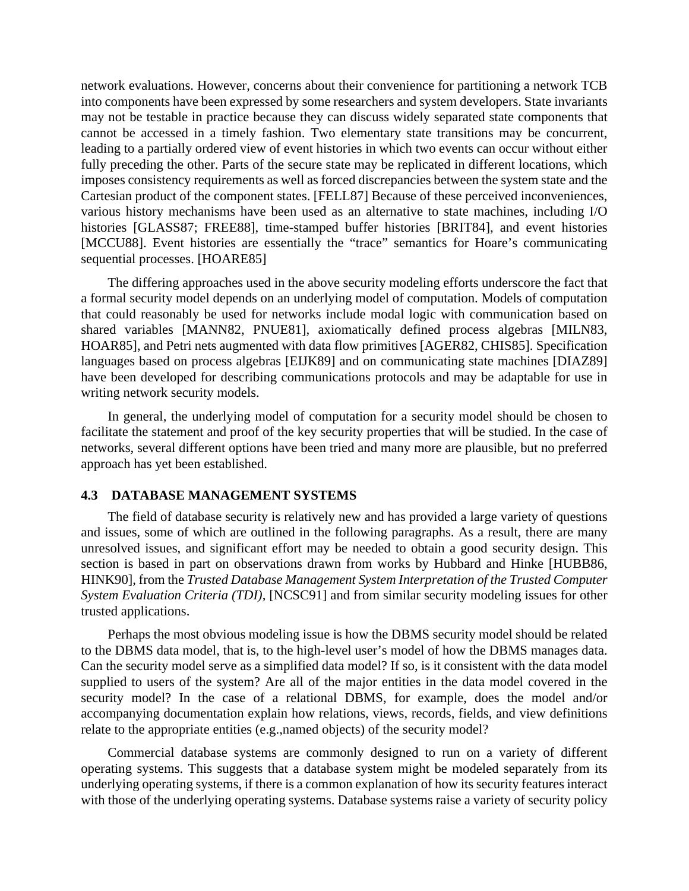network evaluations. However, concerns about their convenience for partitioning a network TCB into components have been expressed by some researchers and system developers. State invariants may not be testable in practice because they can discuss widely separated state components that cannot be accessed in a timely fashion. Two elementary state transitions may be concurrent, leading to a partially ordered view of event histories in which two events can occur without either fully preceding the other. Parts of the secure state may be replicated in different locations, which imposes consistency requirements as well as forced discrepancies between the system state and the Cartesian product of the component states. [FELL87] Because of these perceived inconveniences, various history mechanisms have been used as an alternative to state machines, including I/O histories [GLASS87; FREE88], time-stamped buffer histories [BRIT84], and event histories [MCCU88]. Event histories are essentially the "trace" semantics for Hoare's communicating sequential processes. [HOARE85]

The differing approaches used in the above security modeling efforts underscore the fact that a formal security model depends on an underlying model of computation. Models of computation that could reasonably be used for networks include modal logic with communication based on shared variables [MANN82, PNUE81], axiomatically defined process algebras [MILN83, HOAR85], and Petri nets augmented with data flow primitives [AGER82, CHIS85]. Specification languages based on process algebras [EIJK89] and on communicating state machines [DIAZ89] have been developed for describing communications protocols and may be adaptable for use in writing network security models.

In general, the underlying model of computation for a security model should be chosen to facilitate the statement and proof of the key security properties that will be studied. In the case of networks, several different options have been tried and many more are plausible, but no preferred approach has yet been established.

#### **4.3 DATABASE MANAGEMENT SYSTEMS**

The field of database security is relatively new and has provided a large variety of questions and issues, some of which are outlined in the following paragraphs. As a result, there are many unresolved issues, and significant effort may be needed to obtain a good security design. This section is based in part on observations drawn from works by Hubbard and Hinke [HUBB86, HINK90], from the *Trusted Database Management System Interpretation of the Trusted Computer System Evaluation Criteria (TDI),* [NCSC91] and from similar security modeling issues for other trusted applications.

Perhaps the most obvious modeling issue is how the DBMS security model should be related to the DBMS data model, that is, to the high-level user's model of how the DBMS manages data. Can the security model serve as a simplified data model? If so, is it consistent with the data model supplied to users of the system? Are all of the major entities in the data model covered in the security model? In the case of a relational DBMS, for example, does the model and/or accompanying documentation explain how relations, views, records, fields, and view definitions relate to the appropriate entities (e.g.,named objects) of the security model?

Commercial database systems are commonly designed to run on a variety of different operating systems. This suggests that a database system might be modeled separately from its underlying operating systems, if there is a common explanation of how its security features interact with those of the underlying operating systems. Database systems raise a variety of security policy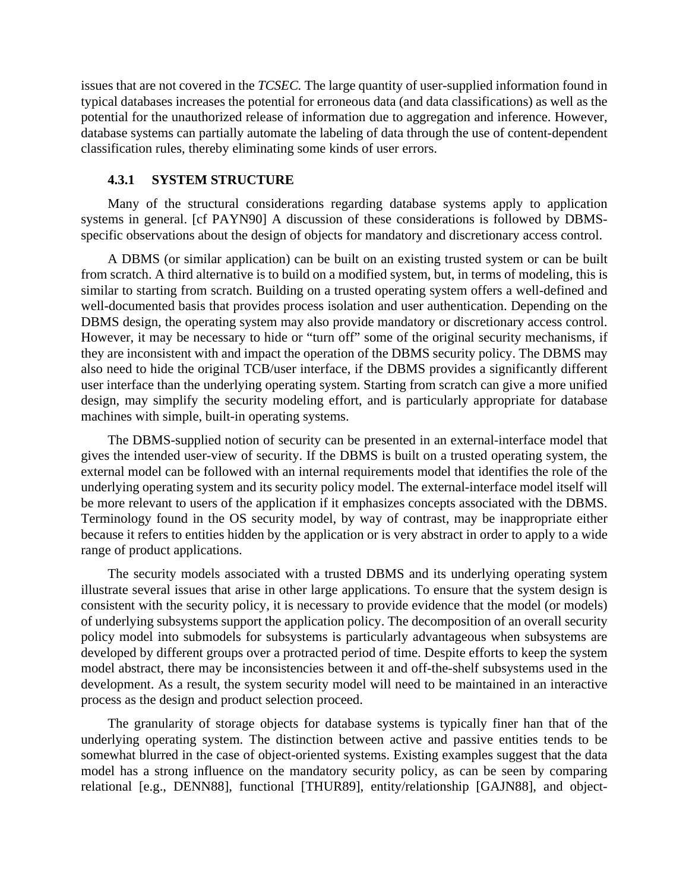issues that are not covered in the *TCSEC.* The large quantity of user-supplied information found in typical databases increases the potential for erroneous data (and data classifications) as well as the potential for the unauthorized release of information due to aggregation and inference. However, database systems can partially automate the labeling of data through the use of content-dependent classification rules, thereby eliminating some kinds of user errors.

### **4.3.1 SYSTEM STRUCTURE**

Many of the structural considerations regarding database systems apply to application systems in general. [cf PAYN90] A discussion of these considerations is followed by DBMSspecific observations about the design of objects for mandatory and discretionary access control.

A DBMS (or similar application) can be built on an existing trusted system or can be built from scratch. A third alternative is to build on a modified system, but, in terms of modeling, this is similar to starting from scratch. Building on a trusted operating system offers a well-defined and well-documented basis that provides process isolation and user authentication. Depending on the DBMS design, the operating system may also provide mandatory or discretionary access control. However, it may be necessary to hide or "turn off" some of the original security mechanisms, if they are inconsistent with and impact the operation of the DBMS security policy. The DBMS may also need to hide the original TCB/user interface, if the DBMS provides a significantly different user interface than the underlying operating system. Starting from scratch can give a more unified design, may simplify the security modeling effort, and is particularly appropriate for database machines with simple, built-in operating systems.

The DBMS-supplied notion of security can be presented in an external-interface model that gives the intended user-view of security. If the DBMS is built on a trusted operating system, the external model can be followed with an internal requirements model that identifies the role of the underlying operating system and its security policy model. The external-interface model itself will be more relevant to users of the application if it emphasizes concepts associated with the DBMS. Terminology found in the OS security model, by way of contrast, may be inappropriate either because it refers to entities hidden by the application or is very abstract in order to apply to a wide range of product applications.

The security models associated with a trusted DBMS and its underlying operating system illustrate several issues that arise in other large applications. To ensure that the system design is consistent with the security policy, it is necessary to provide evidence that the model (or models) of underlying subsystems support the application policy. The decomposition of an overall security policy model into submodels for subsystems is particularly advantageous when subsystems are developed by different groups over a protracted period of time. Despite efforts to keep the system model abstract, there may be inconsistencies between it and off-the-shelf subsystems used in the development. As a result, the system security model will need to be maintained in an interactive process as the design and product selection proceed.

The granularity of storage objects for database systems is typically finer han that of the underlying operating system. The distinction between active and passive entities tends to be somewhat blurred in the case of object-oriented systems. Existing examples suggest that the data model has a strong influence on the mandatory security policy, as can be seen by comparing relational [e.g., DENN88], functional [THUR89], entity/relationship [GAJN88], and object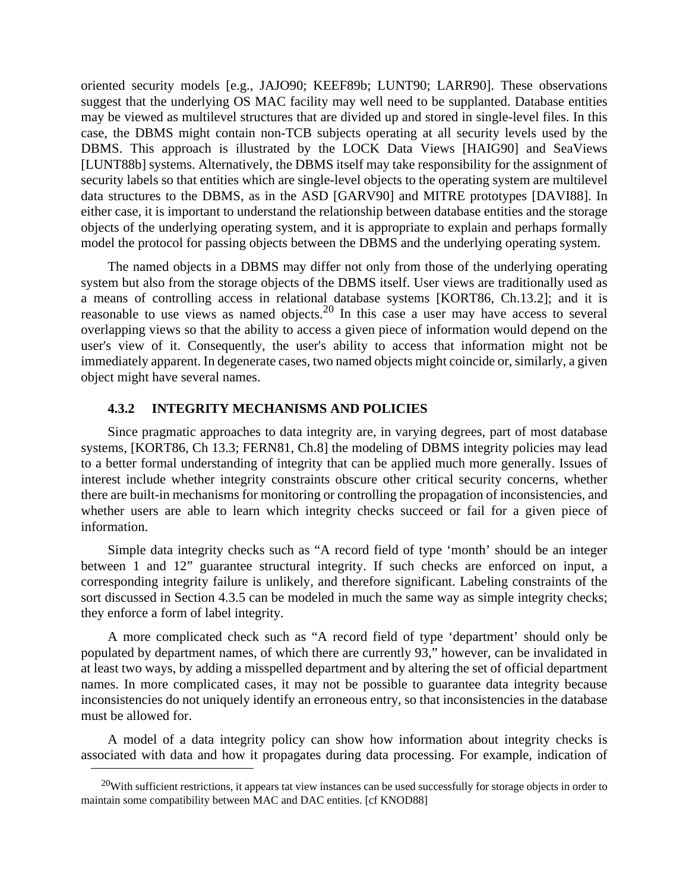oriented security models [e.g., JAJO90; KEEF89b; LUNT90; LARR90]. These observations suggest that the underlying OS MAC facility may well need to be supplanted. Database entities may be viewed as multilevel structures that are divided up and stored in single-level files. In this case, the DBMS might contain non-TCB subjects operating at all security levels used by the DBMS. This approach is illustrated by the LOCK Data Views [HAIG90] and SeaViews [LUNT88b] systems. Alternatively, the DBMS itself may take responsibility for the assignment of security labels so that entities which are single-level objects to the operating system are multilevel data structures to the DBMS, as in the ASD [GARV90] and MITRE prototypes [DAVI88]. In either case, it is important to understand the relationship between database entities and the storage objects of the underlying operating system, and it is appropriate to explain and perhaps formally model the protocol for passing objects between the DBMS and the underlying operating system.

The named objects in a DBMS may differ not only from those of the underlying operating system but also from the storage objects of the DBMS itself. User views are traditionally used as a means of controlling access in relational database systems [KORT86, Ch.13.2]; and it is reasonable to use views as named objects.20 In this case a user may have access to several overlapping views so that the ability to access a given piece of information would depend on the user's view of it. Consequently, the user's ability to access that information might not be immediately apparent. In degenerate cases, two named objects might coincide or, similarly, a given object might have several names.

### **4.3.2 INTEGRITY MECHANISMS AND POLICIES**

Since pragmatic approaches to data integrity are, in varying degrees, part of most database systems, [KORT86, Ch 13.3; FERN81, Ch.8] the modeling of DBMS integrity policies may lead to a better formal understanding of integrity that can be applied much more generally. Issues of interest include whether integrity constraints obscure other critical security concerns, whether there are built-in mechanisms for monitoring or controlling the propagation of inconsistencies, and whether users are able to learn which integrity checks succeed or fail for a given piece of information.

Simple data integrity checks such as "A record field of type 'month' should be an integer between 1 and 12" guarantee structural integrity. If such checks are enforced on input, a corresponding integrity failure is unlikely, and therefore significant. Labeling constraints of the sort discussed in Section 4.3.5 can be modeled in much the same way as simple integrity checks; they enforce a form of label integrity.

A more complicated check such as "A record field of type 'department' should only be populated by department names, of which there are currently 93," however, can be invalidated in at least two ways, by adding a misspelled department and by altering the set of official department names. In more complicated cases, it may not be possible to guarantee data integrity because inconsistencies do not uniquely identify an erroneous entry, so that inconsistencies in the database must be allowed for.

A model of a data integrity policy can show how information about integrity checks is associated with data and how it propagates during data processing. For example, indication of

 $20$ With sufficient restrictions, it appears tat view instances can be used successfully for storage objects in order to maintain some compatibility between MAC and DAC entities. [cf KNOD88]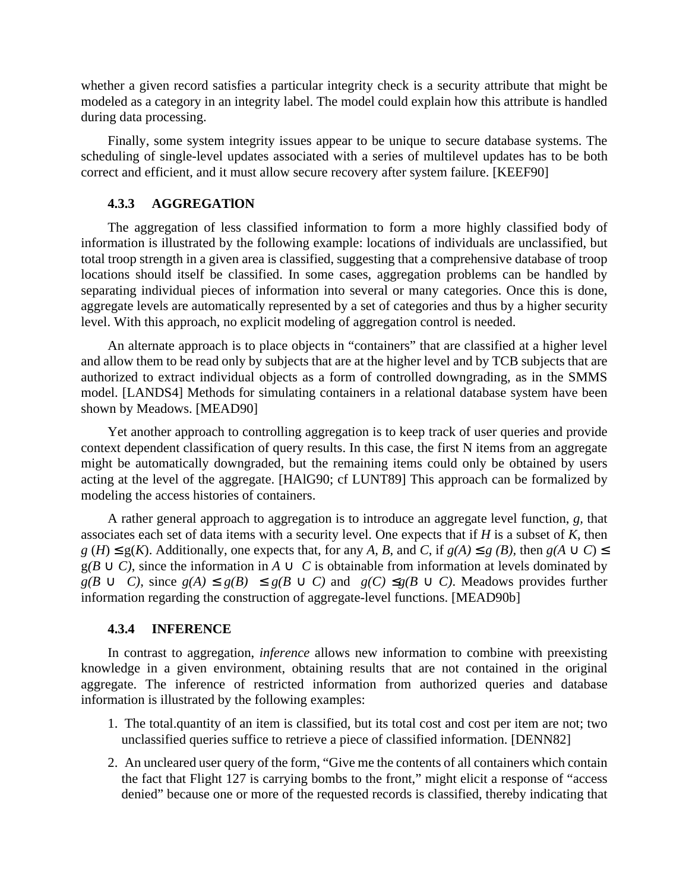whether a given record satisfies a particular integrity check is a security attribute that might be modeled as a category in an integrity label. The model could explain how this attribute is handled during data processing.

Finally, some system integrity issues appear to be unique to secure database systems. The scheduling of single-level updates associated with a series of multilevel updates has to be both correct and efficient, and it must allow secure recovery after system failure. [KEEF90]

### **4.3.3 AGGREGATlON**

The aggregation of less classified information to form a more highly classified body of information is illustrated by the following example: locations of individuals are unclassified, but total troop strength in a given area is classified, suggesting that a comprehensive database of troop locations should itself be classified. In some cases, aggregation problems can be handled by separating individual pieces of information into several or many categories. Once this is done, aggregate levels are automatically represented by a set of categories and thus by a higher security level. With this approach, no explicit modeling of aggregation control is needed.

An alternate approach is to place objects in "containers" that are classified at a higher level and allow them to be read only by subjects that are at the higher level and by TCB subjects that are authorized to extract individual objects as a form of controlled downgrading, as in the SMMS model. [LANDS4] Methods for simulating containers in a relational database system have been shown by Meadows. [MEAD90]

Yet another approach to controlling aggregation is to keep track of user queries and provide context dependent classification of query results. In this case, the first N items from an aggregate might be automatically downgraded, but the remaining items could only be obtained by users acting at the level of the aggregate. [HAlG90; cf LUNT89] This approach can be formalized by modeling the access histories of containers.

A rather general approach to aggregation is to introduce an aggregate level function, *g,* that associates each set of data items with a security level. One expects that if *H* is a subset of *K*, then *g* (*H*) ≤ g(*K*). Additionally, one expects that, for any *A*, *B*, and *C*, if *g*(*A*) ≤ *g* (*B*), then *g*(*A* ∪ *C*) ≤  $g(B \cup C)$ , since the information in  $A \cup C$  is obtainable from information at levels dominated by  $g(B \cup C)$ , since  $g(A) \leq g(B) \leq g(B \cup C)$  and  $g(C) \leq g(B \cup C)$ . Meadows provides further information regarding the construction of aggregate-level functions. [MEAD90b]

### **4.3.4 INFERENCE**

In contrast to aggregation, *inference* allows new information to combine with preexisting knowledge in a given environment, obtaining results that are not contained in the original aggregate. The inference of restricted information from authorized queries and database information is illustrated by the following examples:

- 1. The total.quantity of an item is classified, but its total cost and cost per item are not; two unclassified queries suffice to retrieve a piece of classified information. [DENN82]
- 2. An uncleared user query of the form, "Give me the contents of all containers which contain the fact that Flight 127 is carrying bombs to the front," might elicit a response of "access denied" because one or more of the requested records is classified, thereby indicating that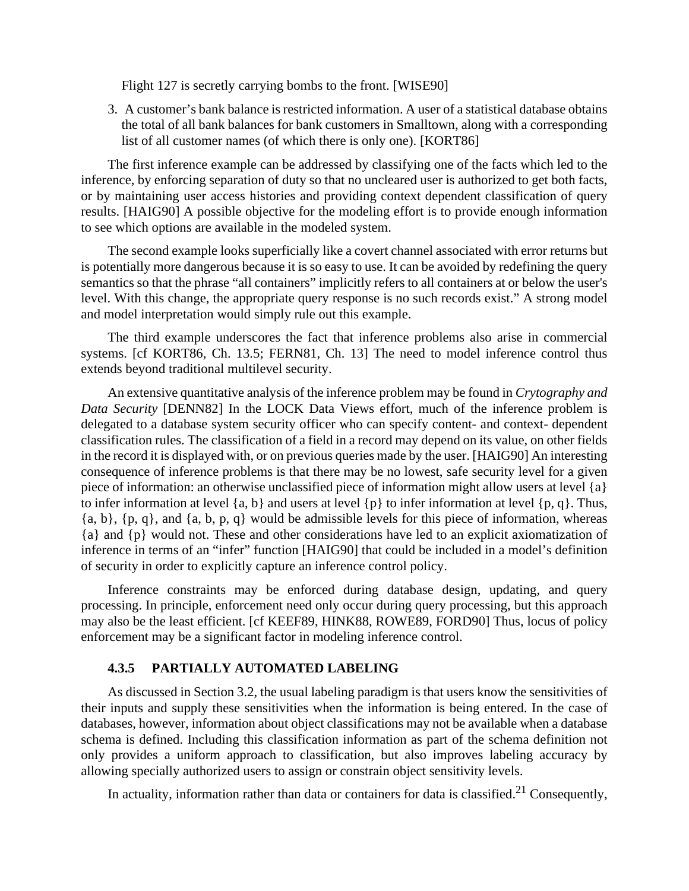Flight 127 is secretly carrying bombs to the front. [WISE90]

3. A customer's bank balance is restricted information. A user of a statistical database obtains the total of all bank balances for bank customers in Smalltown, along with a corresponding list of all customer names (of which there is only one). [KORT86]

The first inference example can be addressed by classifying one of the facts which led to the inference, by enforcing separation of duty so that no uncleared user is authorized to get both facts, or by maintaining user access histories and providing context dependent classification of query results. [HAIG90] A possible objective for the modeling effort is to provide enough information to see which options are available in the modeled system.

The second example looks superficially like a covert channel associated with error returns but is potentially more dangerous because it is so easy to use. It can be avoided by redefining the query semantics so that the phrase "all containers" implicitly refers to all containers at or below the user's level. With this change, the appropriate query response is no such records exist." A strong model and model interpretation would simply rule out this example.

The third example underscores the fact that inference problems also arise in commercial systems. [cf KORT86, Ch. 13.5; FERN81, Ch. 13] The need to model inference control thus extends beyond traditional multilevel security.

An extensive quantitative analysis of the inference problem may be found in *Crytography and Data Security* [DENN82] In the LOCK Data Views effort, much of the inference problem is delegated to a database system security officer who can specify content- and context- dependent classification rules. The classification of a field in a record may depend on its value, on other fields in the record it is displayed with, or on previous queries made by the user. [HAIG90] An interesting consequence of inference problems is that there may be no lowest, safe security level for a given piece of information: an otherwise unclassified piece of information might allow users at level {a} to infer information at level  $\{a, b\}$  and users at level  $\{p\}$  to infer information at level  $\{p, q\}$ . Thus,  ${a, b}, {p, q},$  and  ${a, b, p, q}$  would be admissible levels for this piece of information, whereas {a} and {p} would not. These and other considerations have led to an explicit axiomatization of inference in terms of an "infer" function [HAIG90] that could be included in a model's definition of security in order to explicitly capture an inference control policy.

Inference constraints may be enforced during database design, updating, and query processing. In principle, enforcement need only occur during query processing, but this approach may also be the least efficient. [cf KEEF89, HINK88, ROWE89, FORD90] Thus, locus of policy enforcement may be a significant factor in modeling inference control.

### **4.3.5 PARTIALLY AUTOMATED LABELING**

As discussed in Section 3.2, the usual labeling paradigm is that users know the sensitivities of their inputs and supply these sensitivities when the information is being entered. In the case of databases, however, information about object classifications may not be available when a database schema is defined. Including this classification information as part of the schema definition not only provides a uniform approach to classification, but also improves labeling accuracy by allowing specially authorized users to assign or constrain object sensitivity levels.

In actuality, information rather than data or containers for data is classified.<sup>21</sup> Consequently,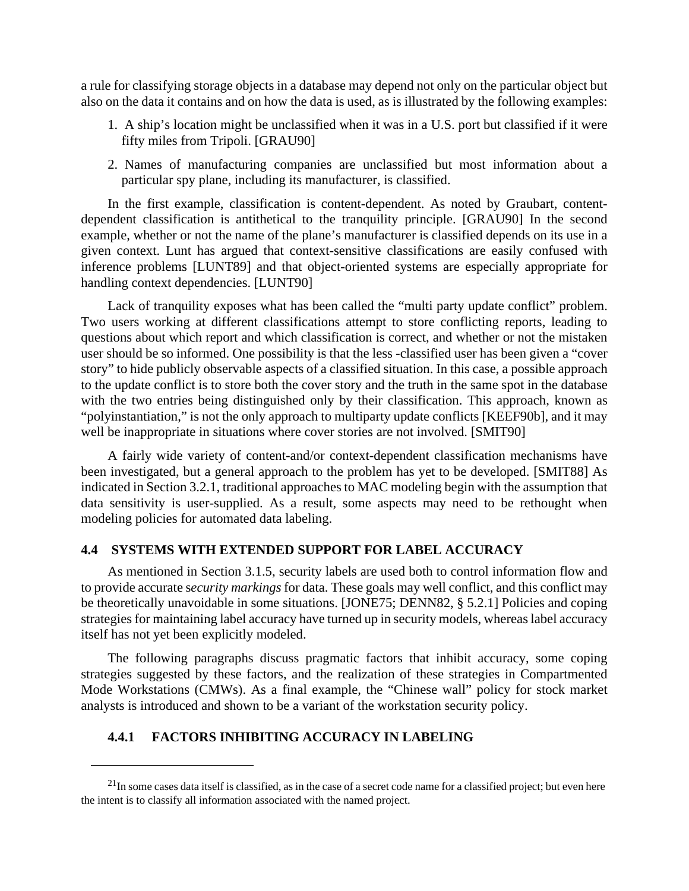a rule for classifying storage objects in a database may depend not only on the particular object but also on the data it contains and on how the data is used, as is illustrated by the following examples:

- 1. A ship's location might be unclassified when it was in a U.S. port but classified if it were fifty miles from Tripoli. [GRAU90]
- 2. Names of manufacturing companies are unclassified but most information about a particular spy plane, including its manufacturer, is classified.

In the first example, classification is content-dependent. As noted by Graubart, contentdependent classification is antithetical to the tranquility principle. [GRAU90] In the second example, whether or not the name of the plane's manufacturer is classified depends on its use in a given context. Lunt has argued that context-sensitive classifications are easily confused with inference problems [LUNT89] and that object-oriented systems are especially appropriate for handling context dependencies. [LUNT90]

Lack of tranquility exposes what has been called the "multi party update conflict" problem. Two users working at different classifications attempt to store conflicting reports, leading to questions about which report and which classification is correct, and whether or not the mistaken user should be so informed. One possibility is that the less -classified user has been given a "cover story" to hide publicly observable aspects of a classified situation. In this case, a possible approach to the update conflict is to store both the cover story and the truth in the same spot in the database with the two entries being distinguished only by their classification. This approach, known as "polyinstantiation," is not the only approach to multiparty update conflicts [KEEF90b], and it may well be inappropriate in situations where cover stories are not involved. [SMIT90]

A fairly wide variety of content-and/or context-dependent classification mechanisms have been investigated, but a general approach to the problem has yet to be developed. [SMIT88] As indicated in Section 3.2.1, traditional approaches to MAC modeling begin with the assumption that data sensitivity is user-supplied. As a result, some aspects may need to be rethought when modeling policies for automated data labeling.

### **4.4 SYSTEMS WITH EXTENDED SUPPORT FOR LABEL ACCURACY**

As mentioned in Section 3.1.5, security labels are used both to control information flow and to provide accurate s*ecurity markings* for data. These goals may well conflict, and this conflict may be theoretically unavoidable in some situations. [JONE75; DENN82, § 5.2.1] Policies and coping strategies for maintaining label accuracy have turned up in security models, whereas label accuracy itself has not yet been explicitly modeled.

The following paragraphs discuss pragmatic factors that inhibit accuracy, some coping strategies suggested by these factors, and the realization of these strategies in Compartmented Mode Workstations (CMWs). As a final example, the "Chinese wall" policy for stock market analysts is introduced and shown to be a variant of the workstation security policy.

### **4.4.1 FACTORS INHIBITING ACCURACY IN LABELING**

 $^{21}$ In some cases data itself is classified, as in the case of a secret code name for a classified project; but even here the intent is to classify all information associated with the named project.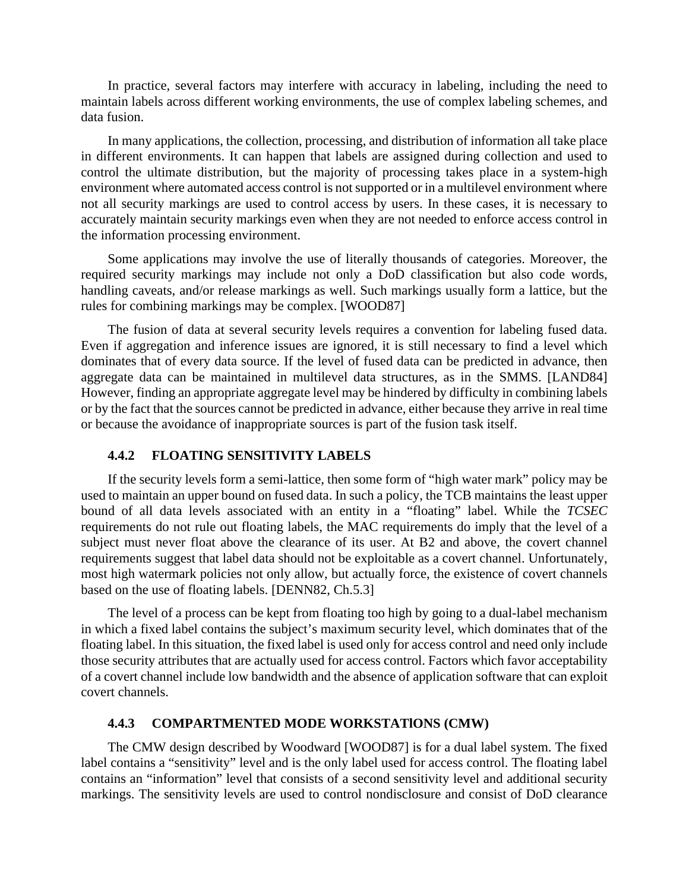In practice, several factors may interfere with accuracy in labeling, including the need to maintain labels across different working environments, the use of complex labeling schemes, and data fusion.

In many applications, the collection, processing, and distribution of information all take place in different environments. It can happen that labels are assigned during collection and used to control the ultimate distribution, but the majority of processing takes place in a system-high environment where automated access control is not supported or in a multilevel environment where not all security markings are used to control access by users. In these cases, it is necessary to accurately maintain security markings even when they are not needed to enforce access control in the information processing environment.

Some applications may involve the use of literally thousands of categories. Moreover, the required security markings may include not only a DoD classification but also code words, handling caveats, and/or release markings as well. Such markings usually form a lattice, but the rules for combining markings may be complex. [WOOD87]

The fusion of data at several security levels requires a convention for labeling fused data. Even if aggregation and inference issues are ignored, it is still necessary to find a level which dominates that of every data source. If the level of fused data can be predicted in advance, then aggregate data can be maintained in multilevel data structures, as in the SMMS. [LAND84] However, finding an appropriate aggregate level may be hindered by difficulty in combining labels or by the fact that the sources cannot be predicted in advance, either because they arrive in real time or because the avoidance of inappropriate sources is part of the fusion task itself.

#### **4.4.2 FLOATING SENSITIVITY LABELS**

If the security levels form a semi-lattice, then some form of "high water mark" policy may be used to maintain an upper bound on fused data. In such a policy, the TCB maintains the least upper bound of all data levels associated with an entity in a "floating" label. While the *TCSEC* requirements do not rule out floating labels, the MAC requirements do imply that the level of a subject must never float above the clearance of its user. At B2 and above, the covert channel requirements suggest that label data should not be exploitable as a covert channel. Unfortunately, most high watermark policies not only allow, but actually force, the existence of covert channels based on the use of floating labels. [DENN82, Ch.5.3]

The level of a process can be kept from floating too high by going to a dual-label mechanism in which a fixed label contains the subject's maximum security level, which dominates that of the floating label. In this situation, the fixed label is used only for access control and need only include those security attributes that are actually used for access control. Factors which favor acceptability of a covert channel include low bandwidth and the absence of application software that can exploit covert channels.

### **4.4.3 COMPARTMENTED MODE WORKSTATlONS (CMW)**

The CMW design described by Woodward [WOOD87] is for a dual label system. The fixed label contains a "sensitivity" level and is the only label used for access control. The floating label contains an "information" level that consists of a second sensitivity level and additional security markings. The sensitivity levels are used to control nondisclosure and consist of DoD clearance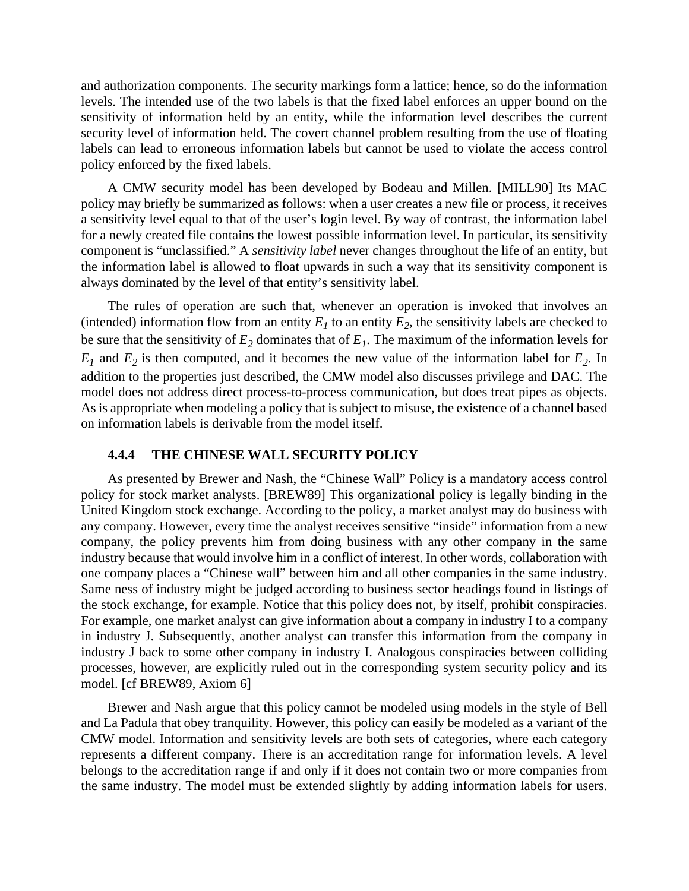and authorization components. The security markings form a lattice; hence, so do the information levels. The intended use of the two labels is that the fixed label enforces an upper bound on the sensitivity of information held by an entity, while the information level describes the current security level of information held. The covert channel problem resulting from the use of floating labels can lead to erroneous information labels but cannot be used to violate the access control policy enforced by the fixed labels.

A CMW security model has been developed by Bodeau and Millen. [MILL90] Its MAC policy may briefly be summarized as follows: when a user creates a new file or process, it receives a sensitivity level equal to that of the user's login level. By way of contrast, the information label for a newly created file contains the lowest possible information level. In particular, its sensitivity component is "unclassified." A *sensitivity label* never changes throughout the life of an entity, but the information label is allowed to float upwards in such a way that its sensitivity component is always dominated by the level of that entity's sensitivity label.

The rules of operation are such that, whenever an operation is invoked that involves an (intended) information flow from an entity  $E_1$  to an entity  $E_2$ , the sensitivity labels are checked to be sure that the sensitivity of  $E_2$  dominates that of  $E_1$ . The maximum of the information levels for  $E_1$  and  $E_2$  is then computed, and it becomes the new value of the information label for  $E_2$ . In addition to the properties just described, the CMW model also discusses privilege and DAC. The model does not address direct process-to-process communication, but does treat pipes as objects. As is appropriate when modeling a policy that is subject to misuse, the existence of a channel based on information labels is derivable from the model itself.

#### **4.4.4 THE CHINESE WALL SECURITY POLICY**

As presented by Brewer and Nash, the "Chinese Wall" Policy is a mandatory access control policy for stock market analysts. [BREW89] This organizational policy is legally binding in the United Kingdom stock exchange. According to the policy, a market analyst may do business with any company. However, every time the analyst receives sensitive "inside" information from a new company, the policy prevents him from doing business with any other company in the same industry because that would involve him in a conflict of interest. In other words, collaboration with one company places a "Chinese wall" between him and all other companies in the same industry. Same ness of industry might be judged according to business sector headings found in listings of the stock exchange, for example. Notice that this policy does not, by itself, prohibit conspiracies. For example, one market analyst can give information about a company in industry I to a company in industry J. Subsequently, another analyst can transfer this information from the company in industry J back to some other company in industry I. Analogous conspiracies between colliding processes, however, are explicitly ruled out in the corresponding system security policy and its model. [cf BREW89, Axiom 6]

Brewer and Nash argue that this policy cannot be modeled using models in the style of Bell and La Padula that obey tranquility. However, this policy can easily be modeled as a variant of the CMW model. Information and sensitivity levels are both sets of categories, where each category represents a different company. There is an accreditation range for information levels. A level belongs to the accreditation range if and only if it does not contain two or more companies from the same industry. The model must be extended slightly by adding information labels for users.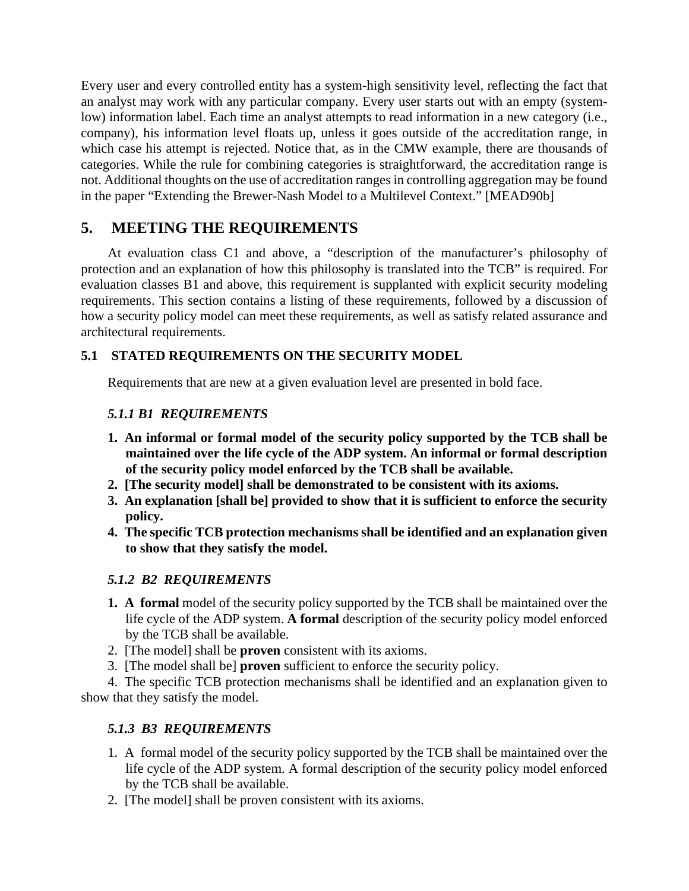Every user and every controlled entity has a system-high sensitivity level, reflecting the fact that an analyst may work with any particular company. Every user starts out with an empty (systemlow) information label. Each time an analyst attempts to read information in a new category (i.e., company), his information level floats up, unless it goes outside of the accreditation range, in which case his attempt is rejected. Notice that, as in the CMW example, there are thousands of categories. While the rule for combining categories is straightforward, the accreditation range is not. Additional thoughts on the use of accreditation ranges in controlling aggregation may be found in the paper "Extending the Brewer-Nash Model to a Multilevel Context." [MEAD90b]

# **5. MEETING THE REQUIREMENTS**

At evaluation class C1 and above, a "description of the manufacturer's philosophy of protection and an explanation of how this philosophy is translated into the TCB" is required. For evaluation classes B1 and above, this requirement is supplanted with explicit security modeling requirements. This section contains a listing of these requirements, followed by a discussion of how a security policy model can meet these requirements, as well as satisfy related assurance and architectural requirements.

## **5.1 STATED REQUIREMENTS ON THE SECURITY MODEL**

Requirements that are new at a given evaluation level are presented in bold face.

### *5.1.1 B1 REQUIREMENTS*

- **1. An informal or formal model of the security policy supported by the TCB shall be maintained over the life cycle of the ADP system. An informal or formal description of the security policy model enforced by the TCB shall be available.**
- **2. [The security model] shall be demonstrated to be consistent with its axioms.**
- **3. An explanation [shall be] provided to show that it is sufficient to enforce the security policy.**
- **4. The specific TCB protection mechanisms shall be identified and an explanation given to show that they satisfy the model.**

### *5.1.2 B2 REQUIREMENTS*

- **1. A formal** model of the security policy supported by the TCB shall be maintained over the life cycle of the ADP system. **A formal** description of the security policy model enforced by the TCB shall be available.
- 2. [The model] shall be **proven** consistent with its axioms.
- 3. [The model shall be] **proven** sufficient to enforce the security policy.

4. The specific TCB protection mechanisms shall be identified and an explanation given to show that they satisfy the model.

# *5.1.3 B3 REQUIREMENTS*

- 1. A formal model of the security policy supported by the TCB shall be maintained over the life cycle of the ADP system. A formal description of the security policy model enforced by the TCB shall be available.
- 2. [The model] shall be proven consistent with its axioms.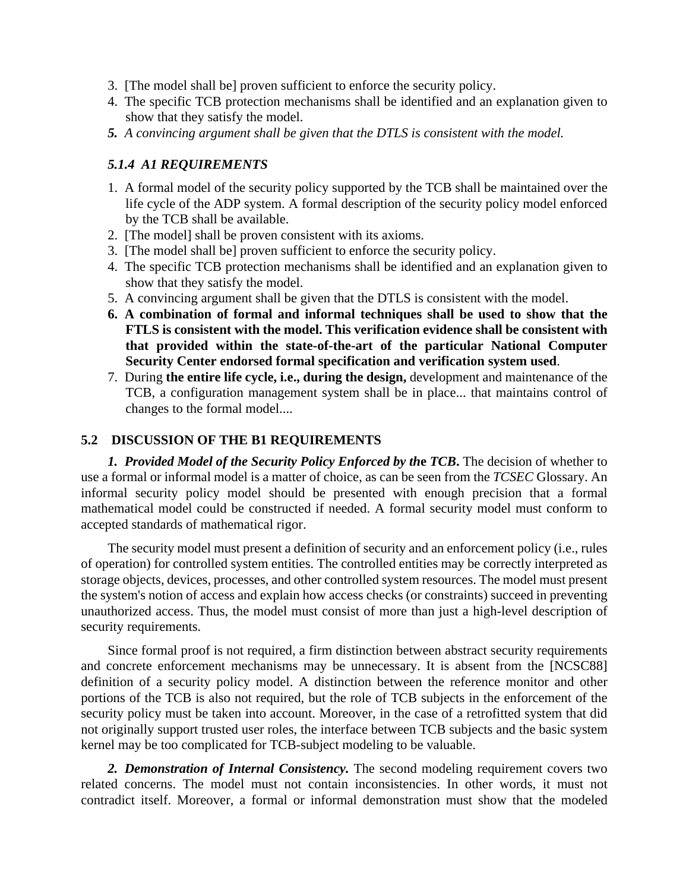- 3. [The model shall be] proven sufficient to enforce the security policy.
- 4. The specific TCB protection mechanisms shall be identified and an explanation given to show that they satisfy the model.
- *5. A convincing argument shall be given that the DTLS is consistent with the model.*

### *5.1.4 A1 REQUIREMENTS*

- 1. A formal model of the security policy supported by the TCB shall be maintained over the life cycle of the ADP system. A formal description of the security policy model enforced by the TCB shall be available.
- 2. [The model] shall be proven consistent with its axioms.
- 3. [The model shall be] proven sufficient to enforce the security policy.
- 4. The specific TCB protection mechanisms shall be identified and an explanation given to show that they satisfy the model.
- 5. A convincing argument shall be given that the DTLS is consistent with the model.
- **6. A combination of formal and informal techniques shall be used to show that the FTLS is consistent with the model. This verification evidence shall be consistent with that provided within the state-of-the-art of the particular National Computer Security Center endorsed formal specification and verification system used**.
- 7. During **the entire life cycle, i.e., during the design,** development and maintenance of the TCB, a configuration management system shall be in place... that maintains control of changes to the formal model....

### **5.2 DISCUSSION OF THE B1 REQUIREMENTS**

*1. Provided Model of the Security Policy Enforced by th***e** *TCB***.** The decision of whether to use a formal or informal model is a matter of choice, as can be seen from the *TCSEC* Glossary. An informal security policy model should be presented with enough precision that a formal mathematical model could be constructed if needed. A formal security model must conform to accepted standards of mathematical rigor.

The security model must present a definition of security and an enforcement policy (i.e., rules of operation) for controlled system entities. The controlled entities may be correctly interpreted as storage objects, devices, processes, and other controlled system resources. The model must present the system's notion of access and explain how access checks (or constraints) succeed in preventing unauthorized access. Thus, the model must consist of more than just a high-level description of security requirements.

Since formal proof is not required, a firm distinction between abstract security requirements and concrete enforcement mechanisms may be unnecessary. It is absent from the [NCSC88] definition of a security policy model. A distinction between the reference monitor and other portions of the TCB is also not required, but the role of TCB subjects in the enforcement of the security policy must be taken into account. Moreover, in the case of a retrofitted system that did not originally support trusted user roles, the interface between TCB subjects and the basic system kernel may be too complicated for TCB-subject modeling to be valuable.

*2. Demonstration of Internal Consistency.* The second modeling requirement covers two related concerns. The model must not contain inconsistencies. In other words, it must not contradict itself. Moreover, a formal or informal demonstration must show that the modeled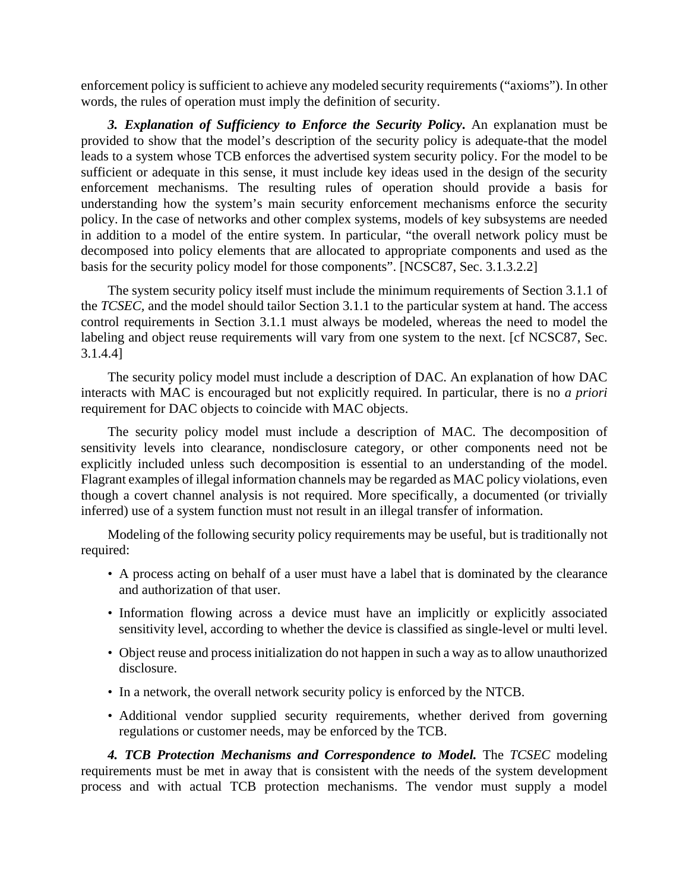enforcement policy is sufficient to achieve any modeled security requirements ("axioms"). In other words, the rules of operation must imply the definition of security.

*3. Explanation of Sufficiency to Enforce the Security Policy***.** An explanation must be provided to show that the model's description of the security policy is adequate-that the model leads to a system whose TCB enforces the advertised system security policy. For the model to be sufficient or adequate in this sense, it must include key ideas used in the design of the security enforcement mechanisms. The resulting rules of operation should provide a basis for understanding how the system's main security enforcement mechanisms enforce the security policy. In the case of networks and other complex systems, models of key subsystems are needed in addition to a model of the entire system. In particular, "the overall network policy must be decomposed into policy elements that are allocated to appropriate components and used as the basis for the security policy model for those components". [NCSC87, Sec. 3.1.3.2.2]

The system security policy itself must include the minimum requirements of Section 3.1.1 of the *TCSEC,* and the model should tailor Section 3.1.1 to the particular system at hand. The access control requirements in Section 3.1.1 must always be modeled, whereas the need to model the labeling and object reuse requirements will vary from one system to the next. [cf NCSC87, Sec. 3.1.4.4]

The security policy model must include a description of DAC. An explanation of how DAC interacts with MAC is encouraged but not explicitly required. In particular, there is no *a priori* requirement for DAC objects to coincide with MAC objects.

The security policy model must include a description of MAC. The decomposition of sensitivity levels into clearance, nondisclosure category, or other components need not be explicitly included unless such decomposition is essential to an understanding of the model. Flagrant examples of illegal information channels may be regarded as MAC policy violations, even though a covert channel analysis is not required. More specifically, a documented (or trivially inferred) use of a system function must not result in an illegal transfer of information.

Modeling of the following security policy requirements may be useful, but is traditionally not required:

- A process acting on behalf of a user must have a label that is dominated by the clearance and authorization of that user.
- Information flowing across a device must have an implicitly or explicitly associated sensitivity level, according to whether the device is classified as single-level or multi level.
- Object reuse and process initialization do not happen in such a way as to allow unauthorized disclosure.
- In a network, the overall network security policy is enforced by the NTCB.
- Additional vendor supplied security requirements, whether derived from governing regulations or customer needs, may be enforced by the TCB.

*4. TCB Protection Mechanisms and Correspondence to Model.* The *TCSEC* modeling requirements must be met in away that is consistent with the needs of the system development process and with actual TCB protection mechanisms. The vendor must supply a model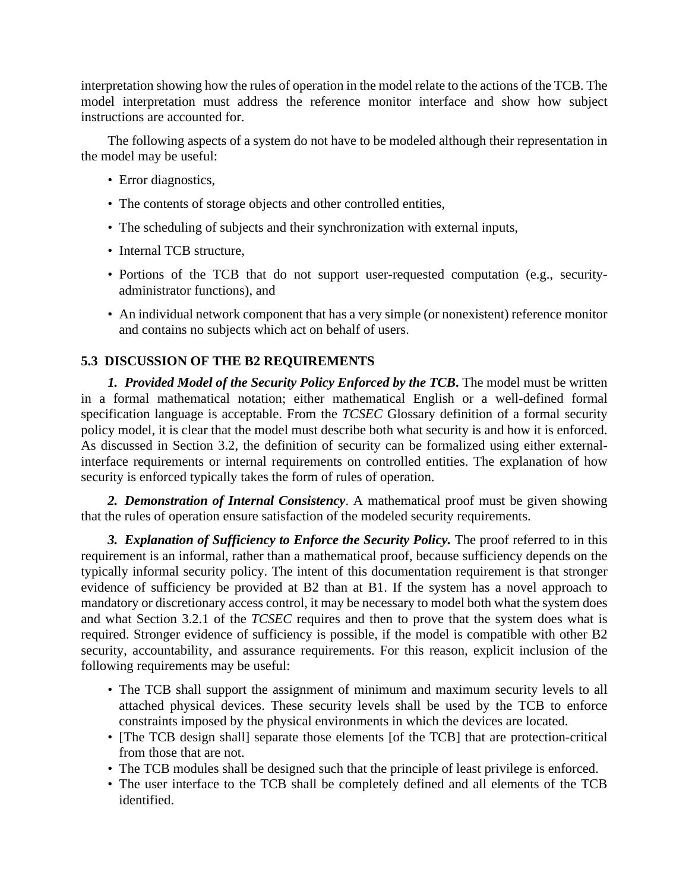interpretation showing how the rules of operation in the model relate to the actions of the TCB. The model interpretation must address the reference monitor interface and show how subject instructions are accounted for.

The following aspects of a system do not have to be modeled although their representation in the model may be useful:

- Error diagnostics,
- The contents of storage objects and other controlled entities,
- The scheduling of subjects and their synchronization with external inputs,
- Internal TCB structure,
- Portions of the TCB that do not support user-requested computation (e.g., securityadministrator functions), and
- An individual network component that has a very simple (or nonexistent) reference monitor and contains no subjects which act on behalf of users.

## **5.3 DISCUSSION OF THE B2 REQUIREMENTS**

*1. Provided Model of the Security Policy Enforced by the TCB***.** The model must be written in a formal mathematical notation; either mathematical English or a well-defined formal specification language is acceptable. From the *TCSEC* Glossary definition of a formal security policy model, it is clear that the model must describe both what security is and how it is enforced. As discussed in Section 3.2, the definition of security can be formalized using either externalinterface requirements or internal requirements on controlled entities. The explanation of how security is enforced typically takes the form of rules of operation.

*2. Demonstration of Internal Consistency*. A mathematical proof must be given showing that the rules of operation ensure satisfaction of the modeled security requirements.

*3. Explanation of Sufficiency to Enforce the Security Policy.* The proof referred to in this requirement is an informal, rather than a mathematical proof, because sufficiency depends on the typically informal security policy. The intent of this documentation requirement is that stronger evidence of sufficiency be provided at B2 than at B1. If the system has a novel approach to mandatory or discretionary access control, it may be necessary to model both what the system does and what Section 3.2.1 of the *TCSEC* requires and then to prove that the system does what is required. Stronger evidence of sufficiency is possible, if the model is compatible with other B2 security, accountability, and assurance requirements. For this reason, explicit inclusion of the following requirements may be useful:

- The TCB shall support the assignment of minimum and maximum security levels to all attached physical devices. These security levels shall be used by the TCB to enforce constraints imposed by the physical environments in which the devices are located.
- [The TCB design shall] separate those elements [of the TCB] that are protection-critical from those that are not.
- The TCB modules shall be designed such that the principle of least privilege is enforced.
- The user interface to the TCB shall be completely defined and all elements of the TCB identified.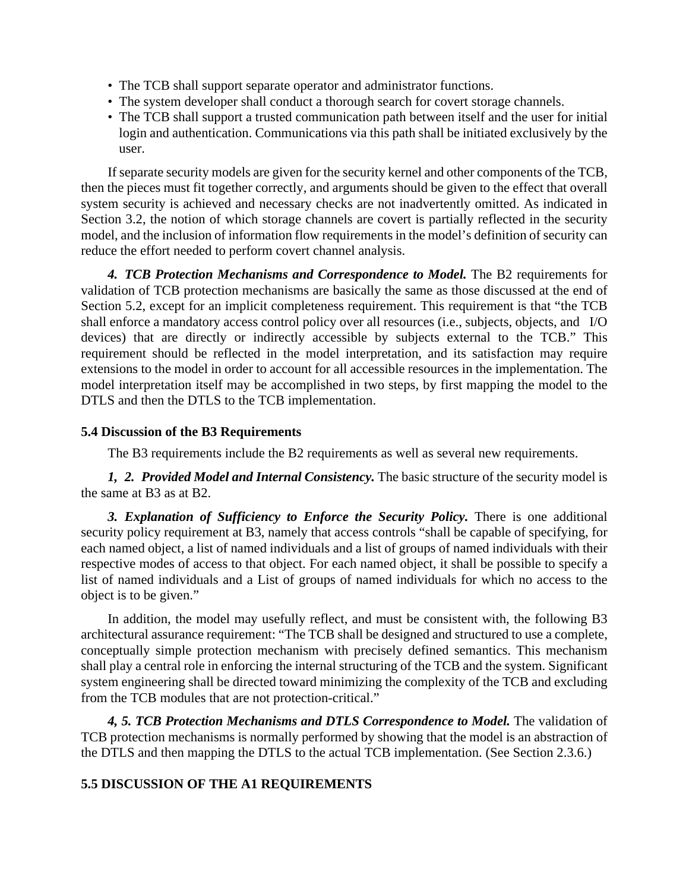- The TCB shall support separate operator and administrator functions.
- The system developer shall conduct a thorough search for covert storage channels.
- The TCB shall support a trusted communication path between itself and the user for initial login and authentication. Communications via this path shall be initiated exclusively by the user.

If separate security models are given for the security kernel and other components of the TCB, then the pieces must fit together correctly, and arguments should be given to the effect that overall system security is achieved and necessary checks are not inadvertently omitted. As indicated in Section 3.2, the notion of which storage channels are covert is partially reflected in the security model, and the inclusion of information flow requirements in the model's definition of security can reduce the effort needed to perform covert channel analysis.

*4. TCB Protection Mechanisms and Correspondence to Model.* The B2 requirements for validation of TCB protection mechanisms are basically the same as those discussed at the end of Section 5.2, except for an implicit completeness requirement. This requirement is that "the TCB shall enforce a mandatory access control policy over all resources (i.e., subjects, objects, and I/O devices) that are directly or indirectly accessible by subjects external to the TCB." This requirement should be reflected in the model interpretation, and its satisfaction may require extensions to the model in order to account for all accessible resources in the implementation. The model interpretation itself may be accomplished in two steps, by first mapping the model to the DTLS and then the DTLS to the TCB implementation.

## **5.4 Discussion of the B3 Requirements**

The B3 requirements include the B2 requirements as well as several new requirements.

*1, 2. Provided Model and Internal Consistency.* The basic structure of the security model is the same at B3 as at B2.

*3. Explanation of Sufficiency to Enforce the Security Policy.* There is one additional security policy requirement at B3, namely that access controls "shall be capable of specifying, for each named object, a list of named individuals and a list of groups of named individuals with their respective modes of access to that object. For each named object, it shall be possible to specify a list of named individuals and a List of groups of named individuals for which no access to the object is to be given."

In addition, the model may usefully reflect, and must be consistent with, the following B3 architectural assurance requirement: "The TCB shall be designed and structured to use a complete, conceptually simple protection mechanism with precisely defined semantics. This mechanism shall play a central role in enforcing the internal structuring of the TCB and the system. Significant system engineering shall be directed toward minimizing the complexity of the TCB and excluding from the TCB modules that are not protection-critical."

*4, 5. TCB Protection Mechanisms and DTLS Correspondence to Model.* The validation of TCB protection mechanisms is normally performed by showing that the model is an abstraction of the DTLS and then mapping the DTLS to the actual TCB implementation. (See Section 2.3.6.)

## **5.5 DISCUSSION OF THE A1 REQUIREMENTS**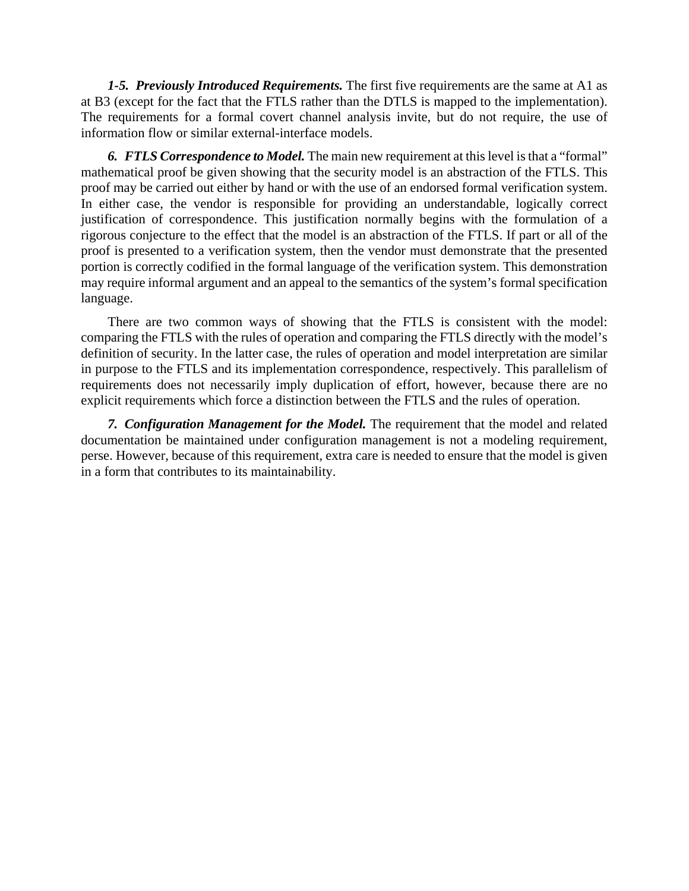*1-5. Previously Introduced Requirements.* The first five requirements are the same at A1 as at B3 (except for the fact that the FTLS rather than the DTLS is mapped to the implementation). The requirements for a formal covert channel analysis invite, but do not require, the use of information flow or similar external-interface models.

*6. FTLS Correspondence to Model.* The main new requirement at this level is that a "formal" mathematical proof be given showing that the security model is an abstraction of the FTLS. This proof may be carried out either by hand or with the use of an endorsed formal verification system. In either case, the vendor is responsible for providing an understandable, logically correct justification of correspondence. This justification normally begins with the formulation of a rigorous conjecture to the effect that the model is an abstraction of the FTLS. If part or all of the proof is presented to a verification system, then the vendor must demonstrate that the presented portion is correctly codified in the formal language of the verification system. This demonstration may require informal argument and an appeal to the semantics of the system's formal specification language.

There are two common ways of showing that the FTLS is consistent with the model: comparing the FTLS with the rules of operation and comparing the FTLS directly with the model's definition of security. In the latter case, the rules of operation and model interpretation are similar in purpose to the FTLS and its implementation correspondence, respectively. This parallelism of requirements does not necessarily imply duplication of effort, however, because there are no explicit requirements which force a distinction between the FTLS and the rules of operation.

*7. Configuration Management for the Model.* The requirement that the model and related documentation be maintained under configuration management is not a modeling requirement, perse. However, because of this requirement, extra care is needed to ensure that the model is given in a form that contributes to its maintainability.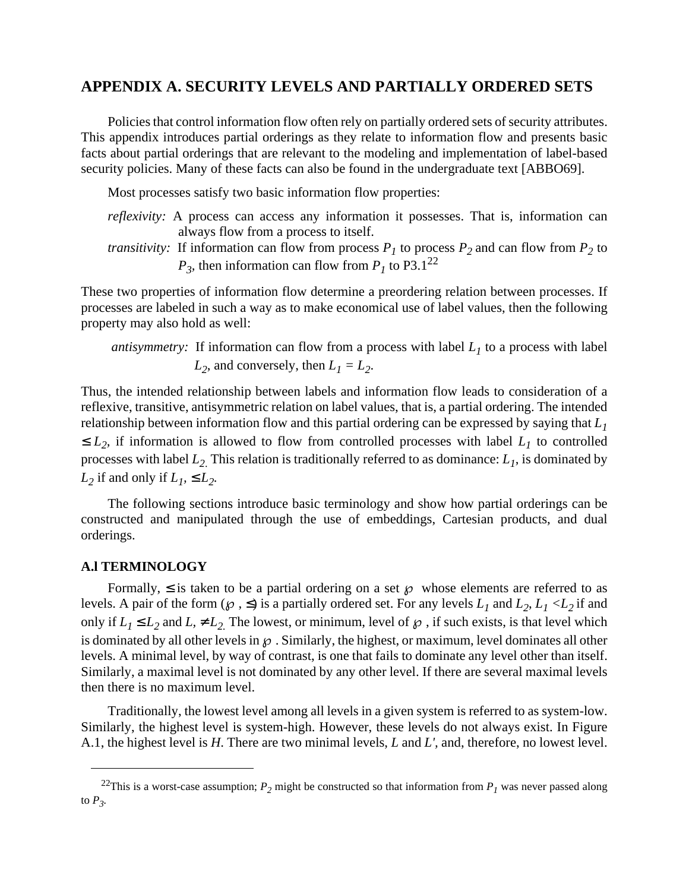# **APPENDIX A. SECURITY LEVELS AND PARTIALLY ORDERED SETS**

Policies that control information flow often rely on partially ordered sets of security attributes. This appendix introduces partial orderings as they relate to information flow and presents basic facts about partial orderings that are relevant to the modeling and implementation of label-based security policies. Many of these facts can also be found in the undergraduate text [ABBO69].

Most processes satisfy two basic information flow properties:

- *reflexivity:* A process can access any information it possesses. That is, information can always flow from a process to itself.
- *transitivity:* If information can flow from process  $P_1$  to process  $P_2$  and can flow from  $P_2$  to  $P_3$ , then information can flow from  $P_1$  to P3.1<sup>22</sup>

These two properties of information flow determine a preordering relation between processes. If processes are labeled in such a way as to make economical use of label values, then the following property may also hold as well:

*antisymmetry:* If information can flow from a process with label  $L_1$  to a process with label  $L_2$ , and conversely, then  $L_1 = L_2$ .

Thus, the intended relationship between labels and information flow leads to consideration of a reflexive, transitive, antisymmetric relation on label values, that is, a partial ordering. The intended relationship between information flow and this partial ordering can be expressed by saying that *L1*  $\leq L_2$ , if information is allowed to flow from controlled processes with label  $L_1$  to controlled processes with label *L2*. This relation is traditionally referred to as dominance: *L1*, is dominated by *L*<sub>2</sub> if and only if  $L_1$ ,  $\leq L_2$ .

The following sections introduce basic terminology and show how partial orderings can be constructed and manipulated through the use of embeddings, Cartesian products, and dual orderings.

## **A.l TERMINOLOGY**

Formally,  $\leq$  is taken to be a partial ordering on a set  $\wp$  whose elements are referred to as levels. A pair of the form ( $\wp$ ,  $\leq$ ) is a partially ordered set. For any levels  $L_1$  and  $L_2$ ,  $L_1 < L_2$  if and only if  $L_1 \le L_2$  and  $L_1 \ne L_2$ . The lowest, or minimum, level of  $\wp$ , if such exists, is that level which is dominated by all other levels in  $\wp$ . Similarly, the highest, or maximum, level dominates all other levels. A minimal level, by way of contrast, is one that fails to dominate any level other than itself. Similarly, a maximal level is not dominated by any other level. If there are several maximal levels then there is no maximum level.

Traditionally, the lowest level among all levels in a given system is referred to as system-low. Similarly, the highest level is system-high. However, these levels do not always exist. In Figure A.1, the highest level is *H*. There are two minimal levels, *L* and *L',* and, therefore, no lowest level.

<sup>&</sup>lt;sup>22</sup>This is a worst-case assumption;  $P_2$  might be constructed so that information from  $P_1$  was never passed along to  $P_3$ .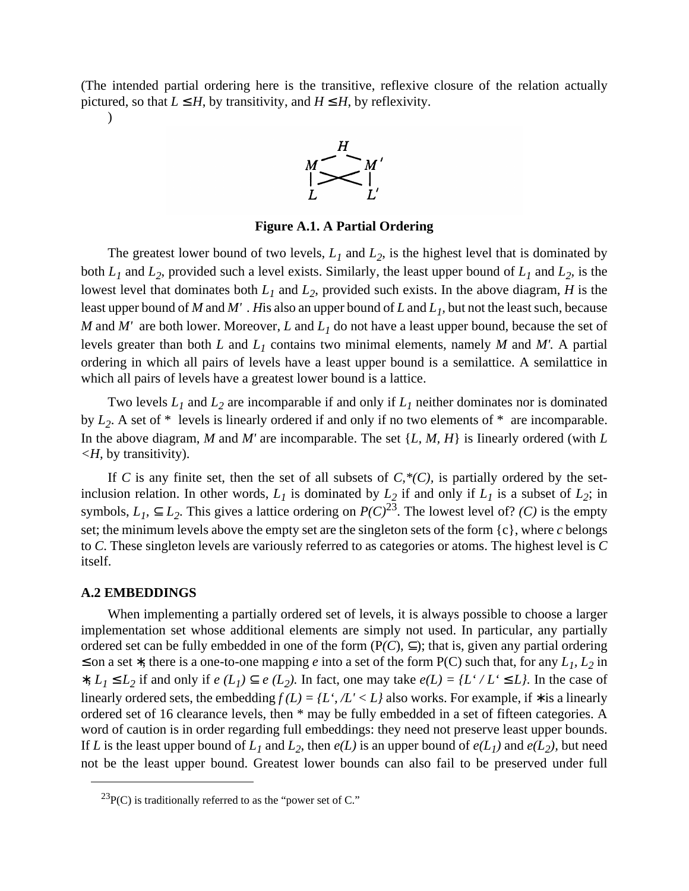(The intended partial ordering here is the transitive, reflexive closure of the relation actually pictured, so that  $L \leq H$ , by transitivity, and  $H \leq H$ , by reflexivity.



**Figure A.1. A Partial Ordering**

The greatest lower bound of two levels,  $L_1$  and  $L_2$ , is the highest level that is dominated by both  $L_1$  and  $L_2$ , provided such a level exists. Similarly, the least upper bound of  $L_1$  and  $L_2$ , is the lowest level that dominates both  $L_1$  and  $L_2$ , provided such exists. In the above diagram, *H* is the least upper bound of *M* and *M' . H*is also an upper bound of *L* and *L1,* but not the least such, because *M* and *M'* are both lower. Moreover, *L* and *L1* do not have a least upper bound, because the set of levels greater than both *L* and *L1* contains two minimal elements, namely *M* and *M'.* A partial ordering in which all pairs of levels have a least upper bound is a semilattice. A semilattice in which all pairs of levels have a greatest lower bound is a lattice.

Two levels *L1* and *L2* are incomparable if and only if *L1* neither dominates nor is dominated by  $L_2$ . A set of \* levels is linearly ordered if and only if no two elements of \* are incomparable. In the above diagram, *M* and *M'* are incomparable. The set {*L, M, H*} is Iinearly ordered (with *L <H,* by transitivity).

If C is any finite set, then the set of all subsets of  $C, *({\cal C})$ , is partially ordered by the setinclusion relation. In other words,  $L_1$  is dominated by  $L_2$  if and only if  $L_1$  is a subset of  $L_2$ ; in symbols,  $L_1$ ,  $\subseteq L_2$ . This gives a lattice ordering on  $P(C)^{23}$ . The lowest level of? *(C)* is the empty set; the minimum levels above the empty set are the singleton sets of the form {c}, where *c* belongs to *C*. These singleton levels are variously referred to as categories or atoms. The highest level is *C* itself.

#### **A.2 EMBEDDINGS**

 $\lambda$ 

When implementing a partially ordered set of levels, it is always possible to choose a larger implementation set whose additional elements are simply not used. In particular, any partially ordered set can be fully embedded in one of the form  $(P(C), \subseteq)$ ; that is, given any partial ordering ≤ on a set  $*$ , there is a one-to-one mapping *e* into a set of the form P(C) such that, for any  $L_1$ ,  $L_2$  in *\**,  $L_1 \le L_2$  if and only if *e* ( $L_1$ ) ⊆ *e* ( $L_2$ ). In fact, one may take *e*( $L$ ) = { $L^2 / L^2 \le L$ }. In the case of linearly ordered sets, the embedding  $f(L) = \{L^*, /L^* < L\}$  also works. For example, if \* is a linearly ordered set of 16 clearance levels, then \* may be fully embedded in a set of fifteen categories. A word of caution is in order regarding full embeddings: they need not preserve least upper bounds. If *L* is the least upper bound of  $L_1$  and  $L_2$ , then  $e(L)$  is an upper bound of  $e(L_1)$  and  $e(L_2)$ , but need not be the least upper bound. Greatest lower bounds can also fail to be preserved under full

 $^{23}P(C)$  is traditionally referred to as the "power set of C."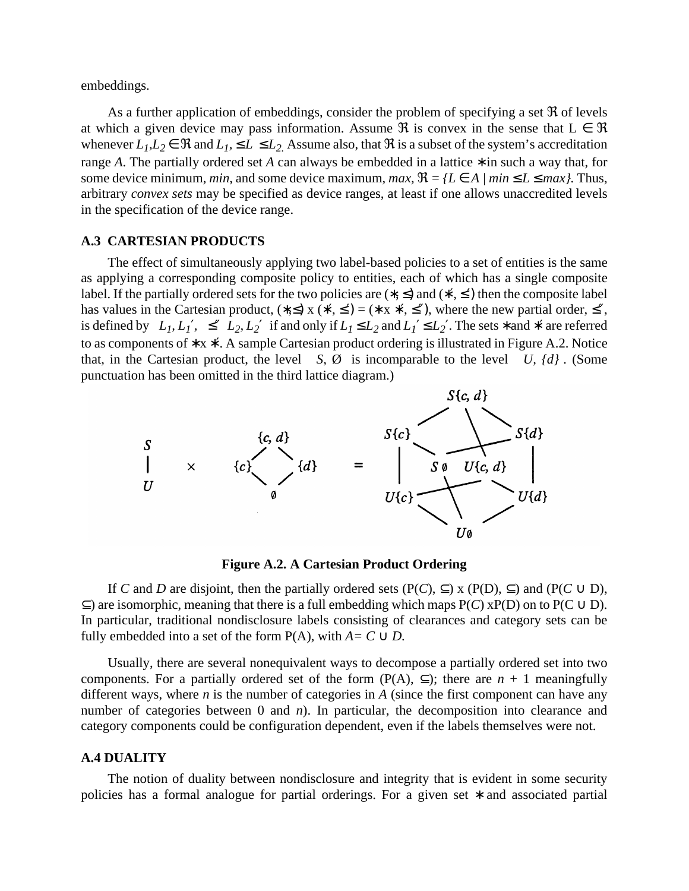embeddings.

As a further application of embeddings, consider the problem of specifying a set  $\Re$  of levels at which a given device may pass information. Assume  $\Re$  is convex in the sense that  $L \in \Re$ whenever  $L_1, L_2 \in \Re$  and  $L_1, \le L \le L_2$ . Assume also, that  $\Re$  is a subset of the system's accreditation range *A*. The partially ordered set *A* can always be embedded in a lattice ∗ in such a way that, for some device minimum, *min*, and some device maximum, *max*,  $\Re = \{L \in A \mid min \le L \le max\}$ . Thus, arbitrary *convex sets* may be specified as device ranges, at least if one allows unaccredited levels in the specification of the device range.

#### **A.3 CARTESIAN PRODUCTS**

The effect of simultaneously applying two label-based policies to a set of entities is the same as applying a corresponding composite policy to entities, each of which has a single composite label. If the partially ordered sets for the two policies are  $(*, \leq)$  and  $(*', \leq')$  then the composite label has values in the Cartesian product,  $(*, \leq)$  x  $(*', \leq') = (* x *, \leq'')$ , where the new partial order,  $\leq''$ , is defined by  $\langle L_1, L_1' \rangle \leq'' \langle L_2, L_2' \rangle$  if and only if  $L_1 \leq L_2$  and  $L_1' \leq L_2'$ . The sets \* and \*' are referred to as components of ∗ x ∗′. A sample Cartesian product ordering is illustrated in Figure A.2. Notice that, in the Cartesian product, the level  $\langle S, \emptyset \rangle$  is incomparable to the level  $\langle U, \{d\}\rangle$ . (Some punctuation has been omitted in the third lattice diagram.)



**Figure A.2. A Cartesian Product Ordering**

If *C* and *D* are disjoint, then the partially ordered sets ( $P(C)$ ,  $\subseteq$ ) x ( $P(D)$ ,  $\subseteq$ ) and ( $P(C \cup D)$ ,  $\subseteq$ ) are isomorphic, meaning that there is a full embedding which maps P(*C*) xP(D) on to P(C  $\cup$  D). In particular, traditional nondisclosure labels consisting of clearances and category sets can be fully embedded into a set of the form  $P(A)$ , with  $A = C \cup D$ .

Usually, there are several nonequivalent ways to decompose a partially ordered set into two components. For a partially ordered set of the form  $(P(A), \subseteq)$ ; there are *n* + 1 meaningfully different ways, where *n* is the number of categories in *A* (since the first component can have any number of categories between 0 and *n*). In particular, the decomposition into clearance and category components could be configuration dependent, even if the labels themselves were not.

#### **A.4 DUALITY**

The notion of duality between nondisclosure and integrity that is evident in some security policies has a formal analogue for partial orderings. For a given set \* and associated partial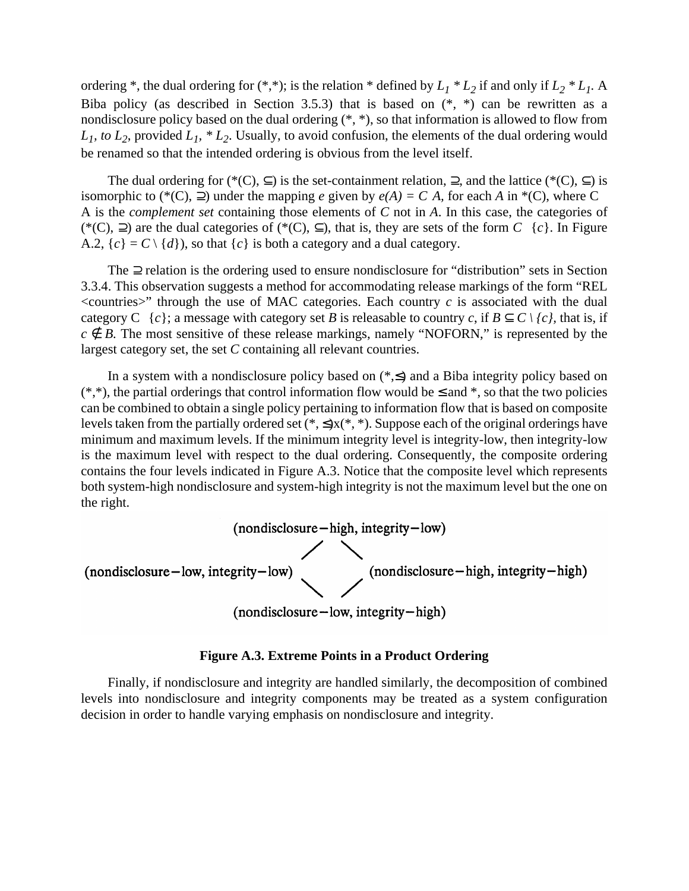ordering \*, the dual ordering for  $(*, *)$ ; is the relation \* defined by  $L_1 * L_2$  if and only if  $L_2 * L_1$ . A Biba policy (as described in Section 3.5.3) that is based on  $(*, *)$  can be rewritten as a nondisclosure policy based on the dual ordering (\*, \*), so that information is allowed to flow from  $L_1$ , to  $L_2$ , provided  $L_1$ ,  $L_2$ . Usually, to avoid confusion, the elements of the dual ordering would be renamed so that the intended ordering is obvious from the level itself.

The dual ordering for (\*(C),  $\subset$ ) is the set-containment relation,  $\supset$ , and the lattice (\*(C),  $\subset$ ) is isomorphic to (\*(C),  $\supseteq$ ) under the mapping *e* given by  $e(A) = C|A|$ , for each *A* in \*(C), where C A is the *complement set* containing those elements of *C* not in *A*. In this case, the categories of (\*(C),  $\supseteq$ ) are the dual categories of (\*(C),  $\subseteq$ ), that is, they are sets of the form *C* | {*c*}. In Figure A.2,  ${c} = C \setminus {d}$ , so that  ${c}$  is both a category and a dual category.

The ⊇ relation is the ordering used to ensure nondisclosure for "distribution" sets in Section 3.3.4. This observation suggests a method for accommodating release markings of the form "REL  $\leq$ countries $\geq$ " through the use of MAC categories. Each country *c* is associated with the dual category C { $c$ }; a message with category set *B* is releasable to country *c*, if  $B \subset C \setminus \{c\}$ , that is, if  $c \notin B$ . The most sensitive of these release markings, namely "NOFORN," is represented by the largest category set, the set *C* containing all relevant countries.

In a system with a nondisclosure policy based on  $(*\leq)$  and a Biba integrity policy based on  $(*,*)$ , the partial orderings that control information flow would be  $\leq$  and  $*$ , so that the two policies can be combined to obtain a single policy pertaining to information flow that is based on composite levels taken from the partially ordered set  $(*, \leq)$ x $(*, *)$ . Suppose each of the original orderings have minimum and maximum levels. If the minimum integrity level is integrity-low, then integrity-low is the maximum level with respect to the dual ordering. Consequently, the composite ordering contains the four levels indicated in Figure A.3. Notice that the composite level which represents both system-high nondisclosure and system-high integrity is not the maximum level but the one on the right.



### **Figure A.3. Extreme Points in a Product Ordering**

Finally, if nondisclosure and integrity are handled similarly, the decomposition of combined levels into nondisclosure and integrity components may be treated as a system configuration decision in order to handle varying emphasis on nondisclosure and integrity.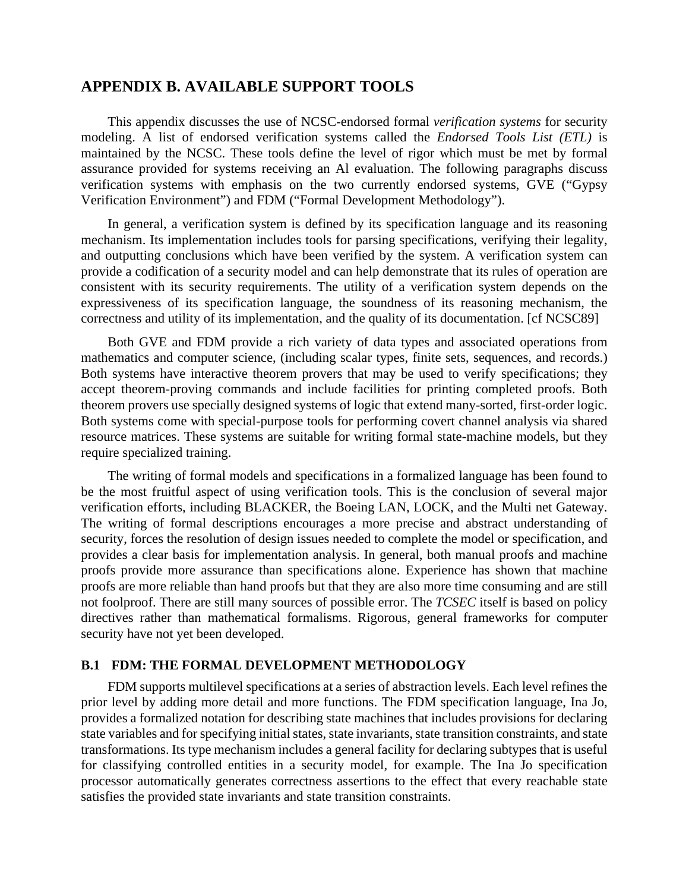## **APPENDIX B. AVAILABLE SUPPORT TOOLS**

This appendix discusses the use of NCSC-endorsed formal *verification systems* for security modeling. A list of endorsed verification systems called the *Endorsed Tools List (ETL)* is maintained by the NCSC. These tools define the level of rigor which must be met by formal assurance provided for systems receiving an Al evaluation. The following paragraphs discuss verification systems with emphasis on the two currently endorsed systems, GVE ("Gypsy Verification Environment") and FDM ("Formal Development Methodology").

In general, a verification system is defined by its specification language and its reasoning mechanism. Its implementation includes tools for parsing specifications, verifying their legality, and outputting conclusions which have been verified by the system. A verification system can provide a codification of a security model and can help demonstrate that its rules of operation are consistent with its security requirements. The utility of a verification system depends on the expressiveness of its specification language, the soundness of its reasoning mechanism, the correctness and utility of its implementation, and the quality of its documentation. [cf NCSC89]

Both GVE and FDM provide a rich variety of data types and associated operations from mathematics and computer science, (including scalar types, finite sets, sequences, and records.) Both systems have interactive theorem provers that may be used to verify specifications; they accept theorem-proving commands and include facilities for printing completed proofs. Both theorem provers use specially designed systems of logic that extend many-sorted, first-order logic. Both systems come with special-purpose tools for performing covert channel analysis via shared resource matrices. These systems are suitable for writing formal state-machine models, but they require specialized training.

The writing of formal models and specifications in a formalized language has been found to be the most fruitful aspect of using verification tools. This is the conclusion of several major verification efforts, including BLACKER, the Boeing LAN, LOCK, and the Multi net Gateway. The writing of formal descriptions encourages a more precise and abstract understanding of security, forces the resolution of design issues needed to complete the model or specification, and provides a clear basis for implementation analysis. In general, both manual proofs and machine proofs provide more assurance than specifications alone. Experience has shown that machine proofs are more reliable than hand proofs but that they are also more time consuming and are still not foolproof. There are still many sources of possible error. The *TCSEC* itself is based on policy directives rather than mathematical formalisms. Rigorous, general frameworks for computer security have not yet been developed.

## **B.1 FDM: THE FORMAL DEVELOPMENT METHODOLOGY**

FDM supports multilevel specifications at a series of abstraction levels. Each level refines the prior level by adding more detail and more functions. The FDM specification language, Ina Jo, provides a formalized notation for describing state machines that includes provisions for declaring state variables and for specifying initial states, state invariants, state transition constraints, and state transformations. Its type mechanism includes a general facility for declaring subtypes that is useful for classifying controlled entities in a security model, for example. The Ina Jo specification processor automatically generates correctness assertions to the effect that every reachable state satisfies the provided state invariants and state transition constraints.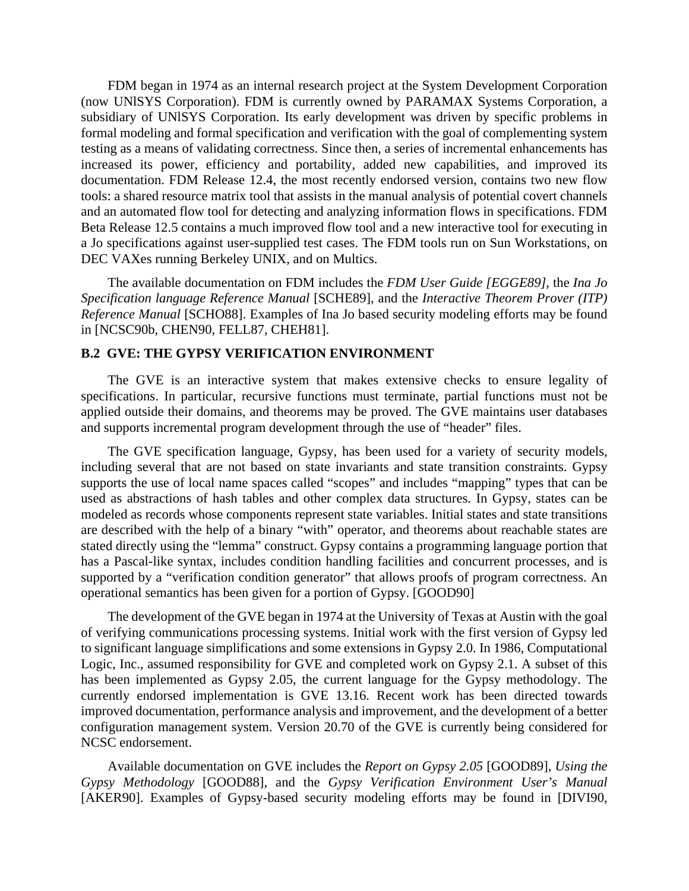FDM began in 1974 as an internal research project at the System Development Corporation (now UNlSYS Corporation). FDM is currently owned by PARAMAX Systems Corporation, a subsidiary of UNlSYS Corporation. Its early development was driven by specific problems in formal modeling and formal specification and verification with the goal of complementing system testing as a means of validating correctness. Since then, a series of incremental enhancements has increased its power, efficiency and portability, added new capabilities, and improved its documentation. FDM Release 12.4, the most recently endorsed version, contains two new flow tools: a shared resource matrix tool that assists in the manual analysis of potential covert channels and an automated flow tool for detecting and analyzing information flows in specifications. FDM Beta Release 12.5 contains a much improved flow tool and a new interactive tool for executing in a Jo specifications against user-supplied test cases. The FDM tools run on Sun Workstations, on DEC VAXes running Berkeley UNIX, and on Multics.

The available documentation on FDM includes the *FDM User Guide [EGGE89]*, the *Ina Jo Specification language Reference Manual* [SCHE89], and the *Interactive Theorem Prover (ITP) Reference Manual* [SCHO88]. Examples of Ina Jo based security modeling efforts may be found in [NCSC90b, CHEN90, FELL87, CHEH81].

## **B.2 GVE: THE GYPSY VERIFICATION ENVIRONMENT**

The GVE is an interactive system that makes extensive checks to ensure legality of specifications. In particular, recursive functions must terminate, partial functions must not be applied outside their domains, and theorems may be proved. The GVE maintains user databases and supports incremental program development through the use of "header" files.

The GVE specification language, Gypsy, has been used for a variety of security models, including several that are not based on state invariants and state transition constraints. Gypsy supports the use of local name spaces called "scopes" and includes "mapping" types that can be used as abstractions of hash tables and other complex data structures. In Gypsy, states can be modeled as records whose components represent state variables. Initial states and state transitions are described with the help of a binary "with" operator, and theorems about reachable states are stated directly using the "lemma" construct. Gypsy contains a programming language portion that has a Pascal-like syntax, includes condition handling facilities and concurrent processes, and is supported by a "verification condition generator" that allows proofs of program correctness. An operational semantics has been given for a portion of Gypsy. [GOOD90]

The development of the GVE began in 1974 at the University of Texas at Austin with the goal of verifying communications processing systems. Initial work with the first version of Gypsy led to significant language simplifications and some extensions in Gypsy 2.0. In 1986, Computational Logic, Inc., assumed responsibility for GVE and completed work on Gypsy 2.1. A subset of this has been implemented as Gypsy 2.05, the current language for the Gypsy methodology. The currently endorsed implementation is GVE 13.16. Recent work has been directed towards improved documentation, performance analysis and improvement, and the development of a better configuration management system. Version 20.70 of the GVE is currently being considered for NCSC endorsement.

Available documentation on GVE includes the *Report on Gypsy 2.05* [GOOD89], *Using the Gypsy Methodology* [GOOD88], and the *Gypsy Verification Environment User's Manual* [AKER90]. Examples of Gypsy-based security modeling efforts may be found in [DIVI90,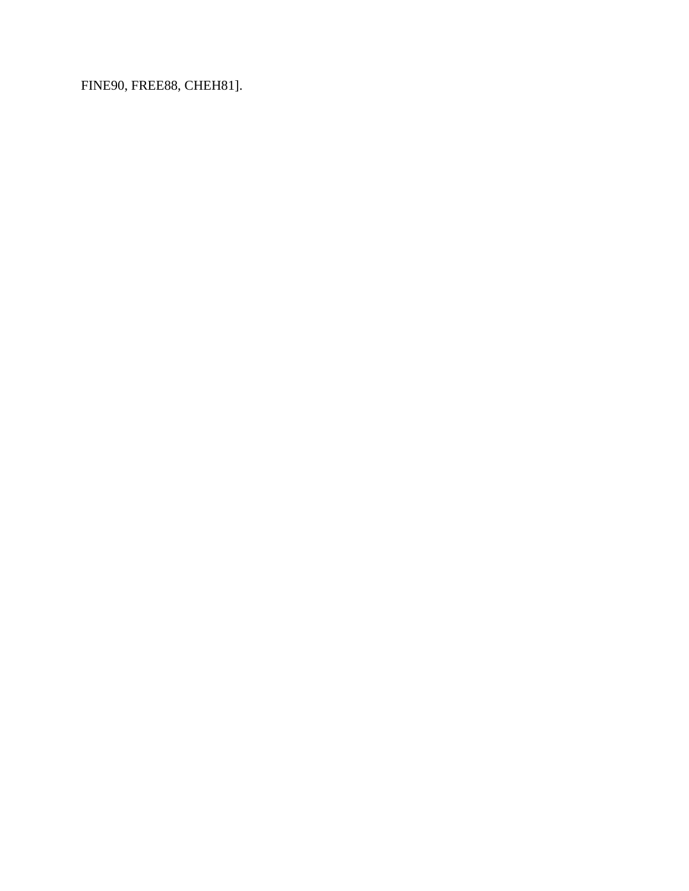FINE90, FREE88, CHEH81].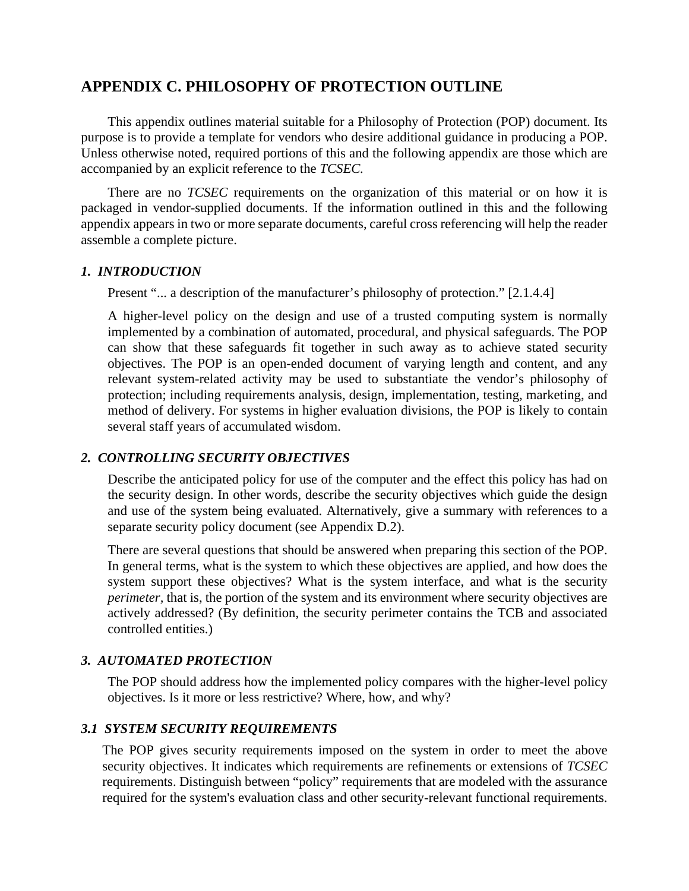# **APPENDIX C. PHILOSOPHY OF PROTECTION OUTLINE**

This appendix outlines material suitable for a Philosophy of Protection (POP) document. Its purpose is to provide a template for vendors who desire additional guidance in producing a POP. Unless otherwise noted, required portions of this and the following appendix are those which are accompanied by an explicit reference to the *TCSEC.*

There are no *TCSEC* requirements on the organization of this material or on how it is packaged in vendor-supplied documents. If the information outlined in this and the following appendix appears in two or more separate documents, careful cross referencing will help the reader assemble a complete picture.

## *1. INTRODUCTION*

Present "... a description of the manufacturer's philosophy of protection." [2.1.4.4]

A higher-level policy on the design and use of a trusted computing system is normally implemented by a combination of automated, procedural, and physical safeguards. The POP can show that these safeguards fit together in such away as to achieve stated security objectives. The POP is an open-ended document of varying length and content, and any relevant system-related activity may be used to substantiate the vendor's philosophy of protection; including requirements analysis, design, implementation, testing, marketing, and method of delivery. For systems in higher evaluation divisions, the POP is likely to contain several staff years of accumulated wisdom.

# *2. CONTROLLING SECURITY OBJECTIVES*

Describe the anticipated policy for use of the computer and the effect this policy has had on the security design. In other words, describe the security objectives which guide the design and use of the system being evaluated. Alternatively, give a summary with references to a separate security policy document (see Appendix D.2).

There are several questions that should be answered when preparing this section of the POP. In general terms, what is the system to which these objectives are applied, and how does the system support these objectives? What is the system interface, and what is the security *perimeter*, that is, the portion of the system and its environment where security objectives are actively addressed? (By definition, the security perimeter contains the TCB and associated controlled entities.)

## *3. AUTOMATED PROTECTION*

The POP should address how the implemented policy compares with the higher-level policy objectives. Is it more or less restrictive? Where, how, and why?

## *3.1 SYSTEM SECURITY REQUIREMENTS*

The POP gives security requirements imposed on the system in order to meet the above security objectives. It indicates which requirements are refinements or extensions of *TCSEC* requirements. Distinguish between "policy" requirements that are modeled with the assurance required for the system's evaluation class and other security-relevant functional requirements.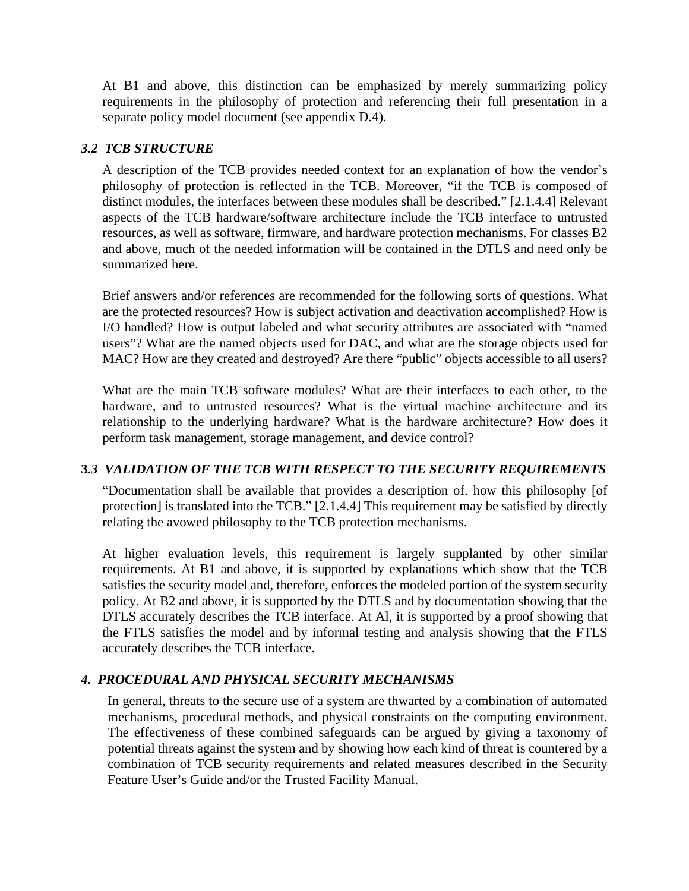At B1 and above, this distinction can be emphasized by merely summarizing policy requirements in the philosophy of protection and referencing their full presentation in a separate policy model document (see appendix D.4).

## *3.2 TCB STRUCTURE*

A description of the TCB provides needed context for an explanation of how the vendor's philosophy of protection is reflected in the TCB. Moreover, "if the TCB is composed of distinct modules, the interfaces between these modules shall be described." [2.1.4.4] Relevant aspects of the TCB hardware/software architecture include the TCB interface to untrusted resources, as well as software, firmware, and hardware protection mechanisms. For classes B2 and above, much of the needed information will be contained in the DTLS and need only be summarized here.

Brief answers and/or references are recommended for the following sorts of questions. What are the protected resources? How is subject activation and deactivation accomplished? How is I/O handled? How is output labeled and what security attributes are associated with "named users"? What are the named objects used for DAC, and what are the storage objects used for MAC? How are they created and destroyed? Are there "public" objects accessible to all users?

What are the main TCB software modules? What are their interfaces to each other, to the hardware, and to untrusted resources? What is the virtual machine architecture and its relationship to the underlying hardware? What is the hardware architecture? How does it perform task management, storage management, and device control?

## **3***.3 VALIDATION OF THE TCB WITH RESPECT TO THE SECURITY REQUIREMENTS*

"Documentation shall be available that provides a description of. how this philosophy [of protection] is translated into the TCB." [2.1.4.4] This requirement may be satisfied by directly relating the avowed philosophy to the TCB protection mechanisms.

At higher evaluation levels, this requirement is largely supplanted by other similar requirements. At B1 and above, it is supported by explanations which show that the TCB satisfies the security model and, therefore, enforces the modeled portion of the system security policy. At B2 and above, it is supported by the DTLS and by documentation showing that the DTLS accurately describes the TCB interface. At Al, it is supported by a proof showing that the FTLS satisfies the model and by informal testing and analysis showing that the FTLS accurately describes the TCB interface.

## *4. PROCEDURAL AND PHYSICAL SECURITY MECHANISMS*

In general, threats to the secure use of a system are thwarted by a combination of automated mechanisms, procedural methods, and physical constraints on the computing environment. The effectiveness of these combined safeguards can be argued by giving a taxonomy of potential threats against the system and by showing how each kind of threat is countered by a combination of TCB security requirements and related measures described in the Security Feature User's Guide and/or the Trusted Facility Manual.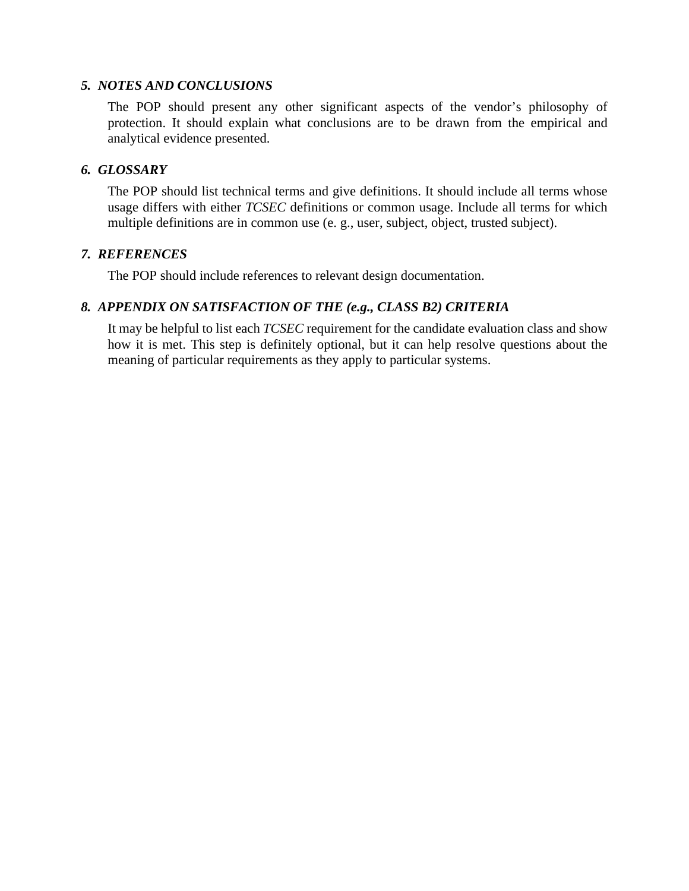## *5. NOTES AND CONCLUSIONS*

The POP should present any other significant aspects of the vendor's philosophy of protection. It should explain what conclusions are to be drawn from the empirical and analytical evidence presented.

## *6. GLOSSARY*

The POP should list technical terms and give definitions. It should include all terms whose usage differs with either *TCSEC* definitions or common usage. Include all terms for which multiple definitions are in common use (e. g., user, subject, object, trusted subject).

## *7. REFERENCES*

The POP should include references to relevant design documentation.

## *8. APPENDIX ON SATISFACTION OF THE (e.g., CLASS B2) CRITERIA*

It may be helpful to list each *TCSEC* requirement for the candidate evaluation class and show how it is met. This step is definitely optional, but it can help resolve questions about the meaning of particular requirements as they apply to particular systems.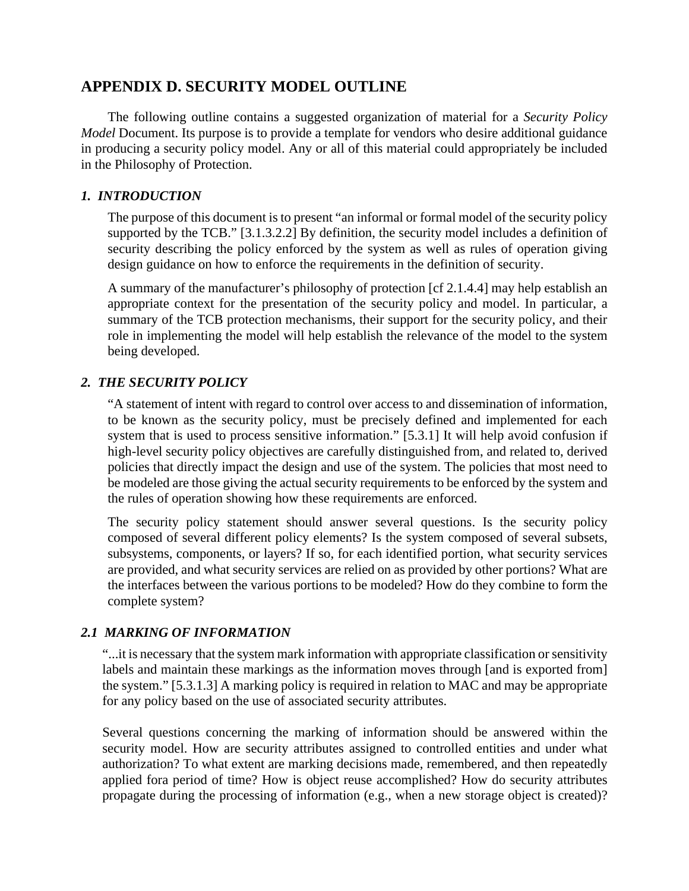# **APPENDIX D. SECURITY MODEL OUTLINE**

The following outline contains a suggested organization of material for a *Security Policy Model* Document. Its purpose is to provide a template for vendors who desire additional guidance in producing a security policy model. Any or all of this material could appropriately be included in the Philosophy of Protection.

## *1. INTRODUCTION*

The purpose of this document is to present "an informal or formal model of the security policy supported by the TCB." [3.1.3.2.2] By definition, the security model includes a definition of security describing the policy enforced by the system as well as rules of operation giving design guidance on how to enforce the requirements in the definition of security.

A summary of the manufacturer's philosophy of protection [cf 2.1.4.4] may help establish an appropriate context for the presentation of the security policy and model. In particular, a summary of the TCB protection mechanisms, their support for the security policy, and their role in implementing the model will help establish the relevance of the model to the system being developed.

## *2. THE SECURITY POLICY*

"A statement of intent with regard to control over access to and dissemination of information, to be known as the security policy, must be precisely defined and implemented for each system that is used to process sensitive information." [5.3.1] It will help avoid confusion if high-level security policy objectives are carefully distinguished from, and related to, derived policies that directly impact the design and use of the system. The policies that most need to be modeled are those giving the actual security requirements to be enforced by the system and the rules of operation showing how these requirements are enforced.

The security policy statement should answer several questions. Is the security policy composed of several different policy elements? Is the system composed of several subsets, subsystems, components, or layers? If so, for each identified portion, what security services are provided, and what security services are relied on as provided by other portions? What are the interfaces between the various portions to be modeled? How do they combine to form the complete system?

## *2.1 MARKING OF INFORMATION*

"...it is necessary that the system mark information with appropriate classification or sensitivity labels and maintain these markings as the information moves through [and is exported from] the system." [5.3.1.3] A marking policy is required in relation to MAC and may be appropriate for any policy based on the use of associated security attributes.

Several questions concerning the marking of information should be answered within the security model. How are security attributes assigned to controlled entities and under what authorization? To what extent are marking decisions made, remembered, and then repeatedly applied fora period of time? How is object reuse accomplished? How do security attributes propagate during the processing of information (e.g., when a new storage object is created)?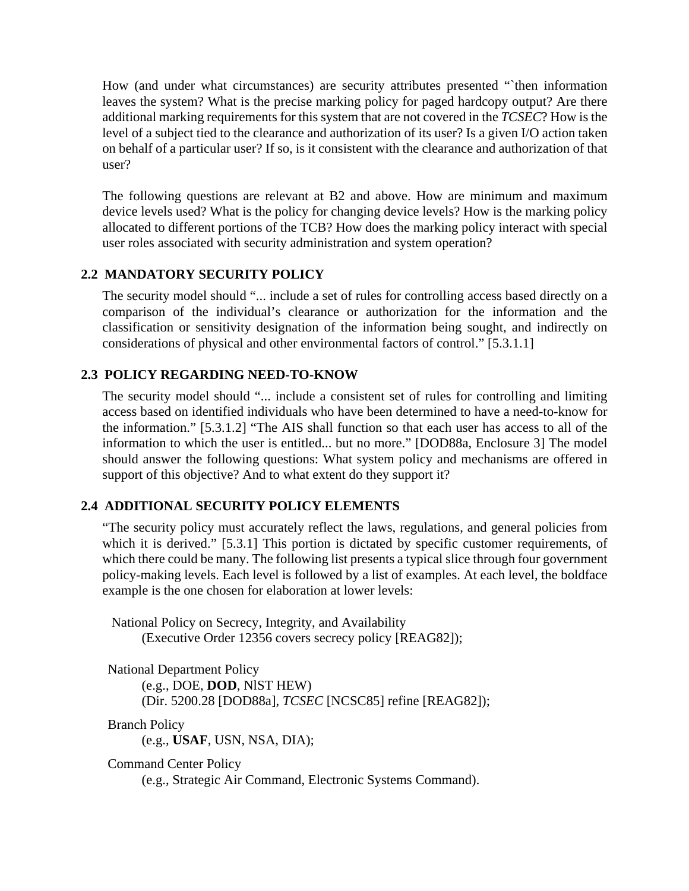How (and under what circumstances) are security attributes presented "`then information leaves the system? What is the precise marking policy for paged hardcopy output? Are there additional marking requirements for this system that are not covered in the *TCSEC*? How is the level of a subject tied to the clearance and authorization of its user? Is a given I/O action taken on behalf of a particular user? If so, is it consistent with the clearance and authorization of that user?

The following questions are relevant at B2 and above. How are minimum and maximum device levels used? What is the policy for changing device levels? How is the marking policy allocated to different portions of the TCB? How does the marking policy interact with special user roles associated with security administration and system operation?

## **2.2 MANDATORY SECURITY POLICY**

The security model should "... include a set of rules for controlling access based directly on a comparison of the individual's clearance or authorization for the information and the classification or sensitivity designation of the information being sought, and indirectly on considerations of physical and other environmental factors of control." [5.3.1.1]

## **2.3 POLICY REGARDING NEED-TO-KNOW**

The security model should "... include a consistent set of rules for controlling and limiting access based on identified individuals who have been determined to have a need-to-know for the information." [5.3.1.2] "The AIS shall function so that each user has access to all of the information to which the user is entitled... but no more." [DOD88a, Enclosure 3] The model should answer the following questions: What system policy and mechanisms are offered in support of this objective? And to what extent do they support it?

## **2.4 ADDITIONAL SECURITY POLICY ELEMENTS**

"The security policy must accurately reflect the laws, regulations, and general policies from which it is derived." [5.3.1] This portion is dictated by specific customer requirements, of which there could be many. The following list presents a typical slice through four government policy-making levels. Each level is followed by a list of examples. At each level, the boldface example is the one chosen for elaboration at lower levels:

National Policy on Secrecy, Integrity, and Availability (Executive Order 12356 covers secrecy policy [REAG82]);

National Department Policy

(e.g., DOE, **DOD**, NlST HEW)

(Dir. 5200.28 [DOD88a], *TCSEC* [NCSC85] refine [REAG82]);

Branch Policy (e.g., **USAF**, USN, NSA, DIA);

Command Center Policy

(e.g., Strategic Air Command, Electronic Systems Command).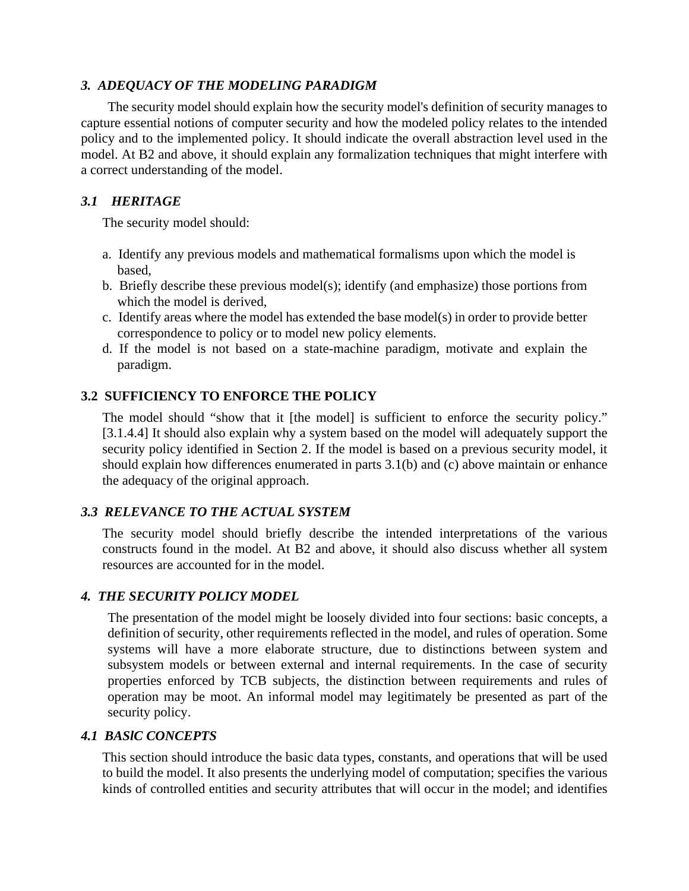## *3. ADEQUACY OF THE MODELING PARADIGM*

The security model should explain how the security model's definition of security manages to capture essential notions of computer security and how the modeled policy relates to the intended policy and to the implemented policy. It should indicate the overall abstraction level used in the model. At B2 and above, it should explain any formalization techniques that might interfere with a correct understanding of the model.

## *3.1 HERITAGE*

The security model should:

- a. Identify any previous models and mathematical formalisms upon which the model is based,
- b. Briefly describe these previous model(s); identify (and emphasize) those portions from which the model is derived,
- c. Identify areas where the model has extended the base model(s) in order to provide better correspondence to policy or to model new policy elements.
- d. If the model is not based on a state-machine paradigm, motivate and explain the paradigm.

## **3.2 SUFFICIENCY TO ENFORCE THE POLICY**

The model should "show that it [the model] is sufficient to enforce the security policy." [3.1.4.4] It should also explain why a system based on the model will adequately support the security policy identified in Section 2. If the model is based on a previous security model, it should explain how differences enumerated in parts 3.1(b) and (c) above maintain or enhance the adequacy of the original approach.

## *3.3 RELEVANCE TO THE ACTUAL SYSTEM*

The security model should briefly describe the intended interpretations of the various constructs found in the model. At B2 and above, it should also discuss whether all system resources are accounted for in the model.

## *4. THE SECURITY POLICY MODEL*

The presentation of the model might be loosely divided into four sections: basic concepts, a definition of security, other requirements reflected in the model, and rules of operation. Some systems will have a more elaborate structure, due to distinctions between system and subsystem models or between external and internal requirements. In the case of security properties enforced by TCB subjects, the distinction between requirements and rules of operation may be moot. An informal model may legitimately be presented as part of the security policy.

## *4.1 BASlC CONCEPTS*

This section should introduce the basic data types, constants, and operations that will be used to build the model. It also presents the underlying model of computation; specifies the various kinds of controlled entities and security attributes that will occur in the model; and identifies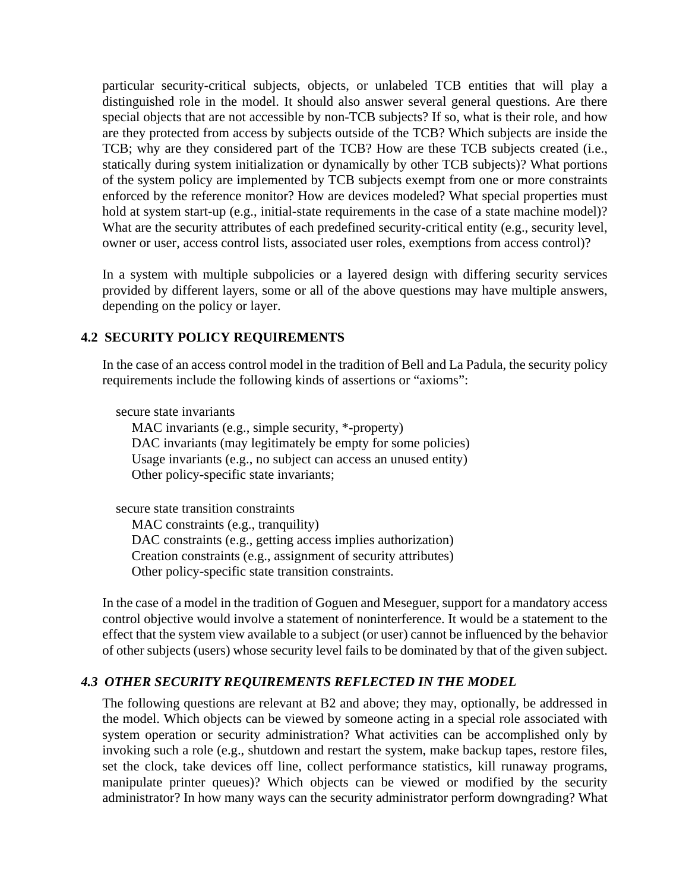particular security-critical subjects, objects, or unlabeled TCB entities that will play a distinguished role in the model. It should also answer several general questions. Are there special objects that are not accessible by non-TCB subjects? If so, what is their role, and how are they protected from access by subjects outside of the TCB? Which subjects are inside the TCB; why are they considered part of the TCB? How are these TCB subjects created (i.e., statically during system initialization or dynamically by other TCB subjects)? What portions of the system policy are implemented by TCB subjects exempt from one or more constraints enforced by the reference monitor? How are devices modeled? What special properties must hold at system start-up (e.g., initial-state requirements in the case of a state machine model)? What are the security attributes of each predefined security-critical entity (e.g., security level, owner or user, access control lists, associated user roles, exemptions from access control)?

In a system with multiple subpolicies or a layered design with differing security services provided by different layers, some or all of the above questions may have multiple answers, depending on the policy or layer.

## **4.2 SECURITY POLICY REQUIREMENTS**

In the case of an access control model in the tradition of Bell and La Padula, the security policy requirements include the following kinds of assertions or "axioms":

secure state invariants

MAC invariants (e.g., simple security, \*-property) DAC invariants (may legitimately be empty for some policies) Usage invariants (e.g., no subject can access an unused entity) Other policy-specific state invariants;

secure state transition constraints

MAC constraints (e.g., tranquility)

DAC constraints (e.g., getting access implies authorization)

Creation constraints (e.g., assignment of security attributes)

Other policy-specific state transition constraints.

In the case of a model in the tradition of Goguen and Meseguer, support for a mandatory access control objective would involve a statement of noninterference. It would be a statement to the effect that the system view available to a subject (or user) cannot be influenced by the behavior of other subjects (users) whose security level fails to be dominated by that of the given subject.

# *4.3 OTHER SECURITY REQUIREMENTS REFLECTED IN THE MODEL*

The following questions are relevant at B2 and above; they may, optionally, be addressed in the model. Which objects can be viewed by someone acting in a special role associated with system operation or security administration? What activities can be accomplished only by invoking such a role (e.g., shutdown and restart the system, make backup tapes, restore files, set the clock, take devices off line, collect performance statistics, kill runaway programs, manipulate printer queues)? Which objects can be viewed or modified by the security administrator? In how many ways can the security administrator perform downgrading? What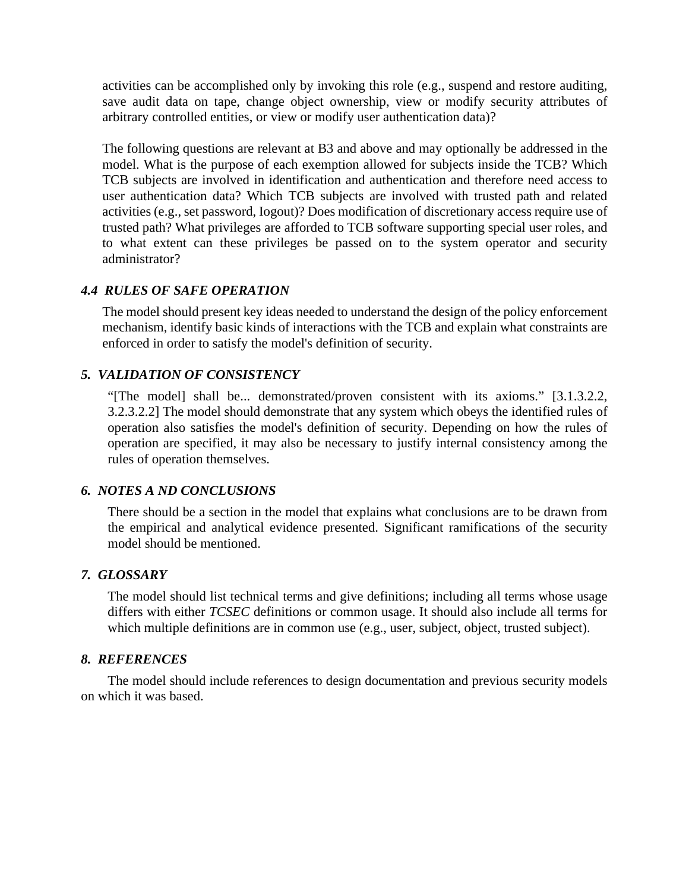activities can be accomplished only by invoking this role (e.g., suspend and restore auditing, save audit data on tape, change object ownership, view or modify security attributes of arbitrary controlled entities, or view or modify user authentication data)?

The following questions are relevant at B3 and above and may optionally be addressed in the model. What is the purpose of each exemption allowed for subjects inside the TCB? Which TCB subjects are involved in identification and authentication and therefore need access to user authentication data? Which TCB subjects are involved with trusted path and related activities (e.g., set password, Iogout)? Does modification of discretionary access require use of trusted path? What privileges are afforded to TCB software supporting special user roles, and to what extent can these privileges be passed on to the system operator and security administrator?

## *4.4 RULES OF SAFE OPERATION*

The model should present key ideas needed to understand the design of the policy enforcement mechanism, identify basic kinds of interactions with the TCB and explain what constraints are enforced in order to satisfy the model's definition of security.

## *5. VALIDATION OF CONSISTENCY*

"[The model] shall be... demonstrated/proven consistent with its axioms." [3.1.3.2.2, 3.2.3.2.2] The model should demonstrate that any system which obeys the identified rules of operation also satisfies the model's definition of security. Depending on how the rules of operation are specified, it may also be necessary to justify internal consistency among the rules of operation themselves.

## *6. NOTES A ND CONCLUSIONS*

There should be a section in the model that explains what conclusions are to be drawn from the empirical and analytical evidence presented. Significant ramifications of the security model should be mentioned.

## *7. GLOSSARY*

The model should list technical terms and give definitions; including all terms whose usage differs with either *TCSEC* definitions or common usage. It should also include all terms for which multiple definitions are in common use (e.g., user, subject, object, trusted subject).

#### *8. REFERENCES*

The model should include references to design documentation and previous security models on which it was based.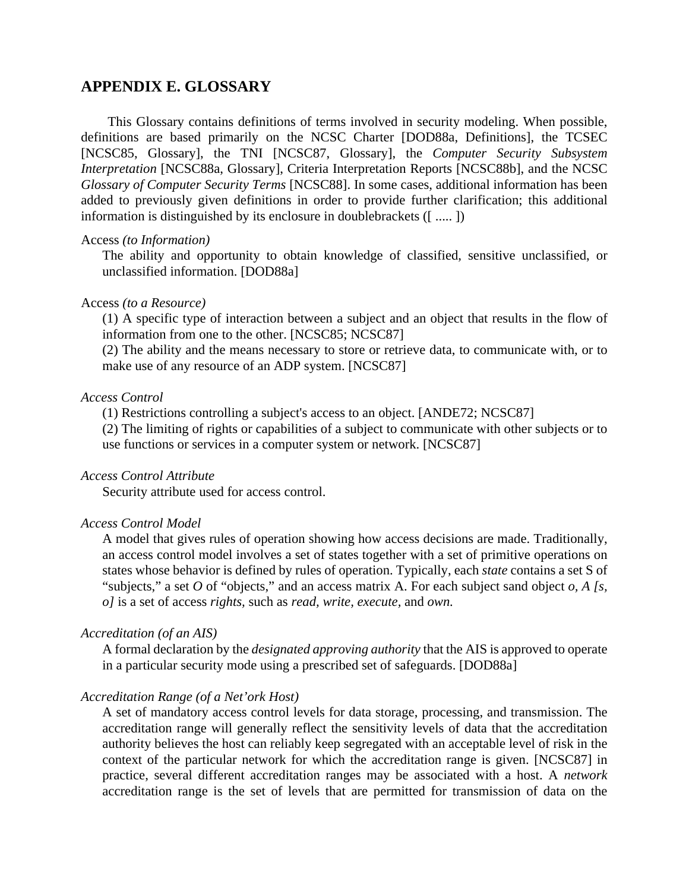# **APPENDIX E. GLOSSARY**

This Glossary contains definitions of terms involved in security modeling. When possible, definitions are based primarily on the NCSC Charter [DOD88a, Definitions], the TCSEC [NCSC85, Glossary], the TNI [NCSC87, Glossary], the *Computer Security Subsystem Interpretation* [NCSC88a, Glossary], Criteria Interpretation Reports [NCSC88b], and the NCSC *Glossary of Computer Security Terms* [NCSC88]. In some cases, additional information has been added to previously given definitions in order to provide further clarification; this additional information is distinguished by its enclosure in doublebrackets ([ ..... ])

#### Access *(to Information)*

The ability and opportunity to obtain knowledge of classified, sensitive unclassified, or unclassified information. [DOD88a]

#### Access *(to a Resource)*

(1) A specific type of interaction between a subject and an object that results in the flow of information from one to the other. [NCSC85; NCSC87]

(2) The ability and the means necessary to store or retrieve data, to communicate with, or to make use of any resource of an ADP system. [NCSC87]

## *Access Control*

(1) Restrictions controlling a subject's access to an object. [ANDE72; NCSC87]

(2) The limiting of rights or capabilities of a subject to communicate with other subjects or to use functions or services in a computer system or network. [NCSC87]

## *Access Control Attribute*

Security attribute used for access control.

#### *Access Control Model*

A model that gives rules of operation showing how access decisions are made. Traditionally, an access control model involves a set of states together with a set of primitive operations on states whose behavior is defined by rules of operation. Typically, each *state* contains a set S of "subjects," a set *O* of "objects," and an access matrix A. For each subject sand object *o, A [s, o]* is a set of access *rights,* such as *read, write, execute,* and *own.*

#### *Accreditation (of an AIS)*

A formal declaration by the *designated approving authority* that the AIS is approved to operate in a particular security mode using a prescribed set of safeguards. [DOD88a]

#### *Accreditation Range (of a Net'ork Host)*

A set of mandatory access control levels for data storage, processing, and transmission. The accreditation range will generally reflect the sensitivity levels of data that the accreditation authority believes the host can reliably keep segregated with an acceptable level of risk in the context of the particular network for which the accreditation range is given. [NCSC87] in practice, several different accreditation ranges may be associated with a host. A *network* accreditation range is the set of levels that are permitted for transmission of data on the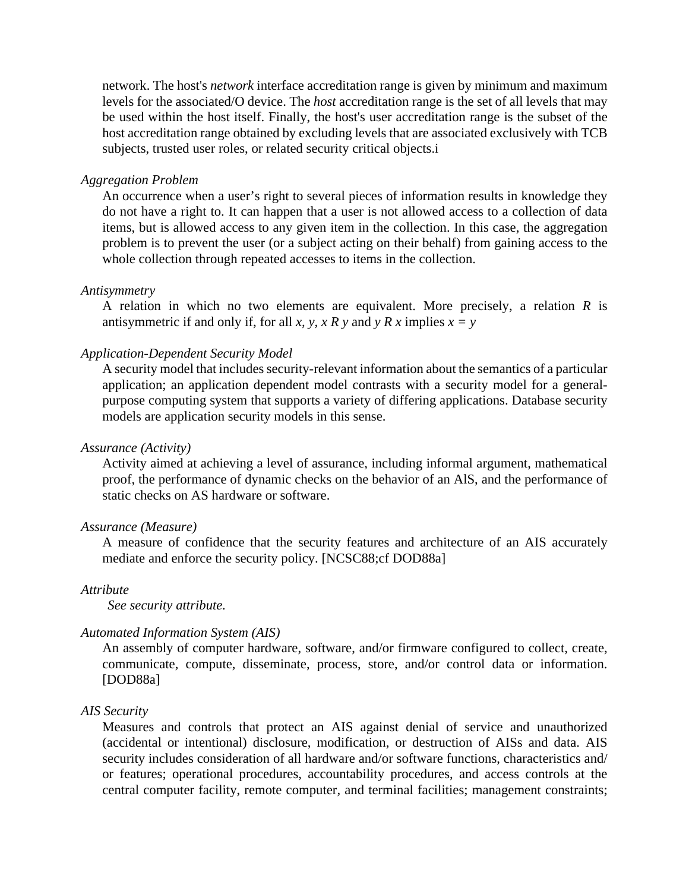network. The host's *network* interface accreditation range is given by minimum and maximum levels for the associated/O device. The *host* accreditation range is the set of all levels that may be used within the host itself. Finally, the host's user accreditation range is the subset of the host accreditation range obtained by excluding levels that are associated exclusively with TCB subjects, trusted user roles, or related security critical objects.i

#### *Aggregation Problem*

An occurrence when a user's right to several pieces of information results in knowledge they do not have a right to. It can happen that a user is not allowed access to a collection of data items, but is allowed access to any given item in the collection. In this case, the aggregation problem is to prevent the user (or a subject acting on their behalf) from gaining access to the whole collection through repeated accesses to items in the collection.

## *Antisymmetry*

A relation in which no two elements are equivalent. More precisely, a relation *R* is antisymmetric if and only if, for all *x*, *y*, *x R y* and *y R x* implies  $x = y$ 

## *Application-Dependent Security Model*

A security model that includes security-relevant information about the semantics of a particular application; an application dependent model contrasts with a security model for a generalpurpose computing system that supports a variety of differing applications. Database security models are application security models in this sense.

## *Assurance (Activity)*

Activity aimed at achieving a level of assurance, including informal argument, mathematical proof, the performance of dynamic checks on the behavior of an AlS, and the performance of static checks on AS hardware or software.

## *Assurance (Measure)*

A measure of confidence that the security features and architecture of an AIS accurately mediate and enforce the security policy. [NCSC88;cf DOD88a]

## *Attribute*

*See security attribute.*

## *Automated Information System (AIS)*

An assembly of computer hardware, software, and/or firmware configured to collect, create, communicate, compute, disseminate, process, store, and/or control data or information. [DOD88a]

## *AIS Security*

Measures and controls that protect an AIS against denial of service and unauthorized (accidental or intentional) disclosure, modification, or destruction of AISs and data. AIS security includes consideration of all hardware and/or software functions, characteristics and/ or features; operational procedures, accountability procedures, and access controls at the central computer facility, remote computer, and terminal facilities; management constraints;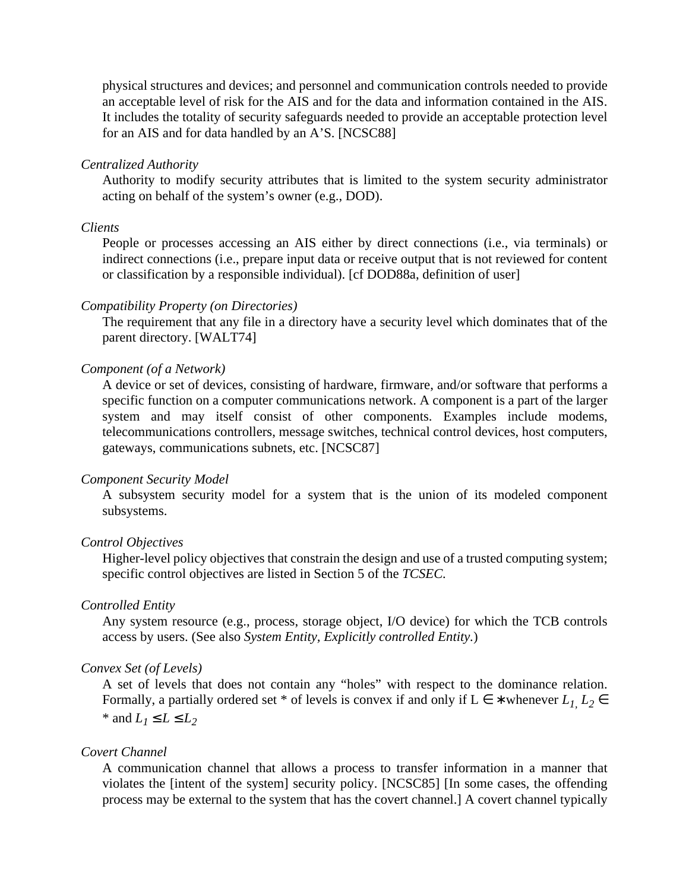physical structures and devices; and personnel and communication controls needed to provide an acceptable level of risk for the AIS and for the data and information contained in the AIS. It includes the totality of security safeguards needed to provide an acceptable protection level for an AIS and for data handled by an A'S. [NCSC88]

## *Centralized Authority*

Authority to modify security attributes that is limited to the system security administrator acting on behalf of the system's owner (e.g., DOD).

#### *Clients*

People or processes accessing an AIS either by direct connections (i.e., via terminals) or indirect connections (i.e., prepare input data or receive output that is not reviewed for content or classification by a responsible individual). [cf DOD88a, definition of user]

## *Compatibility Property (on Directories)*

The requirement that any file in a directory have a security level which dominates that of the parent directory. [WALT74]

## *Component (of a Network)*

A device or set of devices, consisting of hardware, firmware, and/or software that performs a specific function on a computer communications network. A component is a part of the larger system and may itself consist of other components. Examples include modems, telecommunications controllers, message switches, technical control devices, host computers, gateways, communications subnets, etc. [NCSC87]

## *Component Security Model*

A subsystem security model for a system that is the union of its modeled component subsystems.

#### *Control Objectives*

Higher-level policy objectives that constrain the design and use of a trusted computing system; specific control objectives are listed in Section 5 of the *TCSEC.*

## *Controlled Entity*

Any system resource (e.g., process, storage object, I/O device) for which the TCB controls access by users. (See also *System Entity, Explicitly controlled Entity.*)

## *Convex Set (of Levels)*

A set of levels that does not contain any "holes" with respect to the dominance relation. Formally, a partially ordered set \* of levels is convex if and only if  $L \in *$  whenever  $L_1$ ,  $L_2 \in$ \* and  $L_1 \le L \le L_2$ 

#### *Covert Channel*

A communication channel that allows a process to transfer information in a manner that violates the [intent of the system] security policy. [NCSC85] [In some cases, the offending process may be external to the system that has the covert channel.] A covert channel typically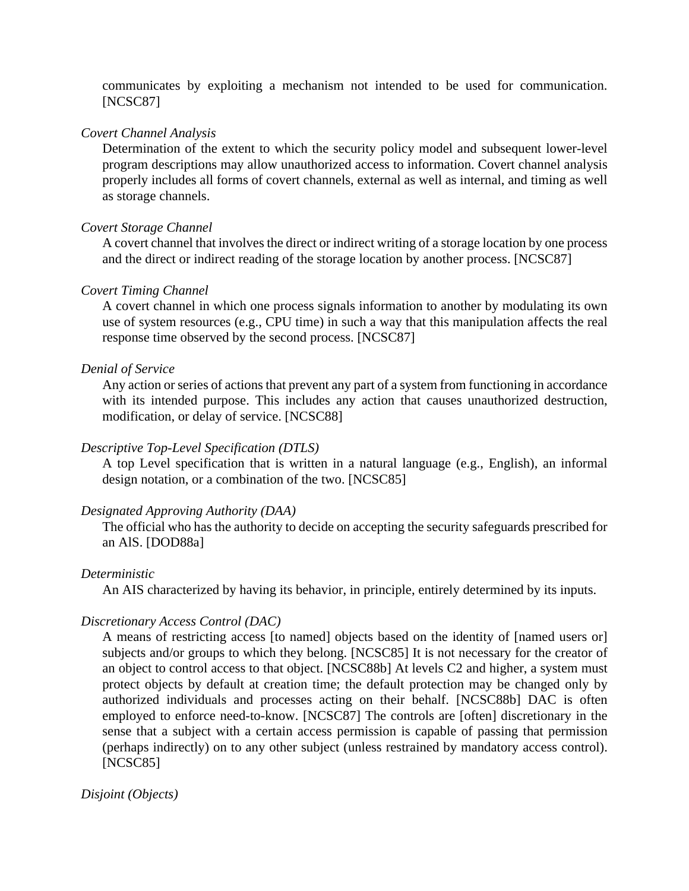communicates by exploiting a mechanism not intended to be used for communication. [NCSC87]

## *Covert Channel Analysis*

Determination of the extent to which the security policy model and subsequent lower-level program descriptions may allow unauthorized access to information. Covert channel analysis properly includes all forms of covert channels, external as well as internal, and timing as well as storage channels.

## *Covert Storage Channel*

A covert channel that involves the direct or indirect writing of a storage location by one process and the direct or indirect reading of the storage location by another process. [NCSC87]

## *Covert Timing Channel*

A covert channel in which one process signals information to another by modulating its own use of system resources (e.g., CPU time) in such a way that this manipulation affects the real response time observed by the second process. [NCSC87]

## *Denial of Service*

Any action or series of actions that prevent any part of a system from functioning in accordance with its intended purpose. This includes any action that causes unauthorized destruction, modification, or delay of service. [NCSC88]

## *Descriptive Top-Level Specification (DTLS)*

A top Level specification that is written in a natural language (e.g., English), an informal design notation, or a combination of the two. [NCSC85]

## *Designated Approving Authority (DAA)*

The official who has the authority to decide on accepting the security safeguards prescribed for an AlS. [DOD88a]

## *Deterministic*

An AIS characterized by having its behavior, in principle, entirely determined by its inputs.

## *Discretionary Access Control (DAC)*

A means of restricting access [to named] objects based on the identity of [named users or] subjects and/or groups to which they belong. [NCSC85] It is not necessary for the creator of an object to control access to that object. [NCSC88b] At levels C2 and higher, a system must protect objects by default at creation time; the default protection may be changed only by authorized individuals and processes acting on their behalf. [NCSC88b] DAC is often employed to enforce need-to-know. [NCSC87] The controls are [often] discretionary in the sense that a subject with a certain access permission is capable of passing that permission (perhaps indirectly) on to any other subject (unless restrained by mandatory access control). [NCSC85]

## *Disjoint (Objects)*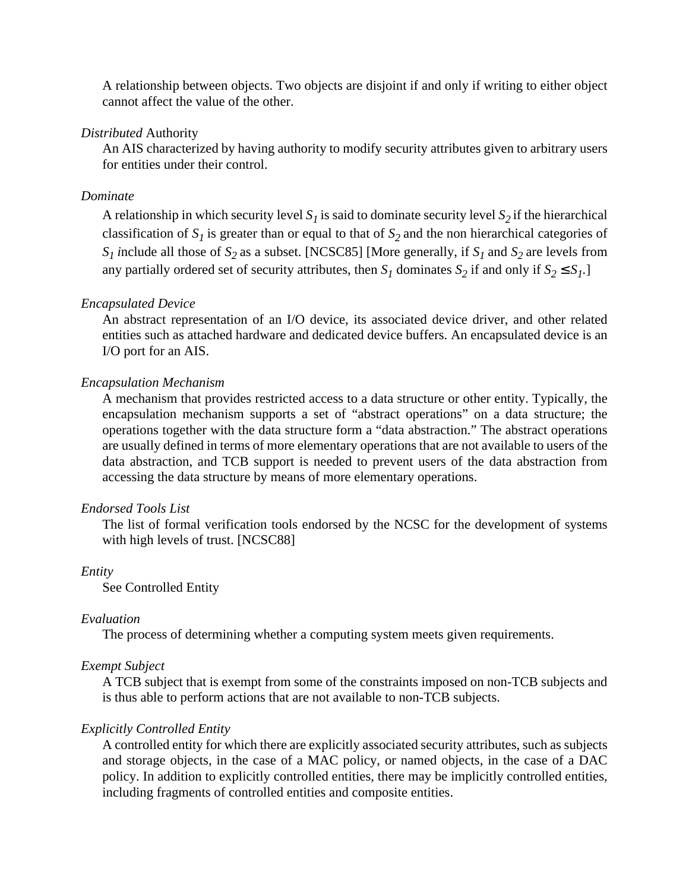A relationship between objects. Two objects are disjoint if and only if writing to either object cannot affect the value of the other.

#### *Distributed* Authority

An AIS characterized by having authority to modify security attributes given to arbitrary users for entities under their control.

## *Dominate*

A relationship in which security level  $S_l$  is said to dominate security level  $S_2$  if the hierarchical classification of  $S<sub>1</sub>$  is greater than or equal to that of  $S<sub>2</sub>$  and the non hierarchical categories of  $S_1$  *i*nclude all those of  $S_2$  as a subset. [NCSC85] [More generally, if  $S_1$  and  $S_2$  are levels from any partially ordered set of security attributes, then  $S_1$  dominates  $S_2$  if and only if  $S_2 \leq S_1$ .

## *Encapsulated Device*

An abstract representation of an I/O device, its associated device driver, and other related entities such as attached hardware and dedicated device buffers. An encapsulated device is an I/O port for an AIS.

## *Encapsulation Mechanism*

A mechanism that provides restricted access to a data structure or other entity. Typically, the encapsulation mechanism supports a set of "abstract operations" on a data structure; the operations together with the data structure form a "data abstraction." The abstract operations are usually defined in terms of more elementary operations that are not available to users of the data abstraction, and TCB support is needed to prevent users of the data abstraction from accessing the data structure by means of more elementary operations.

## *Endorsed Tools List*

The list of formal verification tools endorsed by the NCSC for the development of systems with high levels of trust. [NCSC88]

## *Entity*

See Controlled Entity

#### *Evaluation*

The process of determining whether a computing system meets given requirements.

## *Exempt Subject*

A TCB subject that is exempt from some of the constraints imposed on non-TCB subjects and is thus able to perform actions that are not available to non-TCB subjects.

## *Explicitly Controlled Entity*

A controlled entity for which there are explicitly associated security attributes, such as subjects and storage objects, in the case of a MAC policy, or named objects, in the case of a DAC policy. In addition to explicitly controlled entities, there may be implicitly controlled entities, including fragments of controlled entities and composite entities.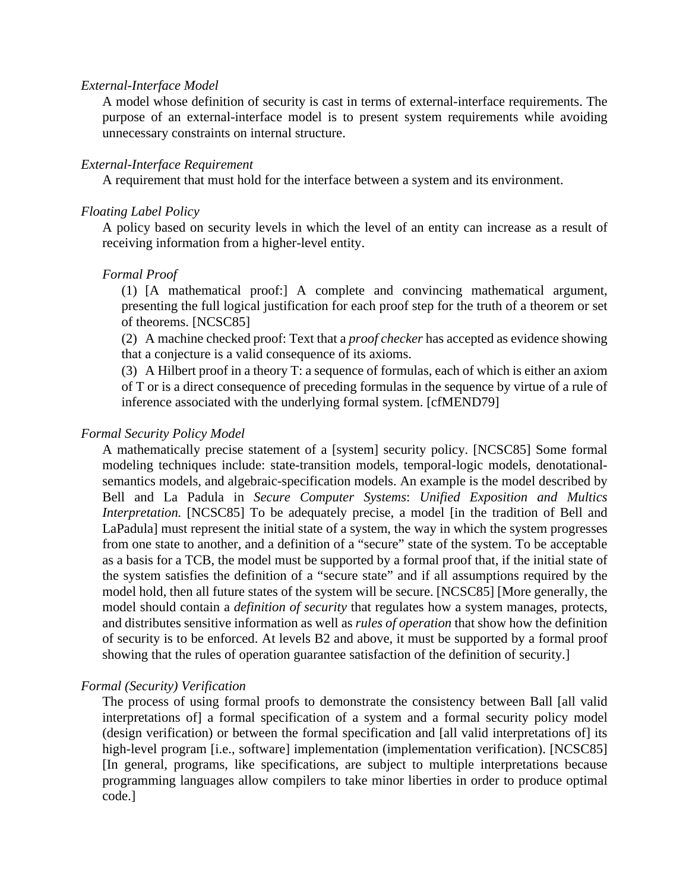### *External-Interface Model*

A model whose definition of security is cast in terms of external-interface requirements. The purpose of an external-interface model is to present system requirements while avoiding unnecessary constraints on internal structure.

## *External-Interface Requirement*

A requirement that must hold for the interface between a system and its environment.

## *Floating Label Policy*

A policy based on security levels in which the level of an entity can increase as a result of receiving information from a higher-level entity.

## *Formal Proof*

(1) [A mathematical proof:] A complete and convincing mathematical argument, presenting the full logical justification for each proof step for the truth of a theorem or set of theorems. [NCSC85]

(2) A machine checked proof: Text that a *proof checker* has accepted as evidence showing that a conjecture is a valid consequence of its axioms.

(3) A Hilbert proof in a theory T: a sequence of formulas, each of which is either an axiom of T or is a direct consequence of preceding formulas in the sequence by virtue of a rule of inference associated with the underlying formal system. [cfMEND79]

## *Formal Security Policy Model*

A mathematically precise statement of a [system] security policy. [NCSC85] Some formal modeling techniques include: state-transition models, temporal-logic models, denotationalsemantics models, and algebraic-specification models. An example is the model described by Bell and La Padula in *Secure Computer Systems*: *Unified Exposition and Multics Interpretation.* [NCSC85] To be adequately precise, a model [in the tradition of Bell and LaPadula] must represent the initial state of a system, the way in which the system progresses from one state to another, and a definition of a "secure" state of the system. To be acceptable as a basis for a TCB, the model must be supported by a formal proof that, if the initial state of the system satisfies the definition of a "secure state" and if all assumptions required by the model hold, then all future states of the system will be secure. [NCSC85] [More generally, the model should contain a *definition of security* that regulates how a system manages, protects, and distributes sensitive information as well as *rules of operation* that show how the definition of security is to be enforced. At levels B2 and above, it must be supported by a formal proof showing that the rules of operation guarantee satisfaction of the definition of security.]

## *Formal (Security) Verification*

The process of using formal proofs to demonstrate the consistency between Ball [all valid interpretations of] a formal specification of a system and a formal security policy model (design verification) or between the formal specification and [all valid interpretations of] its high-level program [i.e., software] implementation (implementation verification). [NCSC85] [In general, programs, like specifications, are subject to multiple interpretations because programming languages allow compilers to take minor liberties in order to produce optimal code.]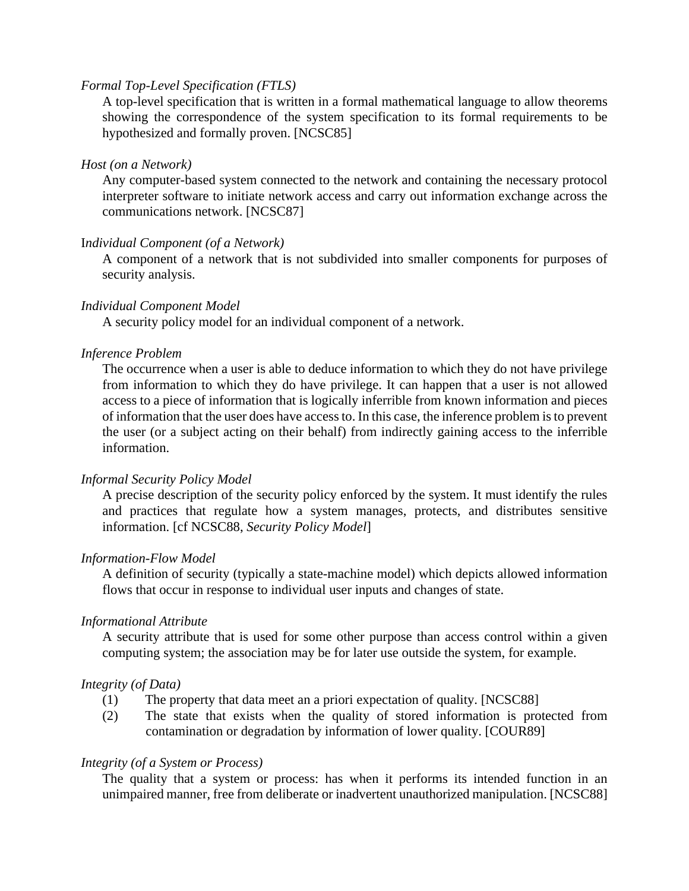## *Formal Top-Level Specification (FTLS)*

A top-level specification that is written in a formal mathematical language to allow theorems showing the correspondence of the system specification to its formal requirements to be hypothesized and formally proven. [NCSC85]

### *Host (on a Network)*

Any computer-based system connected to the network and containing the necessary protocol interpreter software to initiate network access and carry out information exchange across the communications network. [NCSC87]

## I*ndividual Component (of a Network)*

A component of a network that is not subdivided into smaller components for purposes of security analysis.

## *Individual Component Model*

A security policy model for an individual component of a network.

## *Inference Problem*

The occurrence when a user is able to deduce information to which they do not have privilege from information to which they do have privilege. It can happen that a user is not allowed access to a piece of information that is logically inferrible from known information and pieces of information that the user does have access to. In this case, the inference problem is to prevent the user (or a subject acting on their behalf) from indirectly gaining access to the inferrible information.

## *Informal Security Policy Model*

A precise description of the security policy enforced by the system. It must identify the rules and practices that regulate how a system manages, protects, and distributes sensitive information. [cf NCSC88, *Security Policy Model*]

#### *Information-Flow Model*

A definition of security (typically a state-machine model) which depicts allowed information flows that occur in response to individual user inputs and changes of state.

#### *Informational Attribute*

A security attribute that is used for some other purpose than access control within a given computing system; the association may be for later use outside the system, for example.

#### *Integrity (of Data)*

- (1) The property that data meet an a priori expectation of quality. [NCSC88]
- (2) The state that exists when the quality of stored information is protected from contamination or degradation by information of lower quality. [COUR89]

#### *Integrity (of a System or Process)*

The quality that a system or process: has when it performs its intended function in an unimpaired manner, free from deliberate or inadvertent unauthorized manipulation. [NCSC88]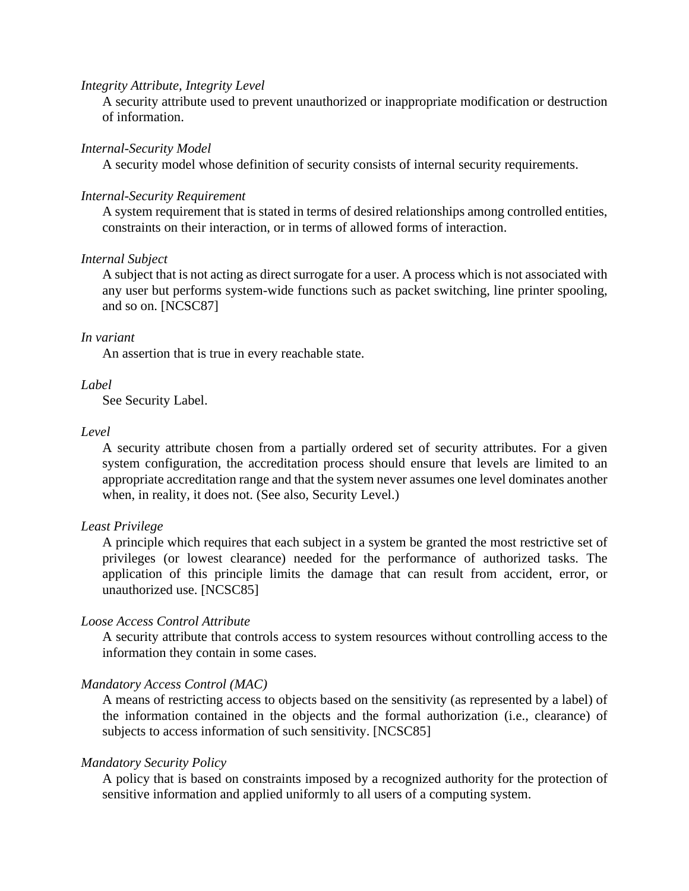#### *Integrity Attribute, Integrity Level*

A security attribute used to prevent unauthorized or inappropriate modification or destruction of information.

#### *Internal-Security Model*

A security model whose definition of security consists of internal security requirements.

#### *Internal-Security Requirement*

A system requirement that is stated in terms of desired relationships among controlled entities, constraints on their interaction, or in terms of allowed forms of interaction.

### *Internal Subject*

A subject that is not acting as direct surrogate for a user. A process which is not associated with any user but performs system-wide functions such as packet switching, line printer spooling, and so on. [NCSC87]

#### *In variant*

An assertion that is true in every reachable state.

## *Label*

See Security Label.

#### *Level*

A security attribute chosen from a partially ordered set of security attributes. For a given system configuration, the accreditation process should ensure that levels are limited to an appropriate accreditation range and that the system never assumes one level dominates another when, in reality, it does not. (See also, Security Level.)

#### *Least Privilege*

A principle which requires that each subject in a system be granted the most restrictive set of privileges (or lowest clearance) needed for the performance of authorized tasks. The application of this principle limits the damage that can result from accident, error, or unauthorized use. [NCSC85]

#### *Loose Access Control Attribute*

A security attribute that controls access to system resources without controlling access to the information they contain in some cases.

#### *Mandatory Access Control (MAC)*

A means of restricting access to objects based on the sensitivity (as represented by a label) of the information contained in the objects and the formal authorization (i.e., clearance) of subjects to access information of such sensitivity. [NCSC85]

#### *Mandatory Security Policy*

A policy that is based on constraints imposed by a recognized authority for the protection of sensitive information and applied uniformly to all users of a computing system.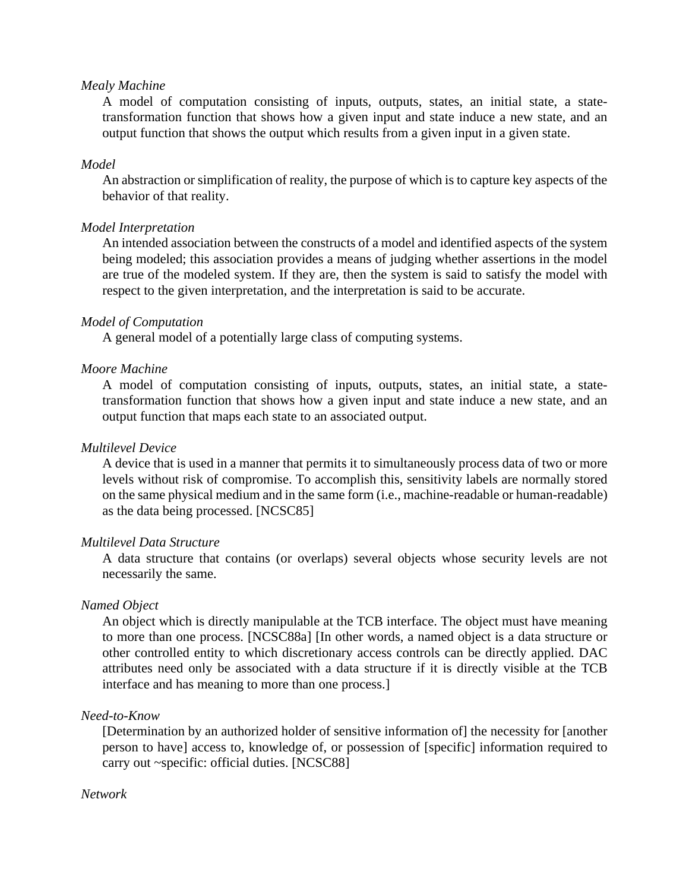### *Mealy Machine*

A model of computation consisting of inputs, outputs, states, an initial state, a statetransformation function that shows how a given input and state induce a new state, and an output function that shows the output which results from a given input in a given state.

#### *Model*

An abstraction or simplification of reality, the purpose of which is to capture key aspects of the behavior of that reality.

#### *Model Interpretation*

An intended association between the constructs of a model and identified aspects of the system being modeled; this association provides a means of judging whether assertions in the model are true of the modeled system. If they are, then the system is said to satisfy the model with respect to the given interpretation, and the interpretation is said to be accurate.

#### *Model of Computation*

A general model of a potentially large class of computing systems.

#### *Moore Machine*

A model of computation consisting of inputs, outputs, states, an initial state, a statetransformation function that shows how a given input and state induce a new state, and an output function that maps each state to an associated output.

#### *Multilevel Device*

A device that is used in a manner that permits it to simultaneously process data of two or more levels without risk of compromise. To accomplish this, sensitivity labels are normally stored on the same physical medium and in the same form (i.e., machine-readable or human-readable) as the data being processed. [NCSC85]

#### *Multilevel Data Structure*

A data structure that contains (or overlaps) several objects whose security levels are not necessarily the same.

#### *Named Object*

An object which is directly manipulable at the TCB interface. The object must have meaning to more than one process. [NCSC88a] [In other words, a named object is a data structure or other controlled entity to which discretionary access controls can be directly applied. DAC attributes need only be associated with a data structure if it is directly visible at the TCB interface and has meaning to more than one process.]

## *Need-to-Know*

[Determination by an authorized holder of sensitive information of] the necessity for [another person to have] access to, knowledge of, or possession of [specific] information required to carry out ~specific: official duties. [NCSC88]

#### *Network*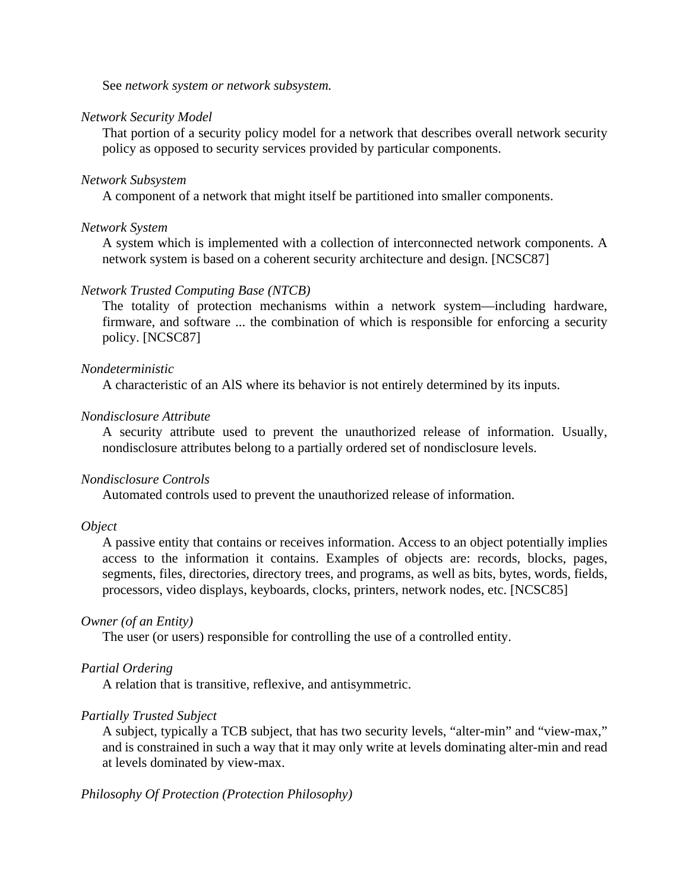See *network system or network subsystem.*

#### *Network Security Model*

That portion of a security policy model for a network that describes overall network security policy as opposed to security services provided by particular components.

#### *Network Subsystem*

A component of a network that might itself be partitioned into smaller components.

#### *Network System*

A system which is implemented with a collection of interconnected network components. A network system is based on a coherent security architecture and design. [NCSC87]

#### *Network Trusted Computing Base (NTCB)*

The totality of protection mechanisms within a network system—including hardware, firmware, and software ... the combination of which is responsible for enforcing a security policy. [NCSC87]

#### *Nondeterministic*

A characteristic of an AlS where its behavior is not entirely determined by its inputs.

## *Nondisclosure Attribute*

A security attribute used to prevent the unauthorized release of information. Usually, nondisclosure attributes belong to a partially ordered set of nondisclosure levels.

#### *Nondisclosure Controls*

Automated controls used to prevent the unauthorized release of information.

#### *Object*

A passive entity that contains or receives information. Access to an object potentially implies access to the information it contains. Examples of objects are: records, blocks, pages, segments, files, directories, directory trees, and programs, as well as bits, bytes, words, fields, processors, video displays, keyboards, clocks, printers, network nodes, etc. [NCSC85]

#### *Owner (of an Entity)*

The user (or users) responsible for controlling the use of a controlled entity.

#### *Partial Ordering*

A relation that is transitive, reflexive, and antisymmetric.

#### *Partially Trusted Subject*

A subject, typically a TCB subject, that has two security levels, "alter-min" and "view-max," and is constrained in such a way that it may only write at levels dominating alter-min and read at levels dominated by view-max.

### *Philosophy Of Protection (Protection Philosophy)*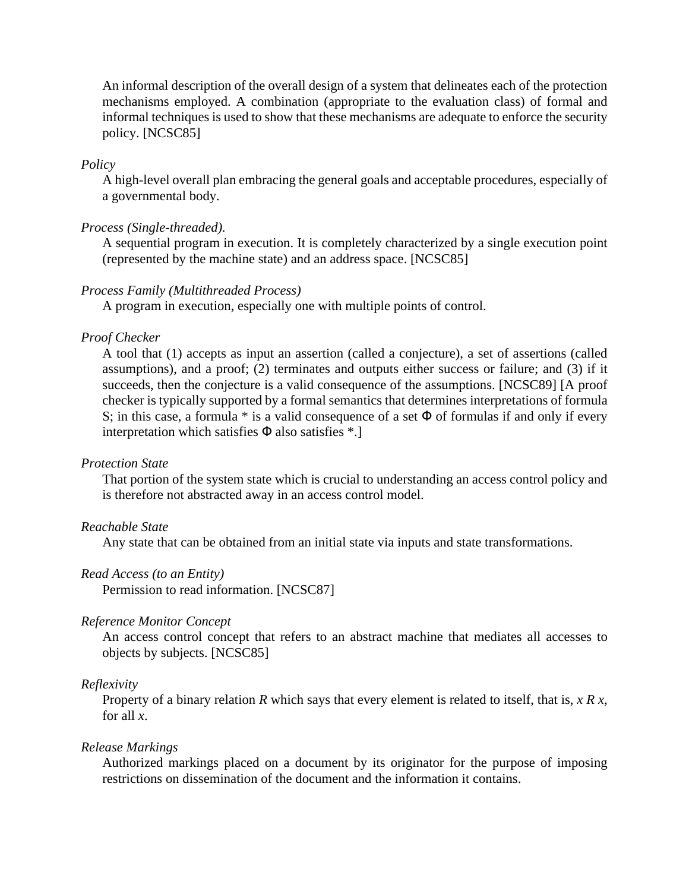An informal description of the overall design of a system that delineates each of the protection mechanisms employed. A combination (appropriate to the evaluation class) of formal and informal techniques is used to show that these mechanisms are adequate to enforce the security policy. [NCSC85]

## *Policy*

A high-level overall plan embracing the general goals and acceptable procedures, especially of a governmental body.

## *Process (Single-threaded).*

A sequential program in execution. It is completely characterized by a single execution point (represented by the machine state) and an address space. [NCSC85]

## *Process Family (Multithreaded Process)*

A program in execution, especially one with multiple points of control.

## *Proof Checker*

A tool that (1) accepts as input an assertion (called a conjecture), a set of assertions (called assumptions), and a proof; (2) terminates and outputs either success or failure; and (3) if it succeeds, then the conjecture is a valid consequence of the assumptions. [NCSC89] [A proof checker is typically supported by a formal semantics that determines interpretations of formula S; in this case, a formula  $*$  is a valid consequence of a set  $\Phi$  of formulas if and only if every interpretation which satisfies  $\Phi$  also satisfies  $*$ .]

#### *Protection State*

That portion of the system state which is crucial to understanding an access control policy and is therefore not abstracted away in an access control model.

#### *Reachable State*

Any state that can be obtained from an initial state via inputs and state transformations.

#### *Read Access (to an Entity)*

Permission to read information. [NCSC87]

#### *Reference Monitor Concept*

An access control concept that refers to an abstract machine that mediates all accesses to objects by subjects. [NCSC85]

#### *Reflexivity*

Property of a binary relation *R* which says that every element is related to itself, that is, *x R x*, for all *x*.

#### *Release Markings*

Authorized markings placed on a document by its originator for the purpose of imposing restrictions on dissemination of the document and the information it contains.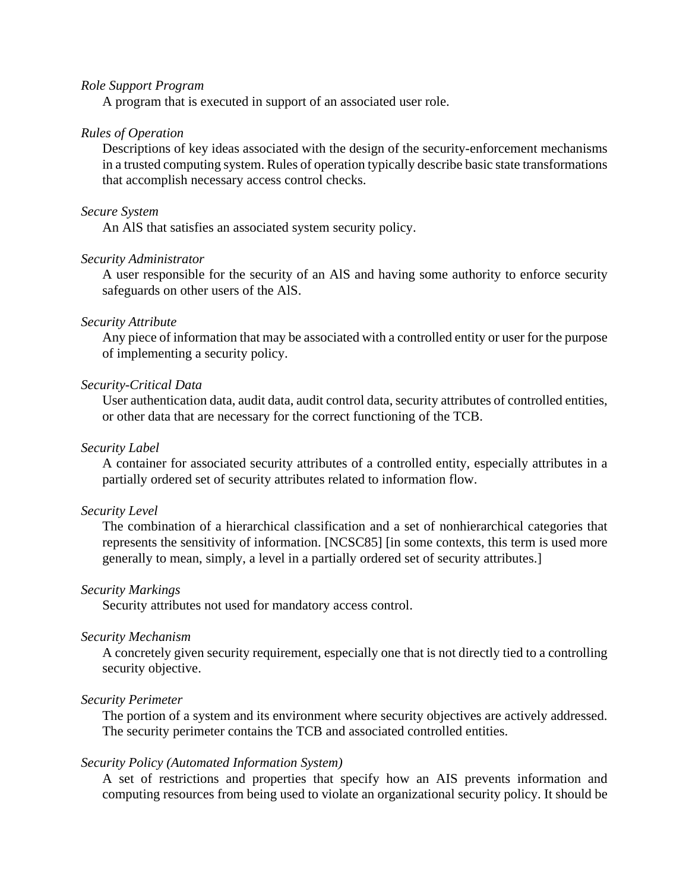## *Role Support Program*

A program that is executed in support of an associated user role.

#### *Rules of Operation*

Descriptions of key ideas associated with the design of the security-enforcement mechanisms in a trusted computing system. Rules of operation typically describe basic state transformations that accomplish necessary access control checks.

## *Secure System*

An AlS that satisfies an associated system security policy.

### *Security Administrator*

A user responsible for the security of an AlS and having some authority to enforce security safeguards on other users of the AlS.

#### *Security Attribute*

Any piece of information that may be associated with a controlled entity or user for the purpose of implementing a security policy.

#### *Security-Critical Data*

User authentication data, audit data, audit control data, security attributes of controlled entities, or other data that are necessary for the correct functioning of the TCB.

## *Security Label*

A container for associated security attributes of a controlled entity, especially attributes in a partially ordered set of security attributes related to information flow.

#### *Security Level*

The combination of a hierarchical classification and a set of nonhierarchical categories that represents the sensitivity of information. [NCSC85] [in some contexts, this term is used more generally to mean, simply, a level in a partially ordered set of security attributes.]

#### *Security Markings*

Security attributes not used for mandatory access control.

#### *Security Mechanism*

A concretely given security requirement, especially one that is not directly tied to a controlling security objective.

#### *Security Perimeter*

The portion of a system and its environment where security objectives are actively addressed. The security perimeter contains the TCB and associated controlled entities.

#### *Security Policy (Automated Information System)*

A set of restrictions and properties that specify how an AIS prevents information and computing resources from being used to violate an organizational security policy. It should be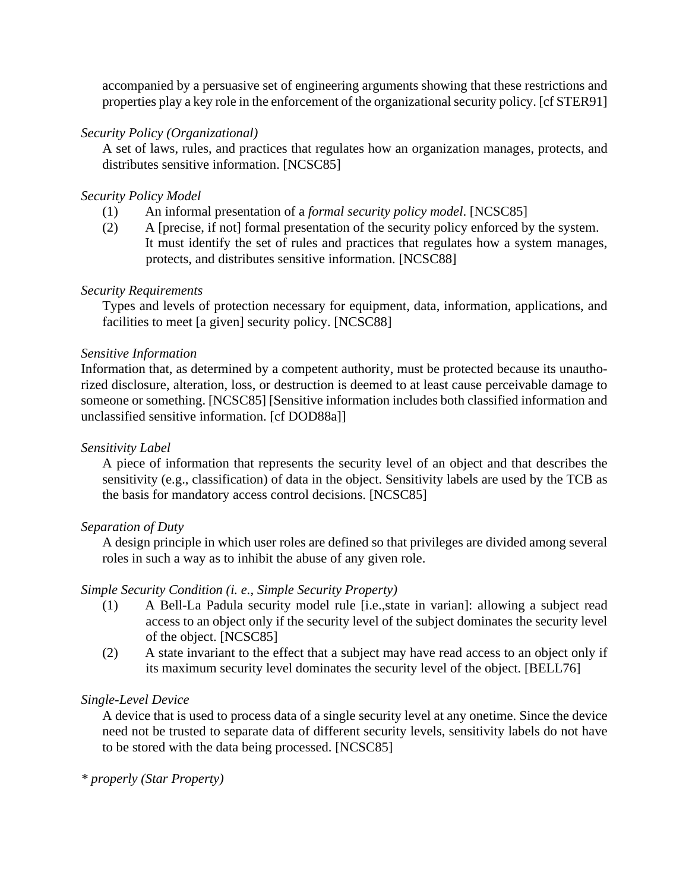accompanied by a persuasive set of engineering arguments showing that these restrictions and properties play a key role in the enforcement of the organizational security policy. [cf STER91]

## *Security Policy (Organizational)*

A set of laws, rules, and practices that regulates how an organization manages, protects, and distributes sensitive information. [NCSC85]

## *Security Policy Model*

- (1) An informal presentation of a *formal security policy model*. [NCSC85]
- (2) A [precise, if not] formal presentation of the security policy enforced by the system. It must identify the set of rules and practices that regulates how a system manages, protects, and distributes sensitive information. [NCSC88]

## *Security Requirements*

Types and levels of protection necessary for equipment, data, information, applications, and facilities to meet [a given] security policy. [NCSC88]

## *Sensitive Information*

Information that, as determined by a competent authority, must be protected because its unauthorized disclosure, alteration, loss, or destruction is deemed to at least cause perceivable damage to someone or something. [NCSC85] [Sensitive information includes both classified information and unclassified sensitive information. [cf DOD88a]]

### *Sensitivity Label*

A piece of information that represents the security level of an object and that describes the sensitivity (e.g., classification) of data in the object. Sensitivity labels are used by the TCB as the basis for mandatory access control decisions. [NCSC85]

## *Separation of Duty*

A design principle in which user roles are defined so that privileges are divided among several roles in such a way as to inhibit the abuse of any given role.

## *Simple Security Condition (i. e., Simple Security Property)*

- (1) A Bell-La Padula security model rule [i.e.,state in varian]: allowing a subject read access to an object only if the security level of the subject dominates the security level of the object. [NCSC85]
- (2) A state invariant to the effect that a subject may have read access to an object only if its maximum security level dominates the security level of the object. [BELL76]

## *Single-Level Device*

A device that is used to process data of a single security level at any onetime. Since the device need not be trusted to separate data of different security levels, sensitivity labels do not have to be stored with the data being processed. [NCSC85]

### *\* properly (Star Property)*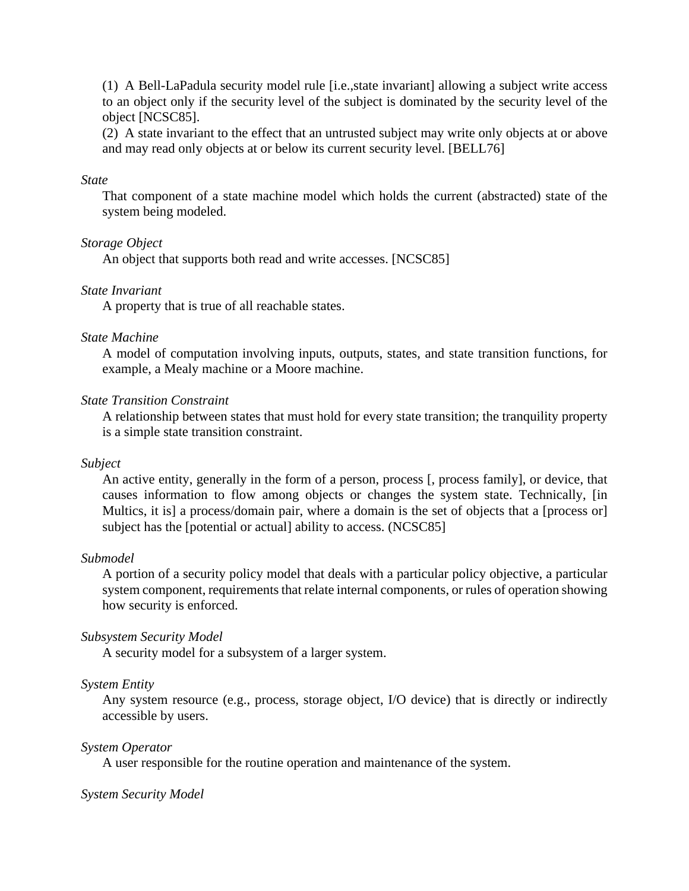(1) A Bell-LaPadula security model rule [i.e.,state invariant] allowing a subject write access to an object only if the security level of the subject is dominated by the security level of the object [NCSC85].

(2) A state invariant to the effect that an untrusted subject may write only objects at or above and may read only objects at or below its current security level. [BELL76]

### *State*

That component of a state machine model which holds the current (abstracted) state of the system being modeled.

## *Storage Object*

An object that supports both read and write accesses. [NCSC85]

## *State Invariant*

A property that is true of all reachable states.

## *State Machine*

A model of computation involving inputs, outputs, states, and state transition functions, for example, a Mealy machine or a Moore machine.

## *State Transition Constraint*

A relationship between states that must hold for every state transition; the tranquility property is a simple state transition constraint.

## *Subject*

An active entity, generally in the form of a person, process [, process family], or device, that causes information to flow among objects or changes the system state. Technically, [in Multics, it is] a process/domain pair, where a domain is the set of objects that a [process or] subject has the [potential or actual] ability to access. (NCSC85]

## *Submodel*

A portion of a security policy model that deals with a particular policy objective, a particular system component, requirements that relate internal components, or rules of operation showing how security is enforced.

## *Subsystem Security Model*

A security model for a subsystem of a larger system.

#### *System Entity*

Any system resource (e.g., process, storage object, I/O device) that is directly or indirectly accessible by users.

#### *System Operator*

A user responsible for the routine operation and maintenance of the system.

#### *System Security Model*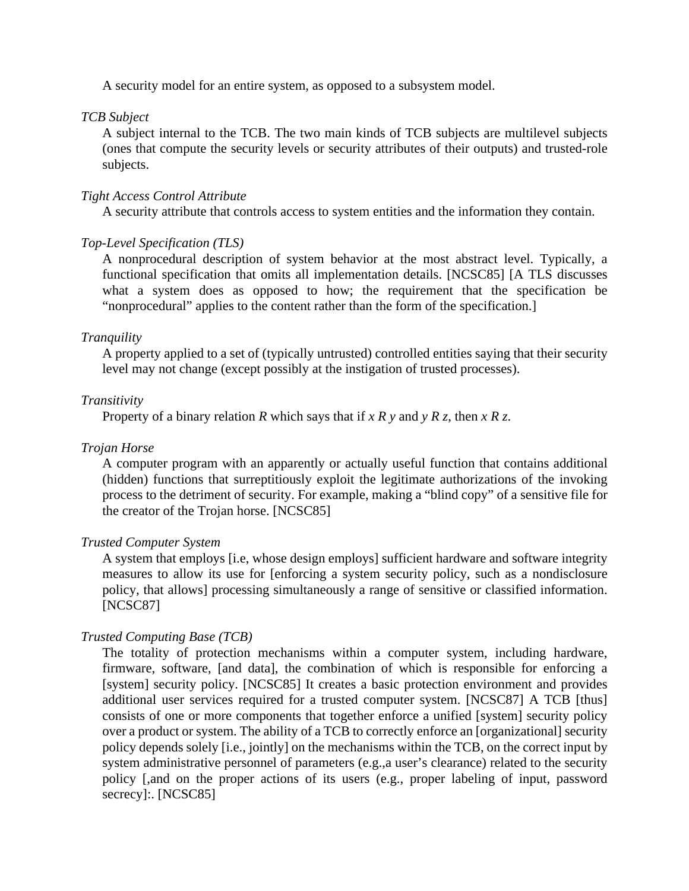A security model for an entire system, as opposed to a subsystem model.

### *TCB Subject*

A subject internal to the TCB. The two main kinds of TCB subjects are multilevel subjects (ones that compute the security levels or security attributes of their outputs) and trusted-role subjects.

## *Tight Access Control Attribute*

A security attribute that controls access to system entities and the information they contain.

## *Top-Level Specification (TLS)*

A nonprocedural description of system behavior at the most abstract level. Typically, a functional specification that omits all implementation details. [NCSC85] [A TLS discusses what a system does as opposed to how; the requirement that the specification be "nonprocedural" applies to the content rather than the form of the specification.]

## *Tranquility*

A property applied to a set of (typically untrusted) controlled entities saying that their security level may not change (except possibly at the instigation of trusted processes).

## *Transitivity*

Property of a binary relation *R* which says that if *x R y* and *y R z*, then *x R z*.

#### *Trojan Horse*

A computer program with an apparently or actually useful function that contains additional (hidden) functions that surreptitiously exploit the legitimate authorizations of the invoking process to the detriment of security. For example, making a "blind copy" of a sensitive file for the creator of the Trojan horse. [NCSC85]

#### *Trusted Computer System*

A system that employs [i.e, whose design employs] sufficient hardware and software integrity measures to allow its use for [enforcing a system security policy, such as a nondisclosure policy, that allows] processing simultaneously a range of sensitive or classified information. [NCSC87]

## *Trusted Computing Base (TCB)*

The totality of protection mechanisms within a computer system, including hardware, firmware, software, [and data], the combination of which is responsible for enforcing a [system] security policy. [NCSC85] It creates a basic protection environment and provides additional user services required for a trusted computer system. [NCSC87] A TCB [thus] consists of one or more components that together enforce a unified [system] security policy over a product or system. The ability of a TCB to correctly enforce an [organizational] security policy depends solely [i.e., jointly] on the mechanisms within the TCB, on the correct input by system administrative personnel of parameters (e.g.,a user's clearance) related to the security policy [,and on the proper actions of its users (e.g., proper labeling of input, password secrecy]:. [NCSC85]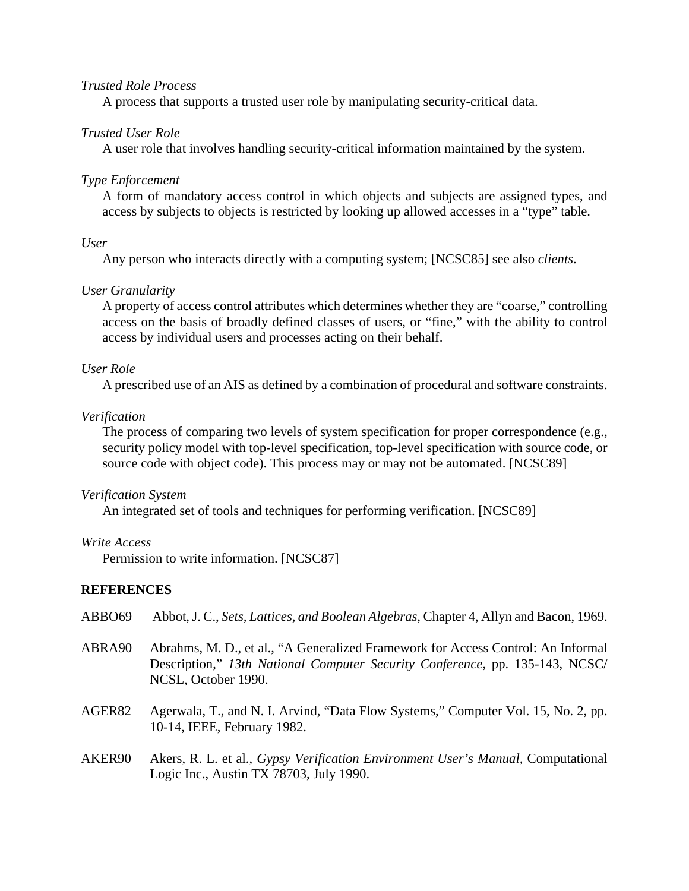## *Trusted Role Process*

A process that supports a trusted user role by manipulating security-criticaI data.

## *Trusted User Role*

A user role that involves handling security-critical information maintained by the system.

#### *Type Enforcement*

A form of mandatory access control in which objects and subjects are assigned types, and access by subjects to objects is restricted by looking up allowed accesses in a "type" table.

#### *User*

Any person who interacts directly with a computing system; [NCSC85] see also *clients*.

#### *User Granularity*

A property of access control attributes which determines whether they are "coarse," controlling access on the basis of broadly defined classes of users, or "fine," with the ability to control access by individual users and processes acting on their behalf.

#### *User Role*

A prescribed use of an AIS as defined by a combination of procedural and software constraints.

## *Verification*

The process of comparing two levels of system specification for proper correspondence (e.g., security policy model with top-level specification, top-level specification with source code, or source code with object code). This process may or may not be automated. [NCSC89]

#### *Verification System*

An integrated set of tools and techniques for performing verification. [NCSC89]

#### *Write Access*

Permission to write information. [NCSC87]

## **REFERENCES**

| ABBO69 | Abbot, J. C., Sets, Lattices, and Boolean Algebras, Chapter 4, Allyn and Bacon, 1969. |  |  |  |  |  |  |  |
|--------|---------------------------------------------------------------------------------------|--|--|--|--|--|--|--|
|--------|---------------------------------------------------------------------------------------|--|--|--|--|--|--|--|

- ABRA90 Abrahms, M. D., et al., "A Generalized Framework for Access Control: An Informal Description," *13th National Computer Security Conference*, pp. 135-143, NCSC/ NCSL, October 1990.
- AGER82 Agerwala, T., and N. I. Arvind, "Data Flow Systems," Computer Vol. 15, No. 2, pp. 10-14, IEEE, February 1982.
- AKER90 Akers, R. L. et al., *Gypsy Verification Environment User's Manual,* Computational Logic Inc., Austin TX 78703, July 1990.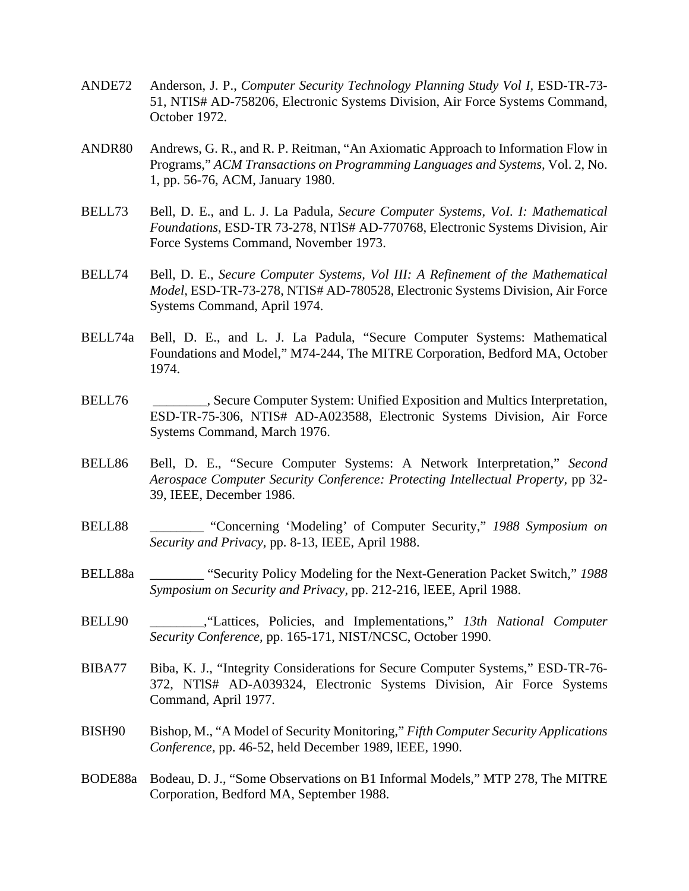- ANDE72 Anderson, J. P., *Computer Security Technology Planning Study Vol I,* ESD-TR-73- 51, NTIS# AD-758206, Electronic Systems Division, Air Force Systems Command, October 1972.
- ANDR80 Andrews, G. R., and R. P. Reitman, "An Axiomatic Approach to Information Flow in Programs," *ACM Transactions on Programming Languages and Systems,* Vol. 2, No. 1, pp. 56-76, ACM, January 1980.
- BELL73 Bell, D. E., and L. J. La Padula, *Secure Computer Systems, VoI. I: Mathematical Foundations,* ESD-TR 73-278, NTlS# AD-770768, Electronic Systems Division, Air Force Systems Command, November 1973.
- BELL74 Bell, D. E., *Secure Computer Systems, Vol III: A Refinement of the Mathematical Model,* ESD-TR-73-278, NTIS# AD-780528, Electronic Systems Division, Air Force Systems Command, April 1974.
- BELL74a Bell, D. E., and L. J. La Padula, "Secure Computer Systems: Mathematical Foundations and Model," M74-244, The MITRE Corporation, Bedford MA, October 1974.
- BELL76 **\_\_\_\_\_\_\_,** Secure Computer System: Unified Exposition and Multics Interpretation, ESD-TR-75-306, NTIS# AD-A023588, Electronic Systems Division, Air Force Systems Command, March 1976.
- BELL86 Bell, D. E., "Secure Computer Systems: A Network Interpretation," *Second Aerospace Computer Security Conference: Protecting Intellectual Property,* pp 32- 39, IEEE, December 1986.
- BELL88 \_\_\_\_\_\_\_\_ "Concerning 'Modeling' of Computer Security," *1988 Symposium on Security and Privacy,* pp. 8-13, IEEE, April 1988.
- BELL88a \_\_\_\_\_\_\_\_ "Security Policy Modeling for the Next-Generation Packet Switch," *1988 Symposium on Security and Privacy,* pp. 212-216, lEEE, April 1988.
- BELL90 \_\_\_\_\_\_\_\_,"Lattices, Policies, and Implementations," *13th National Computer Security Conference,* pp. 165-171, NIST/NCSC, October 1990.
- BIBA77 Biba, K. J., "Integrity Considerations for Secure Computer Systems," ESD-TR-76- 372, NTlS# AD-A039324, Electronic Systems Division, Air Force Systems Command, April 1977.
- BISH90 Bishop, M., "A Model of Security Monitoring," *Fifth Computer Security Applications Conference,* pp. 46-52, held December 1989, lEEE, 1990.
- BODE88a Bodeau, D. J., "Some Observations on B1 Informal Models," MTP 278, The MITRE Corporation, Bedford MA, September 1988.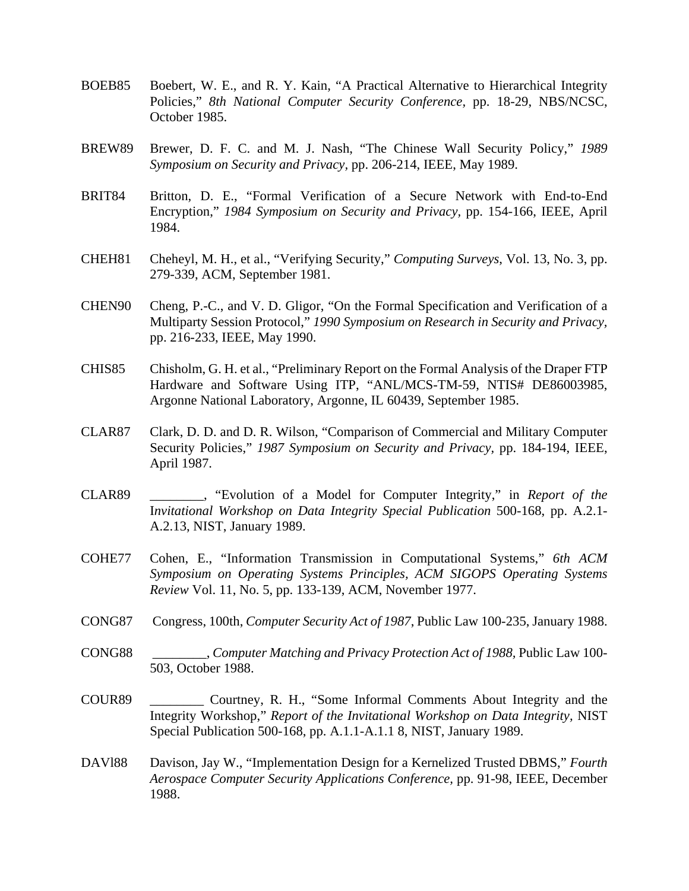- BOEB85 Boebert, W. E., and R. Y. Kain, "A Practical Alternative to Hierarchical Integrity Policies," *8th National Computer Security Conference,* pp. 18-29, NBS/NCSC, October 1985.
- BREW89 Brewer, D. F. C. and M. J. Nash, "The Chinese Wall Security Policy," *1989 Symposium on Security and Privacy,* pp. 206-214, IEEE, May 1989.
- BRIT84 Britton, D. E., "Formal Verification of a Secure Network with End-to-End Encryption," *1984 Symposium on Security and Privacy,* pp. 154-166, IEEE, April 1984.
- CHEH81 Cheheyl, M. H., et al., "Verifying Security," *Computing Surveys*, Vol. 13, No. 3, pp. 279-339, ACM, September 1981.
- CHEN90 Cheng, P.-C., and V. D. Gligor, "On the Formal Specification and Verification of a Multiparty Session Protocol," *1990 Symposium on Research in Security and Privacy,* pp. 216-233, IEEE, May 1990.
- CHIS85 Chisholm, G. H. et al., "Preliminary Report on the Formal Analysis of the Draper FTP Hardware and Software Using ITP, "ANL/MCS-TM-59, NTIS# DE86003985, Argonne National Laboratory, Argonne, IL 60439, September 1985.
- CLAR87 Clark, D. D. and D. R. Wilson, "Comparison of Commercial and Military Computer Security Policies," *1987 Symposium on Security and Privacy,* pp. 184-194, IEEE, April 1987.
- CLAR89 \_\_\_\_\_\_\_\_, "Evolution of a Model for Computer Integrity," in *Report of the* I*nvitational Workshop on Data Integrity Special Publication* 500-168, pp. A.2.1- A.2.13, NIST, January 1989.
- COHE77 Cohen, E., "Information Transmission in Computational Systems," *6th ACM Symposium on Operating Systems Principles, ACM SIGOPS Operating Systems Review* Vol. 11, No. 5, pp. 133-139, ACM, November 1977.
- CONG87 Congress, 100th, *Computer Security Act of 1987*, Public Law 100-235, January 1988.
- CONG88 \_\_\_\_\_\_\_\_, *Computer Matching and Privacy Protection Act of 1988,* Public Law 100- 503, October 1988.
- COUR89 \_\_\_\_\_\_\_\_ Courtney, R. H., "Some Informal Comments About Integrity and the Integrity Workshop," *Report of the Invitational Workshop on Data Integrity,* NIST Special Publication 500-168, pp. A.1.1-A.1.1 8, NIST, January 1989.
- DAVl88 Davison, Jay W., "Implementation Design for a Kernelized Trusted DBMS," *Fourth Aerospace Computer Security Applications Conference,* pp. 91-98, IEEE, December 1988.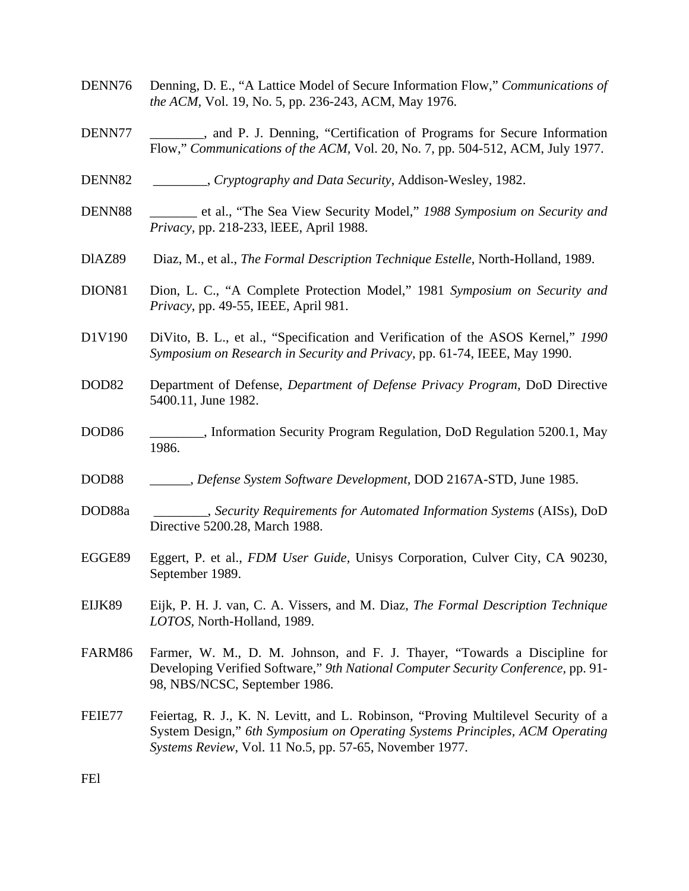- DENN76 Denning, D. E., "A Lattice Model of Secure Information Flow," *Communications of the ACM,* Vol. 19, No. 5, pp. 236-243, ACM, May 1976.
- DENN77 \_\_\_\_\_\_\_\_, and P. J. Denning, "Certification of Programs for Secure Information Flow," *Communications of the ACM,* Vol. 20, No. 7, pp. 504-512, ACM, July 1977.
- DENN82 \_\_\_\_\_\_\_\_, *Cryptography and Data Security*, Addison-Wesley, 1982.
- DENN88 \_\_\_\_\_\_\_ et al., "The Sea View Security Model," *1988 Symposium on Security and Privacy,* pp. 218-233, lEEE, April 1988.
- DlAZ89 Diaz, M., et al., *The Formal Description Technique Estelle*, North-Holland, 1989.
- DION81 Dion, L. C., "A Complete Protection Model," 1981 *Symposium on Security and Privacy*, pp. 49-55, IEEE, April 981.
- D1V190 DiVito, B. L., et al., "Specification and Verification of the ASOS Kernel," *1990 Symposium on Research in Security and Privacy,* pp. 61-74, IEEE, May 1990.
- DOD82 Department of Defense, *Department of Defense Privacy Program,* DoD Directive 5400.11, June 1982.
- DOD86 \_\_\_\_\_\_\_\_, Information Security Program Regulation, DoD Regulation 5200.1, May 1986.
- DOD88 \_\_\_\_\_\_, *Defense System Software Development,* DOD 2167A-STD, June 1985.
- DOD88a \_\_\_\_\_\_\_\_, *Security Requirements for Automated Information Systems* (AISs), DoD Directive 5200.28, March 1988.
- EGGE89 Eggert, P. et al., *FDM User Guide,* Unisys Corporation, Culver City, CA 90230, September 1989.
- EIJK89 Eijk, P. H. J. van, C. A. Vissers, and M. Diaz, *The Formal Description Technique LOTOS,* North-Holland, 1989.
- FARM86 Farmer, W. M., D. M. Johnson, and F. J. Thayer, "Towards a Discipline for Developing Verified Software," *9th National Computer Security Conference,* pp. 91- 98, NBS/NCSC, September 1986.
- FEIE77 Feiertag, R. J., K. N. Levitt, and L. Robinson, "Proving Multilevel Security of a System Design," *6th Symposium on Operating Systems Principles, ACM Operating Systems Review*, Vol. 11 No.5, pp. 57-65, November 1977.

FEl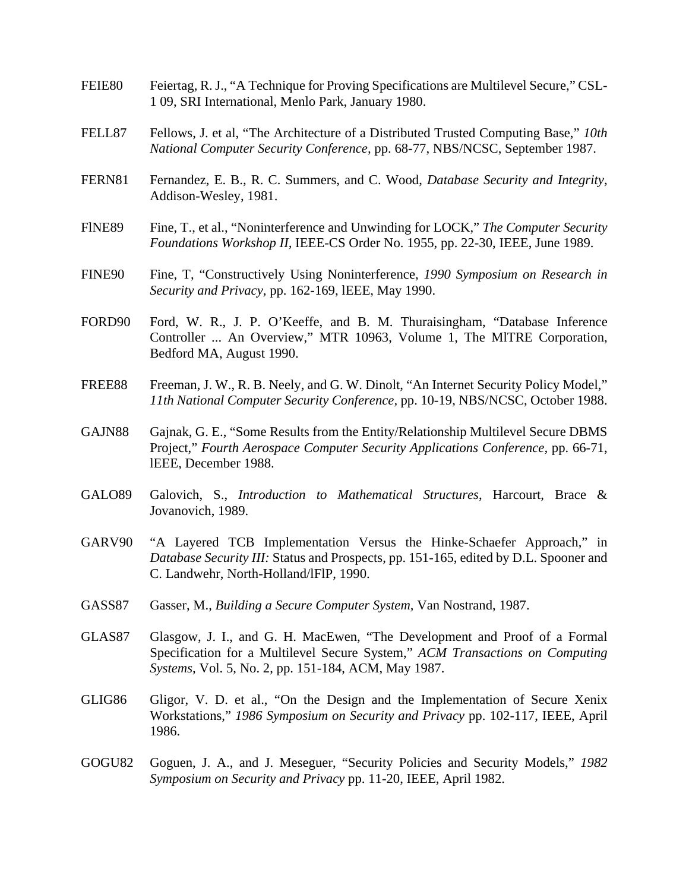- FEIE80 Feiertag, R. J., "A Technique for Proving Specifications are Multilevel Secure," CSL-1 09, SRI International, Menlo Park, January 1980.
- FELL87 Fellows, J. et al, "The Architecture of a Distributed Trusted Computing Base," *10th National Computer Security Conference,* pp. 68-77, NBS/NCSC, September 1987.
- FERN81 Fernandez, E. B., R. C. Summers, and C. Wood, *Database Security and Integrity,* Addison-Wesley, 1981.
- FlNE89 Fine, T., et al., "Noninterference and Unwinding for LOCK," *The Computer Security Foundations Workshop II,* IEEE-CS Order No. 1955, pp. 22-30, IEEE, June 1989.
- FINE90 Fine, T, "Constructively Using Noninterference, *1990 Symposium on Research in Security and Privacy,* pp. 162-169, lEEE, May 1990.
- FORD90 Ford, W. R., J. P. O'Keeffe, and B. M. Thuraisingham, "Database Inference Controller ... An Overview," MTR 10963, Volume 1, The MlTRE Corporation, Bedford MA, August 1990.
- FREE88 Freeman, J. W., R. B. Neely, and G. W. Dinolt, "An Internet Security Policy Model," *11th National Computer Security Conference,* pp. 10-19, NBS/NCSC, October 1988.
- GAJN88 Gajnak, G. E., "Some Results from the Entity/Relationship Multilevel Secure DBMS Project," *Fourth Aerospace Computer Security Applications Conference,* pp. 66-71, lEEE, December 1988.
- GALO89 Galovich, S., *Introduction to Mathematical Structures*, Harcourt, Brace & Jovanovich, 1989.
- GARV90 "A Layered TCB Implementation Versus the Hinke-Schaefer Approach," in *Database Security III:* Status and Prospects, pp. 151-165, edited by D.L. Spooner and C. Landwehr, North-Holland/lFlP, 1990.
- GASS87 Gasser, M., *Building a Secure Computer System,* Van Nostrand, 1987.
- GLAS87 Glasgow, J. I., and G. H. MacEwen, "The Development and Proof of a Formal Specification for a Multilevel Secure System," *ACM Transactions on Computing Systems,* Vol. 5, No. 2, pp. 151-184, ACM, May 1987.
- GLIG86 Gligor, V. D. et al., "On the Design and the Implementation of Secure Xenix Workstations," *1986 Symposium on Security and Privacy* pp. 102-117, IEEE, April 1986.
- GOGU82 Goguen, J. A., and J. Meseguer, "Security Policies and Security Models," *1982 Symposium on Security and Privacy* pp. 11-20, IEEE, April 1982.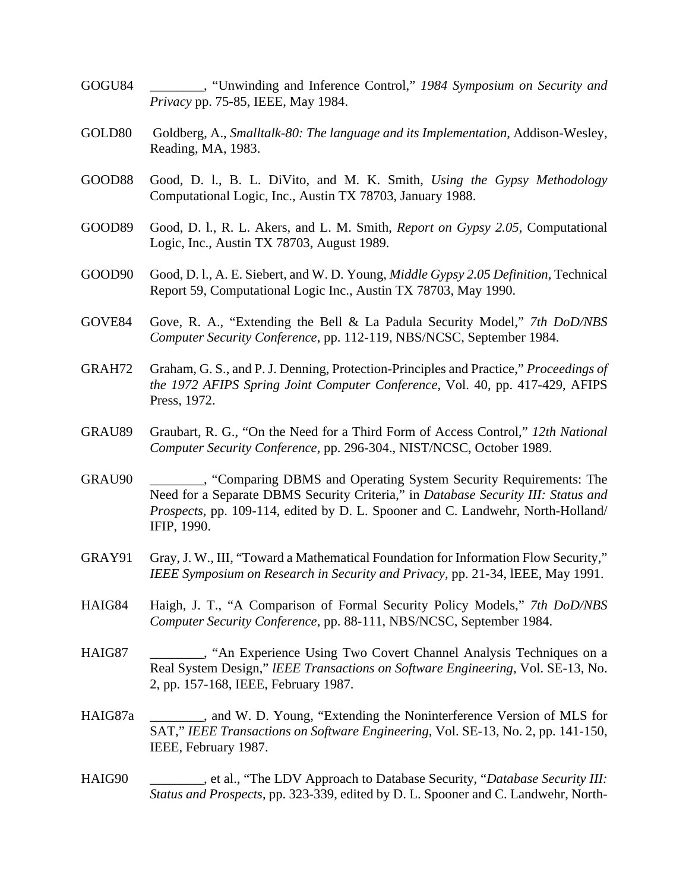- GOGU84 \_\_\_\_\_\_\_\_, "Unwinding and Inference Control," *1984 Symposium on Security and Privacy* pp. 75-85, IEEE, May 1984.
- GOLD80 Goldberg, A., *Smalltalk-80: The language and its Implementation,* Addison-Wesley, Reading, MA, 1983.
- GOOD88 Good, D. l., B. L. DiVito, and M. K. Smith, *Using the Gypsy Methodology* Computational Logic, Inc., Austin TX 78703, January 1988.
- GOOD89 Good, D. l., R. L. Akers, and L. M. Smith, *Report on Gypsy 2.05,* Computational Logic, Inc., Austin TX 78703, August 1989.
- GOOD90 Good, D. l., A. E. Siebert, and W. D. Young, *Middle Gypsy 2.05 Definition,* Technical Report 59, Computational Logic Inc., Austin TX 78703, May 1990.
- GOVE84 Gove, R. A., "Extending the Bell & La Padula Security Model," *7th DoD/NBS Computer Security Conference*, pp. 112-119, NBS/NCSC, September 1984.
- GRAH72 Graham, G. S., and P. J. Denning, Protection-Principles and Practice," *Proceedings of the 1972 AFIPS Spring Joint Computer Conference,* Vol. 40, pp. 417-429, AFIPS Press, 1972.
- GRAU89 Graubart, R. G., "On the Need for a Third Form of Access Control," *12th National Computer Security Conference,* pp. 296-304., NIST/NCSC, October 1989.
- GRAU90 \_\_\_\_\_\_\_\_, "Comparing DBMS and Operating System Security Requirements: The Need for a Separate DBMS Security Criteria," in *Database Security III: Status and Prospects,* pp. 109-114, edited by D. L. Spooner and C. Landwehr, North-Holland/ IFIP, 1990.
- GRAY91 Gray, J. W., III, "Toward a Mathematical Foundation for Information Flow Security," *IEEE Symposium on Research in Security and Privacy,* pp. 21-34, lEEE, May 1991.
- HAIG84 Haigh, J. T., "A Comparison of Formal Security Policy Models," *7th DoD/NBS Computer Security Conference,* pp. 88-111, NBS/NCSC, September 1984.
- HAIG87 \_\_\_\_\_\_\_\_, "An Experience Using Two Covert Channel Analysis Techniques on a Real System Design," *lEEE Transactions on Software Engineering*, Vol. SE-13, No. 2, pp. 157-168, IEEE, February 1987.
- HAIG87a \_\_\_\_\_\_\_\_, and W. D. Young, "Extending the Noninterference Version of MLS for SAT," *IEEE Transactions on Software Engineering,* Vol. SE-13, No. 2, pp. 141-150, IEEE, February 1987.
- HAIG90 \_\_\_\_\_\_\_\_, et al., "The LDV Approach to Database Security, "*Database Security III: Status and Prospects*, pp. 323-339, edited by D. L. Spooner and C. Landwehr, North-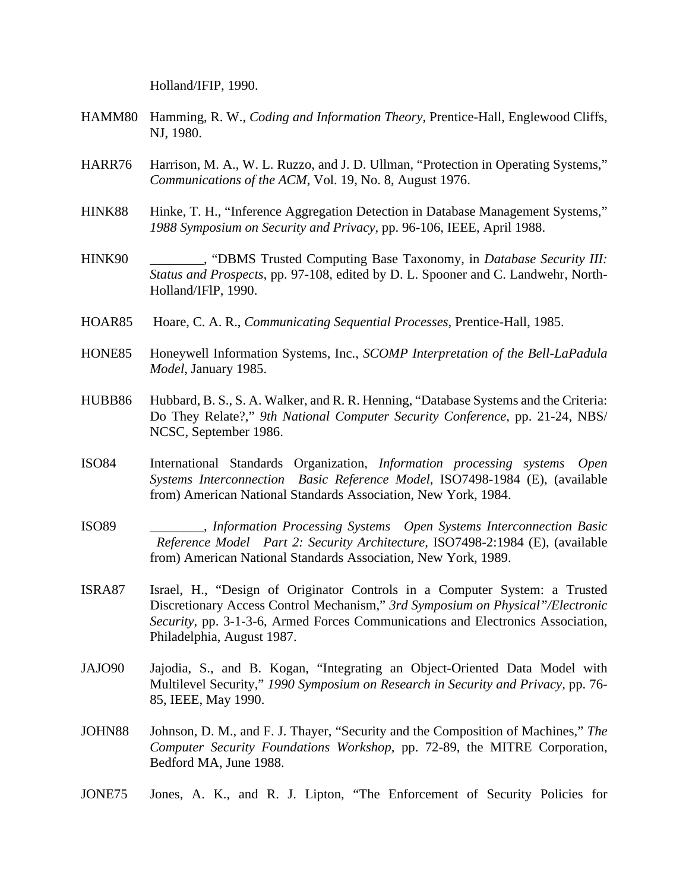Holland/IFIP, 1990.

- HAMM80 Hamming, R. W., *Coding and Information Theory,* Prentice-Hall, Englewood Cliffs, NJ, 1980.
- HARR76 Harrison, M. A., W. L. Ruzzo, and J. D. Ullman, "Protection in Operating Systems," *Communications of the ACM,* Vol. 19, No. 8, August 1976.
- HINK88 Hinke, T. H., "Inference Aggregation Detection in Database Management Systems," *1988 Symposium on Security and Privacy*, pp. 96-106, IEEE, April 1988.
- HINK90 \_\_\_\_\_\_\_\_, "DBMS Trusted Computing Base Taxonomy, in *Database Security III: Status and Prospects,* pp. 97-108, edited by D. L. Spooner and C. Landwehr, North-Holland/IFlP, 1990.
- HOAR85 Hoare, C. A. R., *Communicating Sequential Processes*, Prentice-Hall, 1985.
- HONE85 Honeywell Information Systems, Inc., *SCOMP Interpretation of the Bell-LaPadula Model*, January 1985.
- HUBB86 Hubbard, B. S., S. A. Walker, and R. R. Henning, "Database Systems and the Criteria: Do They Relate?," *9th National Computer Security Conference*, pp. 21-24, NBS/ NCSC, September 1986.
- ISO84 International Standards Organization, *Information processing systems Open Systems Interconnection Basic Reference Model,* ISO7498-1984 (E), (available from) American National Standards Association, New York, 1984.
- ISO89 \_\_\_\_\_\_\_\_, *Information Processing Systems Open Systems Interconnection Basic Reference Model Part 2: Security Architecture,* ISO7498-2:1984 (E), (available from) American National Standards Association, New York, 1989.
- ISRA87 Israel, H., "Design of Originator Controls in a Computer System: a Trusted Discretionary Access Control Mechanism," *3rd Symposium on Physical"/Electronic Security,* pp. 3-1-3-6, Armed Forces Communications and Electronics Association, Philadelphia, August 1987.
- JAJO90 Jajodia, S., and B. Kogan, "Integrating an Object-Oriented Data Model with Multilevel Security," *1990 Symposium on Research in Security and Privacy,* pp. 76- 85, IEEE, May 1990.
- JOHN88 Johnson, D. M., and F. J. Thayer, "Security and the Composition of Machines," *The Computer Security Foundations Workshop,* pp. 72-89, the MITRE Corporation, Bedford MA, June 1988.
- JONE75 Jones, A. K., and R. J. Lipton, "The Enforcement of Security Policies for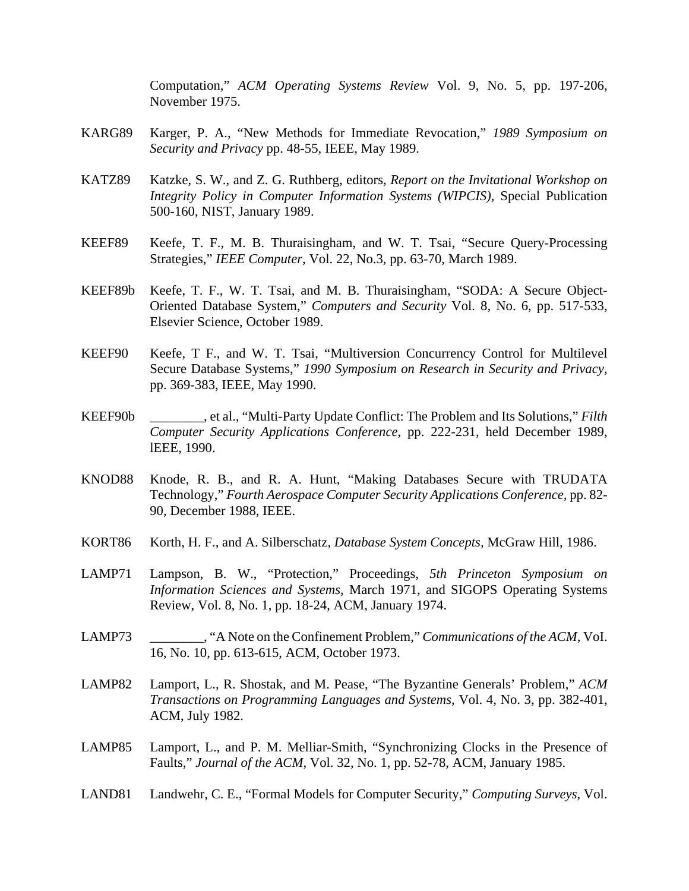Computation," *ACM Operating Systems Review* Vol. 9, No. 5, pp. 197-206, November 1975.

- KARG89 Karger, P. A., "New Methods for Immediate Revocation," *1989 Symposium on Security and Privacy* pp. 48-55, IEEE, May 1989.
- KATZ89 Katzke, S. W., and Z. G. Ruthberg, editors, *Report on the Invitational Workshop on Integrity Policy in Computer Information Systems (WIPCIS),* Special Publication 500-160, NIST, January 1989.
- KEEF89 Keefe, T. F., M. B. Thuraisingham, and W. T. Tsai, "Secure Query-Processing Strategies," *IEEE Computer,* Vol. 22, No.3, pp. 63-70, March 1989.
- KEEF89b Keefe, T. F., W. T. Tsai, and M. B. Thuraisingham, "SODA: A Secure Object-Oriented Database System," *Computers and Security* Vol. 8, No. 6, pp. 517-533, Elsevier Science, October 1989.
- KEEF90 Keefe, T F., and W. T. Tsai, "Multiversion Concurrency Control for Multilevel Secure Database Systems," *1990 Symposium on Research in Security and Privacy*, pp. 369-383, IEEE, May 1990.
- KEEF90b \_\_\_\_\_\_\_\_, et al., "Multi-Party Update Conflict: The Problem and Its Solutions," *Filth Computer Security Applications Conference*, pp. 222-231, held December 1989, lEEE, 1990.
- KNOD88 Knode, R. B., and R. A. Hunt, "Making Databases Secure with TRUDATA Technology," *Fourth Aerospace Computer Security Applications Conference,* pp. 82- 90, December 1988, IEEE.
- KORT86 Korth, H. F., and A. Silberschatz, *Database System Concepts,* McGraw Hill, 1986.
- LAMP71 Lampson, B. W., "Protection," Proceedings, *5th Princeton Symposium on Information Sciences and Systems,* March 1971, and SIGOPS Operating Systems Review, Vol. 8, No. 1, pp. 18-24, ACM, January 1974.
- LAMP73 \_\_\_\_\_\_\_\_, "A Note on the Confinement Problem," *Communications of the ACM,* VoI. 16, No. 10, pp. 613-615, ACM, October 1973.
- LAMP82 Lamport, L., R. Shostak, and M. Pease, "The Byzantine Generals' Problem," *ACM Transactions on Programming Languages and Systems,* Vol. 4, No. 3, pp. 382-401, ACM, July 1982.
- LAMP85 Lamport, L., and P. M. Melliar-Smith, "Synchronizing Clocks in the Presence of Faults," *Journal of the ACM,* Vol. 32, No. 1, pp. 52-78, ACM, January 1985.
- LAND81 Landwehr, C. E., "Formal Models for Computer Security," *Computing Surveys*, Vol.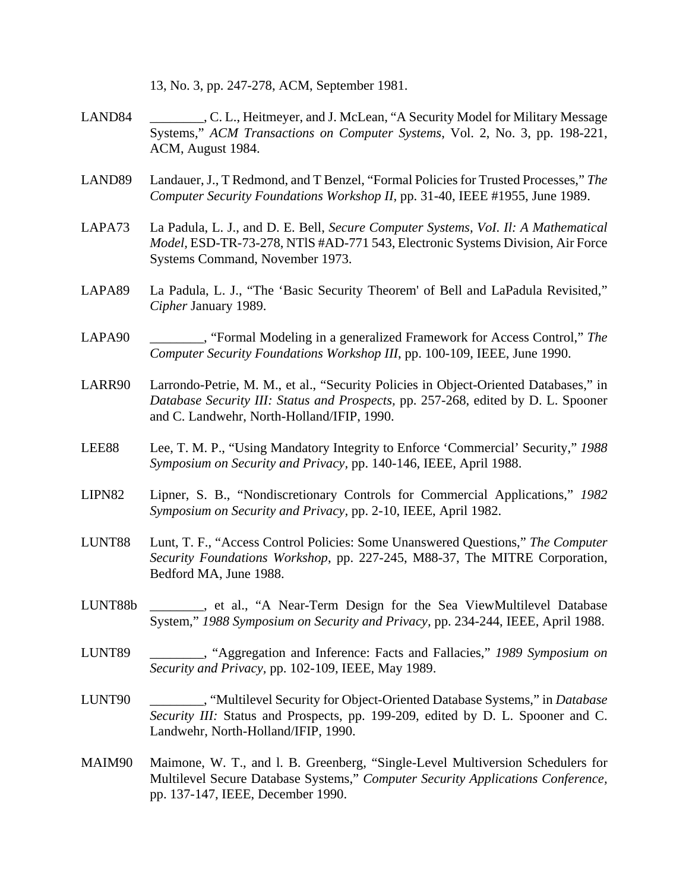13, No. 3, pp. 247-278, ACM, September 1981.

- LAND84 \_\_\_\_\_\_\_\_, C. L., Heitmeyer, and J. McLean, "A Security Model for Military Message Systems," *ACM Transactions on Computer Systems*, Vol. 2, No. 3, pp. 198-221, ACM, August 1984.
- LAND89 Landauer, J., T Redmond, and T Benzel, "Formal Policies for Trusted Processes," *The Computer Security Foundations Workshop II,* pp. 31-40, IEEE #1955, June 1989.
- LAPA73 La Padula, L. J., and D. E. Bell, *Secure Computer Systems, VoI. Il: A Mathematical Model,* ESD-TR-73-278, NTlS #AD-771 543, Electronic Systems Division, Air Force Systems Command, November 1973.
- LAPA89 La Padula, L. J., "The 'Basic Security Theorem' of Bell and LaPadula Revisited," *Cipher* January 1989.
- LAPA90 \_\_\_\_\_\_\_\_, "Formal Modeling in a generalized Framework for Access Control," *The Computer Security Foundations Workshop III*, pp. 100-109, IEEE, June 1990.
- LARR90 Larrondo-Petrie, M. M., et al., "Security Policies in Object-Oriented Databases," in *Database Security III: Status and Prospects,* pp. 257-268, edited by D. L. Spooner and C. Landwehr, North-Holland/IFIP, 1990.
- LEE88 Lee, T. M. P., "Using Mandatory Integrity to Enforce 'Commercial' Security," *1988 Symposium on Security and Privacy,* pp. 140-146, IEEE, April 1988.
- LIPN82 Lipner, S. B., "Nondiscretionary Controls for Commercial Applications," *1982 Symposium on Security and Privacy,* pp. 2-10, IEEE, April 1982.
- LUNT88 Lunt, T. F., "Access Control Policies: Some Unanswered Questions," *The Computer Security Foundations Workshop*, pp. 227-245, M88-37, The MITRE Corporation, Bedford MA, June 1988.
- LUNT88b \_\_\_\_\_\_\_\_, et al., "A Near-Term Design for the Sea ViewMultilevel Database System," *1988 Symposium on Security and Privacy,* pp. 234-244, IEEE, April 1988.
- LUNT89 \_\_\_\_\_\_\_\_, "Aggregation and Inference: Facts and Fallacies," *1989 Symposium on Security and Privacy,* pp. 102-109, IEEE, May 1989.
- LUNT90 \_\_\_\_\_\_\_\_, "Multilevel Security for Object-Oriented Database Systems," in *Database Security III:* Status and Prospects, pp. 199-209, edited by D. L. Spooner and C. Landwehr, North-Holland/IFIP, 1990.
- MAIM90 Maimone, W. T., and l. B. Greenberg, "Single-Level Multiversion Schedulers for Multilevel Secure Database Systems," *Computer Security Applications Conference,* pp. 137-147, IEEE, December 1990.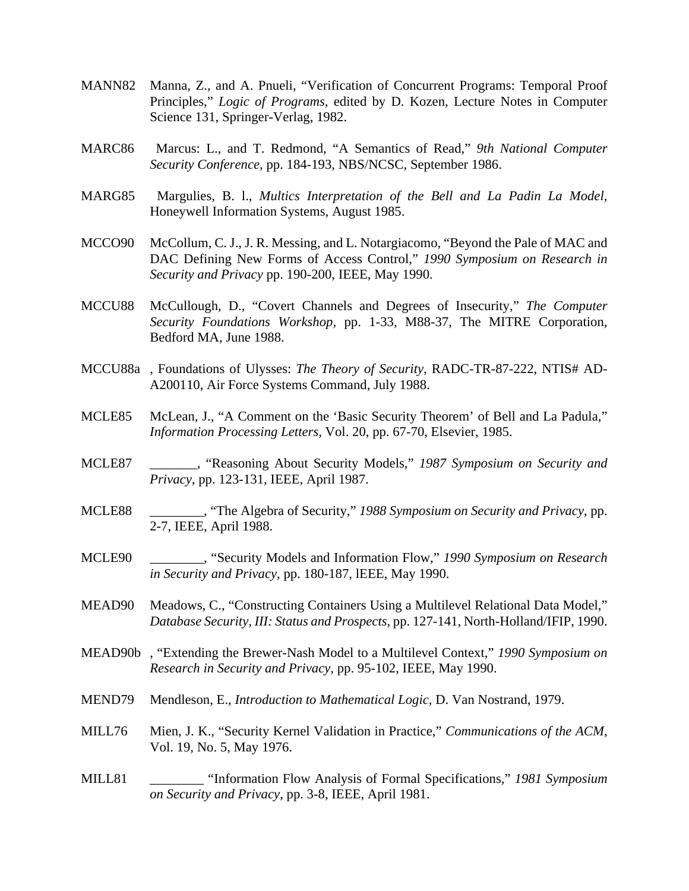- MANN82 Manna, Z., and A. Pnueli, "Verification of Concurrent Programs: Temporal Proof Principles," *Logic of Programs,* edited by D. Kozen, Lecture Notes in Computer Science 131, Springer-Verlag, 1982.
- MARC86 Marcus: L., and T. Redmond, "A Semantics of Read," *9th National Computer Security Conference,* pp. 184-193, NBS/NCSC, September 1986.
- MARG85 Margulies, B. l., *Multics Interpretation of the Bell and La Padin La Model,* Honeywell Information Systems, August 1985.
- MCCO90 McCollum, C. J., J. R. Messing, and L. Notargiacomo, "Beyond the Pale of MAC and DAC Defining New Forms of Access Control," *1990 Symposium on Research in Security and Privacy* pp. 190-200, IEEE, May 1990.
- MCCU88 McCullough, D., "Covert Channels and Degrees of Insecurity," *The Computer Security Foundations Workshop,* pp. 1-33, M88-37, The MITRE Corporation, Bedford MA, June 1988.
- MCCU88a , Foundations of Ulysses: *The Theory of Security,* RADC-TR-87-222, NTIS# AD-A200110, Air Force Systems Command, July 1988.
- MCLE85 McLean, J., "A Comment on the 'Basic Security Theorem' of Bell and La Padula," *Information Processing Letters,* Vol. 20, pp. 67-70, Elsevier, 1985.
- MCLE87 \_\_\_\_\_\_\_, "Reasoning About Security Models," *1987 Symposium on Security and Privacy,* pp. 123-131, IEEE, April 1987.
- MCLE88 \_\_\_\_\_\_\_\_, "The Algebra of Security," *1988 Symposium on Security and Privacy*, pp. 2-7, IEEE, April 1988.
- MCLE90 \_\_\_\_\_\_\_\_, "Security Models and Information Flow," *1990 Symposium on Research in Security and Privacy*, pp. 180-187, lEEE, May 1990.
- MEAD90 Meadows, C., "Constructing Containers Using a Multilevel Relational Data Model," *Database Security, III: Status and Prospects,* pp. 127-141, North-Holland/IFIP, 1990.
- MEAD90b , "Extending the Brewer-Nash Model to a Multilevel Context," *1990 Symposium on Research in Security and Privacy,* pp. 95-102, IEEE, May 1990.
- MEND79 Mendleson, E., *Introduction to Mathematical Logic,* D. Van Nostrand, 1979.
- MILL76 Mien, J. K., "Security Kernel Validation in Practice," *Communications of the ACM*, Vol. 19, No. 5, May 1976.
- MILL81 \_\_\_\_\_\_\_\_ "Information Flow Analysis of Formal Specifications," *1981 Symposium on Security and Privacy,* pp. 3-8, IEEE, April 1981.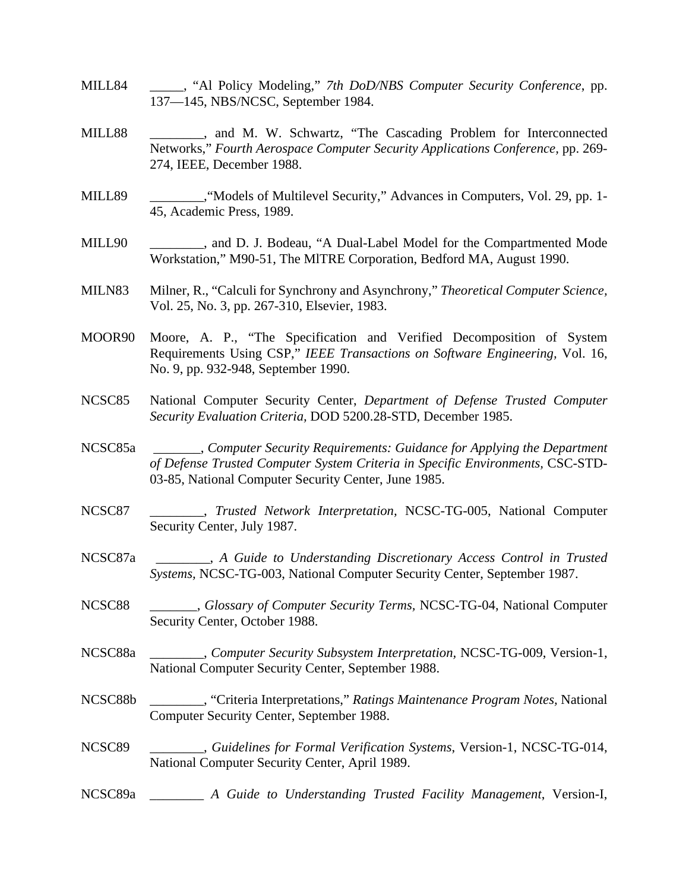- MILL84 \_\_\_\_\_, "Al Policy Modeling," *7th DoD/NBS Computer Security Conference*, pp. 137—145, NBS/NCSC, September 1984.
- MILL88 \_\_\_\_\_\_\_\_, and M. W. Schwartz, "The Cascading Problem for Interconnected Networks," *Fourth Aerospace Computer Security Applications Conference,* pp. 269- 274, IEEE, December 1988.
- MILL89 \_\_\_\_\_\_\_\_\_, "Models of Multilevel Security," Advances in Computers, Vol. 29, pp. 1-45, Academic Press, 1989.
- MILL90 \_\_\_\_\_\_\_\_\_, and D. J. Bodeau, "A Dual-Label Model for the Compartmented Mode Workstation," M90-51, The MlTRE Corporation, Bedford MA, August 1990.
- MILN83 Milner, R., "Calculi for Synchrony and Asynchrony," *Theoretical Computer Science,* Vol. 25, No. 3, pp. 267-310, Elsevier, 1983.
- MOOR90 Moore, A. P., "The Specification and Verified Decomposition of System Requirements Using CSP," *IEEE Transactions on Software Engineering,* Vol. 16, No. 9, pp. 932-948, September 1990.
- NCSC85 National Computer Security Center, *Department of Defense Trusted Computer Security Evaluation Criteria,* DOD 5200.28-STD, December 1985.
- NCSC85a \_\_\_\_\_\_\_, *Computer Security Requirements: Guidance for Applying the Department of Defense Trusted Computer System Criteria in Specific Environments,* CSC-STD-03-85, National Computer Security Center, June 1985.
- NCSC87 \_\_\_\_\_\_\_\_, *Trusted Network Interpretation,* NCSC-TG-005, National Computer Security Center, July 1987.
- NCSC87a \_\_\_\_\_\_\_\_, *A Guide to Understanding Discretionary Access Control in Trusted Systems,* NCSC-TG-003, National Computer Security Center, September 1987.
- NCSC88 \_\_\_\_\_\_\_, *Glossary of Computer Security Terms,* NCSC-TG-04, National Computer Security Center, October 1988.
- NCSC88a \_\_\_\_\_\_\_\_, *Computer Security Subsystem Interpretation,* NCSC-TG-009, Version-1, National Computer Security Center, September 1988.
- NCSC88b \_\_\_\_\_\_\_\_, "Criteria Interpretations," *Ratings Maintenance Program Notes,* National Computer Security Center, September 1988.
- NCSC89 \_\_\_\_\_\_\_\_, *Guidelines for Formal Verification Systems*, Version-1, NCSC-TG-014, National Computer Security Center, April 1989.
- NCSC89a \_\_\_\_\_\_\_\_ *A Guide to Understanding Trusted Facility Management*, Version-I,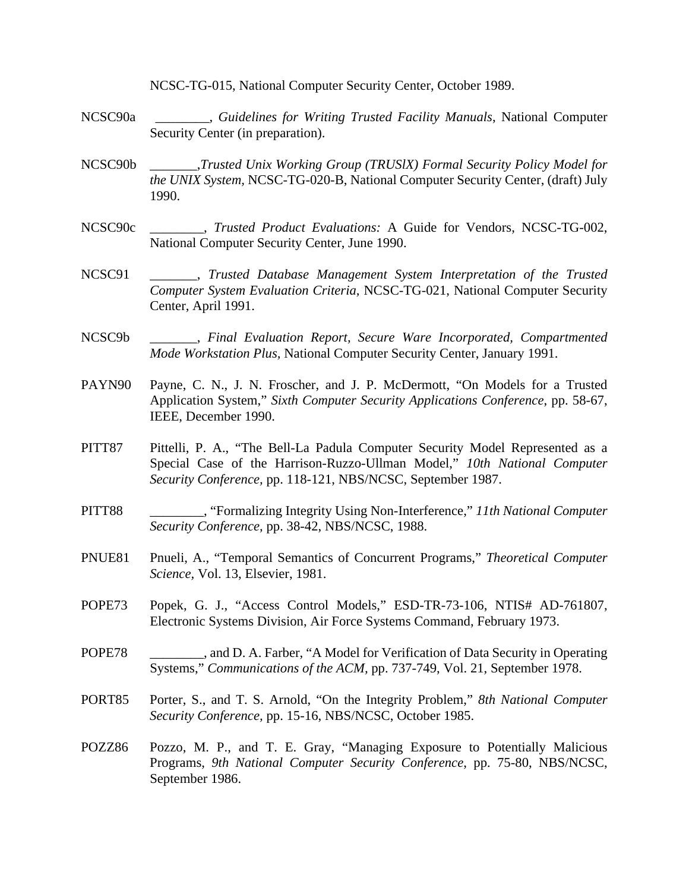NCSC-TG-015, National Computer Security Center, October 1989.

- NCSC90a \_\_\_\_\_\_\_\_, *Guidelines for Writing Trusted Facility Manuals*, National Computer Security Center (in preparation).
- NCSC90b \_\_\_\_\_\_\_,*Trusted Unix Working Group (TRUSlX) Formal Security Policy Model for the UNIX System,* NCSC-TG-020-B, National Computer Security Center, (draft) July 1990.
- NCSC90c \_\_\_\_\_\_\_\_, *Trusted Product Evaluations:* A Guide for Vendors, NCSC-TG-002, National Computer Security Center, June 1990.
- NCSC91 \_\_\_\_\_\_\_, *Trusted Database Management System Interpretation of the Trusted Computer System Evaluation Criteria,* NCSC-TG-021, National Computer Security Center, April 1991.
- NCSC9b \_\_\_\_\_\_\_, *Final Evaluation Report, Secure Ware Incorporated, Compartmented Mode Workstation Plus,* National Computer Security Center, January 1991.
- PAYN90 Payne, C. N., J. N. Froscher, and J. P. McDermott, "On Models for a Trusted Application System," *Sixth Computer Security Applications Conference*, pp. 58-67, IEEE, December 1990.
- PITT87 Pittelli, P. A., "The Bell-La Padula Computer Security Model Represented as a Special Case of the Harrison-Ruzzo-Ullman Model," *10th National Computer Security Conference,* pp. 118-121, NBS/NCSC, September 1987.
- PITT88 \_\_\_\_\_\_\_\_, "Formalizing Integrity Using Non-Interference," *11th National Computer Security Conference,* pp. 38-42, NBS/NCSC, 1988.
- PNUE81 Pnueli, A., "Temporal Semantics of Concurrent Programs," *Theoretical Computer Science,* Vol. 13, Elsevier, 1981.
- POPE73 Popek, G. J., "Access Control Models," ESD-TR-73-106, NTIS# AD-761807, Electronic Systems Division, Air Force Systems Command, February 1973.
- POPE78 \_\_\_\_\_\_\_\_, and D. A. Farber, "A Model for Verification of Data Security in Operating Systems," *Communications of the ACM,* pp. 737-749, Vol. 21, September 1978.
- PORT85 Porter, S., and T. S. Arnold, "On the Integrity Problem," *8th National Computer Security Conference,* pp. 15-16, NBS/NCSC, October 1985.
- POZZ86 Pozzo, M. P., and T. E. Gray, "Managing Exposure to Potentially Malicious Programs, *9th National Computer Security Conference*, pp. 75-80, NBS/NCSC, September 1986.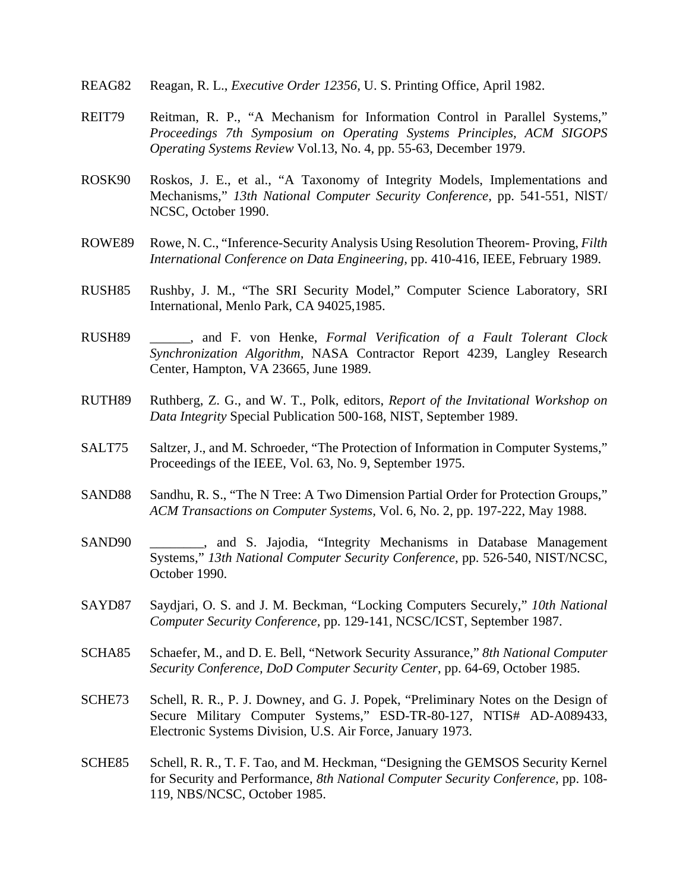- REAG82 Reagan, R. L., *Executive Order 12356,* U. S. Printing Office, April 1982.
- REIT79 Reitman, R. P., "A Mechanism for Information Control in Parallel Systems," *Proceedings 7th Symposium on Operating Systems Principles, ACM SIGOPS Operating Systems Review* Vol.13, No. 4, pp. 55-63, December 1979.
- ROSK90 Roskos, J. E., et al., "A Taxonomy of Integrity Models, Implementations and Mechanisms," *13th National Computer Security Conference,* pp. 541-551, NlST/ NCSC, October 1990.
- ROWE89 Rowe, N. C., "Inference-Security Analysis Using Resolution Theorem- Proving, *Filth International Conference on Data Engineering,* pp. 410-416, IEEE, February 1989.
- RUSH85 Rushby, J. M., "The SRI Security Model," Computer Science Laboratory, SRI International, Menlo Park, CA 94025,1985.
- RUSH89 \_\_\_\_\_\_, and F. von Henke, *Formal Verification of a Fault Tolerant Clock Synchronization Algorithm,* NASA Contractor Report 4239, Langley Research Center, Hampton, VA 23665, June 1989.
- RUTH89 Ruthberg, Z. G., and W. T., Polk, editors, *Report of the Invitational Workshop on Data Integrity* Special Publication 500-168, NIST, September 1989.
- SALT75 Saltzer, J., and M. Schroeder, "The Protection of Information in Computer Systems," Proceedings of the IEEE, Vol. 63, No. 9, September 1975.
- SAND88 Sandhu, R. S., "The N Tree: A Two Dimension Partial Order for Protection Groups," *ACM Transactions on Computer Systems,* Vol. 6, No. 2, pp. 197-222, May 1988.
- SAND90 \_\_\_\_\_\_\_\_, and S. Jajodia, "Integrity Mechanisms in Database Management Systems," *13th National Computer Security Conference*, pp. 526-540, NIST/NCSC, October 1990.
- SAYD87 Saydjari, O. S. and J. M. Beckman, "Locking Computers Securely," *10th National Computer Security Conference,* pp. 129-141, NCSC/ICST, September 1987.
- SCHA85 Schaefer, M., and D. E. Bell, "Network Security Assurance," *8th National Computer Security Conference, DoD Computer Security Center*, pp. 64-69, October 1985.
- SCHE73 Schell, R. R., P. J. Downey, and G. J. Popek, "Preliminary Notes on the Design of Secure Military Computer Systems," ESD-TR-80-127, NTIS# AD-A089433, Electronic Systems Division, U.S. Air Force, January 1973.
- SCHE85 Schell, R. R., T. F. Tao, and M. Heckman, "Designing the GEMSOS Security Kernel for Security and Performance, *8th National Computer Security Conference,* pp. 108- 119, NBS/NCSC, October 1985.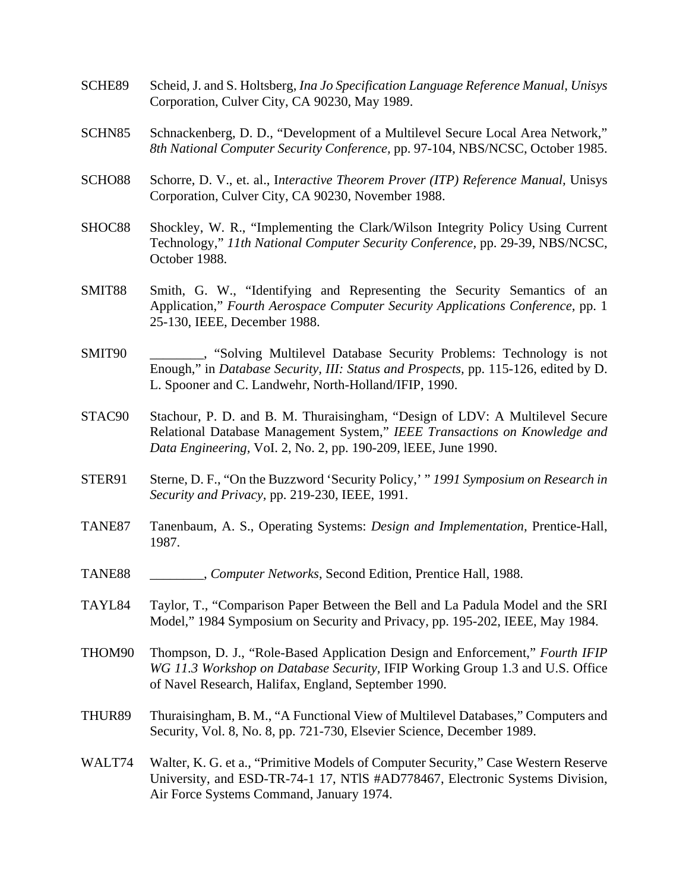- SCHE89 Scheid, J. and S. Holtsberg, *Ina Jo Specification Language Reference Manual, Unisys* Corporation, Culver City, CA 90230, May 1989.
- SCHN85 Schnackenberg, D. D., "Development of a Multilevel Secure Local Area Network," *8th National Computer Security Conference,* pp. 97-104, NBS/NCSC, October 1985.
- SCHO88 Schorre, D. V., et. al., I*nteractive Theorem Prover (ITP) Reference Manual,* Unisys Corporation, Culver City, CA 90230, November 1988.
- SHOC88 Shockley, W. R., "Implementing the Clark/Wilson Integrity Policy Using Current Technology," *11th National Computer Security Conference,* pp. 29-39, NBS/NCSC, October 1988.
- SMIT88 Smith, G. W., "Identifying and Representing the Security Semantics of an Application," *Fourth Aerospace Computer Security Applications Conference,* pp. 1 25-130, IEEE, December 1988.
- SMIT90 . "Solving Multilevel Database Security Problems: Technology is not Enough," in *Database Security, III: Status and Prospects,* pp. 115-126, edited by D. L. Spooner and C. Landwehr, North-Holland/IFIP, 1990.
- STAC90 Stachour, P. D. and B. M. Thuraisingham, "Design of LDV: A Multilevel Secure Relational Database Management System," *IEEE Transactions on Knowledge and Data Engineering,* VoI. 2, No. 2, pp. 190-209, lEEE, June 1990.
- STER91 Sterne, D. F., "On the Buzzword 'Security Policy,' " *1991 Symposium on Research in Security and Privacy,* pp. 219-230, IEEE, 1991.
- TANE87 Tanenbaum, A. S., Operating Systems: *Design and Implementation,* Prentice-Hall, 1987.
- TANE88 \_\_\_\_\_\_\_\_, *Computer Networks*, Second Edition, Prentice Hall, 1988.
- TAYL84 Taylor, T., "Comparison Paper Between the Bell and La Padula Model and the SRI Model," 1984 Symposium on Security and Privacy, pp. 195-202, IEEE, May 1984.
- THOM90 Thompson, D. J., "Role-Based Application Design and Enforcement," *Fourth IFIP WG 11.3 Workshop on Database Security,* IFIP Working Group 1.3 and U.S. Office of Navel Research, Halifax, England, September 1990.
- THUR89 Thuraisingham, B. M., "A Functional View of Multilevel Databases," Computers and Security, Vol. 8, No. 8, pp. 721-730, Elsevier Science, December 1989.
- WALT74 Walter, K. G. et a., "Primitive Models of Computer Security," Case Western Reserve University, and ESD-TR-74-1 17, NTlS #AD778467, Electronic Systems Division, Air Force Systems Command, January 1974.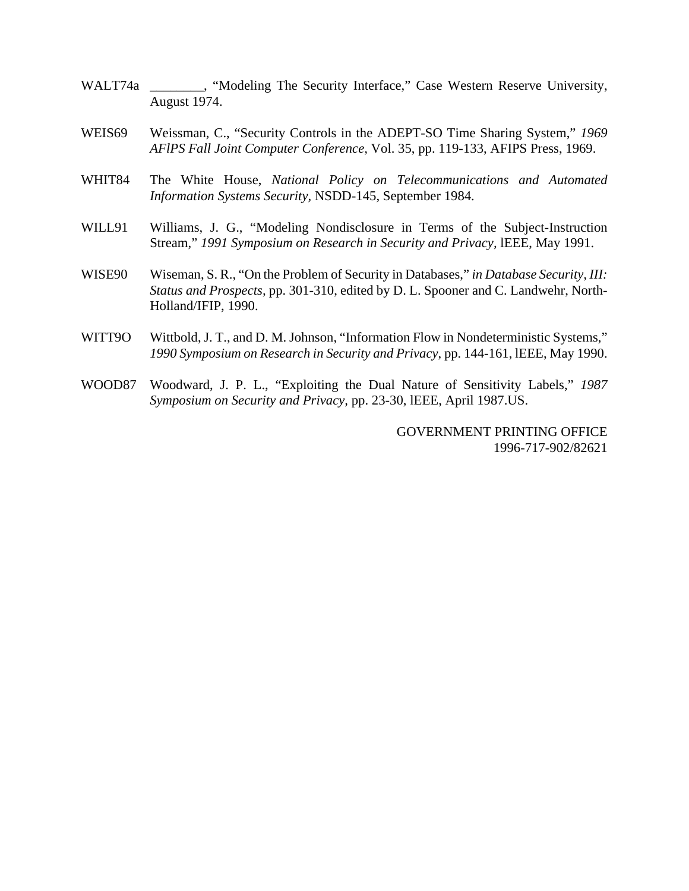- WALT74a \_\_\_\_\_\_\_, "Modeling The Security Interface," Case Western Reserve University, August 1974.
- WEIS69 Weissman, C., "Security Controls in the ADEPT-SO Time Sharing System," *1969 AFlPS Fall Joint Computer Conference,* Vol. 35, pp. 119-133, AFIPS Press, 1969.
- WHIT84 The White House, *National Policy on Telecommunications and Automated Information Systems Security,* NSDD-145, September 1984.
- WILL91 Williams, J. G., "Modeling Nondisclosure in Terms of the Subject-Instruction Stream," *1991 Symposium on Research in Security and Privacy,* lEEE, May 1991.
- WISE90 Wiseman, S. R., "On the Problem of Security in Databases," *in Database Security, III: Status and Prospects,* pp. 301-310, edited by D. L. Spooner and C. Landwehr, North-Holland/IFIP, 1990.
- WITT9O Wittbold, J. T., and D. M. Johnson, "Information Flow in Nondeterministic Systems," *1990 Symposium on Research in Security and Privacy*, pp. 144-161, lEEE, May 1990.
- WOOD87 Woodward, J. P. L., "Exploiting the Dual Nature of Sensitivity Labels," *1987 Symposium on Security and Privacy,* pp. 23-30, lEEE, April 1987.US.

 GOVERNMENT PRINTING OFFICE 1996-717-902/82621